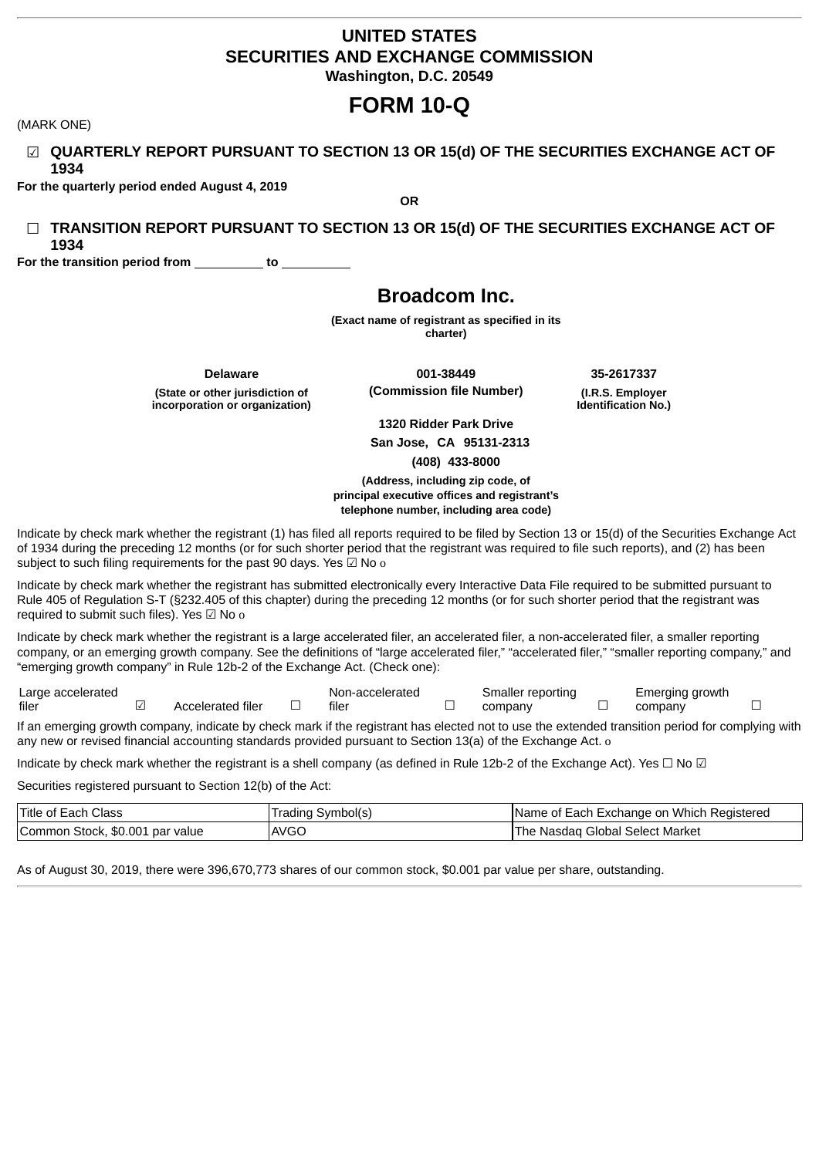## **UNITED STATES SECURITIES AND EXCHANGE COMMISSION Washington, D.C. 20549**

# **FORM 10-Q**

(MARK ONE)

☑ **QUARTERLY REPORT PURSUANT TO SECTION 13 OR 15(d) OF THE SECURITIES EXCHANGE ACT OF 1934**

**OR**

**For the quarterly period ended August 4, 2019**

☐ **TRANSITION REPORT PURSUANT TO SECTION 13 OR 15(d) OF THE SECURITIES EXCHANGE ACT OF 1934**

**For the transition period from to**

# **Broadcom Inc.**

**(Exact name of registrant as specified in its charter)**

**Delaware 001-38449 35-2617337 (State or other jurisdiction of incorporation or organization)**

**(Commission file Number) (I.R.S. Employer**

**Identification No.)**

**1320 Ridder Park Drive San Jose, CA 95131-2313 (408) 433-8000**

**(Address, including zip code, of principal executive offices and registrant's telephone number, including area code)**

Indicate by check mark whether the registrant (1) has filed all reports required to be filed by Section 13 or 15(d) of the Securities Exchange Act of 1934 during the preceding 12 months (or for such shorter period that the registrant was required to file such reports), and (2) has been subject to such filing requirements for the past 90 days. Yes  $\boxtimes$  No o

Indicate by check mark whether the registrant has submitted electronically every Interactive Data File required to be submitted pursuant to Rule 405 of Regulation S-T (§232.405 of this chapter) during the preceding 12 months (or for such shorter period that the registrant was required to submit such files). Yes ☑ No o

Indicate by check mark whether the registrant is a large accelerated filer, an accelerated filer, a non-accelerated filer, a smaller reporting company, or an emerging growth company. See the definitions of "large accelerated filer," "accelerated filer," "smaller reporting company," and "emerging growth company" in Rule 12b-2 of the Exchange Act. (Check one):

Large accelerated filer ☑ Accelerated filer ☐ Non-accelerated  $filer$   $\Box$ Smaller reporting company □ Emerging growth company □

If an emerging growth company, indicate by check mark if the registrant has elected not to use the extended transition period for complying with any new or revised financial accounting standards provided pursuant to Section 13(a) of the Exchange Act. o

Indicate by check mark whether the registrant is a shell company (as defined in Rule 12b-2 of the Exchange Act). Yes  $\Box$  No  $\Box$ 

Securities registered pursuant to Section 12(b) of the Act:

| Title of Each Class             | Trading Symbol(s) | Name of Each Exchange on Which Registered |  |  |  |  |  |
|---------------------------------|-------------------|-------------------------------------------|--|--|--|--|--|
| Common Stock, \$0.001 par value | <b>AVGO</b>       | The Nasdag Global Select Market           |  |  |  |  |  |

As of August 30, 2019, there were 396,670,773 shares of our common stock, \$0.001 par value per share, outstanding.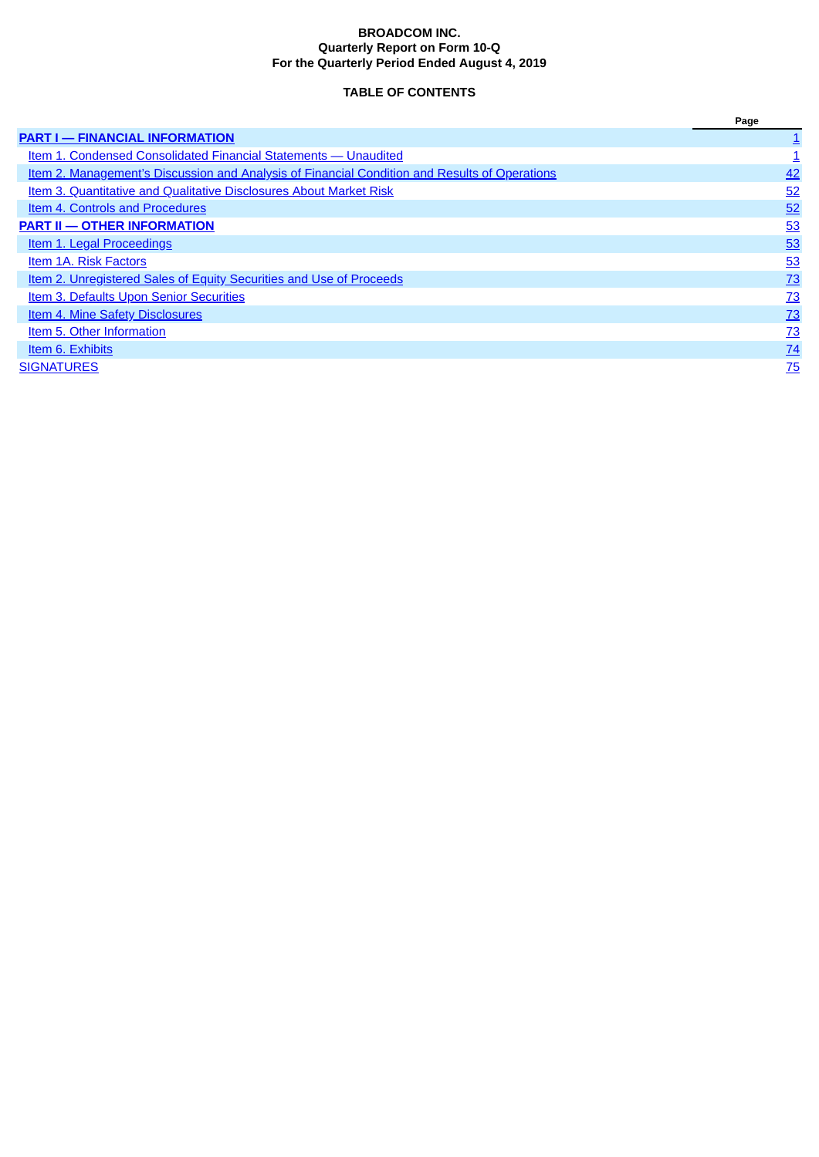### **BROADCOM INC. Quarterly Report on Form 10-Q For the Quarterly Period Ended August 4, 2019**

## **TABLE OF CONTENTS**

<span id="page-1-0"></span>

|                                                                                               | Page            |
|-----------------------------------------------------------------------------------------------|-----------------|
| <b>PART I - FINANCIAL INFORMATION</b>                                                         |                 |
| Item 1. Condensed Consolidated Financial Statements — Unaudited                               |                 |
| Item 2. Management's Discussion and Analysis of Financial Condition and Results of Operations | 42              |
| Item 3. Quantitative and Qualitative Disclosures About Market Risk                            | 52              |
| Item 4. Controls and Procedures                                                               | 52              |
| <b>PART II - OTHER INFORMATION</b>                                                            | 53              |
| <b>Item 1. Legal Proceedings</b>                                                              | 53              |
| Item 1A. Risk Factors                                                                         | 53              |
| Item 2. Unregistered Sales of Equity Securities and Use of Proceeds                           | 73              |
| <b>Item 3. Defaults Upon Senior Securities</b>                                                | 73              |
| <b>Item 4. Mine Safety Disclosures</b>                                                        | 73              |
| Item 5. Other Information                                                                     | 73              |
| Item 6. Exhibits                                                                              | $\frac{74}{1}$  |
| <b>SIGNATURES</b>                                                                             | $\overline{75}$ |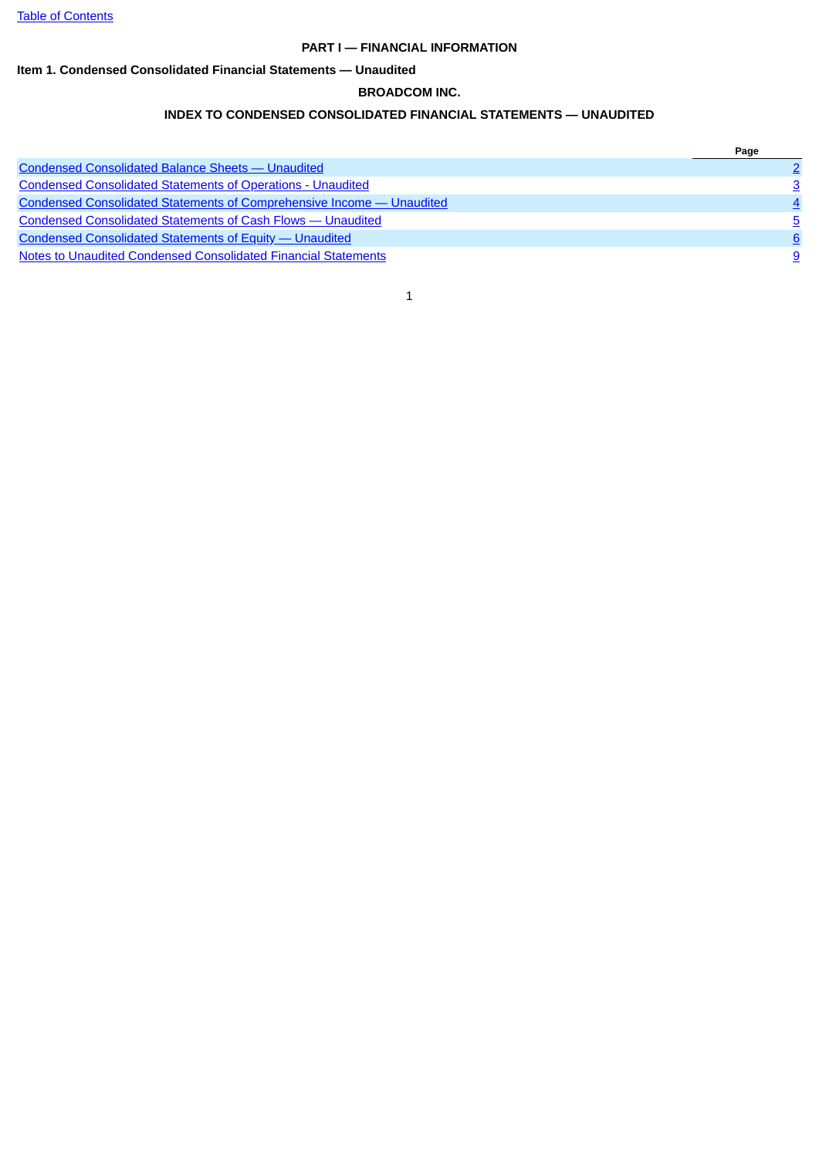## **PART I — FINANCIAL INFORMATION**

## <span id="page-2-1"></span><span id="page-2-0"></span>**Item 1. Condensed Consolidated Financial Statements — Unaudited**

## **BROADCOM INC.**

## **INDEX TO CONDENSED CONSOLIDATED FINANCIAL STATEMENTS — UNAUDITED**

|                                                                              | Page |
|------------------------------------------------------------------------------|------|
| <b>Condensed Consolidated Balance Sheets - Unaudited</b>                     |      |
| <b>Condensed Consolidated Statements of Operations - Unaudited</b>           | 3    |
| <b>Condensed Consolidated Statements of Comprehensive Income - Unaudited</b> |      |
| <b>Condensed Consolidated Statements of Cash Flows - Unaudited</b>           | 5    |
| <b>Condensed Consolidated Statements of Equity — Unaudited</b>               | 6    |
| Notes to Unaudited Condensed Consolidated Financial Statements               | 9    |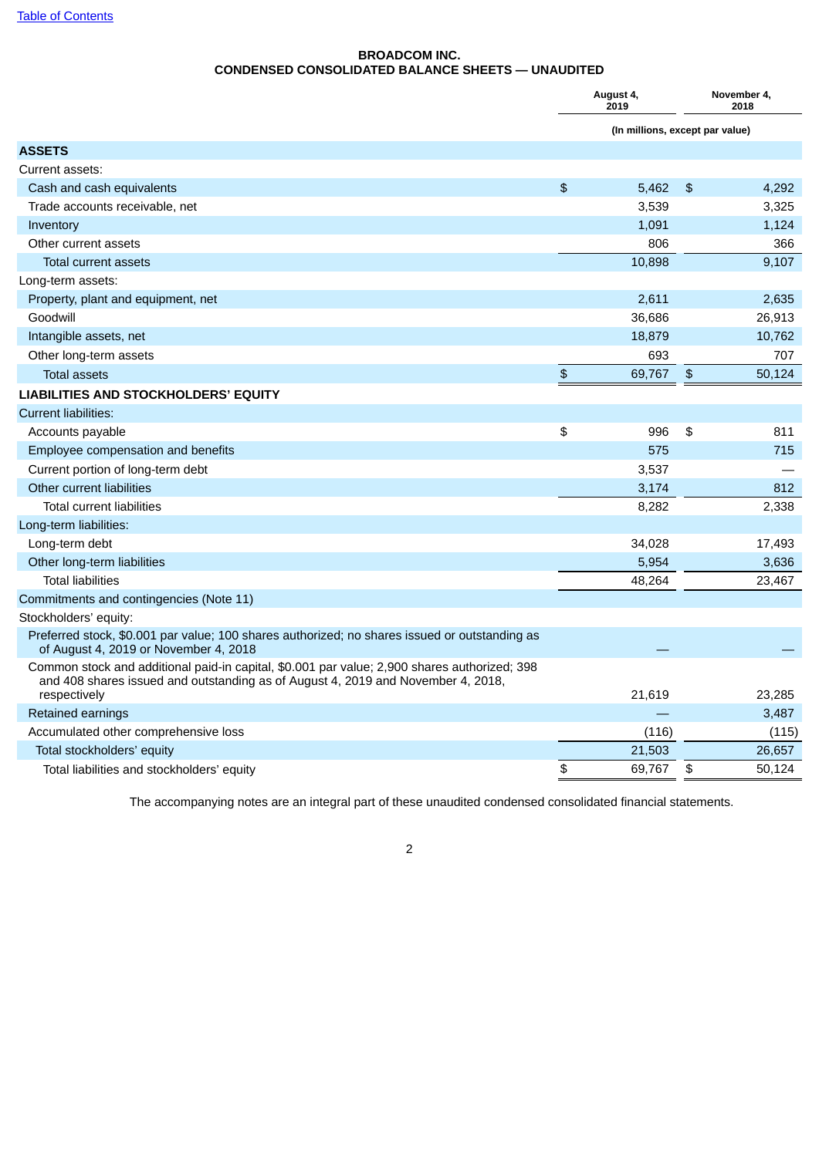## **BROADCOM INC. CONDENSED CONSOLIDATED BALANCE SHEETS — UNAUDITED**

<span id="page-3-0"></span>

|                                                                                                                                                                                  |                | August 4,<br>2019               | November 4,<br>2018 |        |  |
|----------------------------------------------------------------------------------------------------------------------------------------------------------------------------------|----------------|---------------------------------|---------------------|--------|--|
|                                                                                                                                                                                  |                | (In millions, except par value) |                     |        |  |
| <b>ASSETS</b>                                                                                                                                                                    |                |                                 |                     |        |  |
| Current assets:                                                                                                                                                                  |                |                                 |                     |        |  |
| Cash and cash equivalents                                                                                                                                                        | $\mathfrak{P}$ | 5.462                           | $\mathfrak{L}$      | 4,292  |  |
| Trade accounts receivable, net                                                                                                                                                   |                | 3,539                           |                     | 3,325  |  |
| Inventory                                                                                                                                                                        |                | 1,091                           |                     | 1,124  |  |
| Other current assets                                                                                                                                                             |                | 806                             |                     | 366    |  |
| <b>Total current assets</b>                                                                                                                                                      |                | 10,898                          |                     | 9.107  |  |
| Long-term assets:                                                                                                                                                                |                |                                 |                     |        |  |
| Property, plant and equipment, net                                                                                                                                               |                | 2,611                           |                     | 2,635  |  |
| Goodwill                                                                                                                                                                         |                | 36,686                          |                     | 26,913 |  |
| Intangible assets, net                                                                                                                                                           |                | 18,879                          |                     | 10,762 |  |
| Other long-term assets                                                                                                                                                           |                | 693                             |                     | 707    |  |
| <b>Total assets</b>                                                                                                                                                              | $\mathfrak{P}$ | 69,767                          | $\mathfrak{P}$      | 50,124 |  |
| LIABILITIES AND STOCKHOLDERS' EQUITY                                                                                                                                             |                |                                 |                     |        |  |
| <b>Current liabilities:</b>                                                                                                                                                      |                |                                 |                     |        |  |
| Accounts payable                                                                                                                                                                 | \$             | 996                             | \$                  | 811    |  |
| Employee compensation and benefits                                                                                                                                               |                | 575                             |                     | 715    |  |
| Current portion of long-term debt                                                                                                                                                |                | 3,537                           |                     |        |  |
| Other current liabilities                                                                                                                                                        |                | 3,174                           |                     | 812    |  |
| <b>Total current liabilities</b>                                                                                                                                                 |                | 8,282                           |                     | 2,338  |  |
| Long-term liabilities:                                                                                                                                                           |                |                                 |                     |        |  |
| Long-term debt                                                                                                                                                                   |                | 34,028                          |                     | 17,493 |  |
| Other long-term liabilities                                                                                                                                                      |                | 5,954                           |                     | 3,636  |  |
| <b>Total liabilities</b>                                                                                                                                                         |                | 48,264                          |                     | 23,467 |  |
| Commitments and contingencies (Note 11)                                                                                                                                          |                |                                 |                     |        |  |
| Stockholders' equity:                                                                                                                                                            |                |                                 |                     |        |  |
| Preferred stock, \$0.001 par value; 100 shares authorized; no shares issued or outstanding as<br>of August 4, 2019 or November 4, 2018                                           |                |                                 |                     |        |  |
| Common stock and additional paid-in capital, \$0.001 par value; 2,900 shares authorized; 398<br>and 408 shares issued and outstanding as of August 4, 2019 and November 4, 2018, |                |                                 |                     |        |  |
| respectively                                                                                                                                                                     |                | 21,619                          |                     | 23,285 |  |
| Retained earnings                                                                                                                                                                |                |                                 |                     | 3,487  |  |
| Accumulated other comprehensive loss                                                                                                                                             |                | (116)                           |                     | (115)  |  |
| Total stockholders' equity                                                                                                                                                       |                | 21,503                          |                     | 26,657 |  |
| Total liabilities and stockholders' equity                                                                                                                                       | \$             | 69,767                          | \$                  | 50,124 |  |

The accompanying notes are an integral part of these unaudited condensed consolidated financial statements.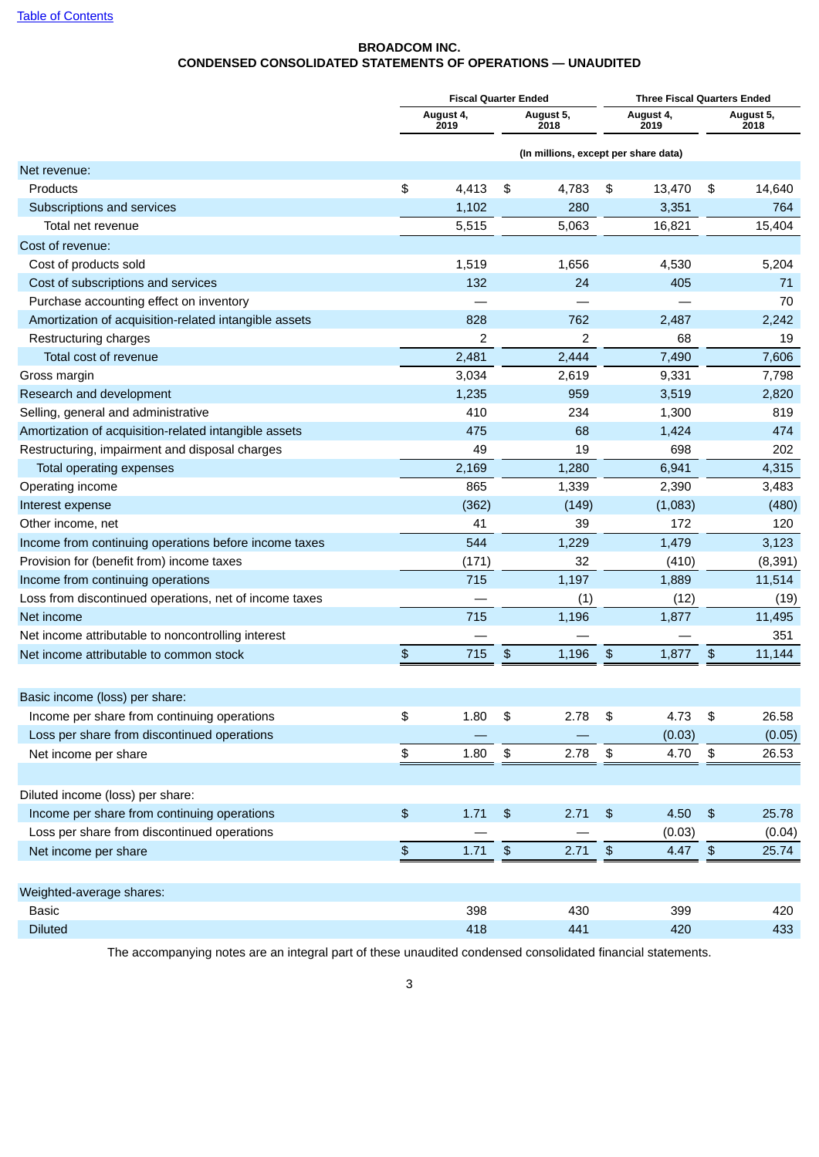## **BROADCOM INC. CONDENSED CONSOLIDATED STATEMENTS OF OPERATIONS — UNAUDITED**

<span id="page-4-0"></span>

|                                                        |                  | <b>Fiscal Quarter Ended</b> |               |                                      | <b>Three Fiscal Quarters Ended</b> |                   |               |                   |
|--------------------------------------------------------|------------------|-----------------------------|---------------|--------------------------------------|------------------------------------|-------------------|---------------|-------------------|
|                                                        |                  | August 4,<br>2019           |               | August 5,<br>2018                    |                                    | August 4,<br>2019 |               | August 5,<br>2018 |
|                                                        |                  |                             |               | (In millions, except per share data) |                                    |                   |               |                   |
| Net revenue:                                           |                  |                             |               |                                      |                                    |                   |               |                   |
| Products                                               | \$               | 4,413                       | \$            | 4,783                                | \$                                 | 13,470            | \$            | 14,640            |
| Subscriptions and services                             |                  | 1,102                       |               | 280                                  |                                    | 3,351             |               | 764               |
| Total net revenue                                      |                  | 5,515                       |               | 5,063                                |                                    | 16,821            |               | 15,404            |
| Cost of revenue:                                       |                  |                             |               |                                      |                                    |                   |               |                   |
| Cost of products sold                                  |                  | 1,519                       |               | 1,656                                |                                    | 4,530             |               | 5,204             |
| Cost of subscriptions and services                     |                  | 132                         |               | 24                                   |                                    | 405               |               | 71                |
| Purchase accounting effect on inventory                |                  |                             |               |                                      |                                    |                   |               | 70                |
| Amortization of acquisition-related intangible assets  |                  | 828                         |               | 762                                  |                                    | 2,487             |               | 2,242             |
| Restructuring charges                                  |                  | 2                           |               | 2                                    |                                    | 68                |               | 19                |
| Total cost of revenue                                  |                  | 2,481                       |               | 2,444                                |                                    | 7,490             |               | 7,606             |
| Gross margin                                           |                  | 3,034                       |               | 2,619                                |                                    | 9,331             |               | 7,798             |
| Research and development                               |                  | 1,235                       |               | 959                                  |                                    | 3,519             |               | 2,820             |
| Selling, general and administrative                    |                  | 410                         |               | 234                                  |                                    | 1,300             |               | 819               |
| Amortization of acquisition-related intangible assets  |                  | 475                         |               | 68                                   |                                    | 1,424             |               | 474               |
| Restructuring, impairment and disposal charges         |                  | 49                          |               | 19                                   |                                    | 698               |               | 202               |
| Total operating expenses                               |                  | 2,169                       |               | 1,280                                |                                    | 6,941             |               | 4,315             |
| Operating income                                       |                  | 865                         |               | 1,339                                |                                    | 2,390             |               | 3,483             |
| Interest expense                                       |                  | (362)                       |               | (149)                                |                                    | (1,083)           |               | (480)             |
| Other income, net                                      |                  | 41                          |               | 39                                   |                                    | 172               |               | 120               |
| Income from continuing operations before income taxes  |                  | 544                         |               | 1,229                                |                                    | 1,479             |               | 3,123             |
| Provision for (benefit from) income taxes              |                  | (171)                       |               | 32                                   |                                    | (410)             |               | (8, 391)          |
| Income from continuing operations                      |                  | 715                         |               | 1,197                                |                                    | 1,889             |               | 11,514            |
| Loss from discontinued operations, net of income taxes |                  |                             |               | (1)                                  |                                    | (12)              |               | (19)              |
| Net income                                             |                  | 715                         |               | 1,196                                |                                    | 1,877             |               | 11,495            |
| Net income attributable to noncontrolling interest     |                  |                             |               |                                      |                                    |                   |               | 351               |
| Net income attributable to common stock                | $\frac{1}{2}$    | 715                         | $\frac{1}{2}$ | 1,196                                | \$                                 | 1,877             | \$            | 11,144            |
|                                                        |                  |                             |               |                                      |                                    |                   |               |                   |
| Basic income (loss) per share:                         |                  |                             |               |                                      |                                    |                   |               |                   |
| Income per share from continuing operations            | \$               | 1.80                        | \$            | 2.78                                 | \$                                 | 4.73              | \$            | 26.58             |
| Loss per share from discontinued operations            |                  |                             |               |                                      |                                    | (0.03)            |               | (0.05)            |
| Net income per share                                   | $\,$             | 1.80                        | \$            | 2.78                                 | $\boldsymbol{\mathfrak{s}}$        | 4.70              | $\sqrt[6]{3}$ | 26.53             |
|                                                        |                  |                             |               |                                      |                                    |                   |               |                   |
| Diluted income (loss) per share:                       |                  |                             |               |                                      |                                    |                   |               |                   |
| Income per share from continuing operations            | $$\mathfrak{s}$$ | 1.71                        | \$            | 2.71                                 | \$                                 | 4.50              | $\frac{1}{2}$ | 25.78             |
| Loss per share from discontinued operations            |                  |                             |               |                                      |                                    | (0.03)            |               | (0.04)            |
| Net income per share                                   | $\, \, \$$       | 1.71                        | $\sqrt{3}$    | 2.71                                 | $\, \, \$$                         | 4.47 $$$          |               | 25.74             |
|                                                        |                  |                             |               |                                      |                                    |                   |               |                   |
| Weighted-average shares:                               |                  |                             |               |                                      |                                    |                   |               |                   |
| <b>Basic</b>                                           |                  | 398                         |               | 430                                  |                                    | 399               |               | 420               |
| <b>Diluted</b>                                         |                  | 418                         |               | 441                                  |                                    | 420               |               | 433               |

The accompanying notes are an integral part of these unaudited condensed consolidated financial statements.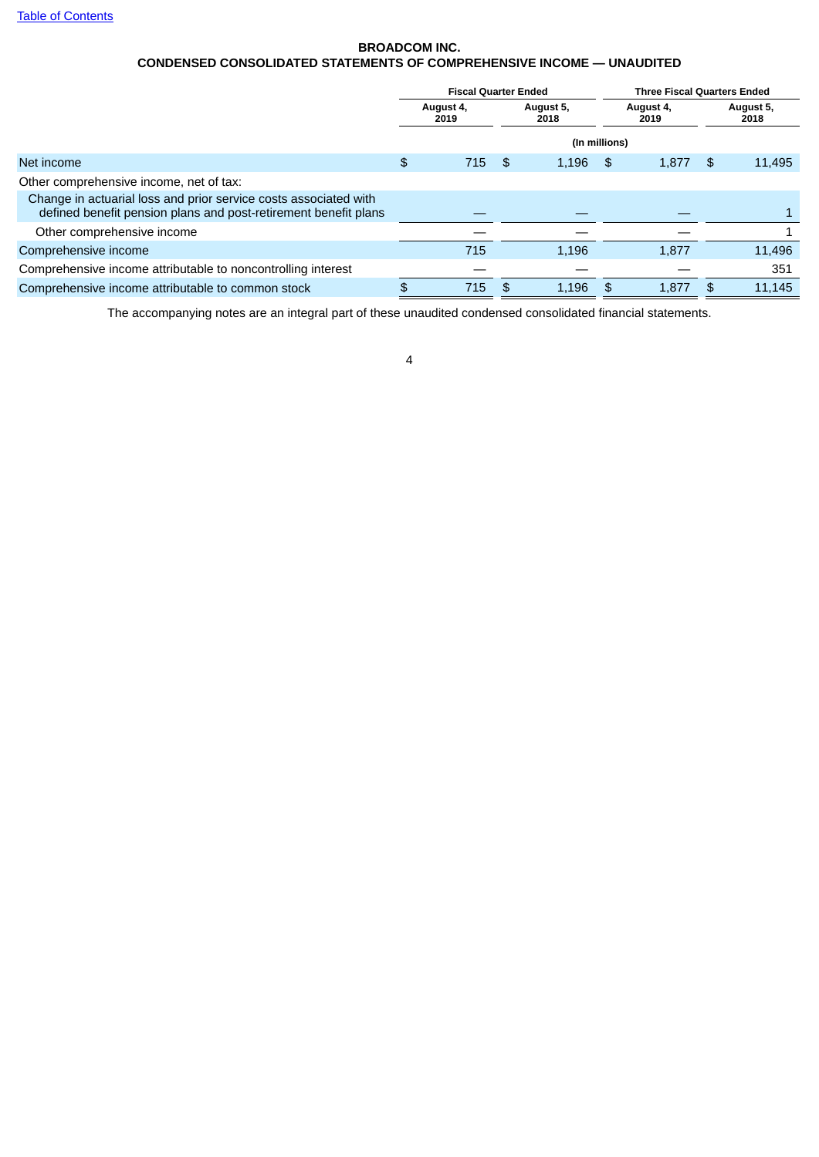## **BROADCOM INC. CONDENSED CONSOLIDATED STATEMENTS OF COMPREHENSIVE INCOME — UNAUDITED**

<span id="page-5-0"></span>

|                                                                                                                                     | <b>Fiscal Quarter Ended</b> |                   |      |                   | <b>Three Fiscal Quarters Ended</b> |                   |                   |        |
|-------------------------------------------------------------------------------------------------------------------------------------|-----------------------------|-------------------|------|-------------------|------------------------------------|-------------------|-------------------|--------|
|                                                                                                                                     |                             | August 4,<br>2019 |      | August 5,<br>2018 |                                    | August 4,<br>2019 | August 5,<br>2018 |        |
|                                                                                                                                     |                             |                   |      | (In millions)     |                                    |                   |                   |        |
| Net income                                                                                                                          | \$                          | 715               | - \$ | 1.196             | - \$                               | 1,877             | \$                | 11,495 |
| Other comprehensive income, net of tax:                                                                                             |                             |                   |      |                   |                                    |                   |                   |        |
| Change in actuarial loss and prior service costs associated with<br>defined benefit pension plans and post-retirement benefit plans |                             |                   |      |                   |                                    |                   |                   |        |
| Other comprehensive income                                                                                                          |                             |                   |      |                   |                                    |                   |                   |        |
| Comprehensive income                                                                                                                |                             | 715               |      | 1,196             |                                    | 1,877             |                   | 11,496 |
| Comprehensive income attributable to noncontrolling interest                                                                        |                             |                   |      |                   |                                    |                   |                   | 351    |
| Comprehensive income attributable to common stock                                                                                   |                             | 715               | \$   | 1.196             | \$                                 | 1.877             | \$                | 11.145 |
|                                                                                                                                     |                             |                   |      |                   |                                    |                   |                   |        |

The accompanying notes are an integral part of these unaudited condensed consolidated financial statements.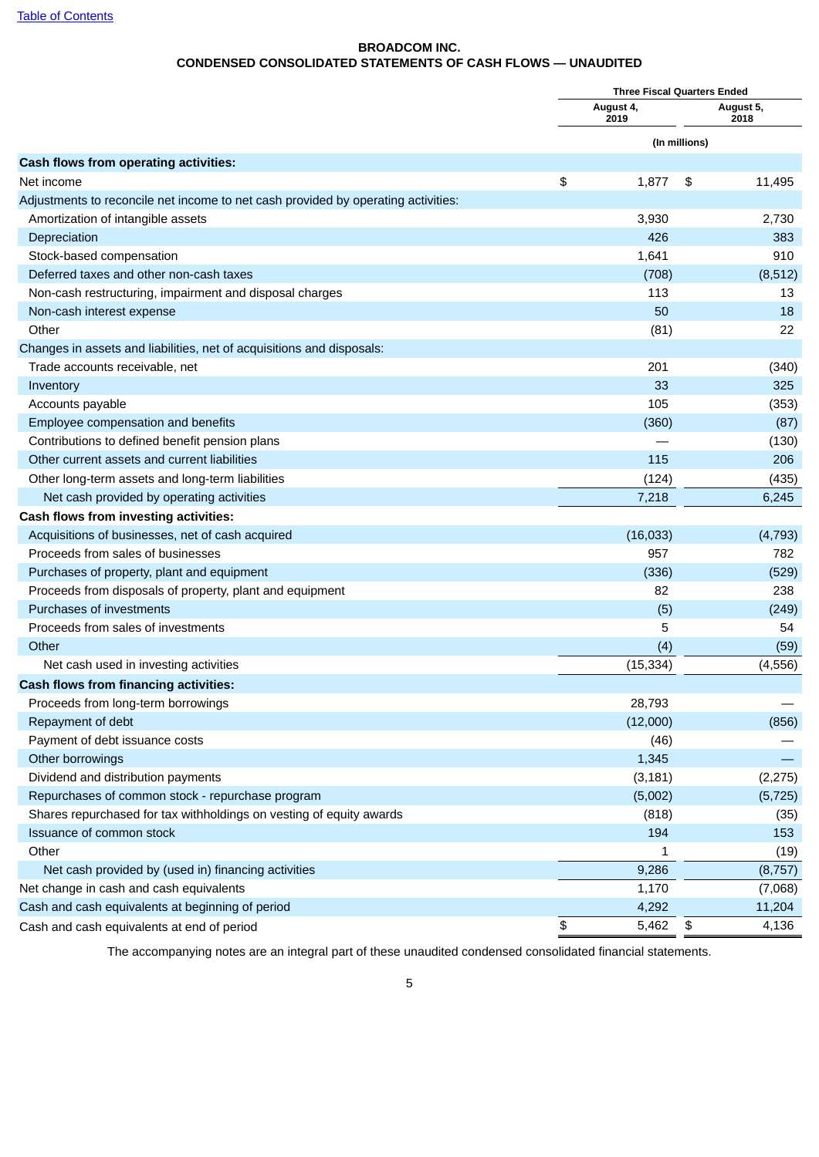## **BROADCOM INC. CONDENSED CONSOLIDATED STATEMENTS OF CASH FLOWS — UNAUDITED**

<span id="page-6-0"></span>

|                                                                                   | <b>Three Fiscal Quarters Ended</b> |                   |               |                   |  |
|-----------------------------------------------------------------------------------|------------------------------------|-------------------|---------------|-------------------|--|
|                                                                                   |                                    | August 4,<br>2019 |               | August 5,<br>2018 |  |
|                                                                                   |                                    |                   | (In millions) |                   |  |
| Cash flows from operating activities:                                             |                                    |                   |               |                   |  |
| Net income                                                                        | \$                                 | 1,877             | \$            | 11,495            |  |
| Adjustments to reconcile net income to net cash provided by operating activities: |                                    |                   |               |                   |  |
| Amortization of intangible assets                                                 |                                    | 3,930             |               | 2,730             |  |
| Depreciation                                                                      |                                    | 426               |               | 383               |  |
| Stock-based compensation                                                          |                                    | 1,641             |               | 910               |  |
| Deferred taxes and other non-cash taxes                                           |                                    | (708)             |               | (8, 512)          |  |
| Non-cash restructuring, impairment and disposal charges                           |                                    | 113               |               | 13                |  |
| Non-cash interest expense                                                         |                                    | 50                |               | 18                |  |
| Other                                                                             |                                    | (81)              |               | 22                |  |
| Changes in assets and liabilities, net of acquisitions and disposals:             |                                    |                   |               |                   |  |
| Trade accounts receivable, net                                                    |                                    | 201               |               | (340)             |  |
| Inventory                                                                         |                                    | 33                |               | 325               |  |
| Accounts payable                                                                  |                                    | 105               |               | (353)             |  |
| Employee compensation and benefits                                                |                                    | (360)             |               | (87)              |  |
| Contributions to defined benefit pension plans                                    |                                    |                   |               | (130)             |  |
| Other current assets and current liabilities                                      |                                    | 115               |               | 206               |  |
| Other long-term assets and long-term liabilities                                  |                                    | (124)             |               | (435)             |  |
| Net cash provided by operating activities                                         |                                    | 7,218             |               | 6,245             |  |
| Cash flows from investing activities:                                             |                                    |                   |               |                   |  |
| Acquisitions of businesses, net of cash acquired                                  |                                    | (16, 033)         |               | (4, 793)          |  |
| Proceeds from sales of businesses                                                 |                                    | 957               |               | 782               |  |
| Purchases of property, plant and equipment                                        |                                    | (336)             |               | (529)             |  |
| Proceeds from disposals of property, plant and equipment                          |                                    | 82                |               | 238               |  |
| <b>Purchases of investments</b>                                                   |                                    | (5)               |               | (249)             |  |
| Proceeds from sales of investments                                                |                                    | 5                 |               | 54                |  |
| Other                                                                             |                                    | (4)               |               | (59)              |  |
| Net cash used in investing activities                                             |                                    | (15, 334)         |               | (4, 556)          |  |
| Cash flows from financing activities:                                             |                                    |                   |               |                   |  |
| Proceeds from long-term borrowings                                                |                                    | 28,793            |               |                   |  |
| Repayment of debt                                                                 |                                    | (12,000)          |               | (856)             |  |
| Payment of debt issuance costs                                                    |                                    | (46)              |               |                   |  |
| Other borrowings                                                                  |                                    | 1,345             |               |                   |  |
| Dividend and distribution payments                                                |                                    | (3, 181)          |               | (2, 275)          |  |
| Repurchases of common stock - repurchase program                                  |                                    | (5,002)           |               | (5, 725)          |  |
| Shares repurchased for tax withholdings on vesting of equity awards               |                                    | (818)             |               | (35)              |  |
| Issuance of common stock                                                          |                                    | 194               |               | 153               |  |
| Other                                                                             |                                    | 1                 |               | (19)              |  |
| Net cash provided by (used in) financing activities                               |                                    | 9,286             |               | (8, 757)          |  |
| Net change in cash and cash equivalents                                           |                                    | 1,170             |               | (7,068)           |  |
| Cash and cash equivalents at beginning of period                                  |                                    | 4,292             |               | 11,204            |  |
| Cash and cash equivalents at end of period                                        | \$                                 | 5,462             | \$            | 4,136             |  |
|                                                                                   |                                    |                   |               |                   |  |

The accompanying notes are an integral part of these unaudited condensed consolidated financial statements.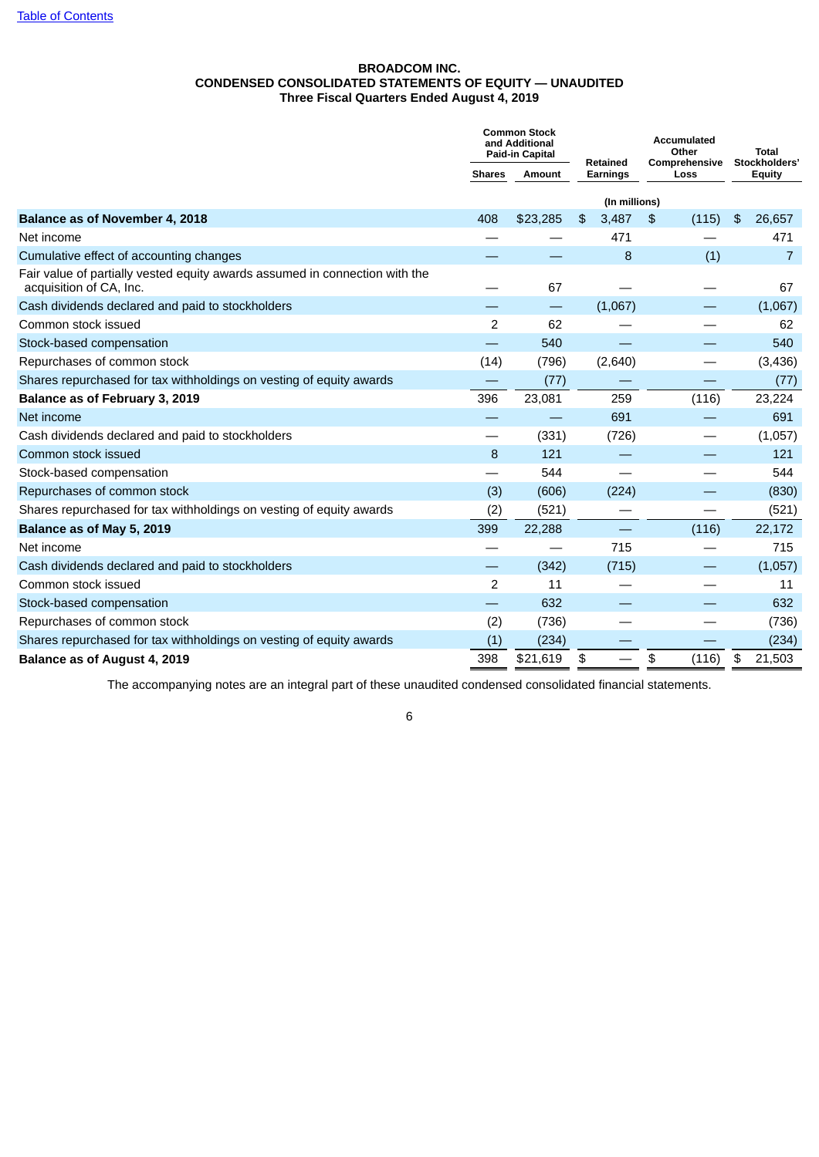## **BROADCOM INC. CONDENSED CONSOLIDATED STATEMENTS OF EQUITY — UNAUDITED Three Fiscal Quarters Ended August 4, 2019**

<span id="page-7-0"></span>

|                                                                                                        |                | <b>Common Stock</b><br>and Additional<br>Paid-in Capital | Retained      | <b>Accumulated</b><br>Other<br>Comprehensive | <b>Total</b><br>Stockholders' |  |
|--------------------------------------------------------------------------------------------------------|----------------|----------------------------------------------------------|---------------|----------------------------------------------|-------------------------------|--|
|                                                                                                        | <b>Shares</b>  | Amount                                                   | Earnings      | Loss                                         | <b>Equity</b>                 |  |
|                                                                                                        |                |                                                          | (In millions) |                                              |                               |  |
| Balance as of November 4, 2018                                                                         | 408            | \$23.285                                                 | 3,487<br>\$   | \$<br>(115)                                  | \$<br>26,657                  |  |
| Net income                                                                                             |                |                                                          | 471           |                                              | 471                           |  |
| Cumulative effect of accounting changes                                                                |                |                                                          | 8             | (1)                                          | $\overline{7}$                |  |
| Fair value of partially vested equity awards assumed in connection with the<br>acquisition of CA, Inc. |                | 67                                                       |               |                                              | 67                            |  |
| Cash dividends declared and paid to stockholders                                                       |                | —                                                        | (1,067)       |                                              | (1,067)                       |  |
| Common stock issued                                                                                    | 2              | 62                                                       |               |                                              | 62                            |  |
| Stock-based compensation                                                                               |                | 540                                                      |               |                                              | 540                           |  |
| Repurchases of common stock                                                                            | (14)           | (796)                                                    | (2,640)       |                                              | (3,436)                       |  |
| Shares repurchased for tax withholdings on vesting of equity awards                                    |                | (77)                                                     |               |                                              | (77)                          |  |
| Balance as of February 3, 2019                                                                         | 396            | 23,081                                                   | 259           | (116)                                        | 23,224                        |  |
| Net income                                                                                             |                |                                                          | 691           |                                              | 691                           |  |
| Cash dividends declared and paid to stockholders                                                       | —              | (331)                                                    | (726)         |                                              | (1,057)                       |  |
| Common stock issued                                                                                    | 8              | 121                                                      |               |                                              | 121                           |  |
| Stock-based compensation                                                                               |                | 544                                                      |               |                                              | 544                           |  |
| Repurchases of common stock                                                                            | (3)            | (606)                                                    | (224)         |                                              | (830)                         |  |
| Shares repurchased for tax withholdings on vesting of equity awards                                    | (2)            | (521)                                                    |               |                                              | (521)                         |  |
| Balance as of May 5, 2019                                                                              | 399            | 22,288                                                   |               | (116)                                        | 22,172                        |  |
| Net income                                                                                             |                |                                                          | 715           |                                              | 715                           |  |
| Cash dividends declared and paid to stockholders                                                       |                | (342)                                                    | (715)         |                                              | (1,057)                       |  |
| Common stock issued                                                                                    | $\overline{c}$ | 11                                                       |               |                                              | 11                            |  |
| Stock-based compensation                                                                               |                | 632                                                      |               |                                              | 632                           |  |
| Repurchases of common stock                                                                            | (2)            | (736)                                                    |               |                                              | (736)                         |  |
| Shares repurchased for tax withholdings on vesting of equity awards                                    | (1)            | (234)                                                    |               |                                              | (234)                         |  |
| Balance as of August 4, 2019                                                                           | 398            | \$21,619                                                 | \$            | (116)<br>\$                                  | 21,503<br>\$                  |  |

The accompanying notes are an integral part of these unaudited condensed consolidated financial statements.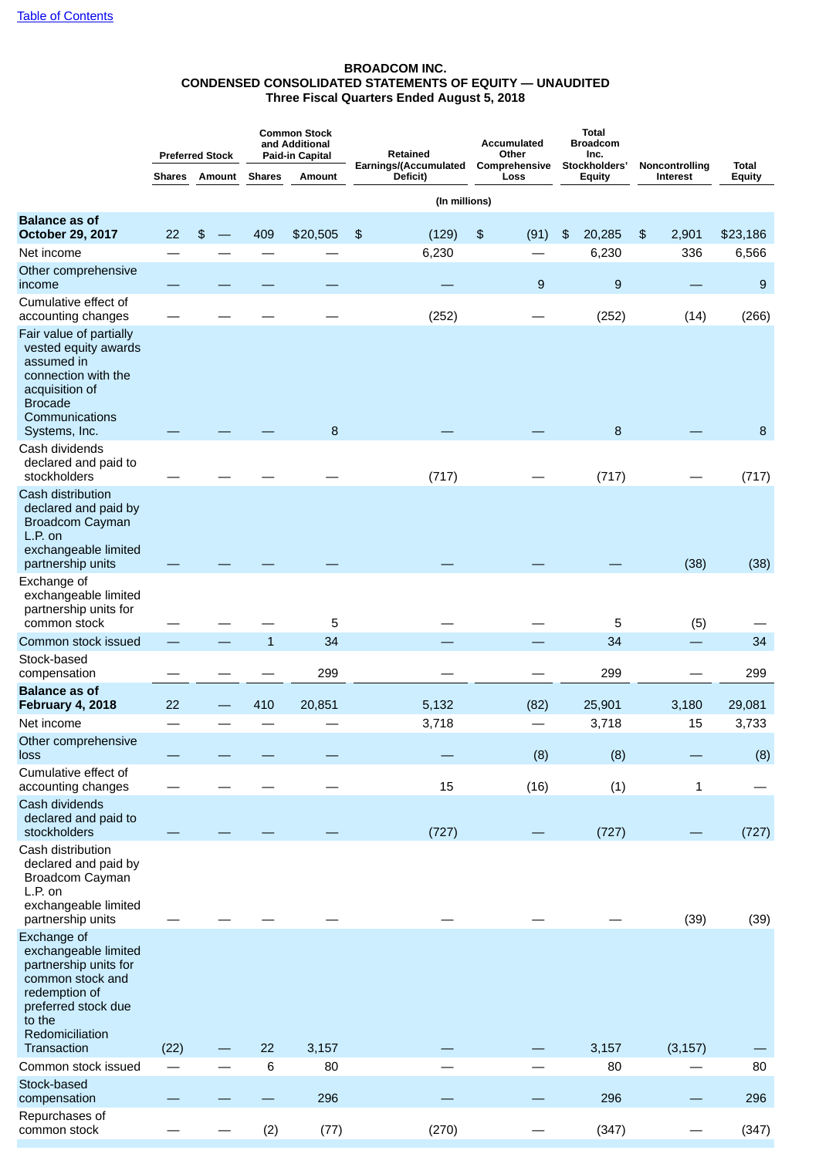## **BROADCOM INC. CONDENSED CONSOLIDATED STATEMENTS OF EQUITY — UNAUDITED Three Fiscal Quarters Ended August 5, 2018**

|                                                                                                                                                             |               | <b>Preferred Stock</b> |               | <b>Common Stock</b><br>and Additional<br>Paid-in Capital | Retained                          | <b>Total</b><br><b>Broadcom</b><br><b>Accumulated</b><br>Other<br>Inc. |                                |                            |                               |
|-------------------------------------------------------------------------------------------------------------------------------------------------------------|---------------|------------------------|---------------|----------------------------------------------------------|-----------------------------------|------------------------------------------------------------------------|--------------------------------|----------------------------|-------------------------------|
|                                                                                                                                                             | <b>Shares</b> | Amount                 | <b>Shares</b> | Amount                                                   | Earnings/(Accumulated<br>Deficit) | Comprehensive<br>Loss                                                  | Stockholders'<br><b>Equity</b> | Noncontrolling<br>Interest | <b>Total</b><br><b>Equity</b> |
|                                                                                                                                                             |               |                        |               |                                                          | (In millions)                     |                                                                        |                                |                            |                               |
| <b>Balance as of</b><br><b>October 29, 2017</b>                                                                                                             | 22            | \$                     | 409           | \$20,505                                                 | \$<br>(129)                       | \$<br>(91)                                                             | 20,285<br>\$                   | \$<br>2,901                | \$23,186                      |
| Net income                                                                                                                                                  |               |                        |               |                                                          | 6,230                             |                                                                        | 6,230                          | 336                        | 6,566                         |
| Other comprehensive<br>income                                                                                                                               |               |                        |               |                                                          |                                   | 9                                                                      | 9                              |                            | 9                             |
| Cumulative effect of<br>accounting changes                                                                                                                  |               |                        |               |                                                          | (252)                             |                                                                        | (252)                          | (14)                       | (266)                         |
| Fair value of partially<br>vested equity awards<br>assumed in<br>connection with the<br>acquisition of<br><b>Brocade</b><br>Communications<br>Systems, Inc. |               |                        |               | 8                                                        |                                   |                                                                        | 8                              |                            | 8                             |
| Cash dividends<br>declared and paid to<br>stockholders                                                                                                      |               |                        |               |                                                          | (717)                             |                                                                        | (717)                          |                            | (717)                         |
| Cash distribution<br>declared and paid by<br><b>Broadcom Cayman</b><br>L.P. on<br>exchangeable limited<br>partnership units                                 |               |                        |               |                                                          |                                   |                                                                        |                                | (38)                       | (38)                          |
| Exchange of<br>exchangeable limited<br>partnership units for<br>common stock                                                                                |               |                        |               | 5                                                        |                                   |                                                                        | 5                              | (5)                        |                               |
| Common stock issued                                                                                                                                         |               |                        | $\mathbf{1}$  | 34                                                       |                                   |                                                                        | 34                             |                            | 34                            |
| Stock-based<br>compensation                                                                                                                                 |               |                        |               | 299                                                      |                                   |                                                                        | 299                            |                            | 299                           |
| <b>Balance as of</b>                                                                                                                                        | 22            |                        | 410           | 20,851                                                   |                                   |                                                                        |                                | 3,180                      |                               |
| <b>February 4, 2018</b><br>Net income                                                                                                                       |               |                        |               |                                                          | 5,132<br>3,718                    | (82)                                                                   | 25,901<br>3,718                | 15                         | 29,081<br>3,733               |
| Other comprehensive<br>loss                                                                                                                                 |               |                        |               |                                                          |                                   | (8)                                                                    | (8)                            |                            | (8)                           |
| Cumulative effect of<br>accounting changes                                                                                                                  |               |                        |               |                                                          | 15                                | (16)                                                                   | (1)                            | $1\,$                      |                               |
| Cash dividends<br>declared and paid to<br>stockholders                                                                                                      |               |                        |               |                                                          | (727)                             |                                                                        | (727)                          |                            | (727)                         |
| Cash distribution<br>declared and paid by<br>Broadcom Cayman<br>L.P. on<br>exchangeable limited<br>partnership units                                        |               |                        |               |                                                          |                                   |                                                                        |                                | (39)                       | (39)                          |
| Exchange of<br>exchangeable limited<br>partnership units for<br>common stock and<br>redemption of<br>preferred stock due<br>to the<br>Redomiciliation       |               |                        |               |                                                          |                                   |                                                                        |                                |                            |                               |
| Transaction                                                                                                                                                 | (22)          |                        | 22            | 3,157                                                    |                                   |                                                                        | 3,157                          | (3, 157)                   |                               |
| Common stock issued<br>Stock-based                                                                                                                          |               |                        | 6             | 80<br>296                                                |                                   |                                                                        | 80<br>296                      |                            | 80                            |
| compensation<br>Repurchases of                                                                                                                              |               |                        |               |                                                          |                                   |                                                                        |                                |                            | 296                           |
| common stock                                                                                                                                                |               |                        | (2)           | (77)                                                     | (270)                             |                                                                        | (347)                          |                            | (347)                         |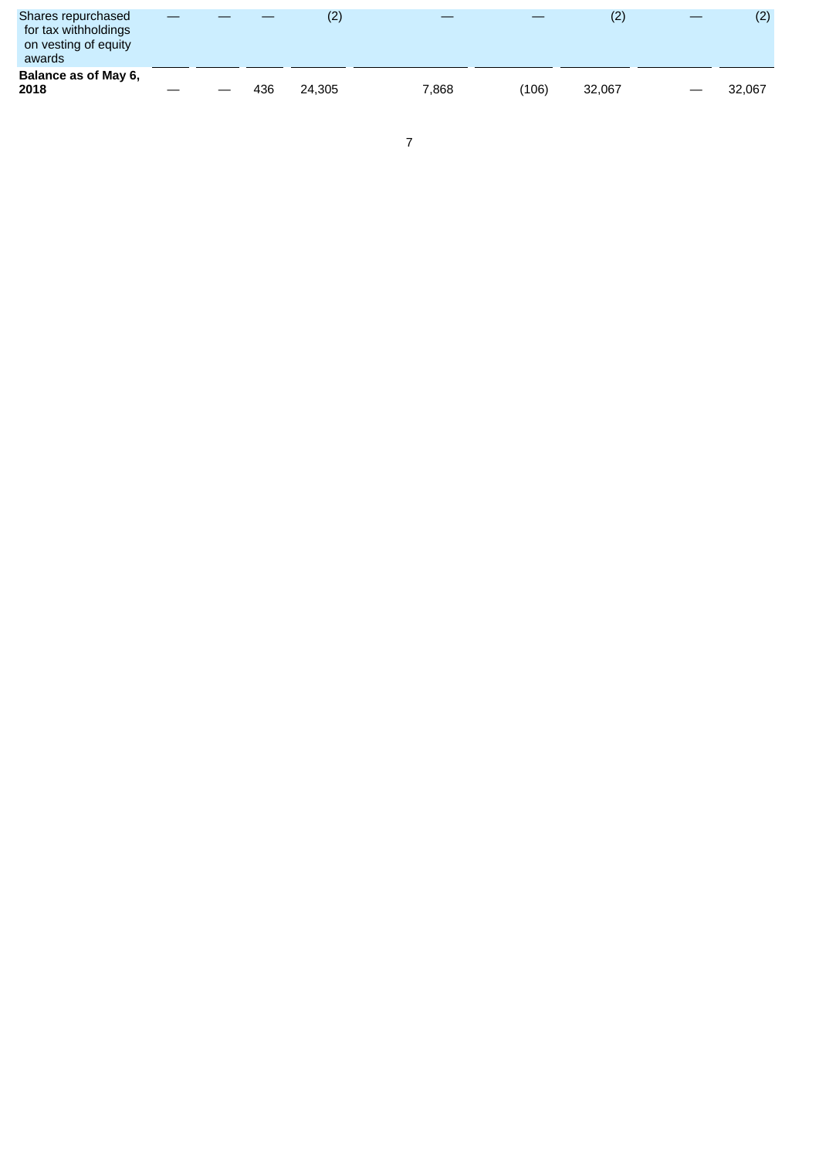| Shares repurchased<br>for tax withholdings<br>on vesting of equity<br>awards |  |     | (2)    |       |       | (2)    | (2)    |
|------------------------------------------------------------------------------|--|-----|--------|-------|-------|--------|--------|
| Balance as of May 6,<br>2018                                                 |  | 436 | 24.305 | 7.868 | (106) | 32.067 | 32.067 |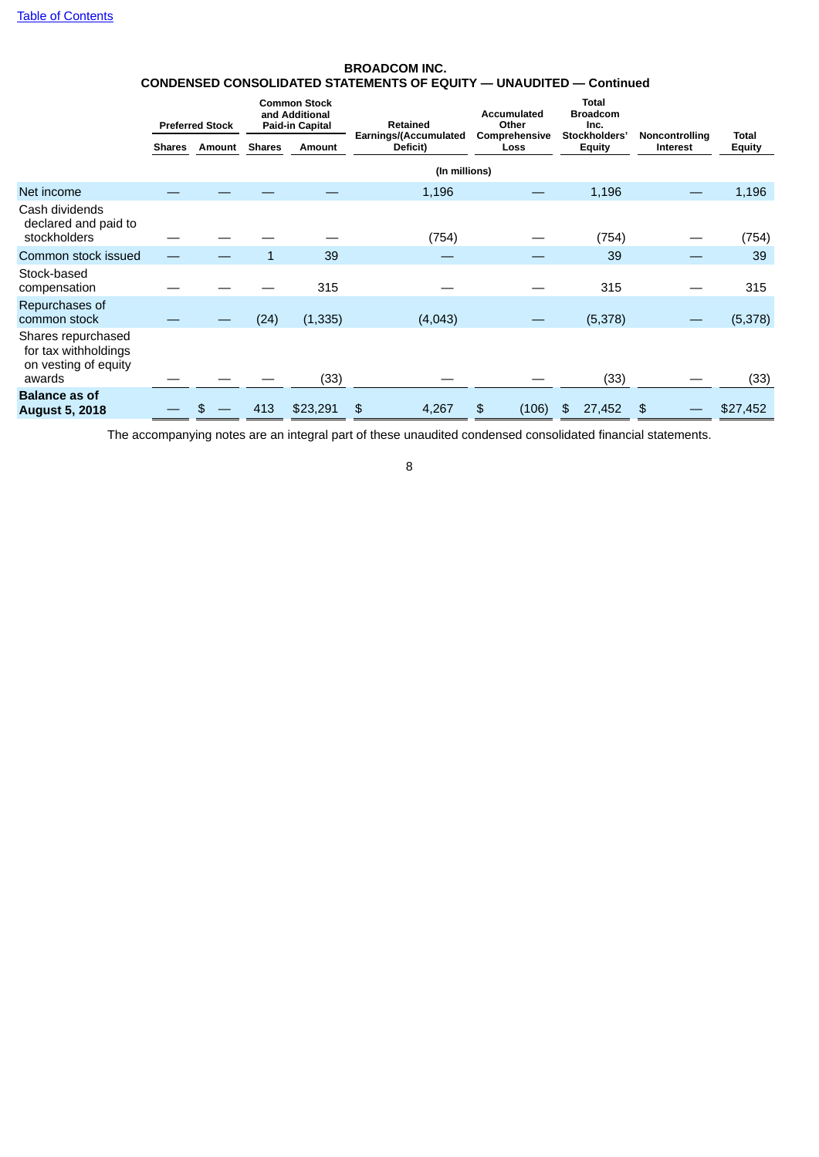## **BROADCOM INC. CONDENSED CONSOLIDATED STATEMENTS OF EQUITY — UNAUDITED — Continued**

|                                                                              |               | <b>Preferred Stock</b> |               | <b>Common Stock</b><br>and Additional<br>Paid-in Capital | Retained                          | Accumulated<br>Other  | <b>Total</b><br><b>Broadcom</b><br>Inc. |                                   |                               |
|------------------------------------------------------------------------------|---------------|------------------------|---------------|----------------------------------------------------------|-----------------------------------|-----------------------|-----------------------------------------|-----------------------------------|-------------------------------|
|                                                                              | <b>Shares</b> | Amount                 | <b>Shares</b> | Amount                                                   | Earnings/(Accumulated<br>Deficit) | Comprehensive<br>Loss | Stockholders'<br><b>Equity</b>          | Noncontrolling<br><b>Interest</b> | <b>Total</b><br><b>Equity</b> |
|                                                                              |               |                        |               |                                                          | (In millions)                     |                       |                                         |                                   |                               |
| Net income                                                                   |               |                        |               |                                                          | 1,196                             |                       | 1,196                                   |                                   | 1,196                         |
| Cash dividends<br>declared and paid to<br>stockholders                       |               |                        |               |                                                          | (754)                             |                       | (754)                                   |                                   | (754)                         |
| Common stock issued                                                          |               |                        |               | 39                                                       |                                   |                       | 39                                      |                                   | 39                            |
| Stock-based<br>compensation                                                  |               |                        |               | 315                                                      |                                   |                       | 315                                     |                                   | 315                           |
| Repurchases of<br>common stock                                               |               |                        | (24)          | (1, 335)                                                 | (4,043)                           |                       | (5,378)                                 |                                   | (5,378)                       |
| Shares repurchased<br>for tax withholdings<br>on vesting of equity<br>awards |               |                        |               | (33)                                                     |                                   |                       | (33)                                    |                                   | (33)                          |
| <b>Balance as of</b><br><b>August 5, 2018</b>                                |               |                        | 413           | \$23,291                                                 | \$<br>4,267                       | \$<br>(106)           | 27,452<br>\$                            | \$                                | \$27,452                      |

The accompanying notes are an integral part of these unaudited condensed consolidated financial statements.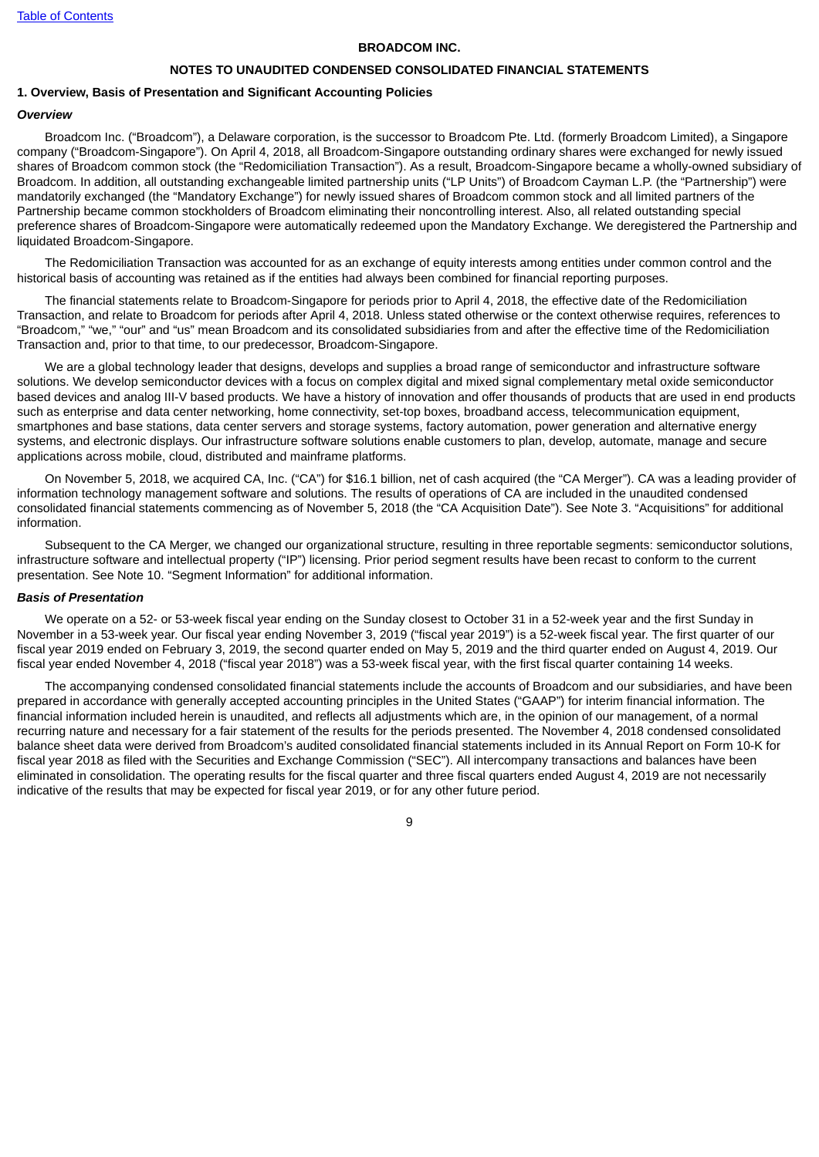#### **BROADCOM INC.**

#### **NOTES TO UNAUDITED CONDENSED CONSOLIDATED FINANCIAL STATEMENTS**

#### <span id="page-11-0"></span>**1. Overview, Basis of Presentation and Significant Accounting Policies**

#### *Overview*

Broadcom Inc. ("Broadcom"), a Delaware corporation, is the successor to Broadcom Pte. Ltd. (formerly Broadcom Limited), a Singapore company ("Broadcom-Singapore"). On April 4, 2018, all Broadcom-Singapore outstanding ordinary shares were exchanged for newly issued shares of Broadcom common stock (the "Redomiciliation Transaction"). As a result, Broadcom-Singapore became a wholly-owned subsidiary of Broadcom. In addition, all outstanding exchangeable limited partnership units ("LP Units") of Broadcom Cayman L.P. (the "Partnership") were mandatorily exchanged (the "Mandatory Exchange") for newly issued shares of Broadcom common stock and all limited partners of the Partnership became common stockholders of Broadcom eliminating their noncontrolling interest. Also, all related outstanding special preference shares of Broadcom-Singapore were automatically redeemed upon the Mandatory Exchange. We deregistered the Partnership and liquidated Broadcom-Singapore.

The Redomiciliation Transaction was accounted for as an exchange of equity interests among entities under common control and the historical basis of accounting was retained as if the entities had always been combined for financial reporting purposes.

The financial statements relate to Broadcom-Singapore for periods prior to April 4, 2018, the effective date of the Redomiciliation Transaction, and relate to Broadcom for periods after April 4, 2018. Unless stated otherwise or the context otherwise requires, references to "Broadcom," "we," "our" and "us" mean Broadcom and its consolidated subsidiaries from and after the effective time of the Redomiciliation Transaction and, prior to that time, to our predecessor, Broadcom-Singapore.

We are a global technology leader that designs, develops and supplies a broad range of semiconductor and infrastructure software solutions. We develop semiconductor devices with a focus on complex digital and mixed signal complementary metal oxide semiconductor based devices and analog III-V based products. We have a history of innovation and offer thousands of products that are used in end products such as enterprise and data center networking, home connectivity, set-top boxes, broadband access, telecommunication equipment, smartphones and base stations, data center servers and storage systems, factory automation, power generation and alternative energy systems, and electronic displays. Our infrastructure software solutions enable customers to plan, develop, automate, manage and secure applications across mobile, cloud, distributed and mainframe platforms.

On November 5, 2018, we acquired CA, Inc. ("CA") for \$16.1 billion, net of cash acquired (the "CA Merger"). CA was a leading provider of information technology management software and solutions. The results of operations of CA are included in the unaudited condensed consolidated financial statements commencing as of November 5, 2018 (the "CA Acquisition Date"). See Note 3. "Acquisitions" for additional information.

Subsequent to the CA Merger, we changed our organizational structure, resulting in three reportable segments: semiconductor solutions, infrastructure software and intellectual property ("IP") licensing. Prior period segment results have been recast to conform to the current presentation. See Note 10. "Segment Information" for additional information.

#### *Basis of Presentation*

We operate on a 52- or 53-week fiscal year ending on the Sunday closest to October 31 in a 52-week year and the first Sunday in November in a 53-week year. Our fiscal year ending November 3, 2019 ("fiscal year 2019") is a 52-week fiscal year. The first quarter of our fiscal year 2019 ended on February 3, 2019, the second quarter ended on May 5, 2019 and the third quarter ended on August 4, 2019. Our fiscal year ended November 4, 2018 ("fiscal year 2018") was a 53-week fiscal year, with the first fiscal quarter containing 14 weeks.

The accompanying condensed consolidated financial statements include the accounts of Broadcom and our subsidiaries, and have been prepared in accordance with generally accepted accounting principles in the United States ("GAAP") for interim financial information. The financial information included herein is unaudited, and reflects all adjustments which are, in the opinion of our management, of a normal recurring nature and necessary for a fair statement of the results for the periods presented. The November 4, 2018 condensed consolidated balance sheet data were derived from Broadcom's audited consolidated financial statements included in its Annual Report on Form 10-K for fiscal year 2018 as filed with the Securities and Exchange Commission ("SEC"). All intercompany transactions and balances have been eliminated in consolidation. The operating results for the fiscal quarter and three fiscal quarters ended August 4, 2019 are not necessarily indicative of the results that may be expected for fiscal year 2019, or for any other future period.

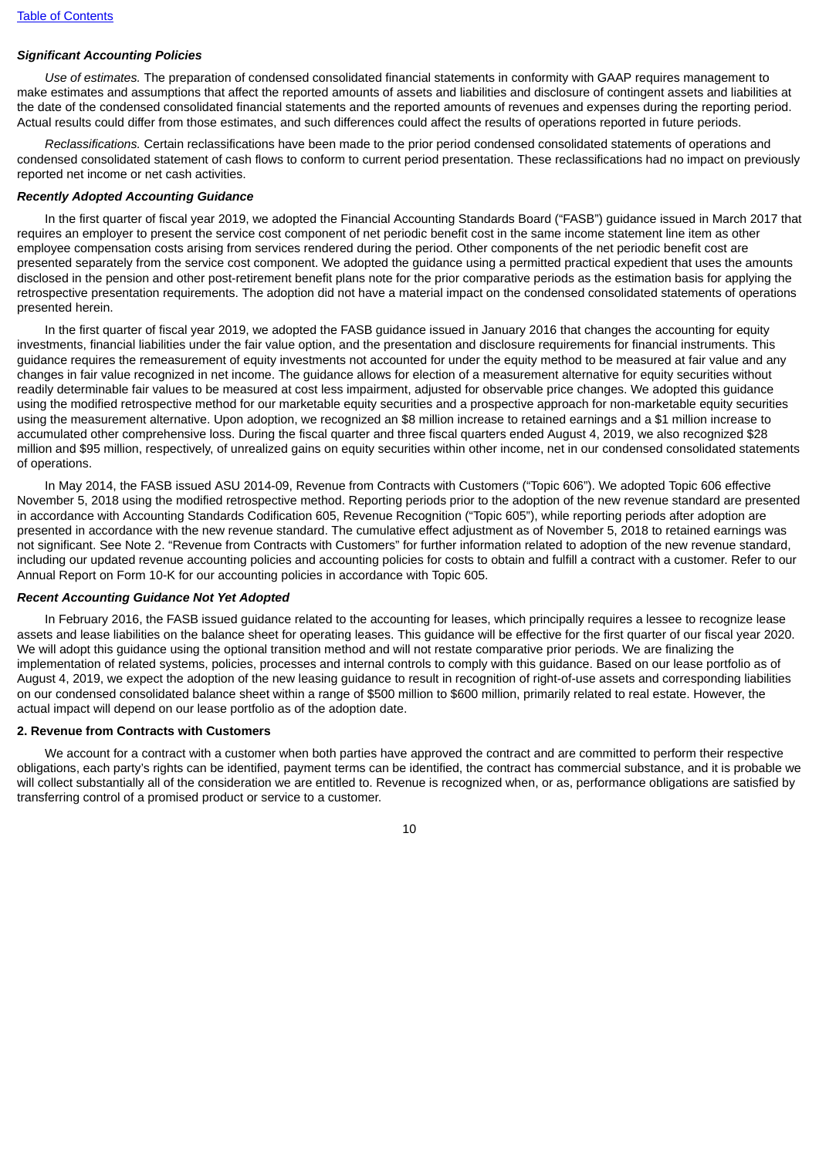## *Significant Accounting Policies*

*Use of estimates.* The preparation of condensed consolidated financial statements in conformity with GAAP requires management to make estimates and assumptions that affect the reported amounts of assets and liabilities and disclosure of contingent assets and liabilities at the date of the condensed consolidated financial statements and the reported amounts of revenues and expenses during the reporting period. Actual results could differ from those estimates, and such differences could affect the results of operations reported in future periods.

*Reclassifications.* Certain reclassifications have been made to the prior period condensed consolidated statements of operations and condensed consolidated statement of cash flows to conform to current period presentation. These reclassifications had no impact on previously reported net income or net cash activities.

#### *Recently Adopted Accounting Guidance*

In the first quarter of fiscal year 2019, we adopted the Financial Accounting Standards Board ("FASB") guidance issued in March 2017 that requires an employer to present the service cost component of net periodic benefit cost in the same income statement line item as other employee compensation costs arising from services rendered during the period. Other components of the net periodic benefit cost are presented separately from the service cost component. We adopted the guidance using a permitted practical expedient that uses the amounts disclosed in the pension and other post-retirement benefit plans note for the prior comparative periods as the estimation basis for applying the retrospective presentation requirements. The adoption did not have a material impact on the condensed consolidated statements of operations presented herein.

In the first quarter of fiscal year 2019, we adopted the FASB guidance issued in January 2016 that changes the accounting for equity investments, financial liabilities under the fair value option, and the presentation and disclosure requirements for financial instruments. This guidance requires the remeasurement of equity investments not accounted for under the equity method to be measured at fair value and any changes in fair value recognized in net income. The guidance allows for election of a measurement alternative for equity securities without readily determinable fair values to be measured at cost less impairment, adjusted for observable price changes. We adopted this guidance using the modified retrospective method for our marketable equity securities and a prospective approach for non-marketable equity securities using the measurement alternative. Upon adoption, we recognized an \$8 million increase to retained earnings and a \$1 million increase to accumulated other comprehensive loss. During the fiscal quarter and three fiscal quarters ended August 4, 2019, we also recognized \$28 million and \$95 million, respectively, of unrealized gains on equity securities within other income, net in our condensed consolidated statements of operations.

In May 2014, the FASB issued ASU 2014-09, Revenue from Contracts with Customers ("Topic 606"). We adopted Topic 606 effective November 5, 2018 using the modified retrospective method. Reporting periods prior to the adoption of the new revenue standard are presented in accordance with Accounting Standards Codification 605, Revenue Recognition ("Topic 605"), while reporting periods after adoption are presented in accordance with the new revenue standard. The cumulative effect adjustment as of November 5, 2018 to retained earnings was not significant. See Note 2. "Revenue from Contracts with Customers" for further information related to adoption of the new revenue standard, including our updated revenue accounting policies and accounting policies for costs to obtain and fulfill a contract with a customer. Refer to our Annual Report on Form 10-K for our accounting policies in accordance with Topic 605.

#### *Recent Accounting Guidance Not Yet Adopted*

In February 2016, the FASB issued guidance related to the accounting for leases, which principally requires a lessee to recognize lease assets and lease liabilities on the balance sheet for operating leases. This guidance will be effective for the first quarter of our fiscal year 2020. We will adopt this guidance using the optional transition method and will not restate comparative prior periods. We are finalizing the implementation of related systems, policies, processes and internal controls to comply with this guidance. Based on our lease portfolio as of August 4, 2019, we expect the adoption of the new leasing guidance to result in recognition of right-of-use assets and corresponding liabilities on our condensed consolidated balance sheet within a range of \$500 million to \$600 million, primarily related to real estate. However, the actual impact will depend on our lease portfolio as of the adoption date.

#### **2. Revenue from Contracts with Customers**

We account for a contract with a customer when both parties have approved the contract and are committed to perform their respective obligations, each party's rights can be identified, payment terms can be identified, the contract has commercial substance, and it is probable we will collect substantially all of the consideration we are entitled to. Revenue is recognized when, or as, performance obligations are satisfied by transferring control of a promised product or service to a customer.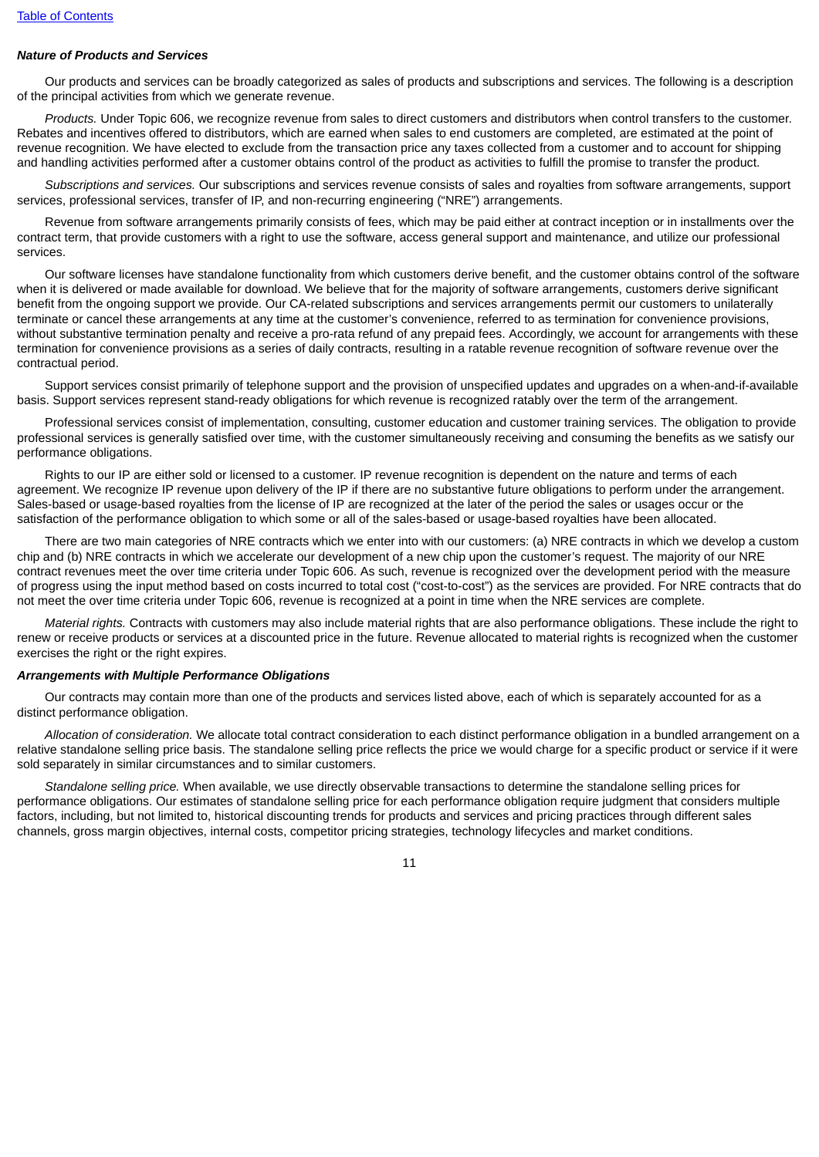## *Nature of Products and Services*

Our products and services can be broadly categorized as sales of products and subscriptions and services. The following is a description of the principal activities from which we generate revenue.

*Products.* Under Topic 606, we recognize revenue from sales to direct customers and distributors when control transfers to the customer. Rebates and incentives offered to distributors, which are earned when sales to end customers are completed, are estimated at the point of revenue recognition. We have elected to exclude from the transaction price any taxes collected from a customer and to account for shipping and handling activities performed after a customer obtains control of the product as activities to fulfill the promise to transfer the product.

*Subscriptions and services.* Our subscriptions and services revenue consists of sales and royalties from software arrangements, support services, professional services, transfer of IP, and non-recurring engineering ("NRE") arrangements.

Revenue from software arrangements primarily consists of fees, which may be paid either at contract inception or in installments over the contract term, that provide customers with a right to use the software, access general support and maintenance, and utilize our professional services.

Our software licenses have standalone functionality from which customers derive benefit, and the customer obtains control of the software when it is delivered or made available for download. We believe that for the majority of software arrangements, customers derive significant benefit from the ongoing support we provide. Our CA-related subscriptions and services arrangements permit our customers to unilaterally terminate or cancel these arrangements at any time at the customer's convenience, referred to as termination for convenience provisions, without substantive termination penalty and receive a pro-rata refund of any prepaid fees. Accordingly, we account for arrangements with these termination for convenience provisions as a series of daily contracts, resulting in a ratable revenue recognition of software revenue over the contractual period.

Support services consist primarily of telephone support and the provision of unspecified updates and upgrades on a when-and-if-available basis. Support services represent stand-ready obligations for which revenue is recognized ratably over the term of the arrangement.

Professional services consist of implementation, consulting, customer education and customer training services. The obligation to provide professional services is generally satisfied over time, with the customer simultaneously receiving and consuming the benefits as we satisfy our performance obligations.

Rights to our IP are either sold or licensed to a customer. IP revenue recognition is dependent on the nature and terms of each agreement. We recognize IP revenue upon delivery of the IP if there are no substantive future obligations to perform under the arrangement. Sales-based or usage-based royalties from the license of IP are recognized at the later of the period the sales or usages occur or the satisfaction of the performance obligation to which some or all of the sales-based or usage-based royalties have been allocated.

There are two main categories of NRE contracts which we enter into with our customers: (a) NRE contracts in which we develop a custom chip and (b) NRE contracts in which we accelerate our development of a new chip upon the customer's request. The majority of our NRE contract revenues meet the over time criteria under Topic 606. As such, revenue is recognized over the development period with the measure of progress using the input method based on costs incurred to total cost ("cost-to-cost") as the services are provided. For NRE contracts that do not meet the over time criteria under Topic 606, revenue is recognized at a point in time when the NRE services are complete.

*Material rights.* Contracts with customers may also include material rights that are also performance obligations. These include the right to renew or receive products or services at a discounted price in the future. Revenue allocated to material rights is recognized when the customer exercises the right or the right expires.

#### *Arrangements with Multiple Performance Obligations*

Our contracts may contain more than one of the products and services listed above, each of which is separately accounted for as a distinct performance obligation.

*Allocation of consideration.* We allocate total contract consideration to each distinct performance obligation in a bundled arrangement on a relative standalone selling price basis. The standalone selling price reflects the price we would charge for a specific product or service if it were sold separately in similar circumstances and to similar customers.

*Standalone selling price.* When available, we use directly observable transactions to determine the standalone selling prices for performance obligations. Our estimates of standalone selling price for each performance obligation require judgment that considers multiple factors, including, but not limited to, historical discounting trends for products and services and pricing practices through different sales channels, gross margin objectives, internal costs, competitor pricing strategies, technology lifecycles and market conditions.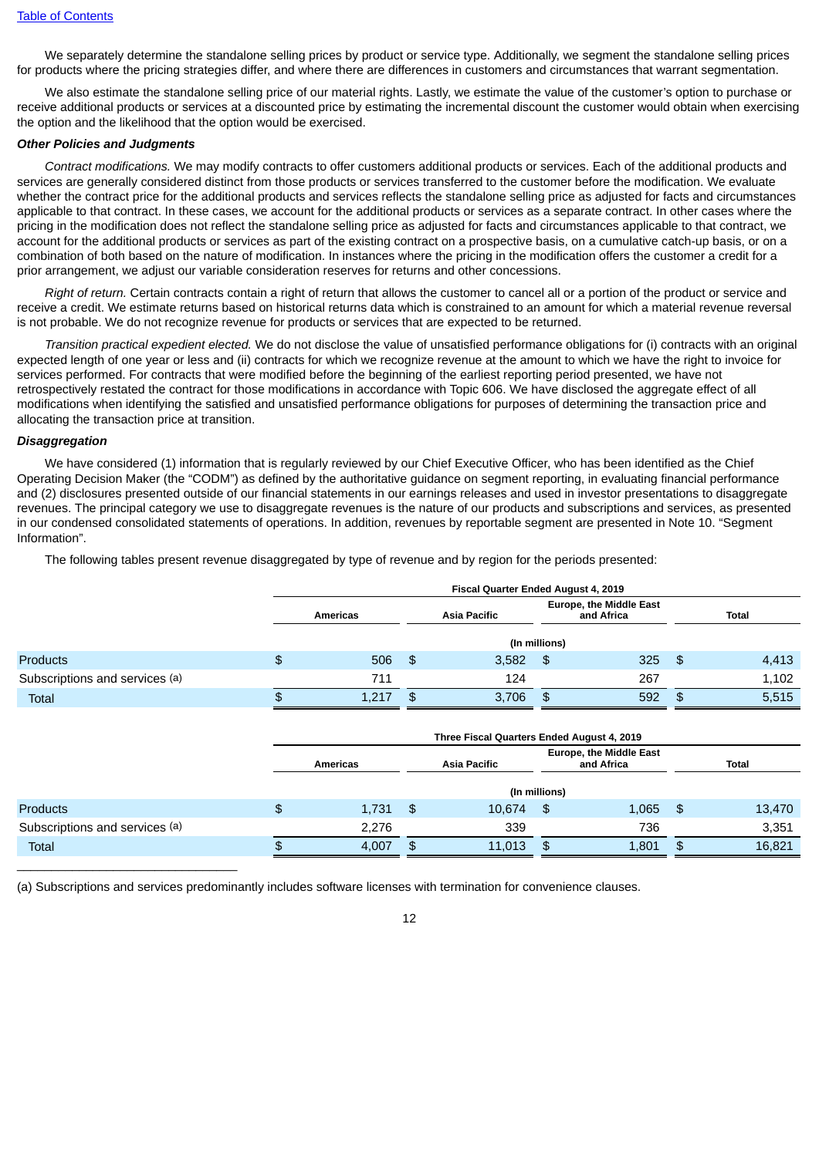We separately determine the standalone selling prices by product or service type. Additionally, we segment the standalone selling prices for products where the pricing strategies differ, and where there are differences in customers and circumstances that warrant segmentation.

We also estimate the standalone selling price of our material rights. Lastly, we estimate the value of the customer's option to purchase or receive additional products or services at a discounted price by estimating the incremental discount the customer would obtain when exercising the option and the likelihood that the option would be exercised.

## *Other Policies and Judgments*

*Contract modifications.* We may modify contracts to offer customers additional products or services. Each of the additional products and services are generally considered distinct from those products or services transferred to the customer before the modification. We evaluate whether the contract price for the additional products and services reflects the standalone selling price as adjusted for facts and circumstances applicable to that contract. In these cases, we account for the additional products or services as a separate contract. In other cases where the pricing in the modification does not reflect the standalone selling price as adjusted for facts and circumstances applicable to that contract, we account for the additional products or services as part of the existing contract on a prospective basis, on a cumulative catch-up basis, or on a combination of both based on the nature of modification. In instances where the pricing in the modification offers the customer a credit for a prior arrangement, we adjust our variable consideration reserves for returns and other concessions.

*Right of return.* Certain contracts contain a right of return that allows the customer to cancel all or a portion of the product or service and receive a credit. We estimate returns based on historical returns data which is constrained to an amount for which a material revenue reversal is not probable. We do not recognize revenue for products or services that are expected to be returned.

*Transition practical expedient elected.* We do not disclose the value of unsatisfied performance obligations for (i) contracts with an original expected length of one year or less and (ii) contracts for which we recognize revenue at the amount to which we have the right to invoice for services performed. For contracts that were modified before the beginning of the earliest reporting period presented, we have not retrospectively restated the contract for those modifications in accordance with Topic 606. We have disclosed the aggregate effect of all modifications when identifying the satisfied and unsatisfied performance obligations for purposes of determining the transaction price and allocating the transaction price at transition.

#### *Disaggregation*

 $\overline{\phantom{a}}$  , and the set of the set of the set of the set of the set of the set of the set of the set of the set of the set of the set of the set of the set of the set of the set of the set of the set of the set of the s

We have considered (1) information that is regularly reviewed by our Chief Executive Officer, who has been identified as the Chief Operating Decision Maker (the "CODM") as defined by the authoritative guidance on segment reporting, in evaluating financial performance and (2) disclosures presented outside of our financial statements in our earnings releases and used in investor presentations to disaggregate revenues. The principal category we use to disaggregate revenues is the nature of our products and subscriptions and services, as presented in our condensed consolidated statements of operations. In addition, revenues by reportable segment are presented in Note 10. "Segment Information".

The following tables present revenue disaggregated by type of revenue and by region for the periods presented:

|                                |          | Fiscal Quarter Ended August 4, 2019 |      |                                                              |               |     |      |              |  |  |
|--------------------------------|----------|-------------------------------------|------|--------------------------------------------------------------|---------------|-----|------|--------------|--|--|
|                                |          | Americas                            |      | <b>Europe, the Middle East</b><br>Asia Pacific<br>and Africa |               |     |      | <b>Total</b> |  |  |
|                                |          |                                     |      |                                                              | (In millions) |     |      |              |  |  |
| <b>Products</b>                | \$       | 506                                 | - SS | 3,582                                                        | -\$           | 325 | - \$ | 4,413        |  |  |
| Subscriptions and services (a) |          | 711                                 |      | 124                                                          |               | 267 |      | 1,102        |  |  |
| <b>Total</b>                   | <b>D</b> | 1,217                               |      | 3,706                                                        | \$            | 592 |      | 5,515        |  |  |

|                                | Three Fiscal Quarters Ended August 4, 2019 |      |                                                                     |               |       |     |        |  |
|--------------------------------|--------------------------------------------|------|---------------------------------------------------------------------|---------------|-------|-----|--------|--|
|                                | Americas                                   |      | <b>Europe, the Middle East</b><br><b>Asia Pacific</b><br>and Africa |               |       |     | Total  |  |
|                                |                                            |      |                                                                     | (In millions) |       |     |        |  |
| <b>Products</b>                | \$<br>1,731                                | - \$ | 10.674                                                              | -\$           | 1,065 | -\$ | 13,470 |  |
| Subscriptions and services (a) | 2,276                                      |      | 339                                                                 |               | 736   |     | 3,351  |  |
| Total                          | 4,007                                      | \$   | 11,013                                                              | \$            | 1,801 | \$  | 16,821 |  |

(a) Subscriptions and services predominantly includes software licenses with termination for convenience clauses.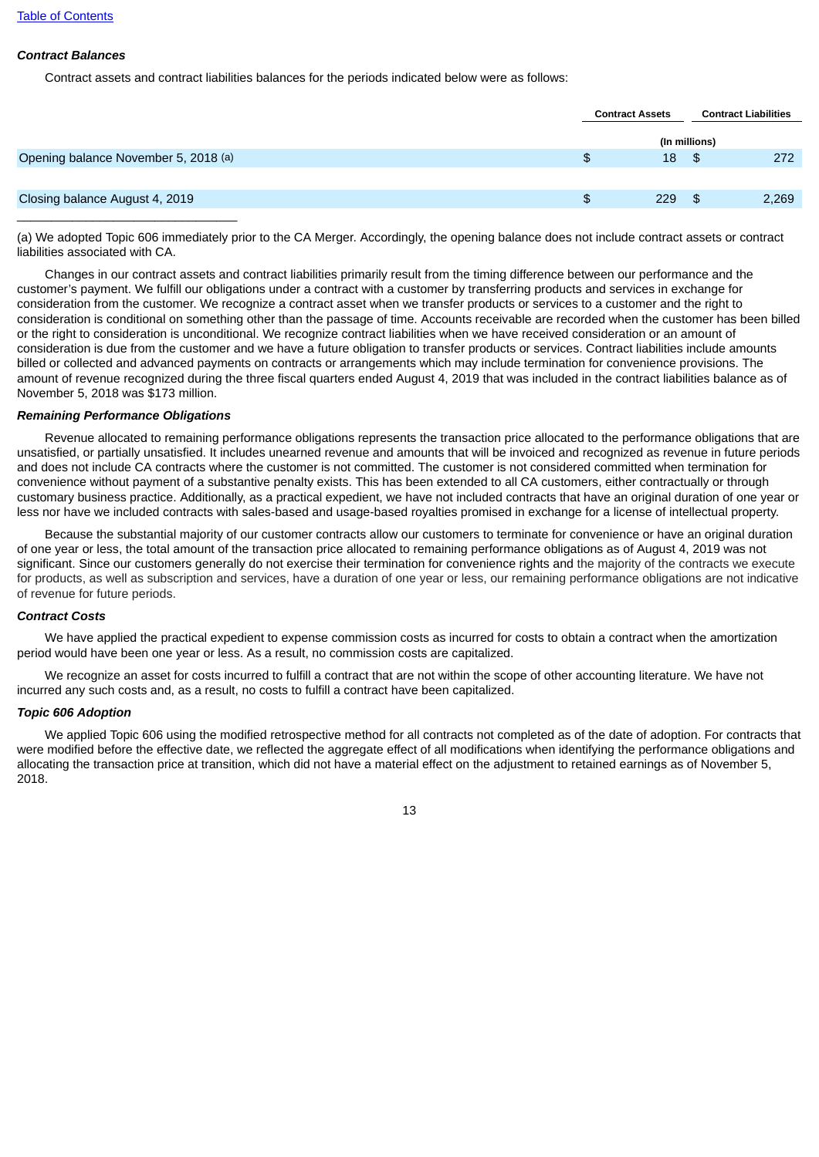## *Contract Balances*

Contract assets and contract liabilities balances for the periods indicated below were as follows:

|                                      | <b>Contract Assets</b> |      | <b>Contract Liabilities</b> |
|--------------------------------------|------------------------|------|-----------------------------|
|                                      | (In millions)          |      |                             |
| Opening balance November 5, 2018 (a) | \$<br>18               | - \$ | 272                         |
|                                      |                        |      |                             |
| Closing balance August 4, 2019       | \$<br>229              | - \$ | 2,269                       |
|                                      |                        |      |                             |

(a) We adopted Topic 606 immediately prior to the CA Merger. Accordingly, the opening balance does not include contract assets or contract liabilities associated with CA.

Changes in our contract assets and contract liabilities primarily result from the timing difference between our performance and the customer's payment. We fulfill our obligations under a contract with a customer by transferring products and services in exchange for consideration from the customer. We recognize a contract asset when we transfer products or services to a customer and the right to consideration is conditional on something other than the passage of time. Accounts receivable are recorded when the customer has been billed or the right to consideration is unconditional. We recognize contract liabilities when we have received consideration or an amount of consideration is due from the customer and we have a future obligation to transfer products or services. Contract liabilities include amounts billed or collected and advanced payments on contracts or arrangements which may include termination for convenience provisions. The amount of revenue recognized during the three fiscal quarters ended August 4, 2019 that was included in the contract liabilities balance as of November 5, 2018 was \$173 million.

## *Remaining Performance Obligations*

Revenue allocated to remaining performance obligations represents the transaction price allocated to the performance obligations that are unsatisfied, or partially unsatisfied. It includes unearned revenue and amounts that will be invoiced and recognized as revenue in future periods and does not include CA contracts where the customer is not committed. The customer is not considered committed when termination for convenience without payment of a substantive penalty exists. This has been extended to all CA customers, either contractually or through customary business practice. Additionally, as a practical expedient, we have not included contracts that have an original duration of one year or less nor have we included contracts with sales-based and usage-based royalties promised in exchange for a license of intellectual property.

Because the substantial majority of our customer contracts allow our customers to terminate for convenience or have an original duration of one year or less, the total amount of the transaction price allocated to remaining performance obligations as of August 4, 2019 was not significant. Since our customers generally do not exercise their termination for convenience rights and the majority of the contracts we execute for products, as well as subscription and services, have a duration of one year or less, our remaining performance obligations are not indicative of revenue for future periods.

#### *Contract Costs*

We have applied the practical expedient to expense commission costs as incurred for costs to obtain a contract when the amortization period would have been one year or less. As a result, no commission costs are capitalized.

We recognize an asset for costs incurred to fulfill a contract that are not within the scope of other accounting literature. We have not incurred any such costs and, as a result, no costs to fulfill a contract have been capitalized.

## *Topic 606 Adoption*

We applied Topic 606 using the modified retrospective method for all contracts not completed as of the date of adoption. For contracts that were modified before the effective date, we reflected the aggregate effect of all modifications when identifying the performance obligations and allocating the transaction price at transition, which did not have a material effect on the adjustment to retained earnings as of November 5, 2018.

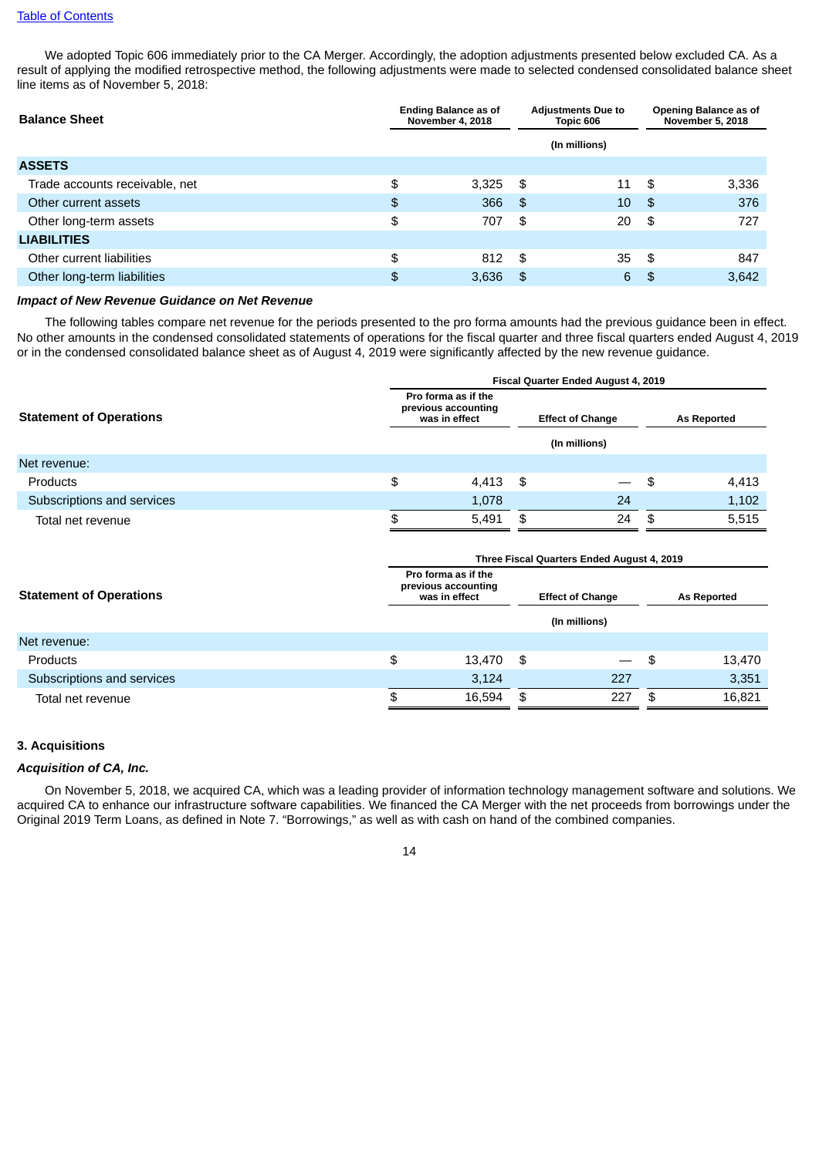#### Table of [Contents](#page-1-0)

We adopted Topic 606 immediately prior to the CA Merger. Accordingly, the adoption adjustments presented below excluded CA. As a result of applying the modified retrospective method, the following adjustments were made to selected condensed consolidated balance sheet line items as of November 5, 2018:

| <b>Balance Sheet</b>           |               | <b>Ending Balance as of</b><br><b>November 4, 2018</b> |      | <b>Adjustments Due to</b><br>Topic 606 |      | Opening Balance as of<br><b>November 5, 2018</b> |  |
|--------------------------------|---------------|--------------------------------------------------------|------|----------------------------------------|------|--------------------------------------------------|--|
|                                |               |                                                        |      | (In millions)                          |      |                                                  |  |
| <b>ASSETS</b>                  |               |                                                        |      |                                        |      |                                                  |  |
| Trade accounts receivable, net | \$            | 3,325                                                  | - \$ | 11                                     | -\$  | 3,336                                            |  |
| Other current assets           | $\frac{4}{5}$ | 366                                                    | \$   | 10                                     | -\$  | 376                                              |  |
| Other long-term assets         | \$            | 707                                                    | \$   | 20                                     | \$   | 727                                              |  |
| <b>LIABILITIES</b>             |               |                                                        |      |                                        |      |                                                  |  |
| Other current liabilities      | \$            | 812                                                    | - \$ | 35                                     | - \$ | 847                                              |  |
| Other long-term liabilities    | \$            | 3,636                                                  | \$   | 6                                      | \$   | 3,642                                            |  |

#### *Impact of New Revenue Guidance on Net Revenue*

The following tables compare net revenue for the periods presented to the pro forma amounts had the previous guidance been in effect. No other amounts in the condensed consolidated statements of operations for the fiscal quarter and three fiscal quarters ended August 4, 2019 or in the condensed consolidated balance sheet as of August 4, 2019 were significantly affected by the new revenue guidance.

|                                | Fiscal Quarter Ended August 4, 2019                         |       |     |                          |                    |       |  |  |
|--------------------------------|-------------------------------------------------------------|-------|-----|--------------------------|--------------------|-------|--|--|
| <b>Statement of Operations</b> | Pro forma as if the<br>previous accounting<br>was in effect |       |     | <b>Effect of Change</b>  | <b>As Reported</b> |       |  |  |
|                                |                                                             |       |     | (In millions)            |                    |       |  |  |
| Net revenue:                   |                                                             |       |     |                          |                    |       |  |  |
| <b>Products</b>                | \$                                                          | 4,413 | -\$ | $\overline{\phantom{0}}$ | - \$               | 4,413 |  |  |
| Subscriptions and services     |                                                             | 1,078 |     | 24                       |                    | 1,102 |  |  |
| Total net revenue              |                                                             | 5,491 | \$  | 24                       | - SS               | 5,515 |  |  |
|                                |                                                             |       |     |                          |                    |       |  |  |

|                                | Three Fiscal Quarters Ended August 4, 2019                  |        |                         |               |                    |        |  |
|--------------------------------|-------------------------------------------------------------|--------|-------------------------|---------------|--------------------|--------|--|
| <b>Statement of Operations</b> | Pro forma as if the<br>previous accounting<br>was in effect |        | <b>Effect of Change</b> |               | <b>As Reported</b> |        |  |
|                                |                                                             |        |                         | (In millions) |                    |        |  |
| Net revenue:                   |                                                             |        |                         |               |                    |        |  |
| <b>Products</b>                | \$                                                          | 13,470 | \$                      |               | -\$                | 13,470 |  |
| Subscriptions and services     |                                                             | 3,124  |                         | 227           |                    | 3,351  |  |
| Total net revenue              | ቍ                                                           | 16.594 | \$                      | 227           | \$.                | 16,821 |  |

## **3. Acquisitions**

#### *Acquisition of CA, Inc.*

On November 5, 2018, we acquired CA, which was a leading provider of information technology management software and solutions. We acquired CA to enhance our infrastructure software capabilities. We financed the CA Merger with the net proceeds from borrowings under the Original 2019 Term Loans, as defined in Note 7. "Borrowings," as well as with cash on hand of the combined companies.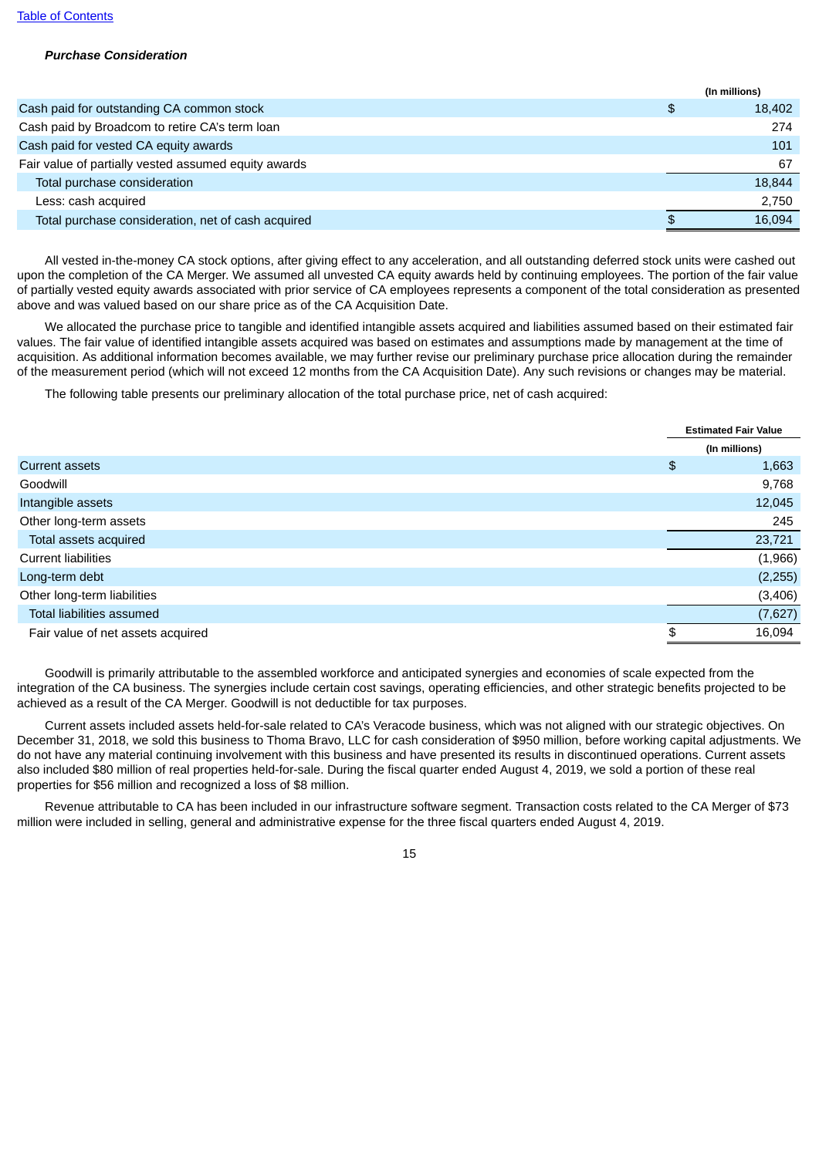## *Purchase Consideration*

| Cash paid for outstanding CA common stock<br>\$      | 18,402 |
|------------------------------------------------------|--------|
| Cash paid by Broadcom to retire CA's term loan       | 274    |
| Cash paid for vested CA equity awards                | 101    |
| Fair value of partially vested assumed equity awards | 67     |
| Total purchase consideration                         | 18,844 |
| Less: cash acquired                                  | 2.750  |
| Total purchase consideration, net of cash acquired   | 16.094 |

All vested in-the-money CA stock options, after giving effect to any acceleration, and all outstanding deferred stock units were cashed out upon the completion of the CA Merger. We assumed all unvested CA equity awards held by continuing employees. The portion of the fair value of partially vested equity awards associated with prior service of CA employees represents a component of the total consideration as presented above and was valued based on our share price as of the CA Acquisition Date.

We allocated the purchase price to tangible and identified intangible assets acquired and liabilities assumed based on their estimated fair values. The fair value of identified intangible assets acquired was based on estimates and assumptions made by management at the time of acquisition. As additional information becomes available, we may further revise our preliminary purchase price allocation during the remainder of the measurement period (which will not exceed 12 months from the CA Acquisition Date). Any such revisions or changes may be material.

The following table presents our preliminary allocation of the total purchase price, net of cash acquired:

|                                   | <b>Estimated Fair Value</b> |
|-----------------------------------|-----------------------------|
|                                   | (In millions)               |
| <b>Current assets</b>             | \$<br>1,663                 |
| Goodwill                          | 9,768                       |
| Intangible assets                 | 12,045                      |
| Other long-term assets            | 245                         |
| Total assets acquired             | 23,721                      |
| <b>Current liabilities</b>        | (1,966)                     |
| Long-term debt                    | (2, 255)                    |
| Other long-term liabilities       | (3,406)                     |
| Total liabilities assumed         | (7,627)                     |
| Fair value of net assets acquired | \$<br>16,094                |

Goodwill is primarily attributable to the assembled workforce and anticipated synergies and economies of scale expected from the integration of the CA business. The synergies include certain cost savings, operating efficiencies, and other strategic benefits projected to be achieved as a result of the CA Merger. Goodwill is not deductible for tax purposes.

Current assets included assets held-for-sale related to CA's Veracode business, which was not aligned with our strategic objectives. On December 31, 2018, we sold this business to Thoma Bravo, LLC for cash consideration of \$950 million, before working capital adjustments. We do not have any material continuing involvement with this business and have presented its results in discontinued operations. Current assets also included \$80 million of real properties held-for-sale. During the fiscal quarter ended August 4, 2019, we sold a portion of these real properties for \$56 million and recognized a loss of \$8 million.

Revenue attributable to CA has been included in our infrastructure software segment. Transaction costs related to the CA Merger of \$73 million were included in selling, general and administrative expense for the three fiscal quarters ended August 4, 2019.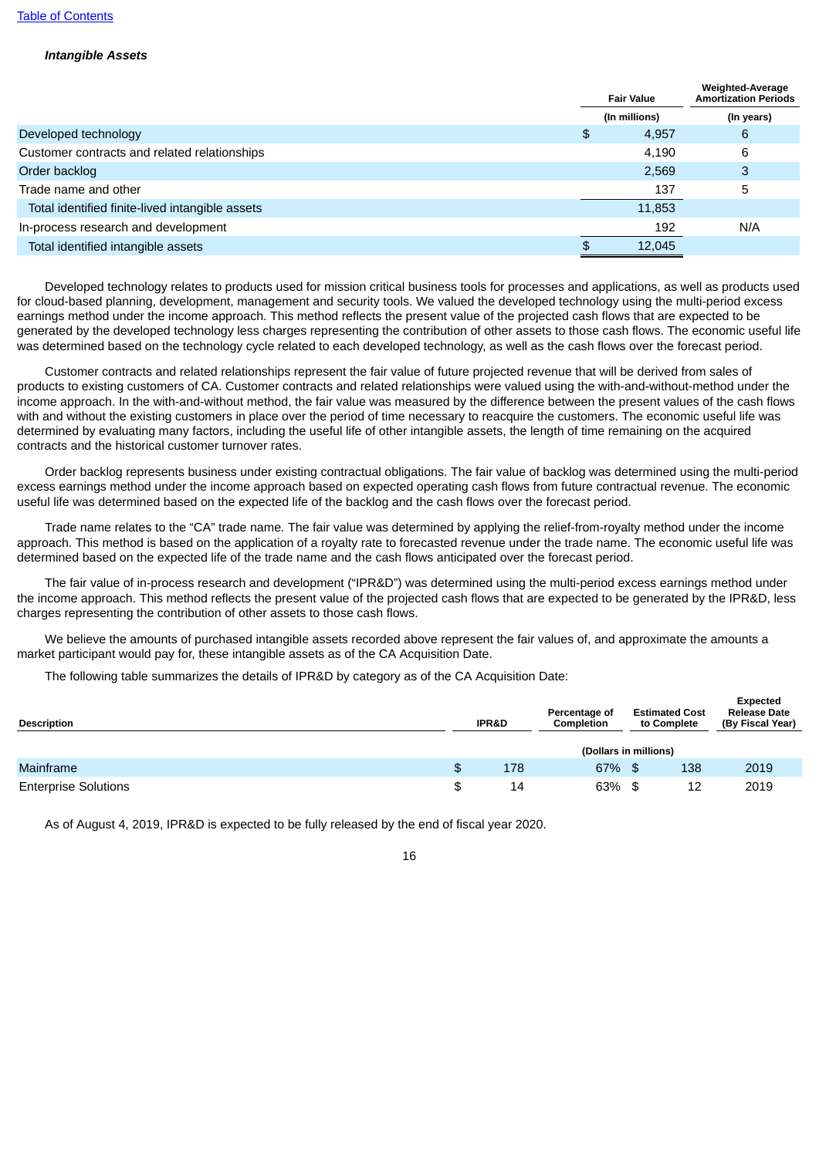#### *Intangible Assets*

|                                                 | <b>Fair Value</b> | <b>Weighted-Average</b><br><b>Amortization Periods</b> |
|-------------------------------------------------|-------------------|--------------------------------------------------------|
|                                                 | (In millions)     | (In years)                                             |
| Developed technology                            | \$<br>4,957       | 6                                                      |
| Customer contracts and related relationships    | 4,190             | 6                                                      |
| Order backlog                                   | 2,569             | 3                                                      |
| Trade name and other                            | 137               | 5                                                      |
| Total identified finite-lived intangible assets | 11,853            |                                                        |
| In-process research and development             | 192               | N/A                                                    |
| Total identified intangible assets              | \$<br>12,045      |                                                        |
|                                                 |                   |                                                        |

Developed technology relates to products used for mission critical business tools for processes and applications, as well as products used for cloud-based planning, development, management and security tools. We valued the developed technology using the multi-period excess earnings method under the income approach. This method reflects the present value of the projected cash flows that are expected to be generated by the developed technology less charges representing the contribution of other assets to those cash flows. The economic useful life was determined based on the technology cycle related to each developed technology, as well as the cash flows over the forecast period.

Customer contracts and related relationships represent the fair value of future projected revenue that will be derived from sales of products to existing customers of CA. Customer contracts and related relationships were valued using the with-and-without-method under the income approach. In the with-and-without method, the fair value was measured by the difference between the present values of the cash flows with and without the existing customers in place over the period of time necessary to reacquire the customers. The economic useful life was determined by evaluating many factors, including the useful life of other intangible assets, the length of time remaining on the acquired contracts and the historical customer turnover rates.

Order backlog represents business under existing contractual obligations. The fair value of backlog was determined using the multi-period excess earnings method under the income approach based on expected operating cash flows from future contractual revenue. The economic useful life was determined based on the expected life of the backlog and the cash flows over the forecast period.

Trade name relates to the "CA" trade name. The fair value was determined by applying the relief-from-royalty method under the income approach. This method is based on the application of a royalty rate to forecasted revenue under the trade name. The economic useful life was determined based on the expected life of the trade name and the cash flows anticipated over the forecast period.

The fair value of in-process research and development ("IPR&D") was determined using the multi-period excess earnings method under the income approach. This method reflects the present value of the projected cash flows that are expected to be generated by the IPR&D, less charges representing the contribution of other assets to those cash flows.

We believe the amounts of purchased intangible assets recorded above represent the fair values of, and approximate the amounts a market participant would pay for, these intangible assets as of the CA Acquisition Date.

The following table summarizes the details of IPR&D by category as of the CA Acquisition Date:

| <b>Description</b>          |  | <b>IPR&amp;D</b> | Percentage of<br>Completion | <b>Estimated Cost</b><br>to Complete | Expected<br><b>Release Date</b><br>(By Fiscal Year) |  |  |
|-----------------------------|--|------------------|-----------------------------|--------------------------------------|-----------------------------------------------------|--|--|
|                             |  |                  | (Dollars in millions)       |                                      |                                                     |  |  |
| <b>Mainframe</b>            |  | 178              | 67% \$                      | 138                                  | 2019                                                |  |  |
| <b>Enterprise Solutions</b> |  | 14               | 63% \$                      | 12                                   | 2019                                                |  |  |

**Expected**

As of August 4, 2019, IPR&D is expected to be fully released by the end of fiscal year 2020.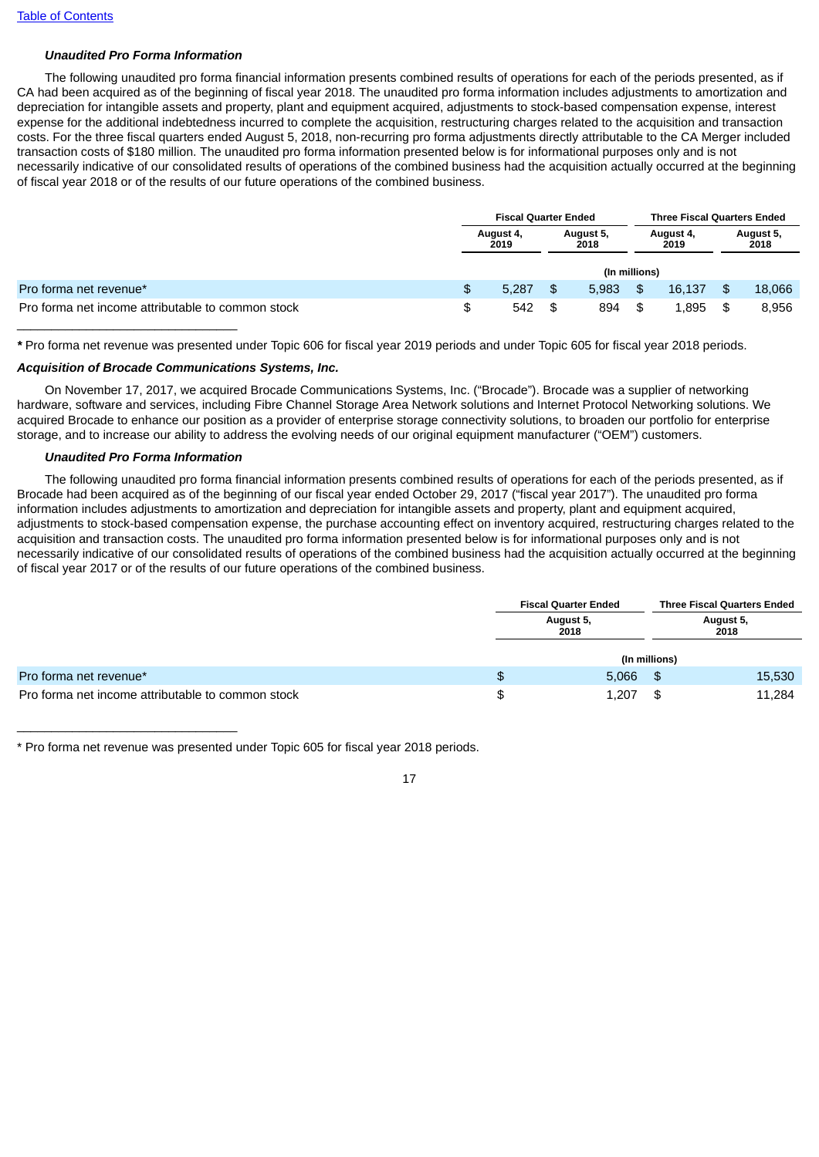## *Unaudited Pro Forma Information*

The following unaudited pro forma financial information presents combined results of operations for each of the periods presented, as if CA had been acquired as of the beginning of fiscal year 2018. The unaudited pro forma information includes adjustments to amortization and depreciation for intangible assets and property, plant and equipment acquired, adjustments to stock-based compensation expense, interest expense for the additional indebtedness incurred to complete the acquisition, restructuring charges related to the acquisition and transaction costs. For the three fiscal quarters ended August 5, 2018, non-recurring pro forma adjustments directly attributable to the CA Merger included transaction costs of \$180 million. The unaudited pro forma information presented below is for informational purposes only and is not necessarily indicative of our consolidated results of operations of the combined business had the acquisition actually occurred at the beginning of fiscal year 2018 or of the results of our future operations of the combined business.

|                                                   |   | <b>Fiscal Quarter Ended</b> |     |                   |                   | <b>Three Fiscal Quarters Ended</b> |                   |        |  |
|---------------------------------------------------|---|-----------------------------|-----|-------------------|-------------------|------------------------------------|-------------------|--------|--|
|                                                   |   | August 4,<br>2019           |     | August 5,<br>2018 | August 4,<br>2019 |                                    | August 5,<br>2018 |        |  |
|                                                   |   |                             |     | (In millions)     |                   |                                    |                   |        |  |
| Pro forma net revenue*                            | £ | 5.287                       | \$. | 5.983             | \$                | 16.137                             | \$                | 18,066 |  |
| Pro forma net income attributable to common stock | S | 542                         | \$  | 894               | \$                | 1.895                              | - \$              | 8,956  |  |

*\** Pro forma net revenue was presented under Topic 606 for fiscal year 2019 periods and under Topic 605 for fiscal year 2018 periods.

#### *Acquisition of Brocade Communications Systems, Inc.*

On November 17, 2017, we acquired Brocade Communications Systems, Inc. ("Brocade"). Brocade was a supplier of networking hardware, software and services, including Fibre Channel Storage Area Network solutions and Internet Protocol Networking solutions. We acquired Brocade to enhance our position as a provider of enterprise storage connectivity solutions, to broaden our portfolio for enterprise storage, and to increase our ability to address the evolving needs of our original equipment manufacturer ("OEM") customers.

#### *Unaudited Pro Forma Information*

 $\overline{\phantom{a}}$  , and the set of the set of the set of the set of the set of the set of the set of the set of the set of the set of the set of the set of the set of the set of the set of the set of the set of the set of the s

The following unaudited pro forma financial information presents combined results of operations for each of the periods presented, as if Brocade had been acquired as of the beginning of our fiscal year ended October 29, 2017 ("fiscal year 2017"). The unaudited pro forma information includes adjustments to amortization and depreciation for intangible assets and property, plant and equipment acquired, adjustments to stock-based compensation expense, the purchase accounting effect on inventory acquired, restructuring charges related to the acquisition and transaction costs. The unaudited pro forma information presented below is for informational purposes only and is not necessarily indicative of our consolidated results of operations of the combined business had the acquisition actually occurred at the beginning of fiscal year 2017 or of the results of our future operations of the combined business.

|                                                   | <b>Fiscal Quarter Ended</b> |                   | <b>Three Fiscal Quarters Ended</b> |  |
|---------------------------------------------------|-----------------------------|-------------------|------------------------------------|--|
|                                                   | August 5,<br>2018           | August 5,<br>2018 |                                    |  |
|                                                   |                             | (In millions)     |                                    |  |
| Pro forma net revenue*                            | \$<br>5,066                 |                   | 15,530                             |  |
| Pro forma net income attributable to common stock | \$<br>1,207                 |                   | 11,284                             |  |

\* Pro forma net revenue was presented under Topic 605 for fiscal year 2018 periods.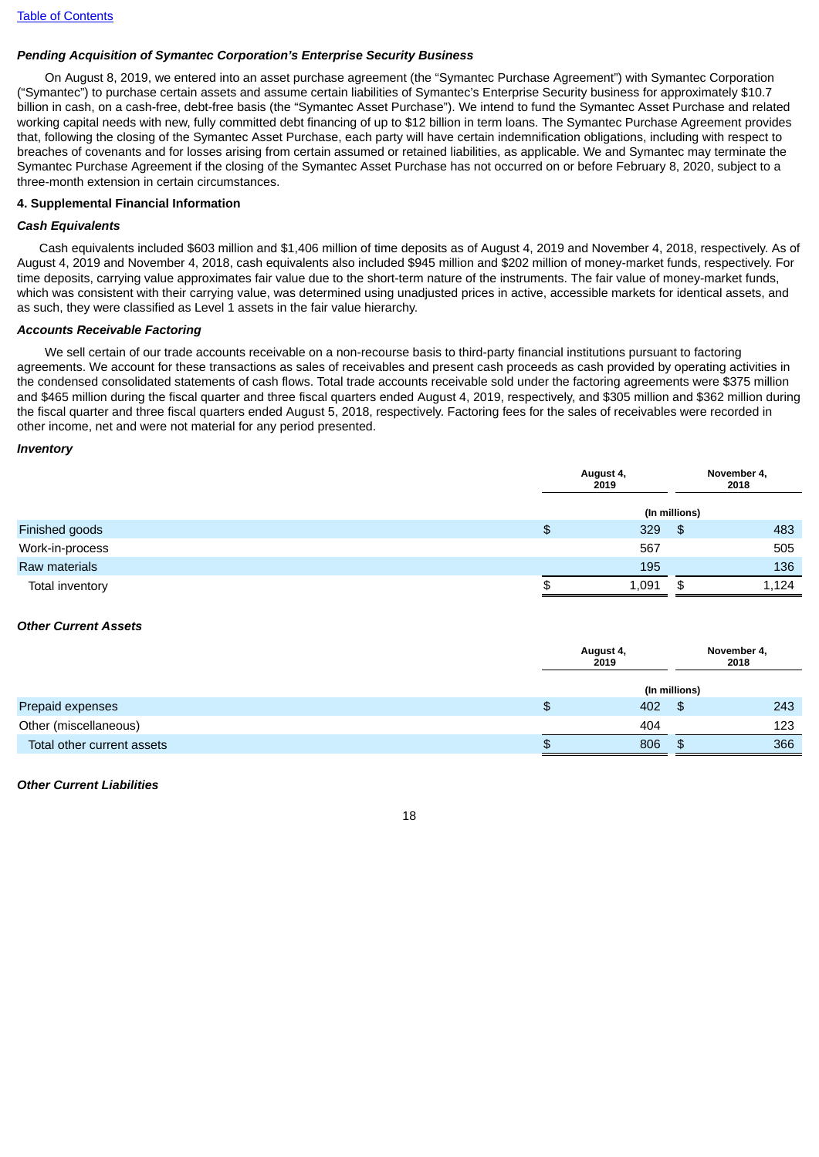## *Pending Acquisition of Symantec Corporation's Enterprise Security Business*

On August 8, 2019, we entered into an asset purchase agreement (the "Symantec Purchase Agreement") with Symantec Corporation ("Symantec") to purchase certain assets and assume certain liabilities of Symantec's Enterprise Security business for approximately \$10.7 billion in cash, on a cash-free, debt-free basis (the "Symantec Asset Purchase"). We intend to fund the Symantec Asset Purchase and related working capital needs with new, fully committed debt financing of up to \$12 billion in term loans. The Symantec Purchase Agreement provides that, following the closing of the Symantec Asset Purchase, each party will have certain indemnification obligations, including with respect to breaches of covenants and for losses arising from certain assumed or retained liabilities, as applicable. We and Symantec may terminate the Symantec Purchase Agreement if the closing of the Symantec Asset Purchase has not occurred on or before February 8, 2020, subject to a three-month extension in certain circumstances.

## **4. Supplemental Financial Information**

## *Cash Equivalents*

Cash equivalents included \$603 million and \$1,406 million of time deposits as of August 4, 2019 and November 4, 2018, respectively. As of August 4, 2019 and November 4, 2018, cash equivalents also included \$945 million and \$202 million of money-market funds, respectively. For time deposits, carrying value approximates fair value due to the short-term nature of the instruments. The fair value of money-market funds, which was consistent with their carrying value, was determined using unadjusted prices in active, accessible markets for identical assets, and as such, they were classified as Level 1 assets in the fair value hierarchy.

## *Accounts Receivable Factoring*

We sell certain of our trade accounts receivable on a non-recourse basis to third-party financial institutions pursuant to factoring agreements. We account for these transactions as sales of receivables and present cash proceeds as cash provided by operating activities in the condensed consolidated statements of cash flows. Total trade accounts receivable sold under the factoring agreements were \$375 million and \$465 million during the fiscal quarter and three fiscal quarters ended August 4, 2019, respectively, and \$305 million and \$362 million during the fiscal quarter and three fiscal quarters ended August 5, 2018, respectively. Factoring fees for the sales of receivables were recorded in other income, net and were not material for any period presented.

#### *Inventory*

|                 | August 4,<br>2019 |               | November 4,<br>2018 |
|-----------------|-------------------|---------------|---------------------|
|                 |                   | (In millions) |                     |
| Finished goods  | \$<br>329         | $\mathcal{S}$ | 483                 |
| Work-in-process | 567               |               | 505                 |
| Raw materials   | 195               |               | 136                 |
| Total inventory | \$<br>1,091       | \$            | 1,124               |

### *Other Current Assets*

|                            |   | August 4,<br>2019 |               | November 4,<br>2018 |  |  |
|----------------------------|---|-------------------|---------------|---------------------|--|--|
|                            |   |                   | (In millions) |                     |  |  |
| Prepaid expenses           | Φ | 402               | \$            | 243                 |  |  |
| Other (miscellaneous)      |   | 404               |               | 123                 |  |  |
| Total other current assets | w | 806               | \$.           | 366                 |  |  |

#### *Other Current Liabilities*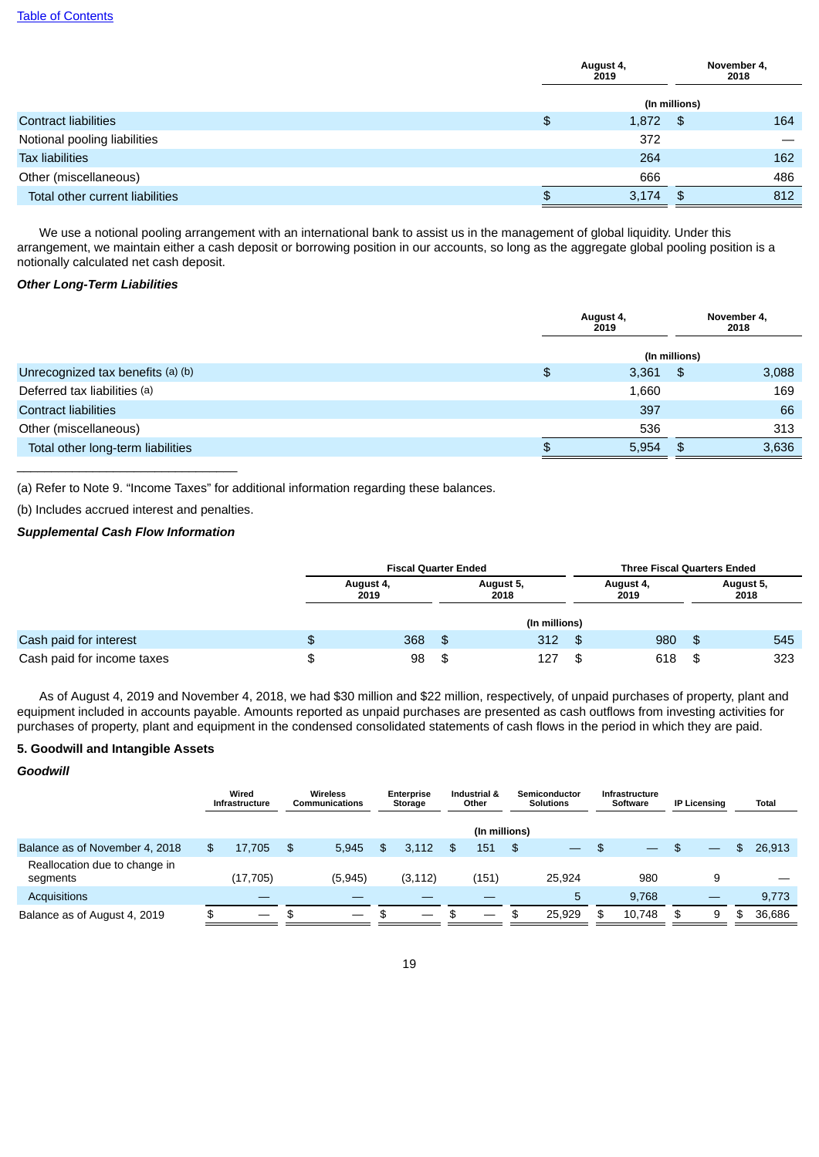|                                 |     | August 4,<br>2019 |               | November 4,<br>2018 |
|---------------------------------|-----|-------------------|---------------|---------------------|
|                                 |     |                   | (In millions) |                     |
| <b>Contract liabilities</b>     | \$  | 1,872             | - \$          | 164                 |
| Notional pooling liabilities    |     | 372               |               |                     |
| <b>Tax liabilities</b>          |     | 264               |               | 162                 |
| Other (miscellaneous)           |     | 666               |               | 486                 |
| Total other current liabilities | \$. | 3,174             | \$            | 812                 |

We use a notional pooling arrangement with an international bank to assist us in the management of global liquidity. Under this arrangement, we maintain either a cash deposit or borrowing position in our accounts, so long as the aggregate global pooling position is a notionally calculated net cash deposit.

## *Other Long-Term Liabilities*

|                                   |    | August 4,<br>2019 |               | November 4,<br>2018 |
|-----------------------------------|----|-------------------|---------------|---------------------|
|                                   |    |                   | (In millions) |                     |
| Unrecognized tax benefits (a) (b) | \$ | 3,361             | \$            | 3,088               |
| Deferred tax liabilities (a)      |    | 1,660             |               | 169                 |
| <b>Contract liabilities</b>       |    | 397               |               | 66                  |
| Other (miscellaneous)             |    | 536               |               | 313                 |
| Total other long-term liabilities | £. | 5,954             | \$            | 3,636               |

(a) Refer to Note 9. "Income Taxes" for additional information regarding these balances.

(b) Includes accrued interest and penalties.

 $\overline{\phantom{a}}$  , and the set of the set of the set of the set of the set of the set of the set of the set of the set of the set of the set of the set of the set of the set of the set of the set of the set of the set of the s

## *Supplemental Cash Flow Information*

|                            | <b>Fiscal Quarter Ended</b> |      |                   |     | <b>Three Fiscal Quarters Ended</b> |    |                   |  |
|----------------------------|-----------------------------|------|-------------------|-----|------------------------------------|----|-------------------|--|
|                            | August 4,<br>2019           |      | August 5,<br>2018 |     | August 4,<br>2019                  |    | August 5,<br>2018 |  |
|                            |                             |      | (In millions)     |     |                                    |    |                   |  |
| Cash paid for interest     | 368                         | க    | 312               | \$  | 980                                | \$ | 545               |  |
| Cash paid for income taxes | 98                          | - \$ | 127               | \$. | 618                                | \$ | 323               |  |

As of August 4, 2019 and November 4, 2018, we had \$30 million and \$22 million, respectively, of unpaid purchases of property, plant and equipment included in accounts payable. Amounts reported as unpaid purchases are presented as cash outflows from investing activities for purchases of property, plant and equipment in the condensed consolidated statements of cash flows in the period in which they are paid.

## **5. Goodwill and Intangible Assets**

### *Goodwill*

|                                           | Wired<br><b>Infrastructure</b> |           |     |                          |             |    |               |              |                          |    |                          |    |   |    | Wireless<br><b>Communications</b> |  |  |  | Enterprise<br>Storage | Industrial &<br>Other |  |  | Semiconductor<br><b>Solutions</b> |  | <b>Infrastructure</b><br>Software |  | <b>IP Licensing</b> |  |  |  | <b>Total</b> |
|-------------------------------------------|--------------------------------|-----------|-----|--------------------------|-------------|----|---------------|--------------|--------------------------|----|--------------------------|----|---|----|-----------------------------------|--|--|--|-----------------------|-----------------------|--|--|-----------------------------------|--|-----------------------------------|--|---------------------|--|--|--|--------------|
|                                           |                                |           |     |                          |             |    | (In millions) |              |                          |    |                          |    |   |    |                                   |  |  |  |                       |                       |  |  |                                   |  |                                   |  |                     |  |  |  |              |
| Balance as of November 4, 2018            | \$                             | 17.705    | \$  | 5.945                    | \$<br>3.112 | \$ | 151           | $\mathsf{s}$ | $\overline{\phantom{0}}$ |    | $\overline{\phantom{0}}$ |    |   |    | 26,913                            |  |  |  |                       |                       |  |  |                                   |  |                                   |  |                     |  |  |  |              |
| Reallocation due to change in<br>segments |                                | (17, 705) |     | (5,945)                  | (3, 112)    |    | (151)         |              | 25,924                   |    | 980                      |    |   |    |                                   |  |  |  |                       |                       |  |  |                                   |  |                                   |  |                     |  |  |  |              |
| <b>Acquisitions</b>                       |                                |           |     |                          |             |    |               |              | 5                        |    | 9.768                    |    |   |    | 9,773                             |  |  |  |                       |                       |  |  |                                   |  |                                   |  |                     |  |  |  |              |
| Balance as of August 4, 2019              | \$                             |           | -\$ | $\overline{\phantom{0}}$ | \$          | \$ |               |              | 25.929                   | \$ | 10.748                   | \$ | 9 | \$ | 36,686                            |  |  |  |                       |                       |  |  |                                   |  |                                   |  |                     |  |  |  |              |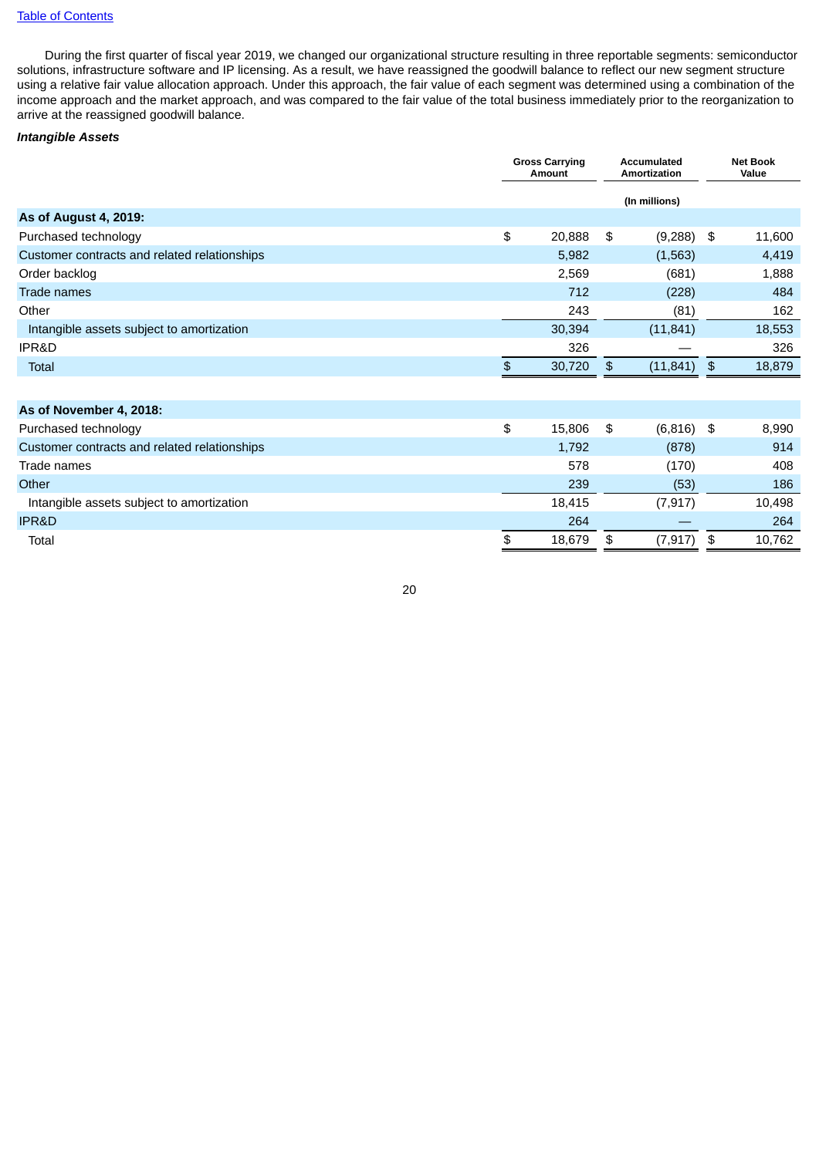During the first quarter of fiscal year 2019, we changed our organizational structure resulting in three reportable segments: semiconductor solutions, infrastructure software and IP licensing. As a result, we have reassigned the goodwill balance to reflect our new segment structure using a relative fair value allocation approach. Under this approach, the fair value of each segment was determined using a combination of the income approach and the market approach, and was compared to the fair value of the total business immediately prior to the reorganization to arrive at the reassigned goodwill balance.

## *Intangible Assets*

|                                              | <b>Gross Carrying</b><br><b>Accumulated</b><br>Amortization<br><b>Amount</b> |    |               | <b>Net Book</b><br>Value |        |
|----------------------------------------------|------------------------------------------------------------------------------|----|---------------|--------------------------|--------|
|                                              |                                                                              |    | (In millions) |                          |        |
| <b>As of August 4, 2019:</b>                 |                                                                              |    |               |                          |        |
| Purchased technology                         | \$<br>20,888                                                                 | \$ | (9, 288)      | \$                       | 11,600 |
| Customer contracts and related relationships | 5,982                                                                        |    | (1, 563)      |                          | 4,419  |
| Order backlog                                | 2,569                                                                        |    | (681)         |                          | 1,888  |
| <b>Trade names</b>                           | 712                                                                          |    | (228)         |                          | 484    |
| Other                                        | 243                                                                          |    | (81)          |                          | 162    |
| Intangible assets subject to amortization    | 30,394                                                                       |    | (11, 841)     |                          | 18,553 |
| IPR&D                                        | 326                                                                          |    |               |                          | 326    |
| Total                                        | \$<br>30,720                                                                 | \$ | (11, 841)     | $\frac{3}{2}$            | 18,879 |
|                                              |                                                                              |    |               |                          |        |
| As of November 4, 2018:                      |                                                                              |    |               |                          |        |
| Purchased technology                         | \$<br>15,806                                                                 | \$ | (6, 816)      | \$                       | 8,990  |
| Customer contracts and related relationships | 1,792                                                                        |    | (878)         |                          | 914    |
| Trade names                                  | 578                                                                          |    | (170)         |                          | 408    |
| Other                                        | 239                                                                          |    | (53)          |                          | 186    |
| Intangible assets subject to amortization    | 18,415                                                                       |    | (7, 917)      |                          | 10,498 |
| <b>IPR&amp;D</b>                             | 264                                                                          |    |               |                          | 264    |
| Total                                        | \$<br>18,679                                                                 | \$ | (7, 917)      | \$                       | 10,762 |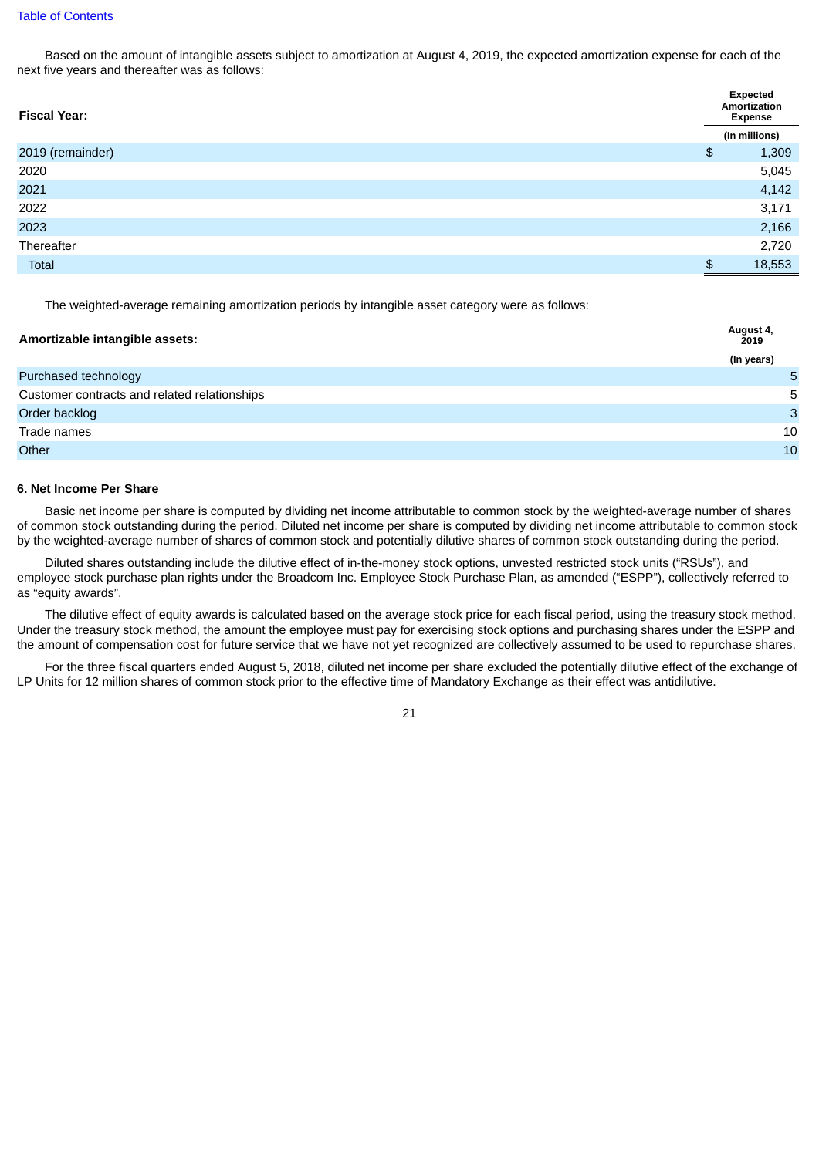Based on the amount of intangible assets subject to amortization at August 4, 2019, the expected amortization expense for each of the next five years and thereafter was as follows:

| <b>Fiscal Year:</b> |               | Expected<br>Amortization<br><b>Expense</b> |  |  |
|---------------------|---------------|--------------------------------------------|--|--|
|                     |               | (In millions)                              |  |  |
| 2019 (remainder)    | $\frac{1}{2}$ | 1,309                                      |  |  |
| 2020                |               | 5,045                                      |  |  |
| 2021                |               | 4,142                                      |  |  |
| 2022                |               | 3,171                                      |  |  |
| 2023                |               | 2,166                                      |  |  |
| Thereafter          |               | 2,720                                      |  |  |
| Total               | \$            | 18,553                                     |  |  |

The weighted-average remaining amortization periods by intangible asset category were as follows:

| Amortizable intangible assets:               | August 4,<br>2019 |  |  |
|----------------------------------------------|-------------------|--|--|
|                                              | (In years)        |  |  |
| Purchased technology                         | 5                 |  |  |
| Customer contracts and related relationships | 5                 |  |  |
| Order backlog                                | 3                 |  |  |
| Trade names                                  | 10                |  |  |
| Other                                        | 10                |  |  |

#### **6. Net Income Per Share**

Basic net income per share is computed by dividing net income attributable to common stock by the weighted-average number of shares of common stock outstanding during the period. Diluted net income per share is computed by dividing net income attributable to common stock by the weighted-average number of shares of common stock and potentially dilutive shares of common stock outstanding during the period.

Diluted shares outstanding include the dilutive effect of in-the-money stock options, unvested restricted stock units ("RSUs"), and employee stock purchase plan rights under the Broadcom Inc. Employee Stock Purchase Plan, as amended ("ESPP"), collectively referred to as "equity awards".

The dilutive effect of equity awards is calculated based on the average stock price for each fiscal period, using the treasury stock method. Under the treasury stock method, the amount the employee must pay for exercising stock options and purchasing shares under the ESPP and the amount of compensation cost for future service that we have not yet recognized are collectively assumed to be used to repurchase shares.

For the three fiscal quarters ended August 5, 2018, diluted net income per share excluded the potentially dilutive effect of the exchange of LP Units for 12 million shares of common stock prior to the effective time of Mandatory Exchange as their effect was antidilutive.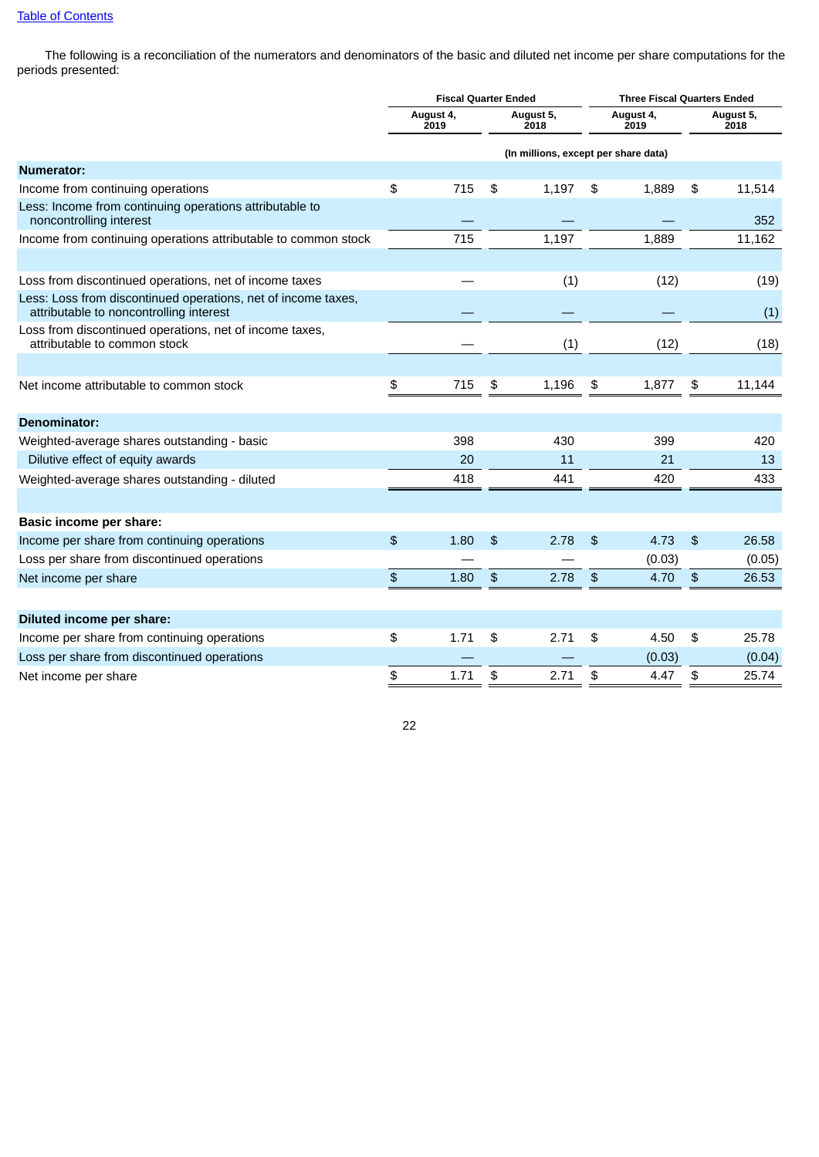The following is a reconciliation of the numerators and denominators of the basic and diluted net income per share computations for the periods presented:

|                                                                                                          |               | <b>Fiscal Quarter Ended</b> |               |                                      |                   | <b>Three Fiscal Quarters Ended</b> |                   |
|----------------------------------------------------------------------------------------------------------|---------------|-----------------------------|---------------|--------------------------------------|-------------------|------------------------------------|-------------------|
|                                                                                                          |               | August 4,<br>2019           |               | August 5,<br>2018                    | August 4,<br>2019 |                                    | August 5,<br>2018 |
|                                                                                                          |               |                             |               | (In millions, except per share data) |                   |                                    |                   |
| <b>Numerator:</b>                                                                                        |               |                             |               |                                      |                   |                                    |                   |
| Income from continuing operations                                                                        | \$            | 715                         | \$            | 1,197                                | \$<br>1,889       | \$                                 | 11,514            |
| Less: Income from continuing operations attributable to<br>noncontrolling interest                       |               |                             |               |                                      |                   |                                    | 352               |
| Income from continuing operations attributable to common stock                                           |               | 715                         |               | 1,197                                | 1,889             |                                    | 11,162            |
|                                                                                                          |               |                             |               |                                      |                   |                                    |                   |
| Loss from discontinued operations, net of income taxes                                                   |               |                             |               | (1)                                  | (12)              |                                    | (19)              |
| Less: Loss from discontinued operations, net of income taxes,<br>attributable to noncontrolling interest |               |                             |               |                                      |                   |                                    | (1)               |
| Loss from discontinued operations, net of income taxes,<br>attributable to common stock                  |               |                             |               | (1)                                  | (12)              |                                    | (18)              |
|                                                                                                          |               |                             |               |                                      |                   |                                    |                   |
| Net income attributable to common stock                                                                  | \$            | 715                         | \$            | 1,196                                | \$<br>1,877       | \$                                 | 11,144            |
|                                                                                                          |               |                             |               |                                      |                   |                                    |                   |
| <b>Denominator:</b>                                                                                      |               |                             |               |                                      |                   |                                    |                   |
| Weighted-average shares outstanding - basic                                                              |               | 398                         |               | 430                                  | 399               |                                    | 420               |
| Dilutive effect of equity awards                                                                         |               | 20                          |               | 11                                   | 21                |                                    | 13                |
| Weighted-average shares outstanding - diluted                                                            |               | 418                         |               | 441                                  | 420               |                                    | 433               |
|                                                                                                          |               |                             |               |                                      |                   |                                    |                   |
| Basic income per share:                                                                                  |               |                             |               |                                      |                   |                                    |                   |
| Income per share from continuing operations                                                              | $\frac{4}{5}$ | 1.80                        | $\frac{4}{5}$ | 2.78                                 | \$<br>4.73        | $\frac{1}{2}$                      | 26.58             |
| Loss per share from discontinued operations                                                              |               |                             |               |                                      | (0.03)            |                                    | (0.05)            |
| Net income per share                                                                                     | \$            | 1.80                        | \$            | 2.78                                 | \$<br>4.70        | \$                                 | 26.53             |
|                                                                                                          |               |                             |               |                                      |                   |                                    |                   |
| Diluted income per share:                                                                                |               |                             |               |                                      |                   |                                    |                   |
| Income per share from continuing operations                                                              | \$            | 1.71                        | \$            | 2.71                                 | \$<br>4.50        | \$                                 | 25.78             |
| Loss per share from discontinued operations                                                              |               |                             |               |                                      | (0.03)            |                                    | (0.04)            |
| Net income per share                                                                                     | \$            | 1.71                        | \$            | 2.71                                 | \$<br>4.47        | \$                                 | 25.74             |
|                                                                                                          |               |                             |               |                                      |                   |                                    |                   |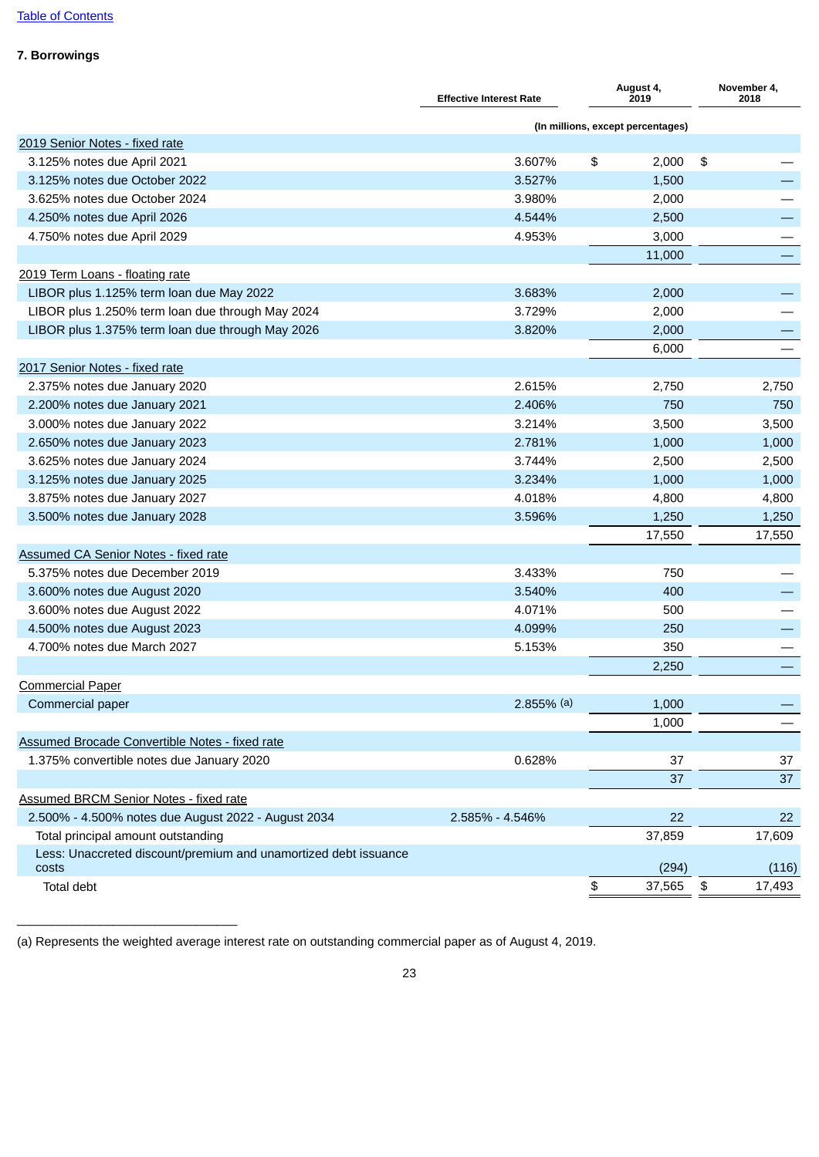## **7. Borrowings**

|                                                                 | <b>Effective Interest Rate</b> | August 4,<br>2019                 |                             | November 4,<br>2018 |
|-----------------------------------------------------------------|--------------------------------|-----------------------------------|-----------------------------|---------------------|
|                                                                 |                                | (In millions, except percentages) |                             |                     |
| 2019 Senior Notes - fixed rate                                  |                                |                                   |                             |                     |
| 3.125% notes due April 2021                                     | 3.607%                         | \$<br>2,000                       | \$                          |                     |
| 3.125% notes due October 2022                                   | 3.527%                         | 1,500                             |                             |                     |
| 3.625% notes due October 2024                                   | 3.980%                         | 2,000                             |                             |                     |
| 4.250% notes due April 2026                                     | 4.544%                         | 2,500                             |                             |                     |
| 4.750% notes due April 2029                                     | 4.953%                         | 3,000                             |                             |                     |
|                                                                 |                                | 11,000                            |                             |                     |
| 2019 Term Loans - floating rate                                 |                                |                                   |                             |                     |
| LIBOR plus 1.125% term loan due May 2022                        | 3.683%                         | 2,000                             |                             |                     |
| LIBOR plus 1.250% term loan due through May 2024                | 3.729%                         | 2,000                             |                             |                     |
| LIBOR plus 1.375% term loan due through May 2026                | 3.820%                         | 2,000                             |                             |                     |
|                                                                 |                                | 6,000                             |                             |                     |
| 2017 Senior Notes - fixed rate                                  |                                |                                   |                             |                     |
| 2.375% notes due January 2020                                   | 2.615%                         | 2,750                             |                             | 2,750               |
| 2.200% notes due January 2021                                   | 2.406%                         | 750                               |                             | 750                 |
| 3.000% notes due January 2022                                   | 3.214%                         | 3,500                             |                             | 3,500               |
| 2.650% notes due January 2023                                   | 2.781%                         | 1,000                             |                             | 1,000               |
| 3.625% notes due January 2024                                   | 3.744%                         | 2,500                             |                             | 2,500               |
| 3.125% notes due January 2025                                   | 3.234%                         | 1,000                             |                             | 1,000               |
| 3.875% notes due January 2027                                   | 4.018%                         | 4,800                             |                             | 4,800               |
| 3.500% notes due January 2028                                   | 3.596%                         | 1,250                             |                             | 1,250               |
|                                                                 |                                | 17,550                            |                             | 17,550              |
| <b>Assumed CA Senior Notes - fixed rate</b>                     |                                |                                   |                             |                     |
| 5.375% notes due December 2019                                  | 3.433%                         | 750                               |                             |                     |
| 3.600% notes due August 2020                                    | 3.540%                         | 400                               |                             |                     |
| 3.600% notes due August 2022                                    | 4.071%                         | 500                               |                             |                     |
| 4.500% notes due August 2023                                    | 4.099%                         | 250                               |                             |                     |
| 4.700% notes due March 2027                                     | 5.153%                         | 350                               |                             |                     |
|                                                                 |                                | 2,250                             |                             |                     |
| <b>Commercial Paper</b>                                         |                                |                                   |                             |                     |
| Commercial paper                                                | $2.855%$ (a)                   | 1,000                             |                             |                     |
|                                                                 |                                | 1,000                             |                             |                     |
| Assumed Brocade Convertible Notes - fixed rate                  |                                |                                   |                             |                     |
| 1.375% convertible notes due January 2020                       | 0.628%                         | 37                                |                             | 37                  |
|                                                                 |                                | 37                                |                             | 37                  |
| <b>Assumed BRCM Senior Notes - fixed rate</b>                   |                                |                                   |                             |                     |
| 2.500% - 4.500% notes due August 2022 - August 2034             | 2.585% - 4.546%                | 22                                |                             | 22                  |
| Total principal amount outstanding                              |                                | 37,859                            |                             | 17,609              |
| Less: Unaccreted discount/premium and unamortized debt issuance |                                |                                   |                             |                     |
| costs                                                           |                                | (294)                             |                             | (116)               |
| Total debt                                                      |                                | \$<br>37,565                      | $\boldsymbol{\mathfrak{s}}$ | 17,493              |

(a) Represents the weighted average interest rate on outstanding commercial paper as of August 4, 2019.

 $\overline{\phantom{a}}$  , and the set of the set of the set of the set of the set of the set of the set of the set of the set of the set of the set of the set of the set of the set of the set of the set of the set of the set of the s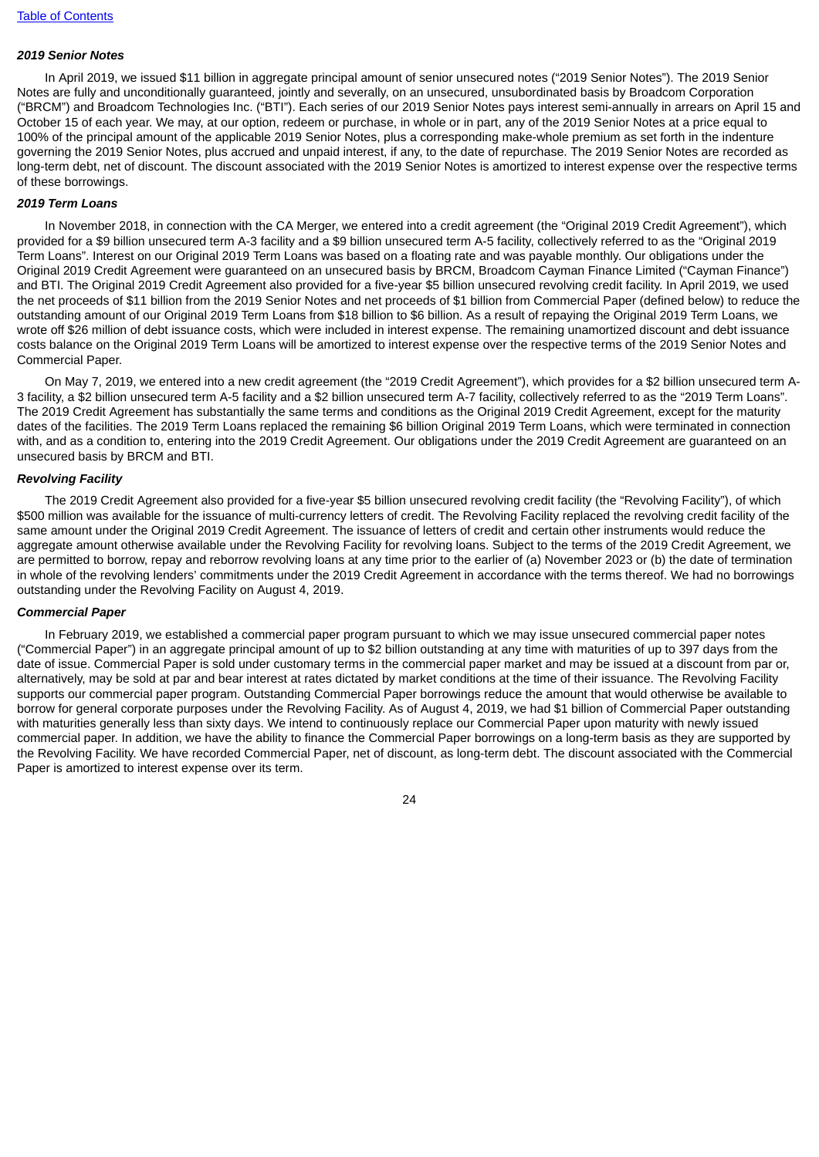## *2019 Senior Notes*

In April 2019, we issued \$11 billion in aggregate principal amount of senior unsecured notes ("2019 Senior Notes"). The 2019 Senior Notes are fully and unconditionally guaranteed, jointly and severally, on an unsecured, unsubordinated basis by Broadcom Corporation ("BRCM") and Broadcom Technologies Inc. ("BTI"). Each series of our 2019 Senior Notes pays interest semi-annually in arrears on April 15 and October 15 of each year. We may, at our option, redeem or purchase, in whole or in part, any of the 2019 Senior Notes at a price equal to 100% of the principal amount of the applicable 2019 Senior Notes, plus a corresponding make-whole premium as set forth in the indenture governing the 2019 Senior Notes, plus accrued and unpaid interest, if any, to the date of repurchase. The 2019 Senior Notes are recorded as long-term debt, net of discount. The discount associated with the 2019 Senior Notes is amortized to interest expense over the respective terms of these borrowings.

#### *2019 Term Loans*

In November 2018, in connection with the CA Merger, we entered into a credit agreement (the "Original 2019 Credit Agreement"), which provided for a \$9 billion unsecured term A-3 facility and a \$9 billion unsecured term A-5 facility, collectively referred to as the "Original 2019 Term Loans". Interest on our Original 2019 Term Loans was based on a floating rate and was payable monthly. Our obligations under the Original 2019 Credit Agreement were guaranteed on an unsecured basis by BRCM, Broadcom Cayman Finance Limited ("Cayman Finance") and BTI. The Original 2019 Credit Agreement also provided for a five-year \$5 billion unsecured revolving credit facility. In April 2019, we used the net proceeds of \$11 billion from the 2019 Senior Notes and net proceeds of \$1 billion from Commercial Paper (defined below) to reduce the outstanding amount of our Original 2019 Term Loans from \$18 billion to \$6 billion. As a result of repaying the Original 2019 Term Loans, we wrote off \$26 million of debt issuance costs, which were included in interest expense. The remaining unamortized discount and debt issuance costs balance on the Original 2019 Term Loans will be amortized to interest expense over the respective terms of the 2019 Senior Notes and Commercial Paper.

On May 7, 2019, we entered into a new credit agreement (the "2019 Credit Agreement"), which provides for a \$2 billion unsecured term A-3 facility, a \$2 billion unsecured term A-5 facility and a \$2 billion unsecured term A-7 facility, collectively referred to as the "2019 Term Loans". The 2019 Credit Agreement has substantially the same terms and conditions as the Original 2019 Credit Agreement, except for the maturity dates of the facilities. The 2019 Term Loans replaced the remaining \$6 billion Original 2019 Term Loans, which were terminated in connection with, and as a condition to, entering into the 2019 Credit Agreement. Our obligations under the 2019 Credit Agreement are guaranteed on an unsecured basis by BRCM and BTI.

#### *Revolving Facility*

The 2019 Credit Agreement also provided for a five-year \$5 billion unsecured revolving credit facility (the "Revolving Facility"), of which \$500 million was available for the issuance of multi-currency letters of credit. The Revolving Facility replaced the revolving credit facility of the same amount under the Original 2019 Credit Agreement. The issuance of letters of credit and certain other instruments would reduce the aggregate amount otherwise available under the Revolving Facility for revolving loans. Subject to the terms of the 2019 Credit Agreement, we are permitted to borrow, repay and reborrow revolving loans at any time prior to the earlier of (a) November 2023 or (b) the date of termination in whole of the revolving lenders' commitments under the 2019 Credit Agreement in accordance with the terms thereof. We had no borrowings outstanding under the Revolving Facility on August 4, 2019.

#### *Commercial Paper*

In February 2019, we established a commercial paper program pursuant to which we may issue unsecured commercial paper notes ("Commercial Paper") in an aggregate principal amount of up to \$2 billion outstanding at any time with maturities of up to 397 days from the date of issue. Commercial Paper is sold under customary terms in the commercial paper market and may be issued at a discount from par or, alternatively, may be sold at par and bear interest at rates dictated by market conditions at the time of their issuance. The Revolving Facility supports our commercial paper program. Outstanding Commercial Paper borrowings reduce the amount that would otherwise be available to borrow for general corporate purposes under the Revolving Facility. As of August 4, 2019, we had \$1 billion of Commercial Paper outstanding with maturities generally less than sixty days. We intend to continuously replace our Commercial Paper upon maturity with newly issued commercial paper. In addition, we have the ability to finance the Commercial Paper borrowings on a long-term basis as they are supported by the Revolving Facility. We have recorded Commercial Paper, net of discount, as long-term debt. The discount associated with the Commercial Paper is amortized to interest expense over its term.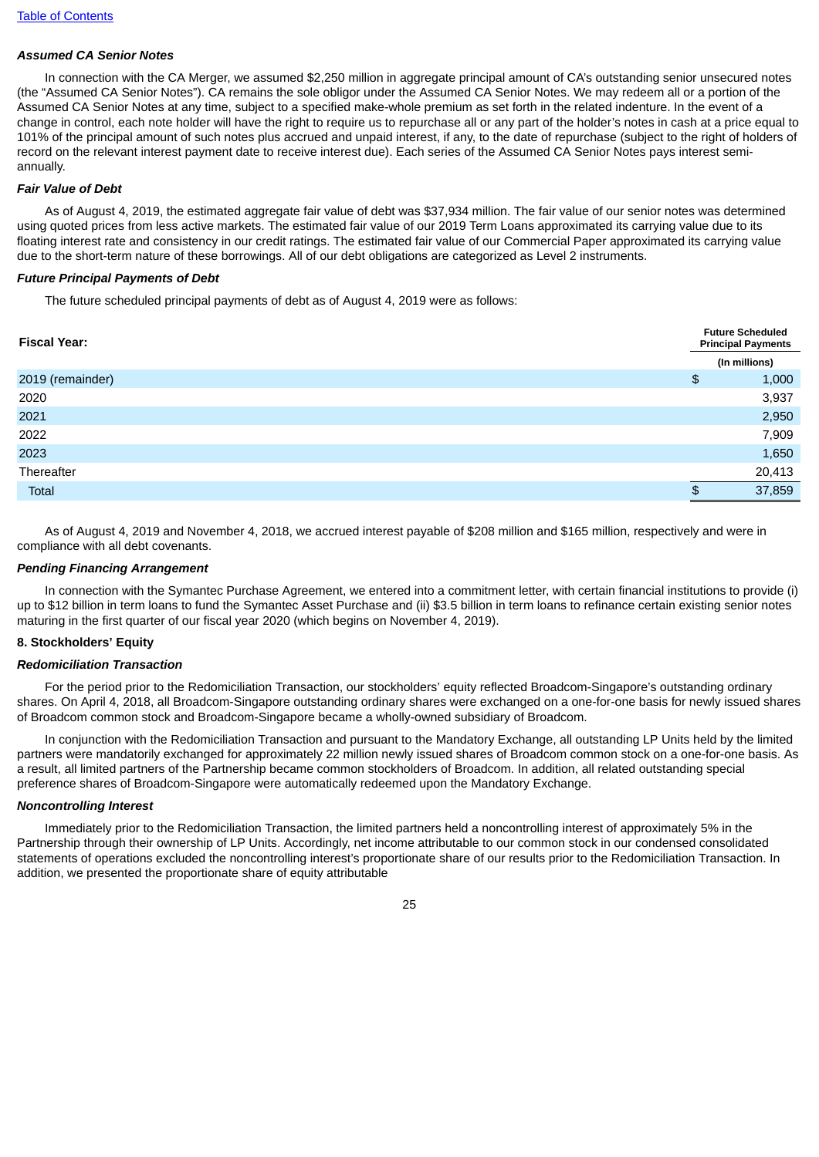## *Assumed CA Senior Notes*

In connection with the CA Merger, we assumed \$2,250 million in aggregate principal amount of CA's outstanding senior unsecured notes (the "Assumed CA Senior Notes"). CA remains the sole obligor under the Assumed CA Senior Notes. We may redeem all or a portion of the Assumed CA Senior Notes at any time, subject to a specified make-whole premium as set forth in the related indenture. In the event of a change in control, each note holder will have the right to require us to repurchase all or any part of the holder's notes in cash at a price equal to 101% of the principal amount of such notes plus accrued and unpaid interest, if any, to the date of repurchase (subject to the right of holders of record on the relevant interest payment date to receive interest due). Each series of the Assumed CA Senior Notes pays interest semiannually.

### *Fair Value of Debt*

As of August 4, 2019, the estimated aggregate fair value of debt was \$37,934 million. The fair value of our senior notes was determined using quoted prices from less active markets. The estimated fair value of our 2019 Term Loans approximated its carrying value due to its floating interest rate and consistency in our credit ratings. The estimated fair value of our Commercial Paper approximated its carrying value due to the short-term nature of these borrowings. All of our debt obligations are categorized as Level 2 instruments.

### *Future Principal Payments of Debt*

The future scheduled principal payments of debt as of August 4, 2019 were as follows:

| <b>Fiscal Year:</b> |     | <b>Future Scheduled</b><br><b>Principal Payments</b> |  |  |  |
|---------------------|-----|------------------------------------------------------|--|--|--|
|                     |     | (In millions)                                        |  |  |  |
| 2019 (remainder)    | \$  | 1,000                                                |  |  |  |
| 2020                |     | 3,937                                                |  |  |  |
| 2021                |     | 2,950                                                |  |  |  |
| 2022                |     | 7,909                                                |  |  |  |
| 2023                |     | 1,650                                                |  |  |  |
| Thereafter          |     | 20,413                                               |  |  |  |
| Total               | \$. | 37,859                                               |  |  |  |

As of August 4, 2019 and November 4, 2018, we accrued interest payable of \$208 million and \$165 million, respectively and were in compliance with all debt covenants.

#### *Pending Financing Arrangement*

In connection with the Symantec Purchase Agreement, we entered into a commitment letter, with certain financial institutions to provide (i) up to \$12 billion in term loans to fund the Symantec Asset Purchase and (ii) \$3.5 billion in term loans to refinance certain existing senior notes maturing in the first quarter of our fiscal year 2020 (which begins on November 4, 2019).

#### **8. Stockholders' Equity**

#### *Redomiciliation Transaction*

For the period prior to the Redomiciliation Transaction, our stockholders' equity reflected Broadcom-Singapore's outstanding ordinary shares. On April 4, 2018, all Broadcom-Singapore outstanding ordinary shares were exchanged on a one-for-one basis for newly issued shares of Broadcom common stock and Broadcom-Singapore became a wholly-owned subsidiary of Broadcom.

In conjunction with the Redomiciliation Transaction and pursuant to the Mandatory Exchange, all outstanding LP Units held by the limited partners were mandatorily exchanged for approximately 22 million newly issued shares of Broadcom common stock on a one-for-one basis. As a result, all limited partners of the Partnership became common stockholders of Broadcom. In addition, all related outstanding special preference shares of Broadcom-Singapore were automatically redeemed upon the Mandatory Exchange.

#### *Noncontrolling Interest*

Immediately prior to the Redomiciliation Transaction, the limited partners held a noncontrolling interest of approximately 5% in the Partnership through their ownership of LP Units. Accordingly, net income attributable to our common stock in our condensed consolidated statements of operations excluded the noncontrolling interest's proportionate share of our results prior to the Redomiciliation Transaction. In addition, we presented the proportionate share of equity attributable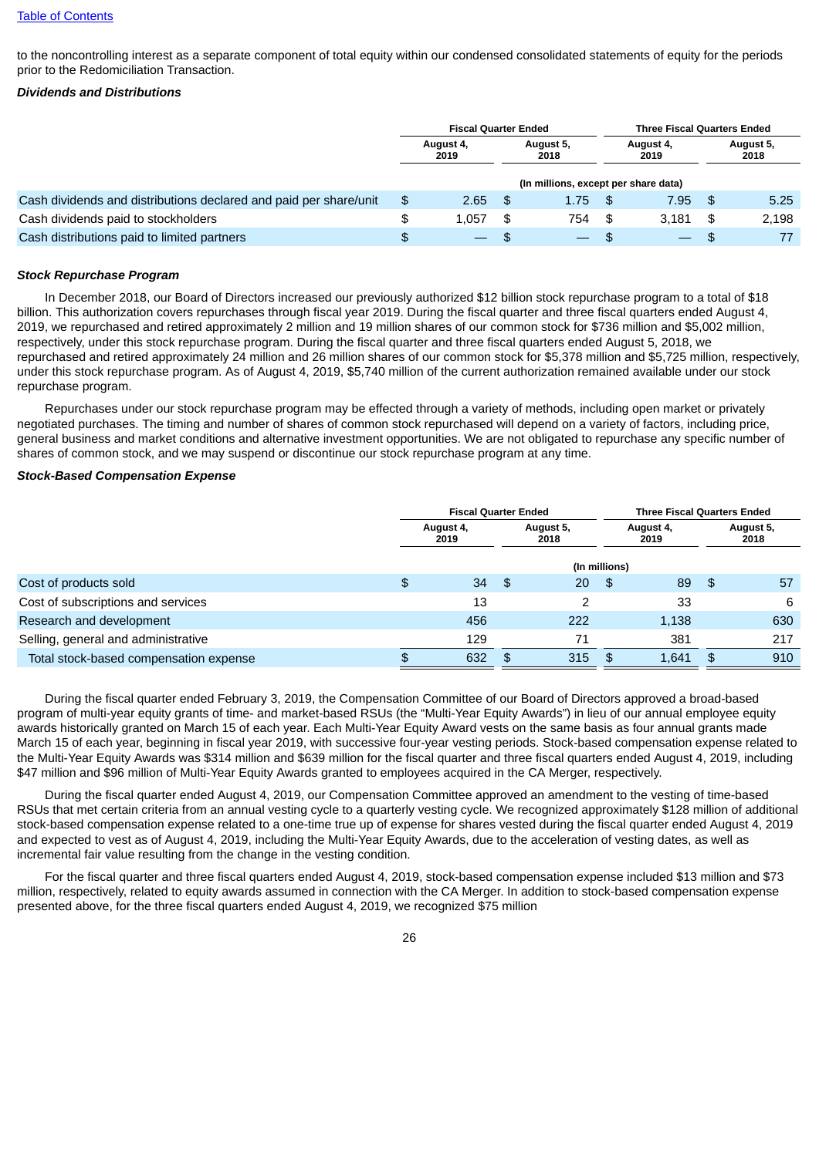to the noncontrolling interest as a separate component of total equity within our condensed consolidated statements of equity for the periods prior to the Redomiciliation Transaction.

#### *Dividends and Distributions*

|                                                                   | <b>Fiscal Quarter Ended</b>            |      |                                      |      | <b>Three Fiscal Quarters Ended</b> |     |                   |  |
|-------------------------------------------------------------------|----------------------------------------|------|--------------------------------------|------|------------------------------------|-----|-------------------|--|
|                                                                   | August 5,<br>August 4,<br>2019<br>2018 |      |                                      |      | August 4,<br>2019                  |     | August 5,<br>2018 |  |
|                                                                   |                                        |      | (In millions, except per share data) |      |                                    |     |                   |  |
| Cash dividends and distributions declared and paid per share/unit | \$<br>2.65                             | - \$ | 1.75                                 | \$   | 7.95                               | -\$ | 5.25              |  |
| Cash dividends paid to stockholders                               | \$<br>1.057                            | \$   | 754                                  | - \$ | 3.181                              | \$  | 2.198             |  |
| Cash distributions paid to limited partners                       | $\overline{\phantom{0}}$               |      |                                      | - SS |                                    | \$  |                   |  |

#### *Stock Repurchase Program*

In December 2018, our Board of Directors increased our previously authorized \$12 billion stock repurchase program to a total of \$18 billion. This authorization covers repurchases through fiscal year 2019. During the fiscal quarter and three fiscal quarters ended August 4. 2019, we repurchased and retired approximately 2 million and 19 million shares of our common stock for \$736 million and \$5,002 million, respectively, under this stock repurchase program. During the fiscal quarter and three fiscal quarters ended August 5, 2018, we repurchased and retired approximately 24 million and 26 million shares of our common stock for \$5,378 million and \$5,725 million, respectively, under this stock repurchase program. As of August 4, 2019, \$5,740 million of the current authorization remained available under our stock repurchase program.

Repurchases under our stock repurchase program may be effected through a variety of methods, including open market or privately negotiated purchases. The timing and number of shares of common stock repurchased will depend on a variety of factors, including price, general business and market conditions and alternative investment opportunities. We are not obligated to repurchase any specific number of shares of common stock, and we may suspend or discontinue our stock repurchase program at any time.

#### *Stock-Based Compensation Expense*

|                                        |                   | <b>Fiscal Quarter Ended</b> |                   |     | <b>Three Fiscal Quarters Ended</b> |       |    |                   |  |
|----------------------------------------|-------------------|-----------------------------|-------------------|-----|------------------------------------|-------|----|-------------------|--|
|                                        | August 4,<br>2019 |                             | August 5,<br>2018 |     | August 4,<br>2019                  |       |    | August 5,<br>2018 |  |
|                                        |                   |                             |                   |     |                                    |       |    |                   |  |
| Cost of products sold                  | \$                | 34                          | - \$              | 20  | \$                                 | 89    | \$ | 57                |  |
| Cost of subscriptions and services     |                   | 13                          |                   | 2   |                                    | 33    |    | 6                 |  |
| Research and development               |                   | 456                         |                   | 222 |                                    | 1,138 |    | 630               |  |
| Selling, general and administrative    |                   | 129                         |                   | 71  |                                    | 381   |    | 217               |  |
| Total stock-based compensation expense |                   | 632                         |                   | 315 | -SS                                | 1.641 | \$ | 910               |  |

During the fiscal quarter ended February 3, 2019, the Compensation Committee of our Board of Directors approved a broad-based program of multi-year equity grants of time- and market-based RSUs (the "Multi-Year Equity Awards") in lieu of our annual employee equity awards historically granted on March 15 of each year. Each Multi-Year Equity Award vests on the same basis as four annual grants made March 15 of each year, beginning in fiscal year 2019, with successive four-year vesting periods. Stock-based compensation expense related to the Multi-Year Equity Awards was \$314 million and \$639 million for the fiscal quarter and three fiscal quarters ended August 4, 2019, including \$47 million and \$96 million of Multi-Year Equity Awards granted to employees acquired in the CA Merger, respectively.

During the fiscal quarter ended August 4, 2019, our Compensation Committee approved an amendment to the vesting of time-based RSUs that met certain criteria from an annual vesting cycle to a quarterly vesting cycle. We recognized approximately \$128 million of additional stock-based compensation expense related to a one-time true up of expense for shares vested during the fiscal quarter ended August 4, 2019 and expected to vest as of August 4, 2019, including the Multi-Year Equity Awards, due to the acceleration of vesting dates, as well as incremental fair value resulting from the change in the vesting condition.

For the fiscal quarter and three fiscal quarters ended August 4, 2019, stock-based compensation expense included \$13 million and \$73 million, respectively, related to equity awards assumed in connection with the CA Merger. In addition to stock-based compensation expense presented above, for the three fiscal quarters ended August 4, 2019, we recognized \$75 million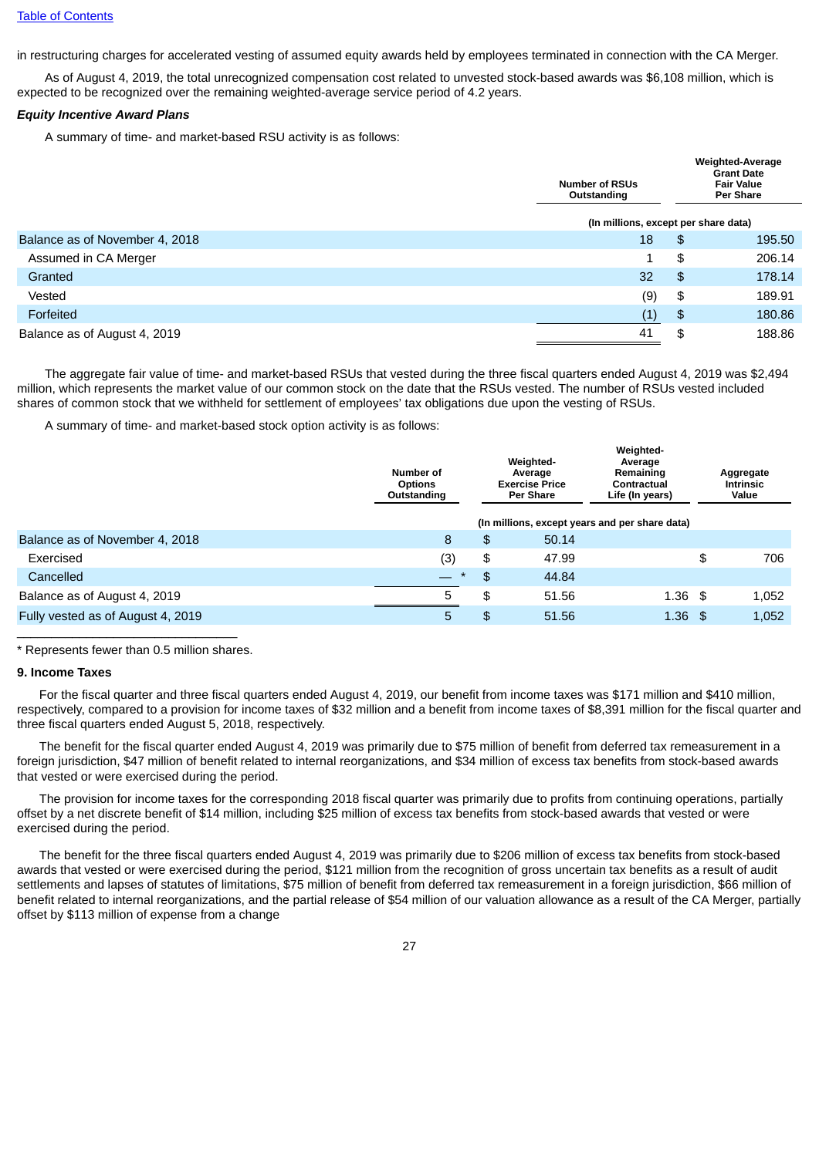in restructuring charges for accelerated vesting of assumed equity awards held by employees terminated in connection with the CA Merger.

As of August 4, 2019, the total unrecognized compensation cost related to unvested stock-based awards was \$6,108 million, which is expected to be recognized over the remaining weighted-average service period of 4.2 years.

#### *Equity Incentive Award Plans*

A summary of time- and market-based RSU activity is as follows:

|                                | <b>Number of RSUs</b><br>Outstanding |    | Weighted-Average<br><b>Grant Date</b><br><b>Fair Value</b><br>Per Share |  |  |
|--------------------------------|--------------------------------------|----|-------------------------------------------------------------------------|--|--|
|                                | (In millions, except per share data) |    |                                                                         |  |  |
| Balance as of November 4, 2018 | 18                                   | \$ | 195.50                                                                  |  |  |
| Assumed in CA Merger           | 1                                    | \$ | 206.14                                                                  |  |  |
| Granted                        | 32                                   | \$ | 178.14                                                                  |  |  |
| Vested                         | (9)                                  | \$ | 189.91                                                                  |  |  |
| Forfeited                      | (1)                                  | \$ | 180.86                                                                  |  |  |
| Balance as of August 4, 2019   | 41                                   | \$ | 188.86                                                                  |  |  |

The aggregate fair value of time- and market-based RSUs that vested during the three fiscal quarters ended August 4, 2019 was \$2,494 million, which represents the market value of our common stock on the date that the RSUs vested. The number of RSUs vested included shares of common stock that we withheld for settlement of employees' tax obligations due upon the vesting of RSUs.

A summary of time- and market-based stock option activity is as follows:

|                                   | Number of<br><b>Options</b><br>Outstanding | Weighted-<br>Average<br><b>Exercise Price</b><br><b>Per Share</b> |                                                | Weighted-<br>Average<br>Remaining<br>Contractual<br>Life (In years) | Aggregate<br><b>Intrinsic</b><br>Value |       |
|-----------------------------------|--------------------------------------------|-------------------------------------------------------------------|------------------------------------------------|---------------------------------------------------------------------|----------------------------------------|-------|
|                                   |                                            |                                                                   | (In millions, except years and per share data) |                                                                     |                                        |       |
| Balance as of November 4, 2018    | 8                                          | \$                                                                | 50.14                                          |                                                                     |                                        |       |
| Exercised                         | (3)                                        | \$                                                                | 47.99                                          |                                                                     | \$                                     | 706   |
| Cancelled                         | $\equiv$<br>$\ast$                         | \$                                                                | 44.84                                          |                                                                     |                                        |       |
| Balance as of August 4, 2019      | 5                                          | \$                                                                | 51.56                                          | $1.36$ \$                                                           |                                        | 1,052 |
| Fully vested as of August 4, 2019 | 5                                          | \$                                                                | 51.56                                          | $1.36$ \$                                                           |                                        | 1,052 |

 $\overline{\phantom{a}}$  , and the set of the set of the set of the set of the set of the set of the set of the set of the set of the set of the set of the set of the set of the set of the set of the set of the set of the set of the s \* Represents fewer than 0.5 million shares.

#### **9. Income Taxes**

For the fiscal quarter and three fiscal quarters ended August 4, 2019, our benefit from income taxes was \$171 million and \$410 million, respectively, compared to a provision for income taxes of \$32 million and a benefit from income taxes of \$8,391 million for the fiscal quarter and three fiscal quarters ended August 5, 2018, respectively.

The benefit for the fiscal quarter ended August 4, 2019 was primarily due to \$75 million of benefit from deferred tax remeasurement in a foreign jurisdiction, \$47 million of benefit related to internal reorganizations, and \$34 million of excess tax benefits from stock-based awards that vested or were exercised during the period.

The provision for income taxes for the corresponding 2018 fiscal quarter was primarily due to profits from continuing operations, partially offset by a net discrete benefit of \$14 million, including \$25 million of excess tax benefits from stock-based awards that vested or were exercised during the period.

The benefit for the three fiscal quarters ended August 4, 2019 was primarily due to \$206 million of excess tax benefits from stock-based awards that vested or were exercised during the period, \$121 million from the recognition of gross uncertain tax benefits as a result of audit settlements and lapses of statutes of limitations, \$75 million of benefit from deferred tax remeasurement in a foreign jurisdiction, \$66 million of benefit related to internal reorganizations, and the partial release of \$54 million of our valuation allowance as a result of the CA Merger, partially offset by \$113 million of expense from a change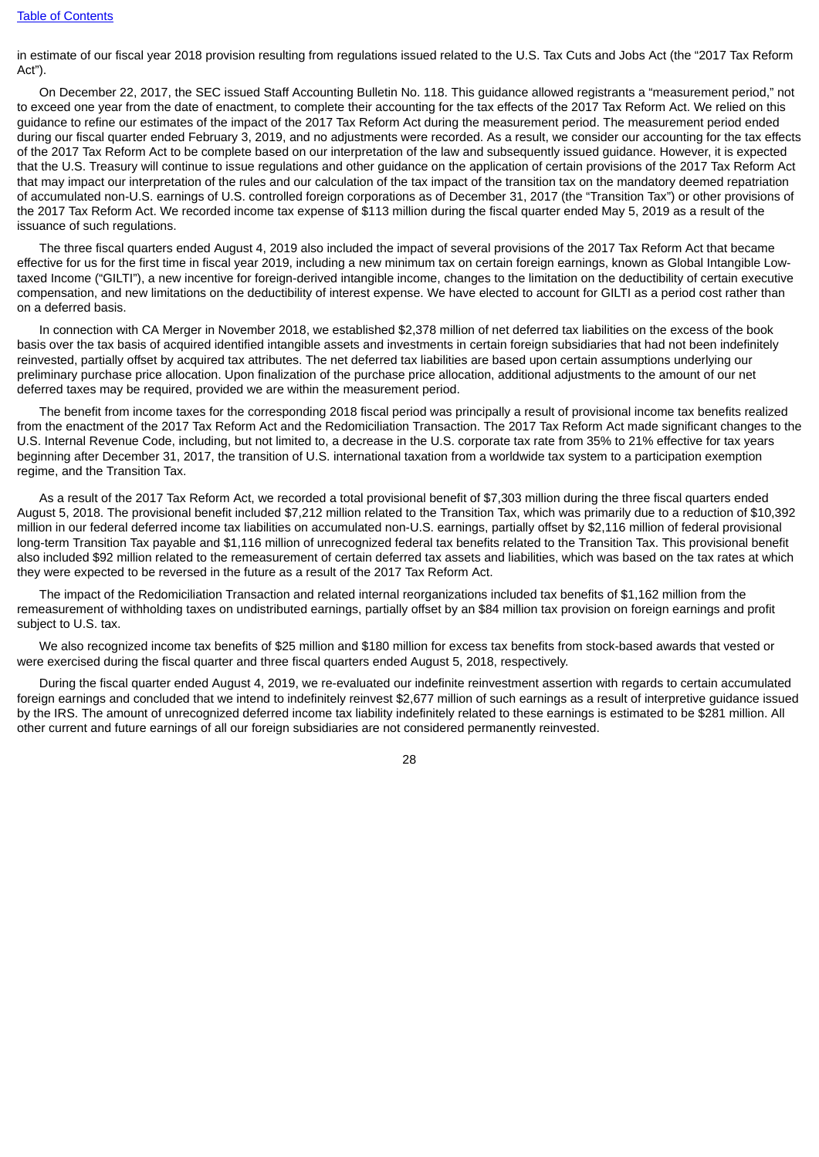in estimate of our fiscal year 2018 provision resulting from regulations issued related to the U.S. Tax Cuts and Jobs Act (the "2017 Tax Reform Act").

On December 22, 2017, the SEC issued Staff Accounting Bulletin No. 118. This guidance allowed registrants a "measurement period," not to exceed one year from the date of enactment, to complete their accounting for the tax effects of the 2017 Tax Reform Act. We relied on this guidance to refine our estimates of the impact of the 2017 Tax Reform Act during the measurement period. The measurement period ended during our fiscal quarter ended February 3, 2019, and no adjustments were recorded. As a result, we consider our accounting for the tax effects of the 2017 Tax Reform Act to be complete based on our interpretation of the law and subsequently issued guidance. However, it is expected that the U.S. Treasury will continue to issue regulations and other guidance on the application of certain provisions of the 2017 Tax Reform Act that may impact our interpretation of the rules and our calculation of the tax impact of the transition tax on the mandatory deemed repatriation of accumulated non-U.S. earnings of U.S. controlled foreign corporations as of December 31, 2017 (the "Transition Tax") or other provisions of the 2017 Tax Reform Act. We recorded income tax expense of \$113 million during the fiscal quarter ended May 5, 2019 as a result of the issuance of such regulations.

The three fiscal quarters ended August 4, 2019 also included the impact of several provisions of the 2017 Tax Reform Act that became effective for us for the first time in fiscal year 2019, including a new minimum tax on certain foreign earnings, known as Global Intangible Lowtaxed Income ("GILTI"), a new incentive for foreign-derived intangible income, changes to the limitation on the deductibility of certain executive compensation, and new limitations on the deductibility of interest expense. We have elected to account for GILTI as a period cost rather than on a deferred basis.

In connection with CA Merger in November 2018, we established \$2,378 million of net deferred tax liabilities on the excess of the book basis over the tax basis of acquired identified intangible assets and investments in certain foreign subsidiaries that had not been indefinitely reinvested, partially offset by acquired tax attributes. The net deferred tax liabilities are based upon certain assumptions underlying our preliminary purchase price allocation. Upon finalization of the purchase price allocation, additional adjustments to the amount of our net deferred taxes may be required, provided we are within the measurement period.

The benefit from income taxes for the corresponding 2018 fiscal period was principally a result of provisional income tax benefits realized from the enactment of the 2017 Tax Reform Act and the Redomiciliation Transaction. The 2017 Tax Reform Act made significant changes to the U.S. Internal Revenue Code, including, but not limited to, a decrease in the U.S. corporate tax rate from 35% to 21% effective for tax years beginning after December 31, 2017, the transition of U.S. international taxation from a worldwide tax system to a participation exemption regime, and the Transition Tax.

As a result of the 2017 Tax Reform Act, we recorded a total provisional benefit of \$7,303 million during the three fiscal quarters ended August 5, 2018. The provisional benefit included \$7,212 million related to the Transition Tax, which was primarily due to a reduction of \$10,392 million in our federal deferred income tax liabilities on accumulated non-U.S. earnings, partially offset by \$2,116 million of federal provisional long-term Transition Tax payable and \$1,116 million of unrecognized federal tax benefits related to the Transition Tax. This provisional benefit also included \$92 million related to the remeasurement of certain deferred tax assets and liabilities, which was based on the tax rates at which they were expected to be reversed in the future as a result of the 2017 Tax Reform Act.

The impact of the Redomiciliation Transaction and related internal reorganizations included tax benefits of \$1,162 million from the remeasurement of withholding taxes on undistributed earnings, partially offset by an \$84 million tax provision on foreign earnings and profit subject to U.S. tax.

We also recognized income tax benefits of \$25 million and \$180 million for excess tax benefits from stock-based awards that vested or were exercised during the fiscal quarter and three fiscal quarters ended August 5, 2018, respectively.

During the fiscal quarter ended August 4, 2019, we re-evaluated our indefinite reinvestment assertion with regards to certain accumulated foreign earnings and concluded that we intend to indefinitely reinvest \$2,677 million of such earnings as a result of interpretive guidance issued by the IRS. The amount of unrecognized deferred income tax liability indefinitely related to these earnings is estimated to be \$281 million. All other current and future earnings of all our foreign subsidiaries are not considered permanently reinvested.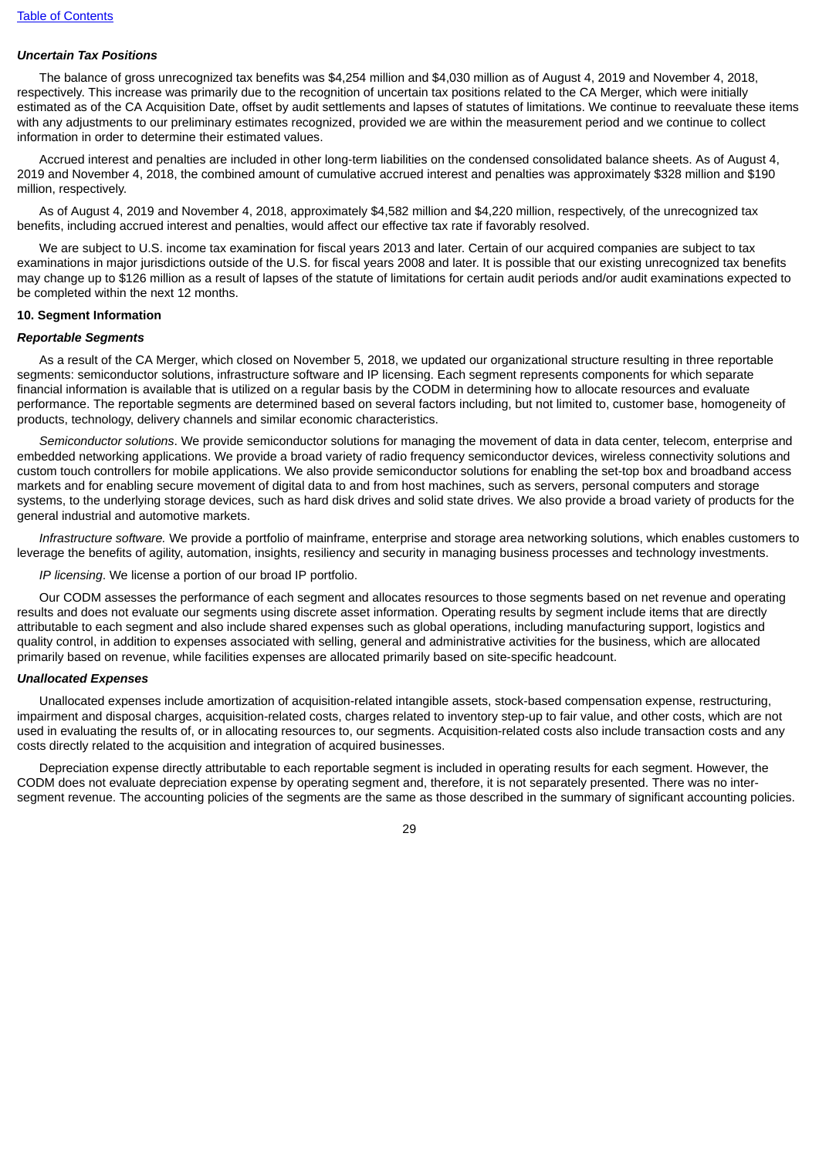## *Uncertain Tax Positions*

The balance of gross unrecognized tax benefits was \$4,254 million and \$4,030 million as of August 4, 2019 and November 4, 2018, respectively. This increase was primarily due to the recognition of uncertain tax positions related to the CA Merger, which were initially estimated as of the CA Acquisition Date, offset by audit settlements and lapses of statutes of limitations. We continue to reevaluate these items with any adjustments to our preliminary estimates recognized, provided we are within the measurement period and we continue to collect information in order to determine their estimated values.

Accrued interest and penalties are included in other long-term liabilities on the condensed consolidated balance sheets. As of August 4, 2019 and November 4, 2018, the combined amount of cumulative accrued interest and penalties was approximately \$328 million and \$190 million, respectively.

As of August 4, 2019 and November 4, 2018, approximately \$4,582 million and \$4,220 million, respectively, of the unrecognized tax benefits, including accrued interest and penalties, would affect our effective tax rate if favorably resolved.

We are subject to U.S. income tax examination for fiscal years 2013 and later. Certain of our acquired companies are subject to tax examinations in major jurisdictions outside of the U.S. for fiscal years 2008 and later. It is possible that our existing unrecognized tax benefits may change up to \$126 million as a result of lapses of the statute of limitations for certain audit periods and/or audit examinations expected to be completed within the next 12 months.

#### **10. Segment Information**

#### *Reportable Segments*

As a result of the CA Merger, which closed on November 5, 2018, we updated our organizational structure resulting in three reportable segments: semiconductor solutions, infrastructure software and IP licensing. Each segment represents components for which separate financial information is available that is utilized on a regular basis by the CODM in determining how to allocate resources and evaluate performance. The reportable segments are determined based on several factors including, but not limited to, customer base, homogeneity of products, technology, delivery channels and similar economic characteristics.

*Semiconductor solutions*. We provide semiconductor solutions for managing the movement of data in data center, telecom, enterprise and embedded networking applications. We provide a broad variety of radio frequency semiconductor devices, wireless connectivity solutions and custom touch controllers for mobile applications. We also provide semiconductor solutions for enabling the set-top box and broadband access markets and for enabling secure movement of digital data to and from host machines, such as servers, personal computers and storage systems, to the underlying storage devices, such as hard disk drives and solid state drives. We also provide a broad variety of products for the general industrial and automotive markets.

*Infrastructure software.* We provide a portfolio of mainframe, enterprise and storage area networking solutions, which enables customers to leverage the benefits of agility, automation, insights, resiliency and security in managing business processes and technology investments.

*IP licensing*. We license a portion of our broad IP portfolio.

Our CODM assesses the performance of each segment and allocates resources to those segments based on net revenue and operating results and does not evaluate our segments using discrete asset information. Operating results by segment include items that are directly attributable to each segment and also include shared expenses such as global operations, including manufacturing support, logistics and quality control, in addition to expenses associated with selling, general and administrative activities for the business, which are allocated primarily based on revenue, while facilities expenses are allocated primarily based on site-specific headcount.

#### *Unallocated Expenses*

Unallocated expenses include amortization of acquisition-related intangible assets, stock-based compensation expense, restructuring, impairment and disposal charges, acquisition-related costs, charges related to inventory step-up to fair value, and other costs, which are not used in evaluating the results of, or in allocating resources to, our segments. Acquisition-related costs also include transaction costs and any costs directly related to the acquisition and integration of acquired businesses.

Depreciation expense directly attributable to each reportable segment is included in operating results for each segment. However, the CODM does not evaluate depreciation expense by operating segment and, therefore, it is not separately presented. There was no intersegment revenue. The accounting policies of the segments are the same as those described in the summary of significant accounting policies.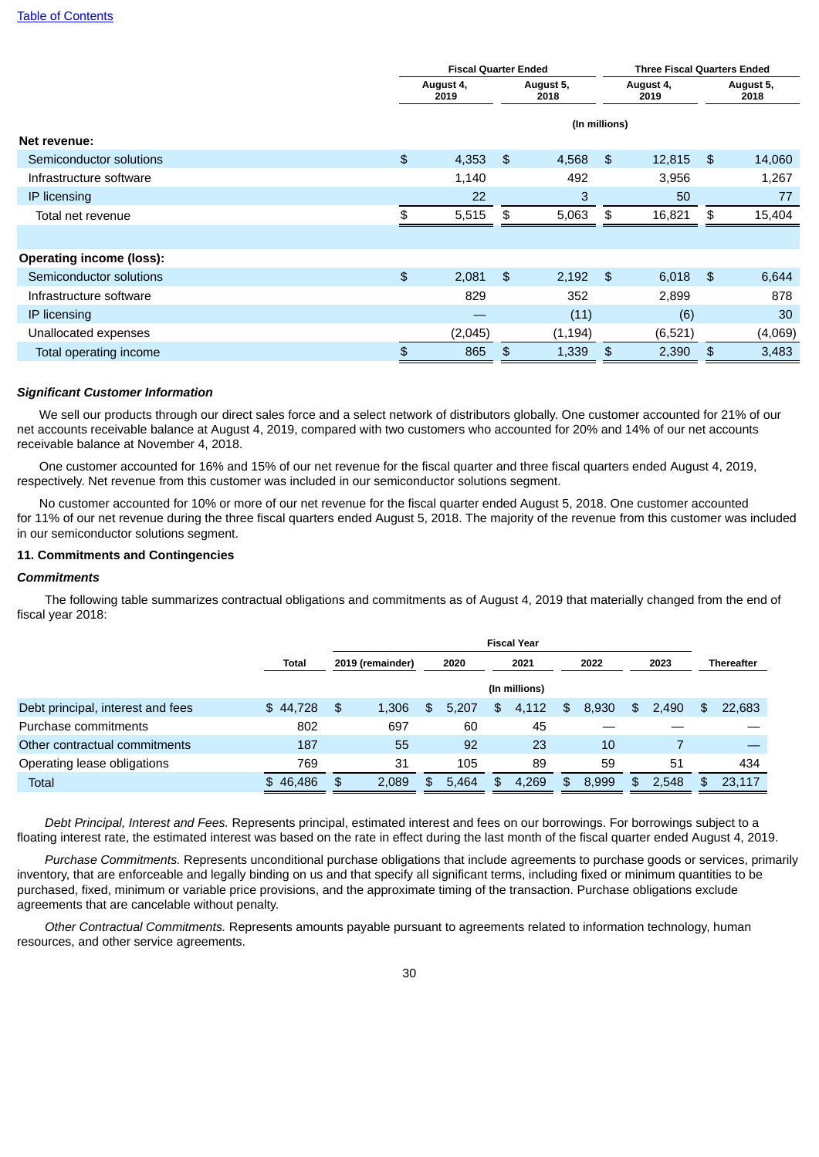|                                 | <b>Fiscal Quarter Ended</b> |               |                |                   |                   | <b>Three Fiscal Quarters Ended</b> |                   |  |  |
|---------------------------------|-----------------------------|---------------|----------------|-------------------|-------------------|------------------------------------|-------------------|--|--|
|                                 | August 4,<br>2019           |               |                | August 5,<br>2018 | August 4,<br>2019 |                                    | August 5,<br>2018 |  |  |
|                                 |                             | (In millions) |                |                   |                   |                                    |                   |  |  |
| Net revenue:                    |                             |               |                |                   |                   |                                    |                   |  |  |
| Semiconductor solutions         | \$                          | 4,353         | $\mathfrak{L}$ | 4,568             | \$                | 12,815                             | \$<br>14,060      |  |  |
| Infrastructure software         |                             | 1,140         |                | 492               |                   | 3,956                              | 1,267             |  |  |
| IP licensing                    |                             | 22            |                | 3                 |                   | 50                                 | 77                |  |  |
| Total net revenue               | \$                          | 5,515         | \$             | 5,063             | \$                | 16,821                             | \$<br>15,404      |  |  |
|                                 |                             |               |                |                   |                   |                                    |                   |  |  |
| <b>Operating income (loss):</b> |                             |               |                |                   |                   |                                    |                   |  |  |
| Semiconductor solutions         | \$                          | 2,081         | \$             | 2,192             | \$                | 6,018                              | \$<br>6,644       |  |  |
| Infrastructure software         |                             | 829           |                | 352               |                   | 2,899                              | 878               |  |  |
| IP licensing                    |                             | _             |                | (11)              |                   | (6)                                | 30                |  |  |
| Unallocated expenses            |                             | (2,045)       |                | (1, 194)          |                   | (6, 521)                           | (4,069)           |  |  |
| Total operating income          | $\mathfrak{P}$              | 865           | \$             | 1,339             | \$                | 2,390                              | \$<br>3,483       |  |  |

#### *Significant Customer Information*

We sell our products through our direct sales force and a select network of distributors globally. One customer accounted for 21% of our net accounts receivable balance at August 4, 2019, compared with two customers who accounted for 20% and 14% of our net accounts receivable balance at November 4, 2018.

One customer accounted for 16% and 15% of our net revenue for the fiscal quarter and three fiscal quarters ended August 4, 2019, respectively. Net revenue from this customer was included in our semiconductor solutions segment.

No customer accounted for 10% or more of our net revenue for the fiscal quarter ended August 5, 2018. One customer accounted for 11% of our net revenue during the three fiscal quarters ended August 5, 2018. The majority of the revenue from this customer was included in our semiconductor solutions segment.

#### **11. Commitments and Contingencies**

#### *Commitments*

The following table summarizes contractual obligations and commitments as of August 4, 2019 that materially changed from the end of fiscal year 2018:

|                                   |              |                  | <b>Fiscal Year</b> |      |       |      |               |      |       |      |       |     |                   |
|-----------------------------------|--------------|------------------|--------------------|------|-------|------|---------------|------|-------|------|-------|-----|-------------------|
|                                   | <b>Total</b> | 2019 (remainder) |                    | 2020 |       | 2021 |               | 2022 |       | 2023 |       |     | <b>Thereafter</b> |
|                                   |              |                  |                    |      |       |      | (In millions) |      |       |      |       |     |                   |
| Debt principal, interest and fees | \$44.728     | \$               | 1.306              | \$   | 5.207 | \$   | 4.112         | \$.  | 8.930 | \$   | 2.490 | \$  | 22,683            |
| Purchase commitments              | 802          |                  | 697                |      | 60    |      | 45            |      |       |      |       |     |                   |
| Other contractual commitments     | 187          |                  | 55                 |      | 92    |      | 23            |      | 10    |      |       |     |                   |
| Operating lease obligations       | 769          |                  | 31                 |      | 105   |      | 89            |      | 59    |      | 51    |     | 434               |
| <b>Total</b>                      | \$46,486     | \$               | 2,089              | \$   | 5,464 | \$   | 4.269         | \$   | 8,999 | \$   | 2,548 | \$. | 23,117            |

*Debt Principal, Interest and Fees.* Represents principal, estimated interest and fees on our borrowings. For borrowings subject to a floating interest rate, the estimated interest was based on the rate in effect during the last month of the fiscal quarter ended August 4, 2019.

*Purchase Commitments.* Represents unconditional purchase obligations that include agreements to purchase goods or services, primarily inventory, that are enforceable and legally binding on us and that specify all significant terms, including fixed or minimum quantities to be purchased, fixed, minimum or variable price provisions, and the approximate timing of the transaction. Purchase obligations exclude agreements that are cancelable without penalty.

*Other Contractual Commitments.* Represents amounts payable pursuant to agreements related to information technology, human resources, and other service agreements.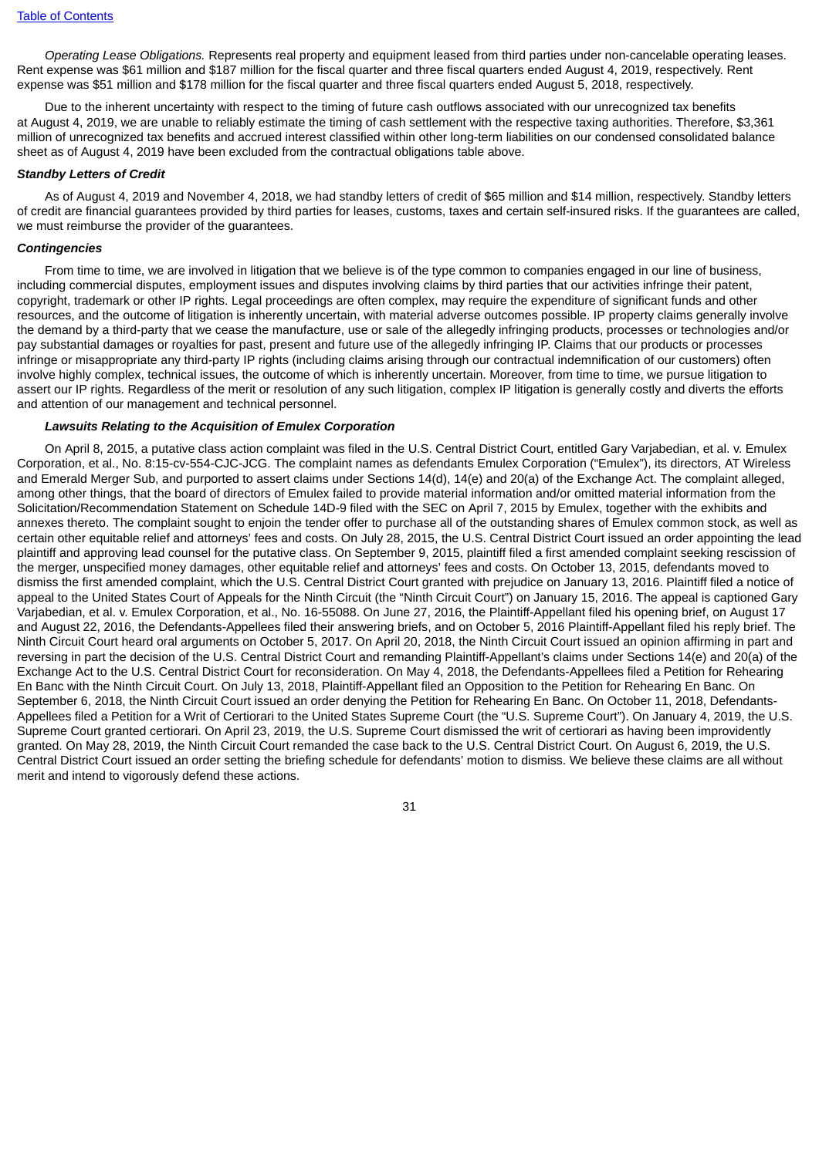*Operating Lease Obligations.* Represents real property and equipment leased from third parties under non-cancelable operating leases. Rent expense was \$61 million and \$187 million for the fiscal quarter and three fiscal quarters ended August 4, 2019, respectively. Rent expense was \$51 million and \$178 million for the fiscal quarter and three fiscal quarters ended August 5, 2018, respectively.

Due to the inherent uncertainty with respect to the timing of future cash outflows associated with our unrecognized tax benefits at August 4, 2019, we are unable to reliably estimate the timing of cash settlement with the respective taxing authorities. Therefore, \$3,361 million of unrecognized tax benefits and accrued interest classified within other long-term liabilities on our condensed consolidated balance sheet as of August 4, 2019 have been excluded from the contractual obligations table above.

#### *Standby Letters of Credit*

As of August 4, 2019 and November 4, 2018, we had standby letters of credit of \$65 million and \$14 million, respectively. Standby letters of credit are financial guarantees provided by third parties for leases, customs, taxes and certain self-insured risks. If the guarantees are called, we must reimburse the provider of the guarantees.

#### *Contingencies*

From time to time, we are involved in litigation that we believe is of the type common to companies engaged in our line of business, including commercial disputes, employment issues and disputes involving claims by third parties that our activities infringe their patent, copyright, trademark or other IP rights. Legal proceedings are often complex, may require the expenditure of significant funds and other resources, and the outcome of litigation is inherently uncertain, with material adverse outcomes possible. IP property claims generally involve the demand by a third-party that we cease the manufacture, use or sale of the allegedly infringing products, processes or technologies and/or pay substantial damages or royalties for past, present and future use of the allegedly infringing IP. Claims that our products or processes infringe or misappropriate any third-party IP rights (including claims arising through our contractual indemnification of our customers) often involve highly complex, technical issues, the outcome of which is inherently uncertain. Moreover, from time to time, we pursue litigation to assert our IP rights. Regardless of the merit or resolution of any such litigation, complex IP litigation is generally costly and diverts the efforts and attention of our management and technical personnel.

#### *Lawsuits Relating to the Acquisition of Emulex Corporation*

On April 8, 2015, a putative class action complaint was filed in the U.S. Central District Court, entitled Gary Varjabedian, et al. v. Emulex Corporation, et al., No. 8:15-cv-554-CJC-JCG. The complaint names as defendants Emulex Corporation ("Emulex"), its directors, AT Wireless and Emerald Merger Sub, and purported to assert claims under Sections 14(d), 14(e) and 20(a) of the Exchange Act. The complaint alleged, among other things, that the board of directors of Emulex failed to provide material information and/or omitted material information from the Solicitation/Recommendation Statement on Schedule 14D-9 filed with the SEC on April 7, 2015 by Emulex, together with the exhibits and annexes thereto. The complaint sought to enjoin the tender offer to purchase all of the outstanding shares of Emulex common stock, as well as certain other equitable relief and attorneys' fees and costs. On July 28, 2015, the U.S. Central District Court issued an order appointing the lead plaintiff and approving lead counsel for the putative class. On September 9, 2015, plaintiff filed a first amended complaint seeking rescission of the merger, unspecified money damages, other equitable relief and attorneys' fees and costs. On October 13, 2015, defendants moved to dismiss the first amended complaint, which the U.S. Central District Court granted with prejudice on January 13, 2016. Plaintiff filed a notice of appeal to the United States Court of Appeals for the Ninth Circuit (the "Ninth Circuit Court") on January 15, 2016. The appeal is captioned Gary Varjabedian, et al. v. Emulex Corporation, et al., No. 16-55088. On June 27, 2016, the Plaintiff-Appellant filed his opening brief, on August 17 and August 22, 2016, the Defendants-Appellees filed their answering briefs, and on October 5, 2016 Plaintiff-Appellant filed his reply brief. The Ninth Circuit Court heard oral arguments on October 5, 2017. On April 20, 2018, the Ninth Circuit Court issued an opinion affirming in part and reversing in part the decision of the U.S. Central District Court and remanding Plaintiff-Appellant's claims under Sections 14(e) and 20(a) of the Exchange Act to the U.S. Central District Court for reconsideration. On May 4, 2018, the Defendants-Appellees filed a Petition for Rehearing En Banc with the Ninth Circuit Court. On July 13, 2018, Plaintiff-Appellant filed an Opposition to the Petition for Rehearing En Banc. On September 6, 2018, the Ninth Circuit Court issued an order denying the Petition for Rehearing En Banc. On October 11, 2018, Defendants-Appellees filed a Petition for a Writ of Certiorari to the United States Supreme Court (the "U.S. Supreme Court"). On January 4, 2019, the U.S. Supreme Court granted certiorari. On April 23, 2019, the U.S. Supreme Court dismissed the writ of certiorari as having been improvidently granted. On May 28, 2019, the Ninth Circuit Court remanded the case back to the U.S. Central District Court. On August 6, 2019, the U.S. Central District Court issued an order setting the briefing schedule for defendants' motion to dismiss. We believe these claims are all without merit and intend to vigorously defend these actions.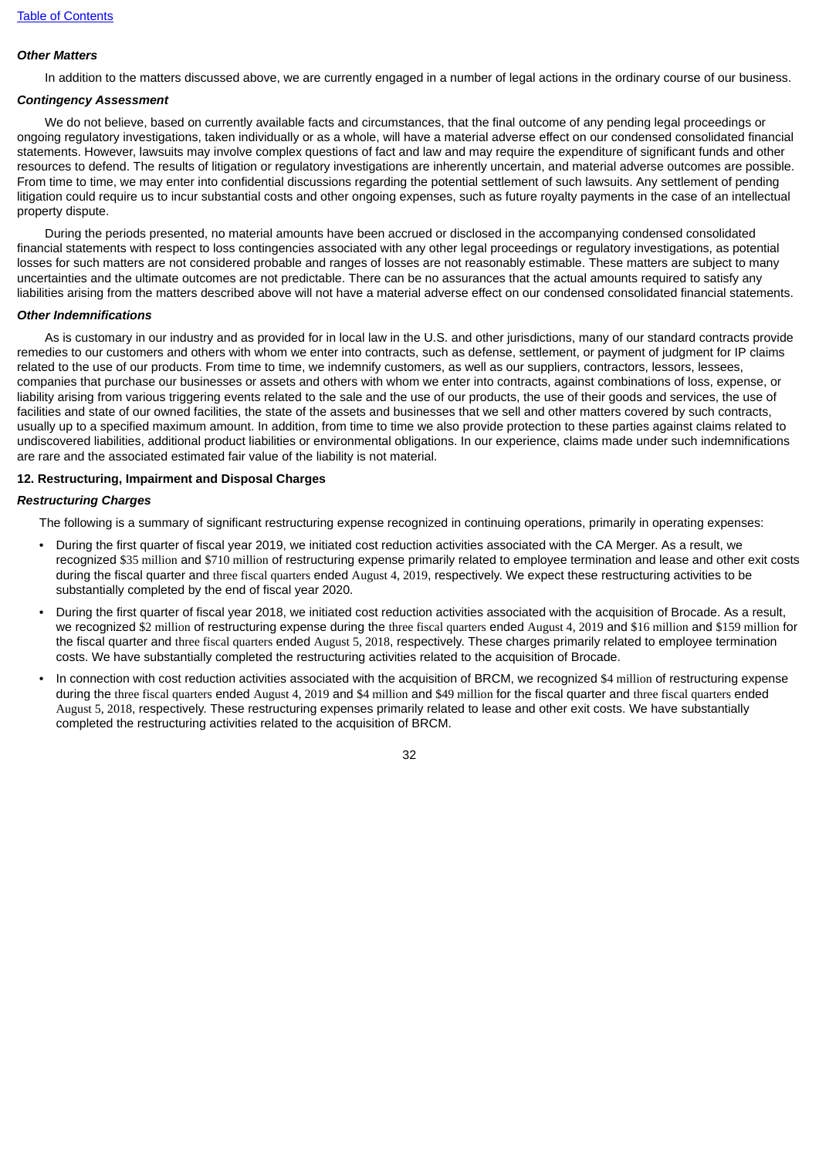## *Other Matters*

In addition to the matters discussed above, we are currently engaged in a number of legal actions in the ordinary course of our business.

### *Contingency Assessment*

We do not believe, based on currently available facts and circumstances, that the final outcome of any pending legal proceedings or ongoing regulatory investigations, taken individually or as a whole, will have a material adverse effect on our condensed consolidated financial statements. However, lawsuits may involve complex questions of fact and law and may require the expenditure of significant funds and other resources to defend. The results of litigation or regulatory investigations are inherently uncertain, and material adverse outcomes are possible. From time to time, we may enter into confidential discussions regarding the potential settlement of such lawsuits. Any settlement of pending litigation could require us to incur substantial costs and other ongoing expenses, such as future royalty payments in the case of an intellectual property dispute.

During the periods presented, no material amounts have been accrued or disclosed in the accompanying condensed consolidated financial statements with respect to loss contingencies associated with any other legal proceedings or regulatory investigations, as potential losses for such matters are not considered probable and ranges of losses are not reasonably estimable. These matters are subject to many uncertainties and the ultimate outcomes are not predictable. There can be no assurances that the actual amounts required to satisfy any liabilities arising from the matters described above will not have a material adverse effect on our condensed consolidated financial statements.

#### *Other Indemnifications*

As is customary in our industry and as provided for in local law in the U.S. and other jurisdictions, many of our standard contracts provide remedies to our customers and others with whom we enter into contracts, such as defense, settlement, or payment of judgment for IP claims related to the use of our products. From time to time, we indemnify customers, as well as our suppliers, contractors, lessors, lessees, companies that purchase our businesses or assets and others with whom we enter into contracts, against combinations of loss, expense, or liability arising from various triggering events related to the sale and the use of our products, the use of their goods and services, the use of facilities and state of our owned facilities, the state of the assets and businesses that we sell and other matters covered by such contracts, usually up to a specified maximum amount. In addition, from time to time we also provide protection to these parties against claims related to undiscovered liabilities, additional product liabilities or environmental obligations. In our experience, claims made under such indemnifications are rare and the associated estimated fair value of the liability is not material.

#### **12. Restructuring, Impairment and Disposal Charges**

#### *Restructuring Charges*

The following is a summary of significant restructuring expense recognized in continuing operations, primarily in operating expenses:

- During the first quarter of fiscal year 2019, we initiated cost reduction activities associated with the CA Merger. As a result, we recognized \$35 million and \$710 million of restructuring expense primarily related to employee termination and lease and other exit costs during the fiscal quarter and three fiscal quarters ended August 4, 2019, respectively. We expect these restructuring activities to be substantially completed by the end of fiscal year 2020.
- During the first quarter of fiscal year 2018, we initiated cost reduction activities associated with the acquisition of Brocade. As a result, we recognized \$2 million of restructuring expense during the three fiscal quarters ended August 4, 2019 and \$16 million and \$159 million for the fiscal quarter and three fiscal quarters ended August 5, 2018, respectively. These charges primarily related to employee termination costs. We have substantially completed the restructuring activities related to the acquisition of Brocade.
- In connection with cost reduction activities associated with the acquisition of BRCM, we recognized \$4 million of restructuring expense during the three fiscal quarters ended August 4, 2019 and \$4 million and \$49 million for the fiscal quarter and three fiscal quarters ended August 5, 2018, respectively. These restructuring expenses primarily related to lease and other exit costs. We have substantially completed the restructuring activities related to the acquisition of BRCM.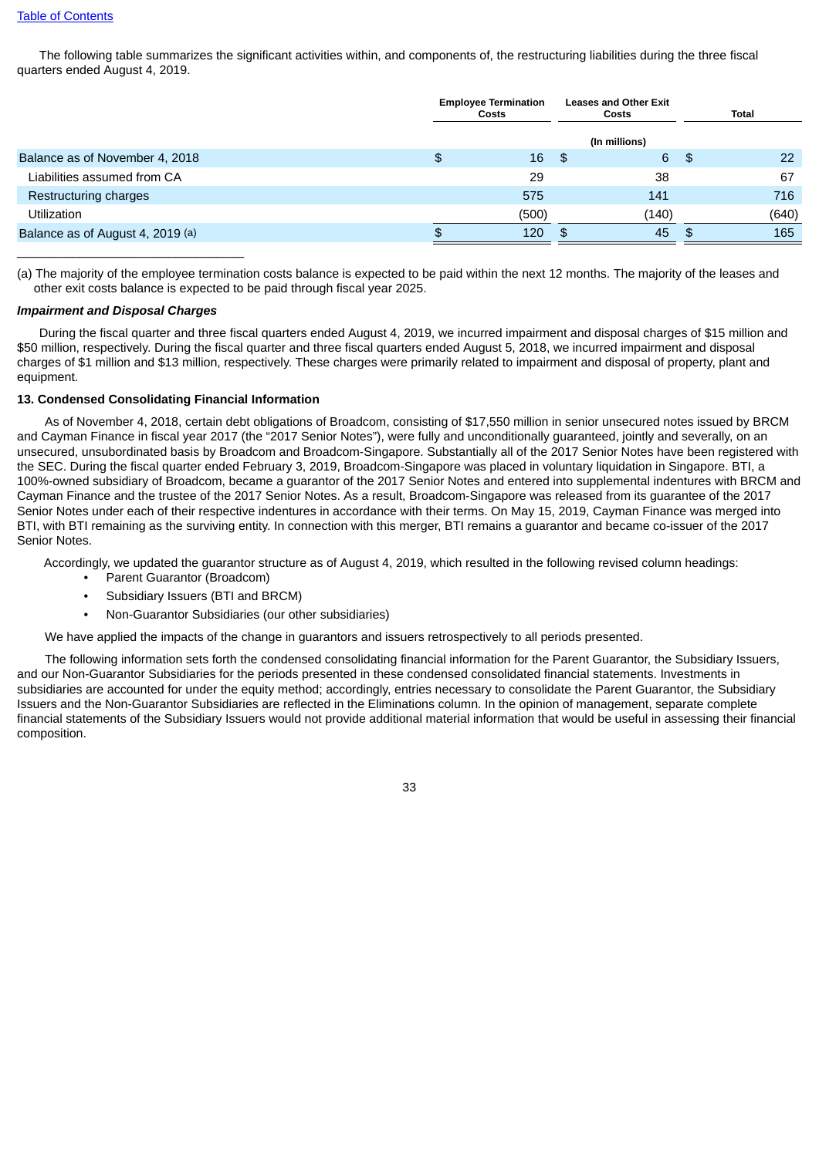The following table summarizes the significant activities within, and components of, the restructuring liabilities during the three fiscal quarters ended August 4, 2019.

|                                  | <b>Employee Termination</b><br>Costs |              | <b>Leases and Other Exit</b><br>Costs |    | Total |       |  |
|----------------------------------|--------------------------------------|--------------|---------------------------------------|----|-------|-------|--|
|                                  |                                      |              | (In millions)                         |    |       |       |  |
| Balance as of November 4, 2018   | \$                                   | $16 \quad $$ |                                       | 6S |       | 22    |  |
| Liabilities assumed from CA      |                                      | 29           | 38                                    |    |       | 67    |  |
| Restructuring charges            |                                      | 575          | 141                                   |    |       | 716   |  |
| <b>Utilization</b>               |                                      | (500)        | (140)                                 |    |       | (640) |  |
| Balance as of August 4, 2019 (a) |                                      | 120          | 45<br>\$.                             |    |       | 165   |  |

(a) The majority of the employee termination costs balance is expected to be paid within the next 12 months. The majority of the leases and other exit costs balance is expected to be paid through fiscal year 2025.

#### *Impairment and Disposal Charges*

 $\overline{\phantom{a}}$  , and the set of the set of the set of the set of the set of the set of the set of the set of the set of the set of the set of the set of the set of the set of the set of the set of the set of the set of the s

During the fiscal quarter and three fiscal quarters ended August 4, 2019, we incurred impairment and disposal charges of \$15 million and \$50 million, respectively. During the fiscal quarter and three fiscal quarters ended August 5, 2018, we incurred impairment and disposal charges of \$1 million and \$13 million, respectively. These charges were primarily related to impairment and disposal of property, plant and equipment.

#### **13. Condensed Consolidating Financial Information**

As of November 4, 2018, certain debt obligations of Broadcom, consisting of \$17,550 million in senior unsecured notes issued by BRCM and Cayman Finance in fiscal year 2017 (the "2017 Senior Notes"), were fully and unconditionally guaranteed, jointly and severally, on an unsecured, unsubordinated basis by Broadcom and Broadcom-Singapore. Substantially all of the 2017 Senior Notes have been registered with the SEC. During the fiscal quarter ended February 3, 2019, Broadcom-Singapore was placed in voluntary liquidation in Singapore. BTI, a 100%-owned subsidiary of Broadcom, became a guarantor of the 2017 Senior Notes and entered into supplemental indentures with BRCM and Cayman Finance and the trustee of the 2017 Senior Notes. As a result, Broadcom-Singapore was released from its guarantee of the 2017 Senior Notes under each of their respective indentures in accordance with their terms. On May 15, 2019, Cayman Finance was merged into BTI, with BTI remaining as the surviving entity. In connection with this merger, BTI remains a guarantor and became co-issuer of the 2017 Senior Notes.

Accordingly, we updated the guarantor structure as of August 4, 2019, which resulted in the following revised column headings:

- Parent Guarantor (Broadcom)
- Subsidiary Issuers (BTI and BRCM)
- Non-Guarantor Subsidiaries (our other subsidiaries)

We have applied the impacts of the change in guarantors and issuers retrospectively to all periods presented.

The following information sets forth the condensed consolidating financial information for the Parent Guarantor, the Subsidiary Issuers, and our Non-Guarantor Subsidiaries for the periods presented in these condensed consolidated financial statements. Investments in subsidiaries are accounted for under the equity method; accordingly, entries necessary to consolidate the Parent Guarantor, the Subsidiary Issuers and the Non-Guarantor Subsidiaries are reflected in the Eliminations column. In the opinion of management, separate complete financial statements of the Subsidiary Issuers would not provide additional material information that would be useful in assessing their financial composition.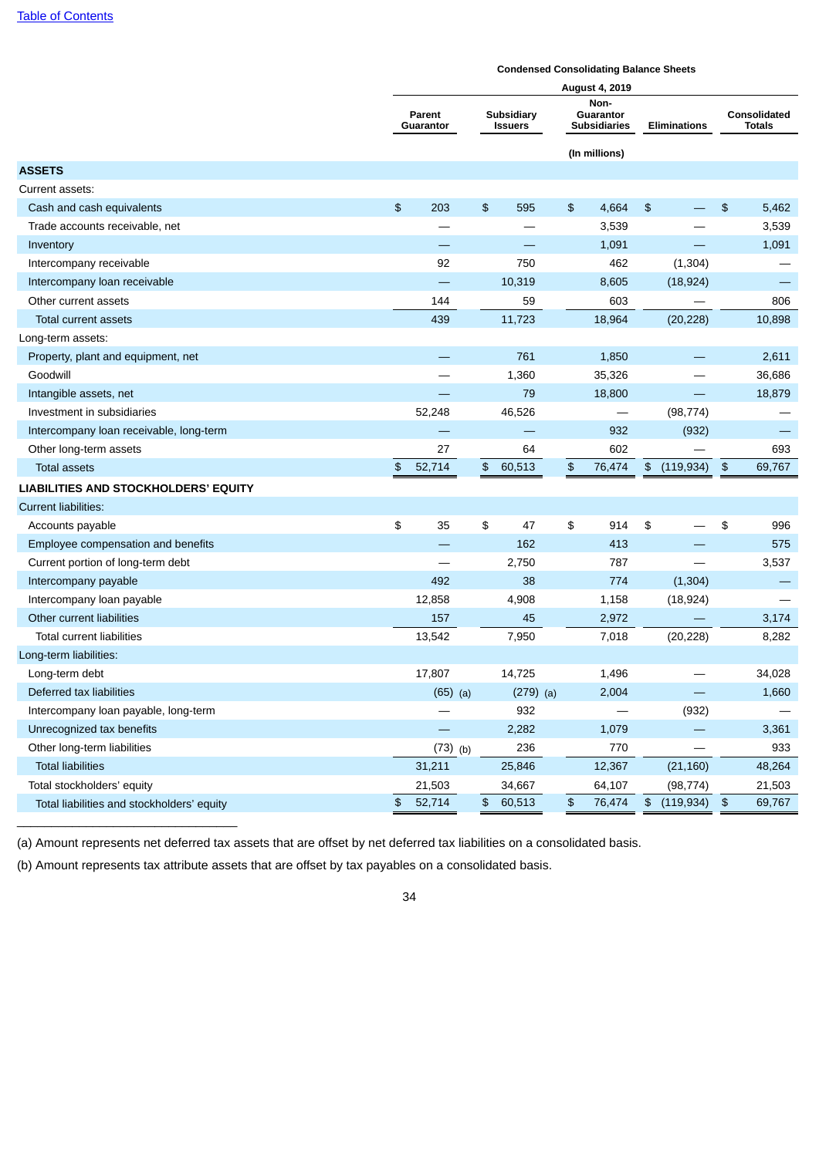|                                            | <b>Condensed Consolidating Balance Sheets</b>       |            |               |             |               |                                          |               |                          |                            |                                      |  |  |
|--------------------------------------------|-----------------------------------------------------|------------|---------------|-------------|---------------|------------------------------------------|---------------|--------------------------|----------------------------|--------------------------------------|--|--|
|                                            |                                                     |            |               |             |               | <b>August 4, 2019</b>                    |               |                          |                            |                                      |  |  |
|                                            | Subsidiary<br>Parent<br>Guarantor<br><b>Issuers</b> |            |               |             |               | Non-<br>Guarantor<br><b>Subsidiaries</b> |               | <b>Eliminations</b>      |                            | <b>Consolidated</b><br><b>Totals</b> |  |  |
|                                            |                                                     |            |               |             |               | (In millions)                            |               |                          |                            |                                      |  |  |
| <b>ASSETS</b>                              |                                                     |            |               |             |               |                                          |               |                          |                            |                                      |  |  |
| Current assets:                            |                                                     |            |               |             |               |                                          |               |                          |                            |                                      |  |  |
| Cash and cash equivalents                  | $\frac{1}{2}$                                       | 203        | \$            | 595         | \$            | 4,664                                    | $\frac{1}{2}$ |                          | \$                         | 5,462                                |  |  |
| Trade accounts receivable, net             |                                                     |            |               |             |               | 3,539                                    |               |                          |                            | 3,539                                |  |  |
| Inventory                                  |                                                     |            |               |             |               | 1,091                                    |               |                          |                            | 1,091                                |  |  |
| Intercompany receivable                    |                                                     | 92         |               | 750         |               | 462                                      |               | (1, 304)                 |                            |                                      |  |  |
| Intercompany loan receivable               |                                                     |            |               | 10,319      |               | 8,605                                    |               | (18, 924)                |                            |                                      |  |  |
| Other current assets                       |                                                     | 144        |               | 59          |               | 603                                      |               |                          |                            | 806                                  |  |  |
| Total current assets                       |                                                     | 439        |               | 11,723      |               | 18,964                                   |               | (20, 228)                |                            | 10,898                               |  |  |
| Long-term assets:                          |                                                     |            |               |             |               |                                          |               |                          |                            |                                      |  |  |
| Property, plant and equipment, net         |                                                     |            |               | 761         |               | 1,850                                    |               |                          |                            | 2,611                                |  |  |
| Goodwill                                   |                                                     |            |               | 1,360       |               | 35,326                                   |               |                          |                            | 36,686                               |  |  |
| Intangible assets, net                     |                                                     |            |               | 79          |               | 18,800                                   |               |                          |                            | 18,879                               |  |  |
| Investment in subsidiaries                 |                                                     | 52,248     |               | 46,526      |               |                                          |               | (98, 774)                |                            |                                      |  |  |
| Intercompany loan receivable, long-term    |                                                     |            |               |             |               | 932                                      |               | (932)                    |                            |                                      |  |  |
| Other long-term assets                     |                                                     | 27         |               | 64          |               | 602                                      |               |                          |                            | 693                                  |  |  |
| <b>Total assets</b>                        | $\frac{2}{3}$                                       | 52,714     | \$            | 60,513      | $\frac{2}{3}$ | 76,474                                   |               | \$ (119,934)             | $\boldsymbol{\mathsf{D}}$  | 69,767                               |  |  |
| LIABILITIES AND STOCKHOLDERS' EQUITY       |                                                     |            |               |             |               |                                          |               |                          |                            |                                      |  |  |
| <b>Current liabilities:</b>                |                                                     |            |               |             |               |                                          |               |                          |                            |                                      |  |  |
| Accounts payable                           | \$                                                  | 35         | \$            | 47          | \$            | 914                                      | \$            |                          | \$                         | 996                                  |  |  |
| Employee compensation and benefits         |                                                     |            |               | 162         |               | 413                                      |               |                          |                            | 575                                  |  |  |
| Current portion of long-term debt          |                                                     |            |               | 2,750       |               | 787                                      |               |                          |                            | 3,537                                |  |  |
| Intercompany payable                       |                                                     | 492        |               | 38          |               | 774                                      |               | (1, 304)                 |                            |                                      |  |  |
| Intercompany loan payable                  |                                                     | 12,858     |               | 4,908       |               | 1,158                                    |               | (18, 924)                |                            |                                      |  |  |
| Other current liabilities                  |                                                     | 157        |               | 45          |               | 2,972                                    |               |                          |                            | 3,174                                |  |  |
| <b>Total current liabilities</b>           |                                                     | 13,542     |               | 7,950       |               | 7,018                                    |               | (20, 228)                |                            | 8,282                                |  |  |
| Long-term liabilities:                     |                                                     |            |               |             |               |                                          |               |                          |                            |                                      |  |  |
| Long-term debt                             |                                                     | 17,807     |               | 14,725      |               | 1,496                                    |               |                          |                            | 34,028                               |  |  |
| Deferred tax liabilities                   |                                                     | $(65)$ (a) |               | $(279)$ (a) |               | 2,004                                    |               |                          |                            | 1,660                                |  |  |
| Intercompany loan payable, long-term       |                                                     |            |               | 932         |               |                                          |               | (932)                    |                            |                                      |  |  |
| Unrecognized tax benefits                  |                                                     |            |               | 2,282       |               | 1,079                                    |               | $\overline{\phantom{0}}$ |                            | 3,361                                |  |  |
| Other long-term liabilities                |                                                     | $(73)$ (b) |               | 236         |               | 770                                      |               |                          |                            | 933                                  |  |  |
| <b>Total liabilities</b>                   |                                                     | 31,211     |               | 25,846      |               | 12,367                                   |               | (21, 160)                |                            | 48,264                               |  |  |
| Total stockholders' equity                 |                                                     | 21,503     |               | 34,667      |               | 64,107                                   |               | (98, 774)                |                            | 21,503                               |  |  |
| Total liabilities and stockholders' equity | \$                                                  | 52,714     | $\frac{1}{2}$ | 60,513      | \$            | 76,474                                   |               | \$(119,934)              | $\boldsymbol{\mathsf{\$}}$ | 69,767                               |  |  |

(a) Amount represents net deferred tax assets that are offset by net deferred tax liabilities on a consolidated basis.

(b) Amount represents tax attribute assets that are offset by tax payables on a consolidated basis.

 $\mathcal{L}_\text{max}$  , and the set of the set of the set of the set of the set of the set of the set of the set of the set of the set of the set of the set of the set of the set of the set of the set of the set of the set of the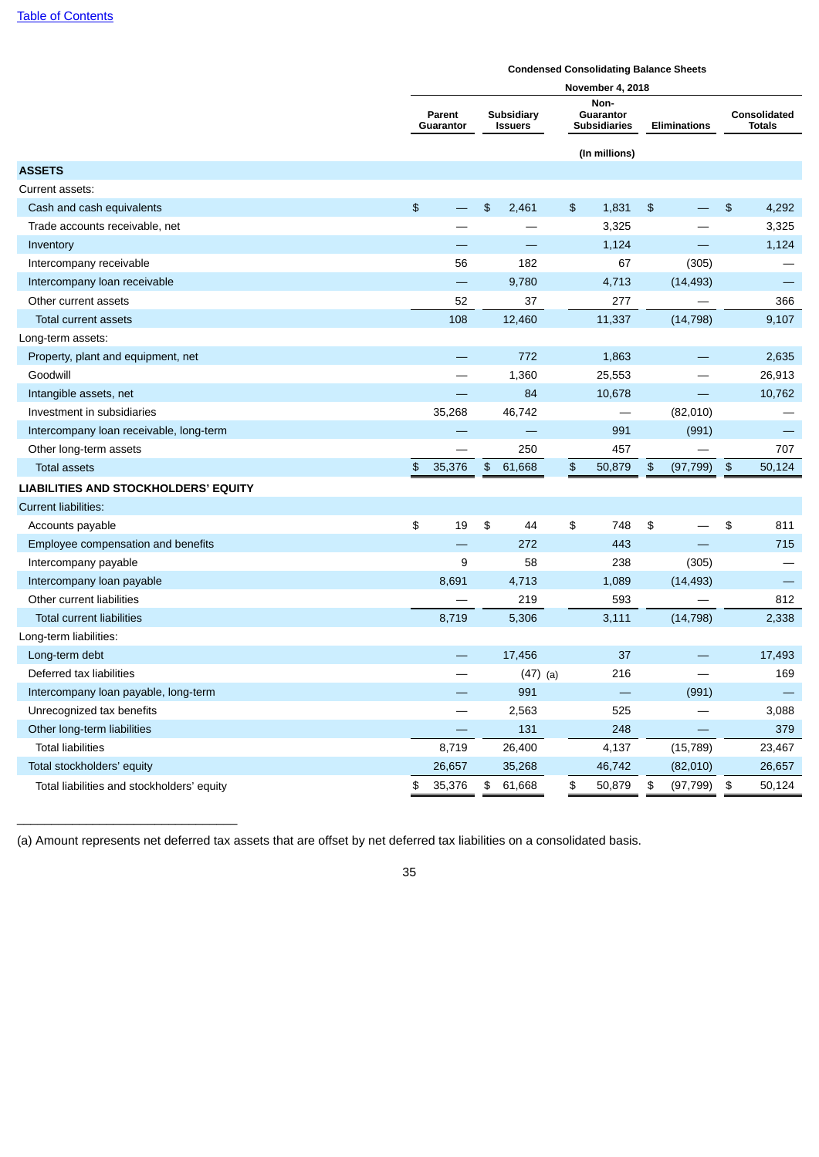|                                            | <b>Condensed Consolidating Balance Sheets</b> |                                                     |               |            |                                          |               |                         |               |                          |                               |        |  |
|--------------------------------------------|-----------------------------------------------|-----------------------------------------------------|---------------|------------|------------------------------------------|---------------|-------------------------|---------------|--------------------------|-------------------------------|--------|--|
|                                            |                                               |                                                     |               |            |                                          |               | <b>November 4, 2018</b> |               |                          |                               |        |  |
|                                            |                                               | Subsidiary<br>Parent<br><b>Issuers</b><br>Guarantor |               |            | Non-<br>Guarantor<br><b>Subsidiaries</b> |               | <b>Eliminations</b>     |               |                          | Consolidated<br><b>Totals</b> |        |  |
|                                            |                                               |                                                     |               |            |                                          |               | (In millions)           |               |                          |                               |        |  |
| <b>ASSETS</b>                              |                                               |                                                     |               |            |                                          |               |                         |               |                          |                               |        |  |
| Current assets:                            |                                               |                                                     |               |            |                                          |               |                         |               |                          |                               |        |  |
| Cash and cash equivalents                  | $\frac{2}{3}$                                 |                                                     | \$            | 2,461      |                                          | $\frac{1}{2}$ | 1,831                   | $\frac{2}{3}$ |                          | \$                            | 4,292  |  |
| Trade accounts receivable, net             |                                               |                                                     |               |            |                                          |               | 3,325                   |               |                          |                               | 3,325  |  |
| Inventory                                  |                                               |                                                     |               |            |                                          |               | 1,124                   |               |                          |                               | 1,124  |  |
| Intercompany receivable                    |                                               | 56                                                  |               | 182        |                                          |               | 67                      |               | (305)                    |                               |        |  |
| Intercompany loan receivable               |                                               | $\overline{\phantom{m}}$                            |               | 9,780      |                                          |               | 4,713                   |               | (14, 493)                |                               |        |  |
| Other current assets                       |                                               | 52                                                  |               | 37         |                                          |               | 277                     |               |                          |                               | 366    |  |
| Total current assets                       |                                               | 108                                                 |               | 12,460     |                                          |               | 11,337                  |               | (14, 798)                |                               | 9,107  |  |
| Long-term assets:                          |                                               |                                                     |               |            |                                          |               |                         |               |                          |                               |        |  |
| Property, plant and equipment, net         |                                               |                                                     |               | 772        |                                          |               | 1,863                   |               |                          |                               | 2,635  |  |
| Goodwill                                   |                                               |                                                     |               | 1,360      |                                          |               | 25,553                  |               |                          |                               | 26,913 |  |
| Intangible assets, net                     |                                               |                                                     |               | 84         |                                          |               | 10,678                  |               | $\overline{\phantom{m}}$ |                               | 10,762 |  |
| Investment in subsidiaries                 |                                               | 35,268                                              |               | 46,742     |                                          |               |                         |               | (82,010)                 |                               |        |  |
| Intercompany loan receivable, long-term    |                                               |                                                     |               |            |                                          |               | 991                     |               | (991)                    |                               |        |  |
| Other long-term assets                     |                                               |                                                     |               | 250        |                                          |               | 457                     |               |                          |                               | 707    |  |
| Total assets                               | $\frac{1}{2}$                                 | 35,376                                              | $\frac{1}{2}$ | 61,668     |                                          | $\frac{4}{5}$ | 50,879                  | \$            | (97, 799)                | $\frac{1}{2}$                 | 50,124 |  |
| LIABILITIES AND STOCKHOLDERS' EQUITY       |                                               |                                                     |               |            |                                          |               |                         |               |                          |                               |        |  |
| <b>Current liabilities:</b>                |                                               |                                                     |               |            |                                          |               |                         |               |                          |                               |        |  |
| Accounts payable                           | \$                                            | 19                                                  | \$            | 44         |                                          | \$            | 748                     | \$            |                          | \$                            | 811    |  |
| Employee compensation and benefits         |                                               |                                                     |               | 272        |                                          |               | 443                     |               |                          |                               | 715    |  |
| Intercompany payable                       |                                               | 9                                                   |               | 58         |                                          |               | 238                     |               | (305)                    |                               |        |  |
| Intercompany loan payable                  |                                               | 8,691                                               |               | 4,713      |                                          |               | 1,089                   |               | (14, 493)                |                               |        |  |
| Other current liabilities                  |                                               |                                                     |               | 219        |                                          |               | 593                     |               |                          |                               | 812    |  |
| <b>Total current liabilities</b>           |                                               | 8,719                                               |               | 5,306      |                                          |               | 3,111                   |               | (14, 798)                |                               | 2,338  |  |
| Long-term liabilities:                     |                                               |                                                     |               |            |                                          |               |                         |               |                          |                               |        |  |
| Long-term debt                             |                                               |                                                     |               | 17,456     |                                          |               | 37                      |               |                          |                               | 17,493 |  |
| Deferred tax liabilities                   |                                               |                                                     |               | $(47)$ (a) |                                          |               | 216                     |               |                          |                               | 169    |  |
| Intercompany loan payable, long-term       |                                               |                                                     |               | 991        |                                          |               |                         |               | (991)                    |                               |        |  |
| Unrecognized tax benefits                  |                                               |                                                     |               | 2,563      |                                          |               | 525                     |               |                          |                               | 3,088  |  |
| Other long-term liabilities                |                                               |                                                     |               | 131        |                                          |               | 248                     |               |                          |                               | 379    |  |
| <b>Total liabilities</b>                   |                                               | 8,719                                               |               | 26,400     |                                          |               | 4,137                   |               | (15, 789)                |                               | 23,467 |  |
| Total stockholders' equity                 |                                               | 26,657                                              |               | 35,268     |                                          |               | 46,742                  |               | (82,010)                 |                               | 26,657 |  |
| Total liabilities and stockholders' equity | \$                                            | 35,376                                              | \$            | 61,668     |                                          | \$            | 50,879                  | \$            | (97, 799)                | $\frac{1}{2}$                 | 50,124 |  |

(a) Amount represents net deferred tax assets that are offset by net deferred tax liabilities on a consolidated basis.

 $\mathcal{L}_\text{max}$  , and the set of the set of the set of the set of the set of the set of the set of the set of the set of the set of the set of the set of the set of the set of the set of the set of the set of the set of the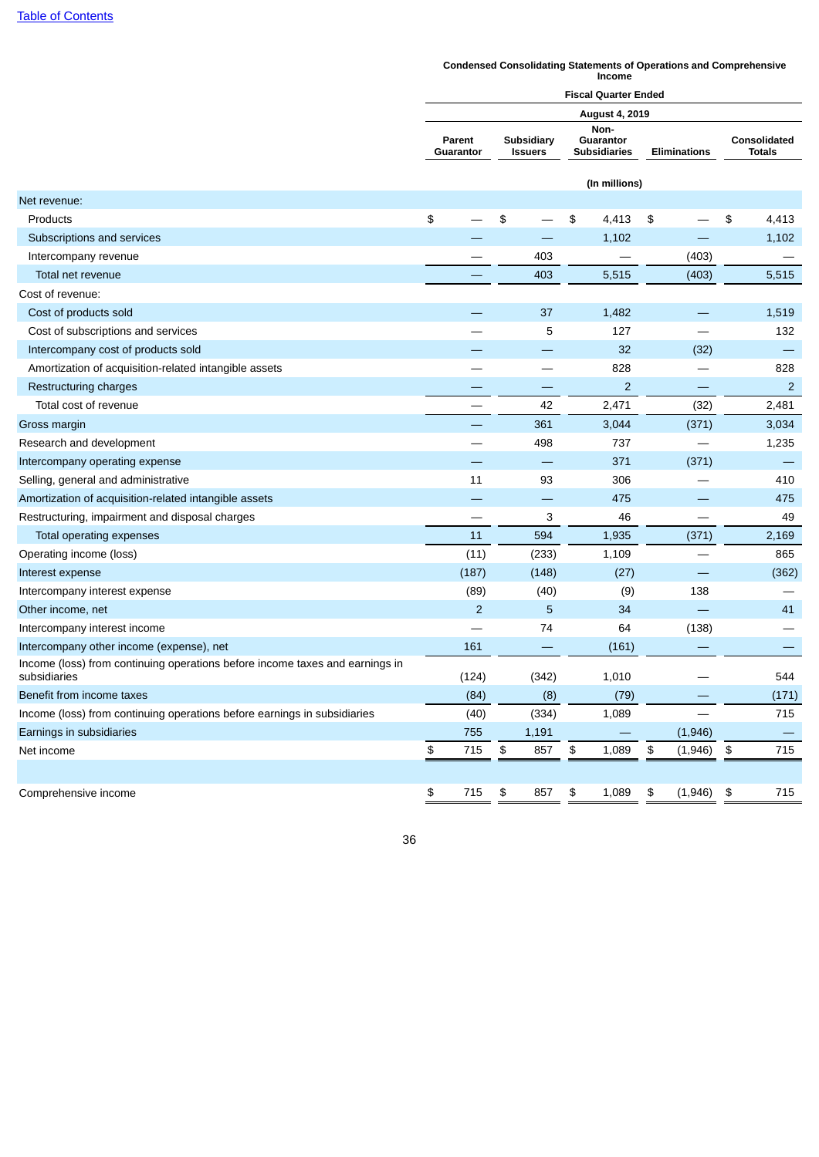## **Fiscal Quarter Ended August 4, 2019 Parent Guarantor Subsidiary Issuers Non-Guarantor Subsidiaries Eliminations Consolidated Totals (In millions)** Net revenue: Products \$ — \$ — \$ 4,413 \$ — \$ 4,413 Subscriptions and services **2008** — 2008 — 2008 — 2008 — 2014 1,102 <sup>—</sup> 2,102 <sup>—</sup> 1,102 <sup>1</sup> Intercompany revenue — 403 — (403) — Total net revenue — 403 5,515 (403) 5,515 Cost of revenue: Cost of products sold — 37 1,482 — 1,519 Cost of subscriptions and services and services and services and services and services and services and services and services and services and services and services and services and services and services and services and s Intercompany cost of products sold and the company cost of products sold and the company cost of products sold Amortization of acquisition-related intangible assets  $\qquad \qquad \qquad \qquad -$  828  $\qquad \qquad -$  828 Restructuring charges  $-$  2  $-$  2  $-$  2  $-$ Total cost of revenue 2,481 (32) 2,481 Gross margin  $\qquad \qquad \qquad - \qquad \qquad 361 \qquad \qquad 3,044 \qquad \qquad (371) \qquad \qquad 3,034$ Research and development **1.235** and the search and development and the search and development and the search and the search and the search and the search and the search and the search and the search and the search and the Intercompany operating expense and the company operating expense and the company operating expense and the company of the company operating expense and the company operating expense and the company operating expense and th Selling, general and administrative 11 93 306 - 410 Amortization of acquisition-related intangible assets  $475$   $475$ Restructuring, impairment and disposal charges  $\qquad \qquad \qquad \qquad 3$  46  $\qquad \qquad -$  49 Total operating expenses 11 594 1,935 (371) 2,169 Operating income (loss) and the set of the contract of the case of the case of the case of the contract of the contract of the contract of the contract of the contract of the contract of the contract of the contract of the Interest expense (187) (148) (27) — (362) Intercompany interest expense and the company interest expense and the company interest expense and the company of the company of the company of the company of the company of the company of the company of the company of th Other income, net 2 5 34 — 41 Intercompany interest income **and the company interest income** and the company interest income and the company of the company of the company of the company of the company of the company of the company of the company of the Intercompany other income (expense), net 161 and 161 and 161 and 161 and 161 and 161) — (161) Income (loss) from continuing operations before income taxes and earnings in subsidiaries (124) (342) 1,010 — 544 Benefit from income taxes  $(84)$   $(8)$   $(79)$   $(171)$ Income (loss) from continuing operations before earnings in subsidiaries (40) (334) 1,089 — 715 Earnings in subsidiaries  $(1,946)$  and  $(1,946)$  and  $(1,946)$  and  $(1,946)$  and  $(1,946)$ Net income \$ 715 \$ 857 \$ 1,089 \$ (1,946) \$ 715 Comprehensive income **1988** 1,089 \$ 1,089 \$ (1,946) \$ 715 \$ 857 \$ 1,089 \$ (1,946) \$ 715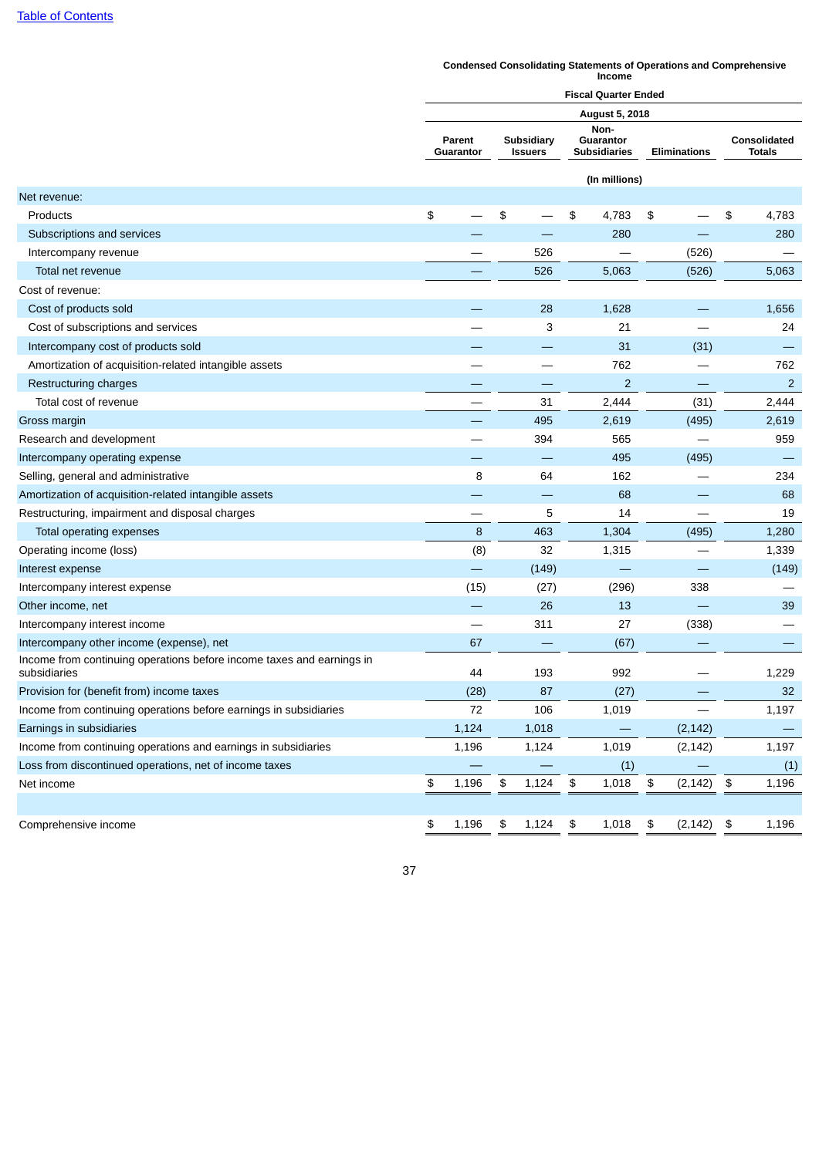#### **Condensed Consolidating Statements of Operations and Comprehensive Income**

|                                                                                       | <b>Fiscal Quarter Ended</b> |                     |    |                              |                            |                                                                 |            |          |                |                               |  |  |
|---------------------------------------------------------------------------------------|-----------------------------|---------------------|----|------------------------------|----------------------------|-----------------------------------------------------------------|------------|----------|----------------|-------------------------------|--|--|
|                                                                                       | <b>August 5, 2018</b>       |                     |    |                              |                            |                                                                 |            |          |                |                               |  |  |
|                                                                                       |                             | Parent<br>Guarantor |    | Subsidiary<br><b>Issuers</b> |                            | Non-<br>Guarantor<br><b>Subsidiaries</b><br><b>Eliminations</b> |            |          |                | Consolidated<br><b>Totals</b> |  |  |
|                                                                                       |                             |                     |    |                              |                            | (In millions)                                                   |            |          |                |                               |  |  |
| Net revenue:                                                                          |                             |                     |    |                              |                            |                                                                 |            |          |                |                               |  |  |
| Products                                                                              | \$                          |                     | \$ |                              | \$                         | 4,783                                                           | \$         |          | \$             | 4,783                         |  |  |
| Subscriptions and services                                                            |                             |                     |    |                              |                            | 280                                                             |            |          |                | 280                           |  |  |
| Intercompany revenue                                                                  |                             |                     |    | 526                          |                            |                                                                 |            | (526)    |                |                               |  |  |
| Total net revenue                                                                     |                             |                     |    | 526                          |                            | 5,063                                                           |            | (526)    |                | 5,063                         |  |  |
| Cost of revenue:                                                                      |                             |                     |    |                              |                            |                                                                 |            |          |                |                               |  |  |
| Cost of products sold                                                                 |                             |                     |    | 28                           |                            | 1,628                                                           |            |          |                | 1,656                         |  |  |
| Cost of subscriptions and services                                                    |                             |                     |    | 3                            |                            | 21                                                              |            |          |                | 24                            |  |  |
| Intercompany cost of products sold                                                    |                             |                     |    |                              |                            | 31                                                              |            | (31)     |                |                               |  |  |
| Amortization of acquisition-related intangible assets                                 |                             |                     |    |                              |                            | 762                                                             |            |          |                | 762                           |  |  |
| Restructuring charges                                                                 |                             |                     |    |                              |                            | $\overline{2}$                                                  |            |          |                | $\overline{2}$                |  |  |
| Total cost of revenue                                                                 |                             |                     |    | 31                           |                            | 2,444                                                           |            | (31)     |                | 2,444                         |  |  |
| Gross margin                                                                          |                             |                     |    | 495                          |                            | 2,619                                                           |            | (495)    |                | 2,619                         |  |  |
| Research and development                                                              |                             |                     |    | 394                          |                            | 565                                                             |            |          |                | 959                           |  |  |
| Intercompany operating expense                                                        |                             |                     |    |                              |                            | 495                                                             |            | (495)    |                |                               |  |  |
| Selling, general and administrative                                                   |                             | 8                   |    | 64                           |                            | 162                                                             |            |          |                | 234                           |  |  |
| Amortization of acquisition-related intangible assets                                 |                             |                     |    |                              |                            | 68                                                              |            |          |                | 68                            |  |  |
| Restructuring, impairment and disposal charges                                        |                             |                     |    | 5                            |                            | 14                                                              |            |          |                | 19                            |  |  |
| Total operating expenses                                                              |                             | 8                   |    | 463                          |                            | 1,304                                                           |            | (495)    |                | 1,280                         |  |  |
| Operating income (loss)                                                               |                             | (8)                 |    | 32                           |                            | 1,315                                                           |            |          |                | 1,339                         |  |  |
| Interest expense                                                                      |                             |                     |    | (149)                        |                            |                                                                 |            |          |                | (149)                         |  |  |
| Intercompany interest expense                                                         |                             | (15)                |    | (27)                         |                            | (296)                                                           |            | 338      |                |                               |  |  |
| Other income, net                                                                     |                             |                     |    | 26                           |                            | 13                                                              |            |          |                | 39                            |  |  |
| Intercompany interest income                                                          |                             |                     |    | 311                          |                            | 27                                                              |            | (338)    |                |                               |  |  |
| Intercompany other income (expense), net                                              |                             | 67                  |    |                              |                            | (67)                                                            |            |          |                |                               |  |  |
| Income from continuing operations before income taxes and earnings in<br>subsidiaries |                             | 44                  |    | 193                          |                            | 992                                                             |            |          |                | 1,229                         |  |  |
| Provision for (benefit from) income taxes                                             |                             | (28)                |    | 87                           |                            | (27)                                                            |            |          |                | 32                            |  |  |
| Income from continuing operations before earnings in subsidiaries                     |                             | $72\,$              |    | 106                          |                            | 1,019                                                           |            |          |                | 1,197                         |  |  |
| Earnings in subsidiaries                                                              |                             | 1,124               |    | 1,018                        |                            |                                                                 |            | (2, 142) |                |                               |  |  |
| Income from continuing operations and earnings in subsidiaries                        |                             | 1,196               |    | 1,124                        |                            | 1,019                                                           |            | (2, 142) |                | 1,197                         |  |  |
| Loss from discontinued operations, net of income taxes                                |                             |                     |    |                              |                            | (1)                                                             |            |          |                | (1)                           |  |  |
| Net income                                                                            | \$                          | 1,196               | \$ | 1,124                        | $\boldsymbol{\mathsf{\$}}$ | 1,018                                                           | $\pmb{\$}$ | (2, 142) | $\mathfrak{P}$ | 1,196                         |  |  |
|                                                                                       |                             |                     |    |                              |                            |                                                                 |            |          |                |                               |  |  |
| Comprehensive income                                                                  | \$                          | 1,196               | \$ | 1,124                        | \$                         | 1,018                                                           | \$         | (2, 142) | \$             | 1,196                         |  |  |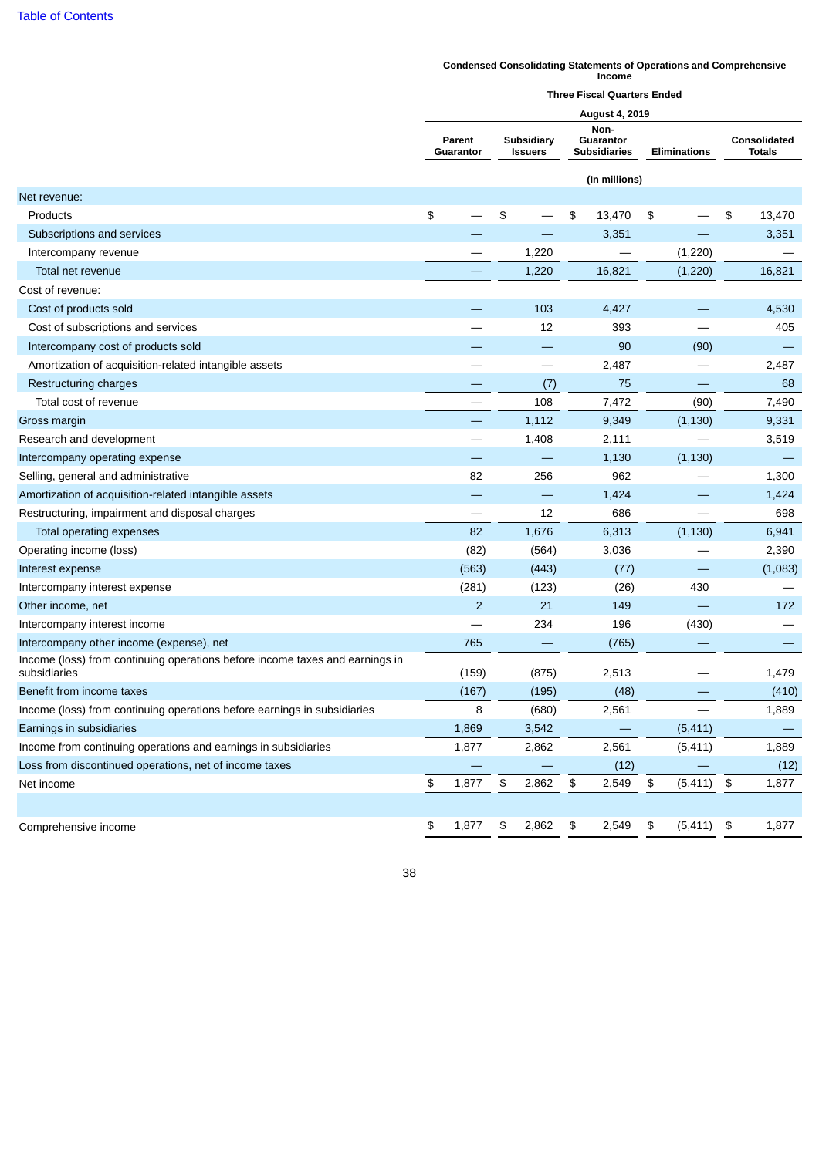#### **Condensed Consolidating Statements of Operations and Comprehensive Income**

|                                                                                              | <b>Three Fiscal Quarters Ended</b> |                     |    |                              |                                          |               |    |                     |            |                               |  |  |  |
|----------------------------------------------------------------------------------------------|------------------------------------|---------------------|----|------------------------------|------------------------------------------|---------------|----|---------------------|------------|-------------------------------|--|--|--|
|                                                                                              | <b>August 4, 2019</b>              |                     |    |                              |                                          |               |    |                     |            |                               |  |  |  |
|                                                                                              |                                    | Parent<br>Guarantor |    | Subsidiary<br><b>Issuers</b> | Non-<br>Guarantor<br><b>Subsidiaries</b> |               |    | <b>Eliminations</b> |            | Consolidated<br><b>Totals</b> |  |  |  |
|                                                                                              |                                    |                     |    |                              |                                          | (In millions) |    |                     |            |                               |  |  |  |
| Net revenue:                                                                                 |                                    |                     |    |                              |                                          |               |    |                     |            |                               |  |  |  |
| Products                                                                                     | \$                                 |                     | \$ |                              | \$                                       | 13,470        | \$ |                     | \$         | 13,470                        |  |  |  |
| Subscriptions and services                                                                   |                                    |                     |    |                              |                                          | 3,351         |    |                     |            | 3,351                         |  |  |  |
| Intercompany revenue                                                                         |                                    |                     |    | 1,220                        |                                          |               |    | (1,220)             |            |                               |  |  |  |
| Total net revenue                                                                            |                                    |                     |    | 1,220                        |                                          | 16,821        |    | (1,220)             |            | 16,821                        |  |  |  |
| Cost of revenue:                                                                             |                                    |                     |    |                              |                                          |               |    |                     |            |                               |  |  |  |
| Cost of products sold                                                                        |                                    |                     |    | 103                          |                                          | 4,427         |    |                     |            | 4,530                         |  |  |  |
| Cost of subscriptions and services                                                           |                                    |                     |    | 12                           |                                          | 393           |    |                     |            | 405                           |  |  |  |
| Intercompany cost of products sold                                                           |                                    |                     |    |                              |                                          | 90            |    | (90)                |            |                               |  |  |  |
| Amortization of acquisition-related intangible assets                                        |                                    |                     |    | —                            |                                          | 2,487         |    |                     |            | 2,487                         |  |  |  |
| Restructuring charges                                                                        |                                    |                     |    | (7)                          |                                          | 75            |    |                     |            | 68                            |  |  |  |
| Total cost of revenue                                                                        |                                    |                     |    | 108                          |                                          | 7,472         |    | (90)                |            | 7,490                         |  |  |  |
| Gross margin                                                                                 |                                    |                     |    | 1,112                        |                                          | 9,349         |    | (1, 130)            |            | 9,331                         |  |  |  |
| Research and development                                                                     |                                    |                     |    | 1,408                        |                                          | 2,111         |    |                     |            | 3,519                         |  |  |  |
| Intercompany operating expense                                                               |                                    |                     |    |                              |                                          | 1,130         |    | (1, 130)            |            |                               |  |  |  |
| Selling, general and administrative                                                          |                                    | 82                  |    | 256                          |                                          | 962           |    |                     |            | 1,300                         |  |  |  |
| Amortization of acquisition-related intangible assets                                        |                                    |                     |    |                              |                                          | 1,424         |    |                     |            | 1,424                         |  |  |  |
| Restructuring, impairment and disposal charges                                               |                                    |                     |    | 12                           |                                          | 686           |    |                     |            | 698                           |  |  |  |
| Total operating expenses                                                                     |                                    | 82                  |    | 1,676                        |                                          | 6,313         |    | (1, 130)            |            | 6,941                         |  |  |  |
| Operating income (loss)                                                                      |                                    | (82)                |    | (564)                        |                                          | 3,036         |    |                     |            | 2,390                         |  |  |  |
| Interest expense                                                                             |                                    | (563)               |    | (443)                        |                                          | (77)          |    |                     |            | (1,083)                       |  |  |  |
| Intercompany interest expense                                                                |                                    | (281)               |    | (123)                        |                                          | (26)          |    | 430                 |            |                               |  |  |  |
| Other income, net                                                                            |                                    | $\overline{2}$      |    | 21                           |                                          | 149           |    |                     |            | 172                           |  |  |  |
| Intercompany interest income                                                                 |                                    |                     |    | 234                          |                                          | 196           |    | (430)               |            |                               |  |  |  |
| Intercompany other income (expense), net                                                     |                                    | 765                 |    |                              |                                          | (765)         |    |                     |            |                               |  |  |  |
| Income (loss) from continuing operations before income taxes and earnings in<br>subsidiaries |                                    | (159)               |    | (875)                        |                                          | 2,513         |    |                     |            | 1,479                         |  |  |  |
| Benefit from income taxes                                                                    |                                    | (167)               |    | (195)                        |                                          | (48)          |    |                     |            | (410)                         |  |  |  |
| Income (loss) from continuing operations before earnings in subsidiaries                     |                                    | 8                   |    | (680)                        |                                          | 2,561         |    |                     |            | 1,889                         |  |  |  |
| Earnings in subsidiaries                                                                     |                                    | 1,869               |    | 3,542                        |                                          |               |    | (5, 411)            |            |                               |  |  |  |
| Income from continuing operations and earnings in subsidiaries                               |                                    | 1,877               |    | 2,862                        |                                          | 2,561         |    | (5, 411)            |            | 1,889                         |  |  |  |
| Loss from discontinued operations, net of income taxes                                       |                                    |                     |    |                              |                                          | (12)          |    |                     |            | (12)                          |  |  |  |
| Net income                                                                                   | \$                                 | 1,877               | \$ | 2,862                        | $\boldsymbol{\mathsf{\$}}$               | 2,549         | \$ | (5, 411)            | $\, \, \$$ | 1,877                         |  |  |  |
|                                                                                              |                                    |                     |    |                              |                                          |               |    |                     |            |                               |  |  |  |
| Comprehensive income                                                                         | \$                                 | 1,877               | \$ | 2,862                        | \$                                       | 2,549         | \$ | $(5,411)$ \$        |            | 1,877                         |  |  |  |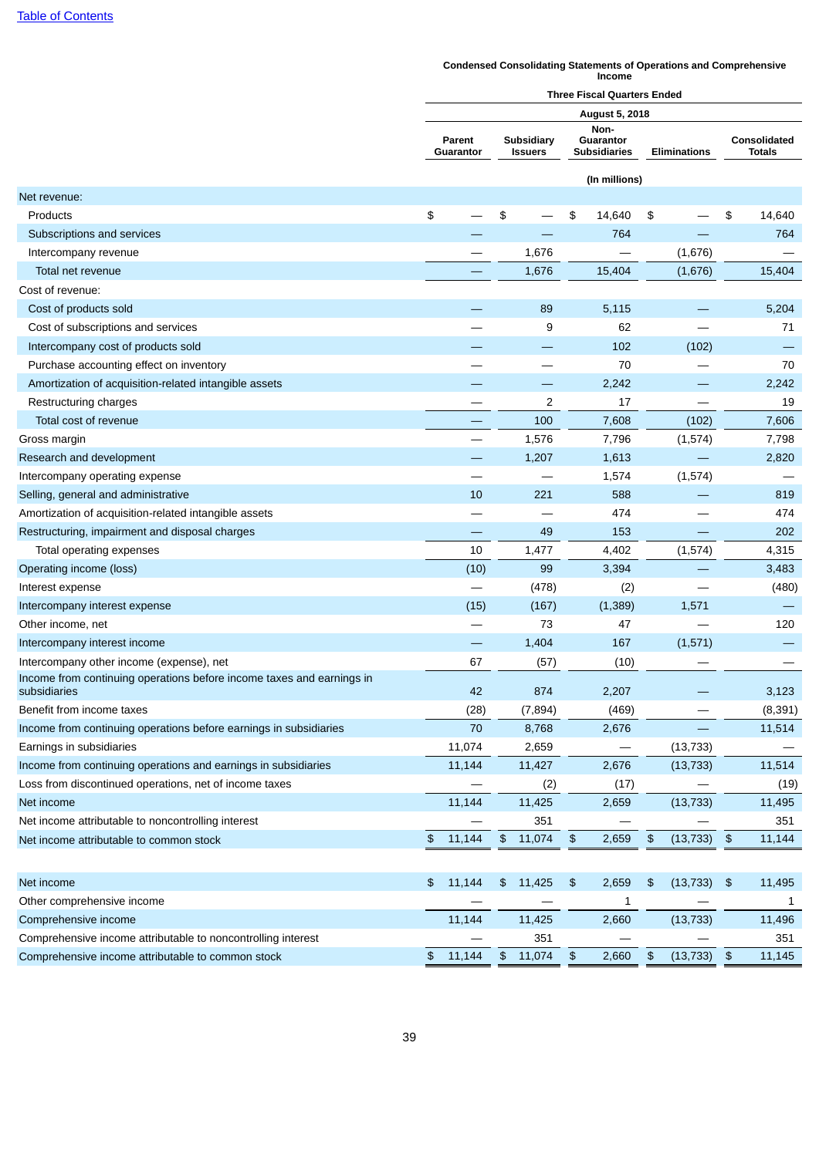#### **Condensed Consolidating Statements of Operations and Comprehensive Income**

|                                                                                       | <b>Three Fiscal Quarters Ended</b> |        |               |                                     |               |                                          |               |                     |                |                                      |
|---------------------------------------------------------------------------------------|------------------------------------|--------|---------------|-------------------------------------|---------------|------------------------------------------|---------------|---------------------|----------------|--------------------------------------|
|                                                                                       |                                    |        |               |                                     |               | <b>August 5, 2018</b>                    |               |                     |                |                                      |
|                                                                                       | Parent<br>Guarantor                |        |               | <b>Subsidiary</b><br><b>Issuers</b> |               | Non-<br>Guarantor<br><b>Subsidiaries</b> |               | <b>Eliminations</b> |                | <b>Consolidated</b><br><b>Totals</b> |
|                                                                                       |                                    |        |               |                                     |               | (In millions)                            |               |                     |                |                                      |
| Net revenue:                                                                          |                                    |        |               |                                     |               |                                          |               |                     |                |                                      |
| Products                                                                              | \$                                 |        | \$            |                                     | \$            | 14,640                                   | \$            |                     | \$             | 14,640                               |
| Subscriptions and services                                                            |                                    |        |               |                                     |               | 764                                      |               |                     |                | 764                                  |
| Intercompany revenue                                                                  |                                    |        |               | 1,676                               |               |                                          |               | (1,676)             |                |                                      |
| Total net revenue                                                                     |                                    |        |               | 1,676                               |               | 15,404                                   |               | (1,676)             |                | 15,404                               |
| Cost of revenue:                                                                      |                                    |        |               |                                     |               |                                          |               |                     |                |                                      |
| Cost of products sold                                                                 |                                    |        |               | 89                                  |               | 5,115                                    |               |                     |                | 5,204                                |
| Cost of subscriptions and services                                                    |                                    |        |               | 9                                   |               | 62                                       |               |                     |                | 71                                   |
| Intercompany cost of products sold                                                    |                                    |        |               |                                     |               | 102                                      |               | (102)               |                |                                      |
| Purchase accounting effect on inventory                                               |                                    |        |               |                                     |               | 70                                       |               |                     |                | 70                                   |
| Amortization of acquisition-related intangible assets                                 |                                    |        |               |                                     |               | 2,242                                    |               |                     |                | 2,242                                |
| Restructuring charges                                                                 |                                    |        |               | $\overline{c}$                      |               | 17                                       |               |                     |                | 19                                   |
| Total cost of revenue                                                                 |                                    |        |               | 100                                 |               | 7,608                                    |               | (102)               |                | 7,606                                |
| Gross margin                                                                          |                                    |        |               | 1,576                               |               | 7,796                                    |               | (1,574)             |                | 7,798                                |
| Research and development                                                              |                                    |        |               | 1,207                               |               | 1,613                                    |               |                     |                | 2,820                                |
| Intercompany operating expense                                                        |                                    |        |               |                                     |               | 1,574                                    |               | (1,574)             |                |                                      |
| Selling, general and administrative                                                   |                                    | 10     |               | 221                                 |               | 588                                      |               |                     |                | 819                                  |
| Amortization of acquisition-related intangible assets                                 |                                    |        |               |                                     |               | 474                                      |               |                     |                | 474                                  |
| Restructuring, impairment and disposal charges                                        |                                    |        |               | 49                                  |               | 153                                      |               |                     |                | 202                                  |
| Total operating expenses                                                              |                                    | 10     |               | 1,477                               |               | 4,402                                    |               | (1,574)             |                | 4,315                                |
| Operating income (loss)                                                               |                                    | (10)   |               | 99                                  |               | 3,394                                    |               |                     |                | 3,483                                |
| Interest expense                                                                      |                                    |        |               | (478)                               |               | (2)                                      |               |                     |                | (480)                                |
| Intercompany interest expense                                                         |                                    | (15)   |               | (167)                               |               | (1, 389)                                 |               | 1,571               |                |                                      |
| Other income, net                                                                     |                                    |        |               | 73                                  |               | 47                                       |               |                     |                | 120                                  |
| Intercompany interest income                                                          |                                    |        |               | 1,404                               |               | 167                                      |               | (1,571)             |                |                                      |
| Intercompany other income (expense), net                                              |                                    | 67     |               | (57)                                |               | (10)                                     |               |                     |                |                                      |
| Income from continuing operations before income taxes and earnings in<br>subsidiaries |                                    | 42     |               | 874                                 |               | 2,207                                    |               |                     |                | 3,123                                |
| Benefit from income taxes                                                             |                                    | (28)   |               | (7, 894)                            |               | (469)                                    |               |                     |                | (8, 391)                             |
| Income from continuing operations before earnings in subsidiaries                     |                                    | 70     |               | 8,768                               |               | 2,676                                    |               |                     |                | 11,514                               |
| Earnings in subsidiaries                                                              |                                    | 11,074 |               | 2,659                               |               |                                          |               | (13, 733)           |                |                                      |
| Income from continuing operations and earnings in subsidiaries                        |                                    | 11,144 |               | 11,427                              |               | 2,676                                    |               | (13, 733)           |                | 11,514                               |
| Loss from discontinued operations, net of income taxes                                |                                    |        |               | (2)                                 |               | (17)                                     |               |                     |                | (19)                                 |
| Net income                                                                            |                                    | 11,144 |               | 11,425                              |               | 2,659                                    |               | (13, 733)           |                | 11,495                               |
| Net income attributable to noncontrolling interest                                    |                                    |        |               | 351                                 |               |                                          |               |                     |                | 351                                  |
| Net income attributable to common stock                                               | \$                                 | 11,144 | \$            | 11,074                              | \$            | 2,659                                    | $\frac{1}{2}$ | (13, 733)           | $\mathfrak{P}$ | 11,144                               |
|                                                                                       |                                    |        |               |                                     |               |                                          |               |                     |                |                                      |
| Net income                                                                            | \$                                 | 11,144 | \$            | 11,425                              | $\frac{1}{2}$ | 2,659                                    | \$            | (13, 733)           | \$             | 11,495                               |
| Other comprehensive income                                                            |                                    |        |               |                                     |               | 1                                        |               |                     |                | 1                                    |
| Comprehensive income                                                                  |                                    | 11,144 |               | 11,425                              |               | 2,660                                    |               | (13, 733)           |                | 11,496                               |
| Comprehensive income attributable to noncontrolling interest                          |                                    |        |               | 351                                 |               |                                          |               |                     |                | 351                                  |
| Comprehensive income attributable to common stock                                     | \$                                 | 11,144 | $\frac{2}{3}$ | 11,074                              | $\frac{1}{2}$ | 2,660                                    | $\frac{1}{2}$ | (13, 733)           | $\frac{1}{2}$  | 11,145                               |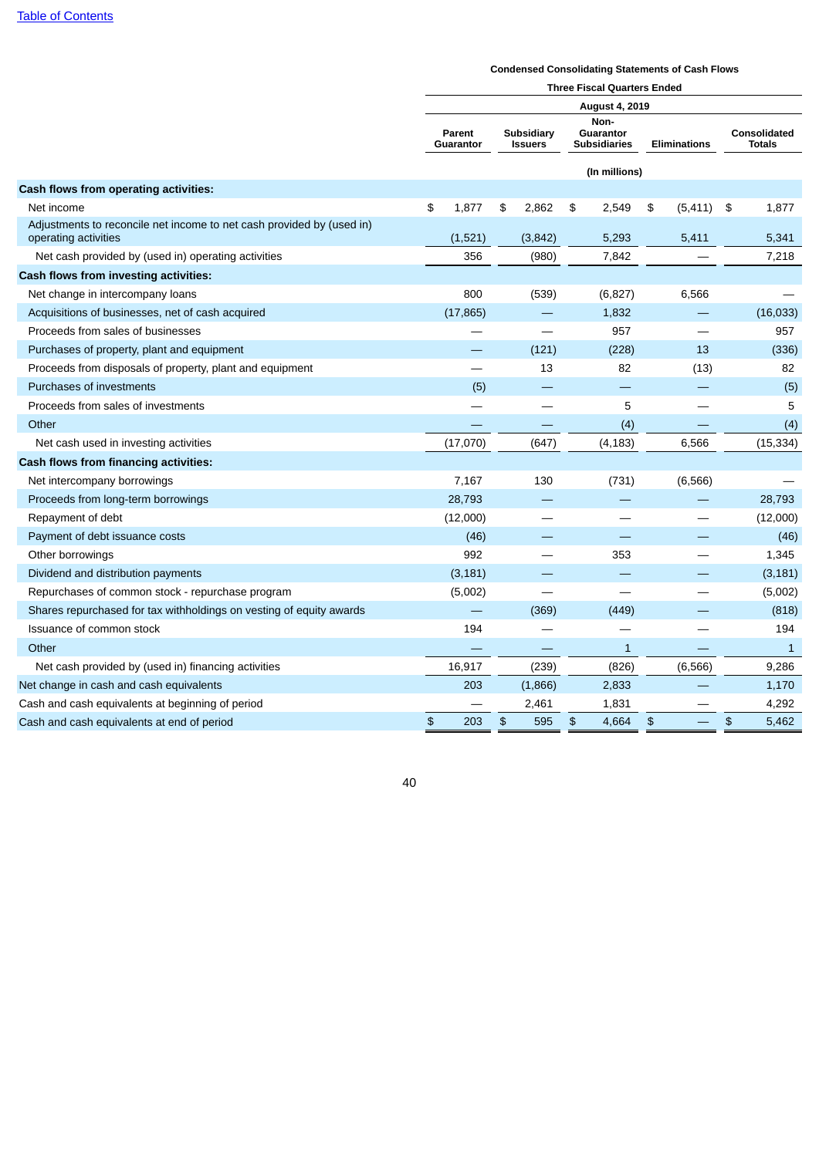## **Condensed Consolidating Statements of Cash Flows**

|                                                                                               | <b>Three Fiscal Quarters Ended</b> |                            |                              |                                |                                          |               |                     |                          |    |                               |  |  |
|-----------------------------------------------------------------------------------------------|------------------------------------|----------------------------|------------------------------|--------------------------------|------------------------------------------|---------------|---------------------|--------------------------|----|-------------------------------|--|--|
|                                                                                               | <b>August 4, 2019</b>              |                            |                              |                                |                                          |               |                     |                          |    |                               |  |  |
|                                                                                               |                                    | <b>Parent</b><br>Guarantor | Subsidiary<br><b>Issuers</b> |                                | Non-<br>Guarantor<br><b>Subsidiaries</b> |               | <b>Eliminations</b> |                          |    | Consolidated<br><b>Totals</b> |  |  |
|                                                                                               |                                    |                            |                              |                                |                                          | (In millions) |                     |                          |    |                               |  |  |
| Cash flows from operating activities:                                                         |                                    |                            |                              |                                |                                          |               |                     |                          |    |                               |  |  |
| Net income                                                                                    | \$                                 | 1,877                      | \$                           | 2,862                          | \$                                       | 2,549         | \$                  | (5, 411)                 | \$ | 1,877                         |  |  |
| Adjustments to reconcile net income to net cash provided by (used in)<br>operating activities |                                    | (1,521)                    |                              | (3, 842)                       |                                          | 5,293         |                     | 5,411                    |    | 5,341                         |  |  |
| Net cash provided by (used in) operating activities                                           |                                    | 356                        |                              | (980)                          |                                          | 7,842         |                     |                          |    | 7,218                         |  |  |
| Cash flows from investing activities:                                                         |                                    |                            |                              |                                |                                          |               |                     |                          |    |                               |  |  |
| Net change in intercompany loans                                                              |                                    | 800                        |                              | (539)                          |                                          | (6,827)       |                     | 6,566                    |    |                               |  |  |
| Acquisitions of businesses, net of cash acquired                                              |                                    | (17, 865)                  |                              |                                |                                          | 1,832         |                     |                          |    | (16,033)                      |  |  |
| Proceeds from sales of businesses                                                             |                                    |                            |                              |                                |                                          | 957           |                     |                          |    | 957                           |  |  |
| Purchases of property, plant and equipment                                                    |                                    |                            |                              | (121)                          |                                          | (228)         |                     | 13                       |    | (336)                         |  |  |
| Proceeds from disposals of property, plant and equipment                                      |                                    |                            |                              | 13                             |                                          | 82            |                     | (13)                     |    | 82                            |  |  |
| Purchases of investments                                                                      |                                    | (5)                        |                              |                                |                                          |               |                     |                          |    | (5)                           |  |  |
| Proceeds from sales of investments                                                            |                                    |                            |                              |                                |                                          | 5             |                     |                          |    | 5                             |  |  |
| Other                                                                                         |                                    |                            |                              |                                |                                          | (4)           |                     |                          |    | (4)                           |  |  |
| Net cash used in investing activities                                                         |                                    | (17,070)                   |                              | (647)                          |                                          | (4, 183)      |                     | 6,566                    |    | (15, 334)                     |  |  |
| Cash flows from financing activities:                                                         |                                    |                            |                              |                                |                                          |               |                     |                          |    |                               |  |  |
| Net intercompany borrowings                                                                   |                                    | 7,167                      |                              | 130                            |                                          | (731)         |                     | (6, 566)                 |    |                               |  |  |
| Proceeds from long-term borrowings                                                            |                                    | 28,793                     |                              |                                |                                          |               |                     |                          |    | 28,793                        |  |  |
| Repayment of debt                                                                             |                                    | (12,000)                   |                              | $\qquad \qquad \longleftarrow$ |                                          |               |                     | $\overline{\phantom{0}}$ |    | (12,000)                      |  |  |
| Payment of debt issuance costs                                                                |                                    | (46)                       |                              |                                |                                          |               |                     |                          |    | (46)                          |  |  |
| Other borrowings                                                                              |                                    | 992                        |                              |                                |                                          | 353           |                     |                          |    | 1,345                         |  |  |
| Dividend and distribution payments                                                            |                                    | (3, 181)                   |                              |                                |                                          |               |                     |                          |    | (3, 181)                      |  |  |
| Repurchases of common stock - repurchase program                                              |                                    | (5,002)                    |                              |                                |                                          |               |                     |                          |    | (5,002)                       |  |  |
| Shares repurchased for tax withholdings on vesting of equity awards                           |                                    |                            |                              | (369)                          |                                          | (449)         |                     |                          |    | (818)                         |  |  |
| Issuance of common stock                                                                      |                                    | 194                        |                              |                                |                                          |               |                     |                          |    | 194                           |  |  |
| Other                                                                                         |                                    |                            |                              |                                |                                          | $\mathbf{1}$  |                     |                          |    | $\mathbf{1}$                  |  |  |
| Net cash provided by (used in) financing activities                                           |                                    | 16,917                     |                              | (239)                          |                                          | (826)         |                     | (6, 566)                 |    | 9,286                         |  |  |
| Net change in cash and cash equivalents                                                       |                                    | 203                        |                              | (1,866)                        |                                          | 2,833         |                     |                          |    | 1,170                         |  |  |
| Cash and cash equivalents at beginning of period                                              |                                    |                            |                              | 2,461                          |                                          | 1,831         |                     |                          |    | 4,292                         |  |  |
| Cash and cash equivalents at end of period                                                    | $\mathfrak{P}$                     | 203                        | \$                           | 595                            | $\frac{1}{2}$                            | 4,664         | $\frac{1}{2}$       |                          | \$ | 5,462                         |  |  |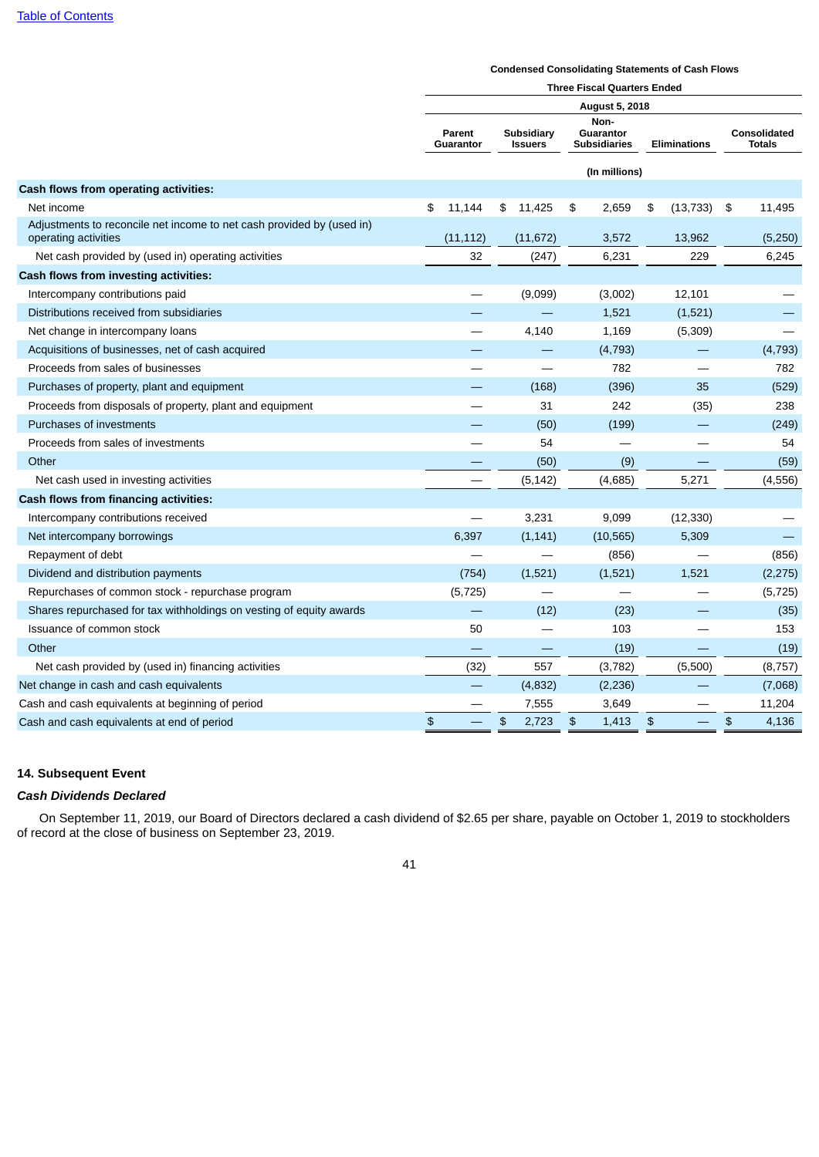#### **Condensed Consolidating Statements of Cash Flows**

|                                                                                               | <b>Three Fiscal Quarters Ended</b> |       |    |                              |                                          |                |    |                          |    |                                      |
|-----------------------------------------------------------------------------------------------|------------------------------------|-------|----|------------------------------|------------------------------------------|----------------|----|--------------------------|----|--------------------------------------|
|                                                                                               |                                    |       |    |                              |                                          | August 5, 2018 |    |                          |    |                                      |
|                                                                                               | Parent<br>Guarantor                |       |    | Subsidiary<br><b>Issuers</b> | Non-<br>Guarantor<br><b>Subsidiaries</b> |                |    | <b>Eliminations</b>      |    | <b>Consolidated</b><br><b>Totals</b> |
|                                                                                               |                                    |       |    |                              |                                          | (In millions)  |    |                          |    |                                      |
| Cash flows from operating activities:                                                         |                                    |       |    |                              |                                          |                |    |                          |    |                                      |
| Net income                                                                                    | 11,144<br>\$                       |       |    | \$11,425                     | \$                                       | 2,659          | \$ | (13, 733)                | \$ | 11,495                               |
| Adjustments to reconcile net income to net cash provided by (used in)<br>operating activities | (11, 112)                          |       |    | (11, 672)                    |                                          | 3,572          |    | 13,962                   |    | (5,250)                              |
| Net cash provided by (used in) operating activities                                           |                                    | 32    |    | (247)                        |                                          | 6,231          |    | 229                      |    | 6,245                                |
| Cash flows from investing activities:                                                         |                                    |       |    |                              |                                          |                |    |                          |    |                                      |
| Intercompany contributions paid                                                               |                                    |       |    | (9,099)                      |                                          | (3,002)        |    | 12,101                   |    |                                      |
| Distributions received from subsidiaries                                                      |                                    |       |    |                              |                                          | 1,521          |    | (1,521)                  |    |                                      |
| Net change in intercompany loans                                                              |                                    |       |    | 4,140                        |                                          | 1,169          |    | (5, 309)                 |    |                                      |
| Acquisitions of businesses, net of cash acquired                                              |                                    |       |    |                              |                                          | (4, 793)       |    |                          |    | (4, 793)                             |
| Proceeds from sales of businesses                                                             |                                    |       |    |                              |                                          | 782            |    |                          |    | 782                                  |
| Purchases of property, plant and equipment                                                    |                                    |       |    | (168)                        |                                          | (396)          |    | 35                       |    | (529)                                |
| Proceeds from disposals of property, plant and equipment                                      |                                    |       |    | 31                           |                                          | 242            |    | (35)                     |    | 238                                  |
| Purchases of investments                                                                      |                                    |       |    | (50)                         |                                          | (199)          |    | $\overline{\phantom{0}}$ |    | (249)                                |
| Proceeds from sales of investments                                                            |                                    |       |    | 54                           |                                          |                |    |                          |    | 54                                   |
| Other                                                                                         |                                    |       |    | (50)                         |                                          | (9)            |    |                          |    | (59)                                 |
| Net cash used in investing activities                                                         |                                    |       |    | (5, 142)                     |                                          | (4,685)        |    | 5,271                    |    | (4, 556)                             |
| Cash flows from financing activities:                                                         |                                    |       |    |                              |                                          |                |    |                          |    |                                      |
| Intercompany contributions received                                                           |                                    |       |    | 3,231                        |                                          | 9,099          |    | (12, 330)                |    |                                      |
| Net intercompany borrowings                                                                   |                                    | 6,397 |    | (1, 141)                     |                                          | (10, 565)      |    | 5,309                    |    |                                      |
| Repayment of debt                                                                             |                                    |       |    |                              |                                          | (856)          |    |                          |    | (856)                                |
| Dividend and distribution payments                                                            |                                    | (754) |    | (1,521)                      |                                          | (1,521)        |    | 1,521                    |    | (2, 275)                             |
| Repurchases of common stock - repurchase program                                              | (5, 725)                           |       |    |                              |                                          |                |    |                          |    | (5, 725)                             |
| Shares repurchased for tax withholdings on vesting of equity awards                           |                                    |       |    | (12)                         |                                          | (23)           |    |                          |    | (35)                                 |
| Issuance of common stock                                                                      |                                    | 50    |    |                              |                                          | 103            |    |                          |    | 153                                  |
| Other                                                                                         |                                    |       |    |                              |                                          | (19)           |    |                          |    | (19)                                 |
| Net cash provided by (used in) financing activities                                           |                                    | (32)  |    | 557                          |                                          | (3,782)        |    | (5,500)                  |    | (8, 757)                             |
| Net change in cash and cash equivalents                                                       |                                    |       |    | (4, 832)                     |                                          | (2, 236)       |    |                          |    | (7,068)                              |
| Cash and cash equivalents at beginning of period                                              |                                    |       |    | 7,555                        |                                          | 3,649          |    |                          |    | 11,204                               |
| Cash and cash equivalents at end of period                                                    | \$                                 |       | \$ | 2,723                        | \$                                       | 1,413          | \$ |                          | \$ | 4,136                                |

# **14. Subsequent Event**

# *Cash Dividends Declared*

On September 11, 2019, our Board of Directors declared a cash dividend of \$2.65 per share, payable on October 1, 2019 to stockholders of record at the close of business on September 23, 2019.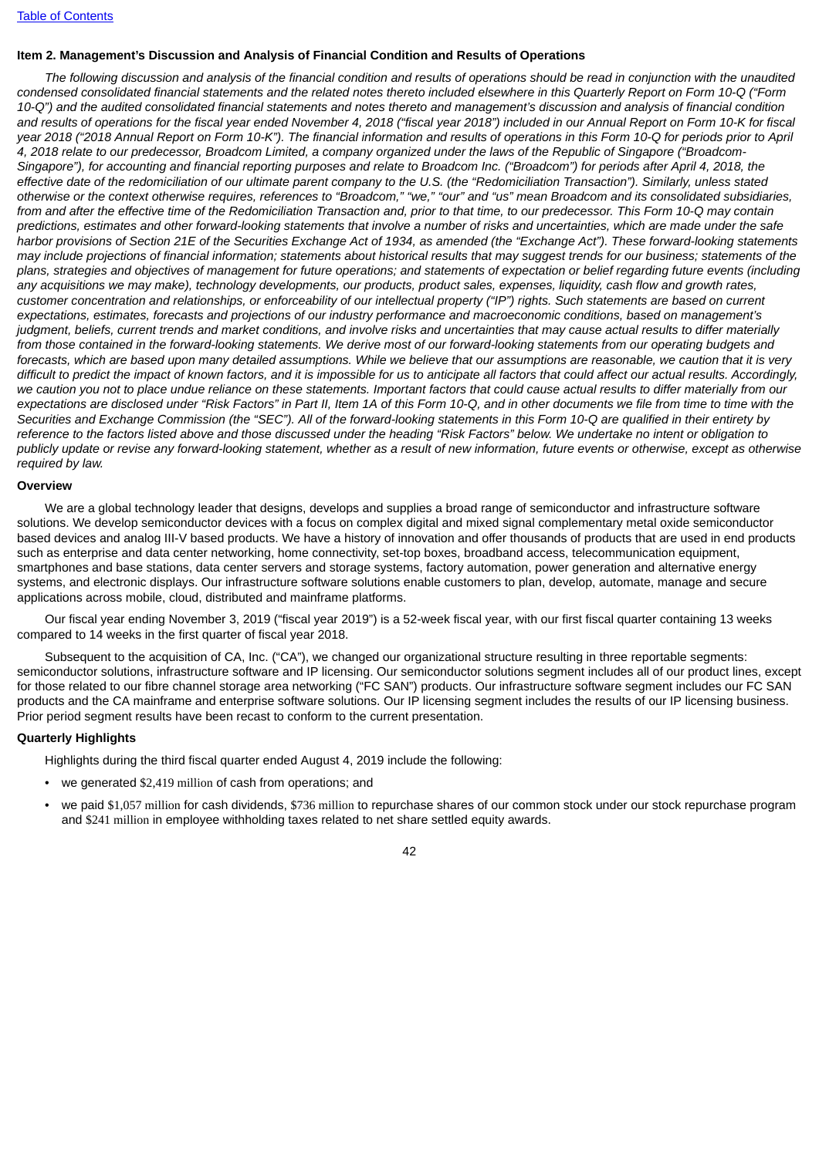## **Item 2. Management's Discussion and Analysis of Financial Condition and Results of Operations**

The following discussion and analysis of the financial condition and results of operations should be read in conjunction with the unaudited condensed consolidated financial statements and the related notes thereto included elsewhere in this Ouarterly Report on Form 10-O ("Form 10-O") and the audited consolidated financial statements and notes thereto and management's discussion and analysis of financial condition and results of operations for the fiscal year ended November 4, 2018 ("fiscal year 2018") included in our Annual Report on Form 10-K for fiscal year 2018 ("2018 Annual Report on Form 10-K"). The financial information and results of operations in this Form 10-Q for periods prior to April 4, 2018 relate to our predecessor, Broadcom Limited, a company organized under the laws of the Republic of Singapore ("Broadcom-Singapore"), for accounting and financial reporting purposes and relate to Broadcom Inc. ("Broadcom") for periods after April 4, 2018, the effective date of the redomiciliation of our ultimate parent company to the U.S. (the "Redomiciliation Transaction"). Similarly, unless stated otherwise or the context otherwise requires, references to "Broadcom," "we," "our" and "us" mean Broadcom and its consolidated subsidiaries, from and after the effective time of the Redomiciliation Transaction and, prior to that time, to our predecessor. This Form 10-Q may contain predictions, estimates and other forward-looking statements that involve a number of risks and uncertainties, which are made under the safe harbor provisions of Section 21E of the Securities Exchange Act of 1934, as amended (the "Exchange Act"). These forward-looking statements may include projections of financial information; statements about historical results that may suggest trends for our business; statements of the plans, strategies and objectives of management for future operations; and statements of expectation or belief regarding future events (including any acquisitions we may make), technology developments, our products, product sales, expenses, liquidity, cash flow and growth rates. customer concentration and relationships, or enforceability of our intellectual property ("IP") rights. Such statements are based on current expectations, estimates, forecasts and projections of our industry performance and macroeconomic conditions, based on management's judgment, beliefs, current trends and market conditions, and involve risks and uncertainties that may cause actual results to differ materially from those contained in the forward-looking statements. We derive most of our forward-looking statements from our operating budgets and forecasts, which are based upon many detailed assumptions. While we believe that our assumptions are reasonable, we caution that it is very difficult to predict the impact of known factors, and it is impossible for us to anticipate all factors that could affect our actual results. Accordingly, we caution you not to place undue reliance on these statements. Important factors that could cause actual results to differ materially from our expectations are disclosed under "Risk Factors" in Part II, Item 1A of this Form 10-Q, and in other documents we file from time to time with the Securities and Exchange Commission (the "SEC"). All of the forward-looking statements in this Form 10-O are qualified in their entirety by reference to the factors listed above and those discussed under the heading "Risk Factors" below. We undertake no intent or obligation to publicly update or revise any forward-looking statement, whether as a result of new information, future events or otherwise, except as otherwise *required by law.*

#### **Overview**

We are a global technology leader that designs, develops and supplies a broad range of semiconductor and infrastructure software solutions. We develop semiconductor devices with a focus on complex digital and mixed signal complementary metal oxide semiconductor based devices and analog III-V based products. We have a history of innovation and offer thousands of products that are used in end products such as enterprise and data center networking, home connectivity, set-top boxes, broadband access, telecommunication equipment, smartphones and base stations, data center servers and storage systems, factory automation, power generation and alternative energy systems, and electronic displays. Our infrastructure software solutions enable customers to plan, develop, automate, manage and secure applications across mobile, cloud, distributed and mainframe platforms.

Our fiscal year ending November 3, 2019 ("fiscal year 2019") is a 52-week fiscal year, with our first fiscal quarter containing 13 weeks compared to 14 weeks in the first quarter of fiscal year 2018.

Subsequent to the acquisition of CA, Inc. ("CA"), we changed our organizational structure resulting in three reportable segments: semiconductor solutions, infrastructure software and IP licensing. Our semiconductor solutions segment includes all of our product lines, except for those related to our fibre channel storage area networking ("FC SAN") products. Our infrastructure software segment includes our FC SAN products and the CA mainframe and enterprise software solutions. Our IP licensing segment includes the results of our IP licensing business. Prior period segment results have been recast to conform to the current presentation.

#### **Quarterly Highlights**

Highlights during the third fiscal quarter ended August 4, 2019 include the following:

- we generated \$2,419 million of cash from operations; and
- we paid \$1,057 million for cash dividends, \$736 million to repurchase shares of our common stock under our stock repurchase program and \$241 million in employee withholding taxes related to net share settled equity awards.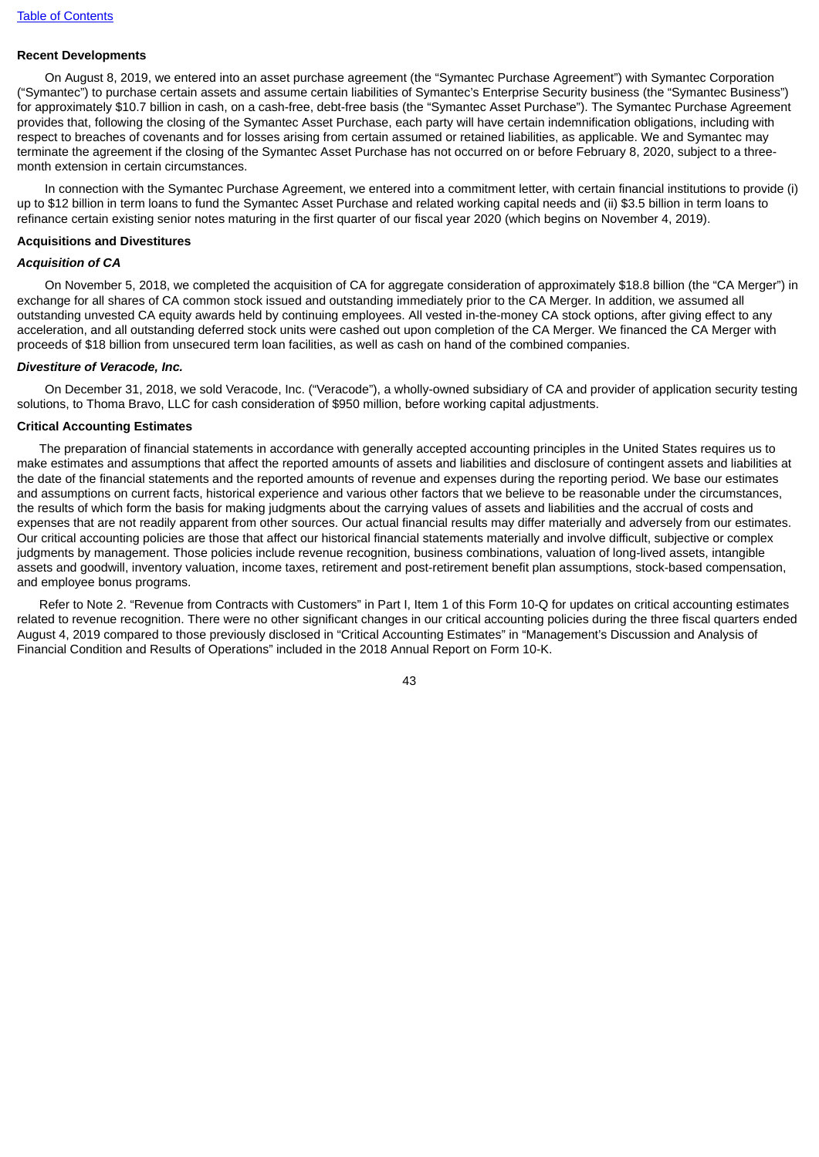# **Recent Developments**

On August 8, 2019, we entered into an asset purchase agreement (the "Symantec Purchase Agreement") with Symantec Corporation ("Symantec") to purchase certain assets and assume certain liabilities of Symantec's Enterprise Security business (the "Symantec Business") for approximately \$10.7 billion in cash, on a cash-free, debt-free basis (the "Symantec Asset Purchase"). The Symantec Purchase Agreement provides that, following the closing of the Symantec Asset Purchase, each party will have certain indemnification obligations, including with respect to breaches of covenants and for losses arising from certain assumed or retained liabilities, as applicable. We and Symantec may terminate the agreement if the closing of the Symantec Asset Purchase has not occurred on or before February 8, 2020, subject to a threemonth extension in certain circumstances.

In connection with the Symantec Purchase Agreement, we entered into a commitment letter, with certain financial institutions to provide (i) up to \$12 billion in term loans to fund the Symantec Asset Purchase and related working capital needs and (ii) \$3.5 billion in term loans to refinance certain existing senior notes maturing in the first quarter of our fiscal year 2020 (which begins on November 4, 2019).

#### **Acquisitions and Divestitures**

## *Acquisition of CA*

On November 5, 2018, we completed the acquisition of CA for aggregate consideration of approximately \$18.8 billion (the "CA Merger") in exchange for all shares of CA common stock issued and outstanding immediately prior to the CA Merger. In addition, we assumed all outstanding unvested CA equity awards held by continuing employees. All vested in-the-money CA stock options, after giving effect to any acceleration, and all outstanding deferred stock units were cashed out upon completion of the CA Merger. We financed the CA Merger with proceeds of \$18 billion from unsecured term loan facilities, as well as cash on hand of the combined companies.

#### *Divestiture of Veracode, Inc.*

On December 31, 2018, we sold Veracode, Inc. ("Veracode"), a wholly-owned subsidiary of CA and provider of application security testing solutions, to Thoma Bravo, LLC for cash consideration of \$950 million, before working capital adjustments.

#### **Critical Accounting Estimates**

The preparation of financial statements in accordance with generally accepted accounting principles in the United States requires us to make estimates and assumptions that affect the reported amounts of assets and liabilities and disclosure of contingent assets and liabilities at the date of the financial statements and the reported amounts of revenue and expenses during the reporting period. We base our estimates and assumptions on current facts, historical experience and various other factors that we believe to be reasonable under the circumstances, the results of which form the basis for making judgments about the carrying values of assets and liabilities and the accrual of costs and expenses that are not readily apparent from other sources. Our actual financial results may differ materially and adversely from our estimates. Our critical accounting policies are those that affect our historical financial statements materially and involve difficult, subjective or complex judgments by management. Those policies include revenue recognition, business combinations, valuation of long-lived assets, intangible assets and goodwill, inventory valuation, income taxes, retirement and post-retirement benefit plan assumptions, stock-based compensation, and employee bonus programs.

Refer to Note 2. "Revenue from Contracts with Customers" in Part I, Item 1 of this Form 10-Q for updates on critical accounting estimates related to revenue recognition. There were no other significant changes in our critical accounting policies during the three fiscal quarters ended August 4, 2019 compared to those previously disclosed in "Critical Accounting Estimates" in "Management's Discussion and Analysis of Financial Condition and Results of Operations" included in the 2018 Annual Report on Form 10-K.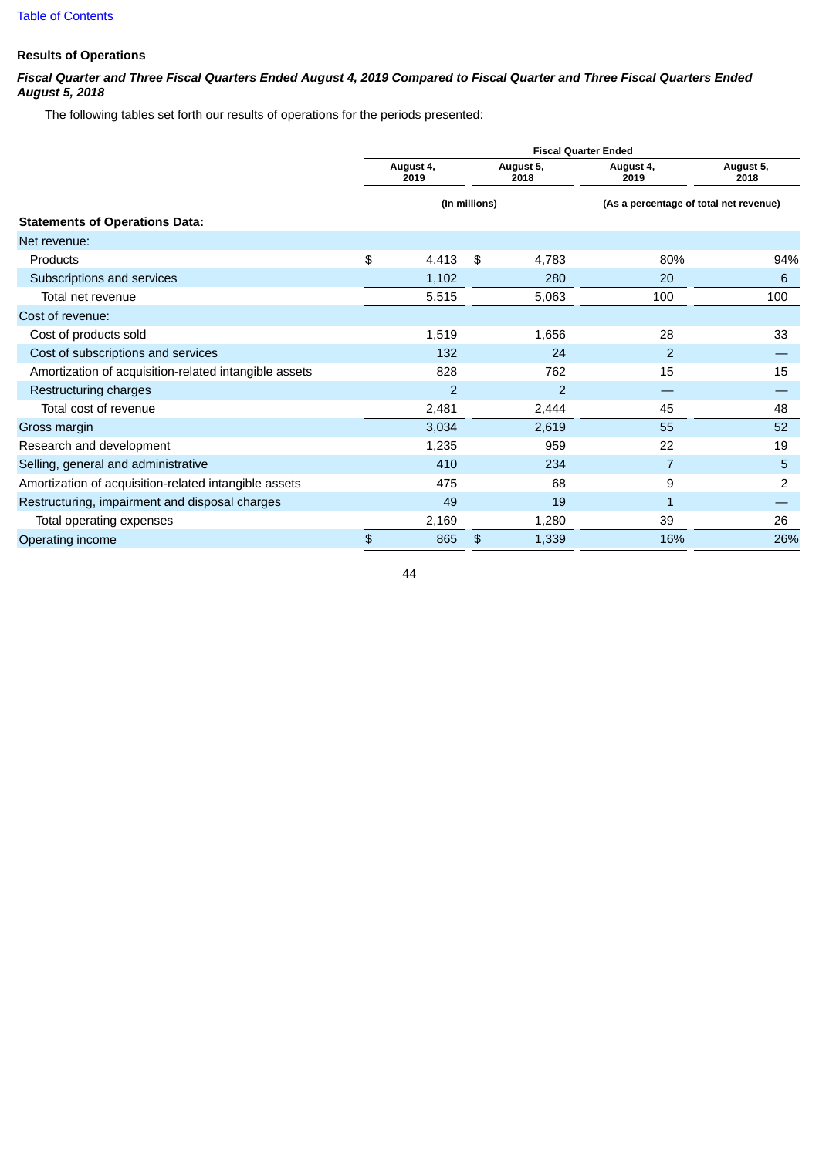# **Results of Operations**

## Fiscal Quarter and Three Fiscal Quarters Ended August 4, 2019 Compared to Fiscal Quarter and Three Fiscal Quarters Ended *August 5, 2018*

The following tables set forth our results of operations for the periods presented:

|                                                       | <b>Fiscal Quarter Ended</b> |                   |               |                   |                                        |                   |  |  |  |  |  |  |
|-------------------------------------------------------|-----------------------------|-------------------|---------------|-------------------|----------------------------------------|-------------------|--|--|--|--|--|--|
|                                                       |                             | August 4,<br>2019 |               | August 5,<br>2018 | August 4,<br>2019                      | August 5,<br>2018 |  |  |  |  |  |  |
|                                                       |                             |                   | (In millions) |                   | (As a percentage of total net revenue) |                   |  |  |  |  |  |  |
| <b>Statements of Operations Data:</b>                 |                             |                   |               |                   |                                        |                   |  |  |  |  |  |  |
| Net revenue:                                          |                             |                   |               |                   |                                        |                   |  |  |  |  |  |  |
| Products                                              | \$                          | 4,413             | \$            | 4,783             | 80%                                    | 94%               |  |  |  |  |  |  |
| Subscriptions and services                            |                             | 1,102             |               | 280               | 20                                     | 6                 |  |  |  |  |  |  |
| Total net revenue                                     |                             | 5,515             |               | 5,063             | 100                                    | 100               |  |  |  |  |  |  |
| Cost of revenue:                                      |                             |                   |               |                   |                                        |                   |  |  |  |  |  |  |
| Cost of products sold                                 |                             | 1,519             |               | 1,656             | 28                                     | 33                |  |  |  |  |  |  |
| Cost of subscriptions and services                    |                             | 132               |               | 24                | $\overline{2}$                         |                   |  |  |  |  |  |  |
| Amortization of acquisition-related intangible assets |                             | 828               |               | 762               | 15                                     | 15                |  |  |  |  |  |  |
| Restructuring charges                                 |                             | $\overline{2}$    |               | $\overline{2}$    |                                        |                   |  |  |  |  |  |  |
| Total cost of revenue                                 |                             | 2,481             |               | 2,444             | 45                                     | 48                |  |  |  |  |  |  |
| Gross margin                                          |                             | 3,034             |               | 2,619             | 55                                     | 52                |  |  |  |  |  |  |
| Research and development                              |                             | 1,235             |               | 959               | 22                                     | 19                |  |  |  |  |  |  |
| Selling, general and administrative                   |                             | 410               |               | 234               | $\overline{7}$                         | 5                 |  |  |  |  |  |  |
| Amortization of acquisition-related intangible assets |                             | 475               |               | 68                | 9                                      | 2                 |  |  |  |  |  |  |
| Restructuring, impairment and disposal charges        |                             | 49                |               | 19                | $\mathbf{1}$                           |                   |  |  |  |  |  |  |
| Total operating expenses                              |                             | 2,169             |               | 1,280             | 39                                     | 26                |  |  |  |  |  |  |
| Operating income                                      | \$                          | 865               | \$            | 1,339             | 16%                                    | 26%               |  |  |  |  |  |  |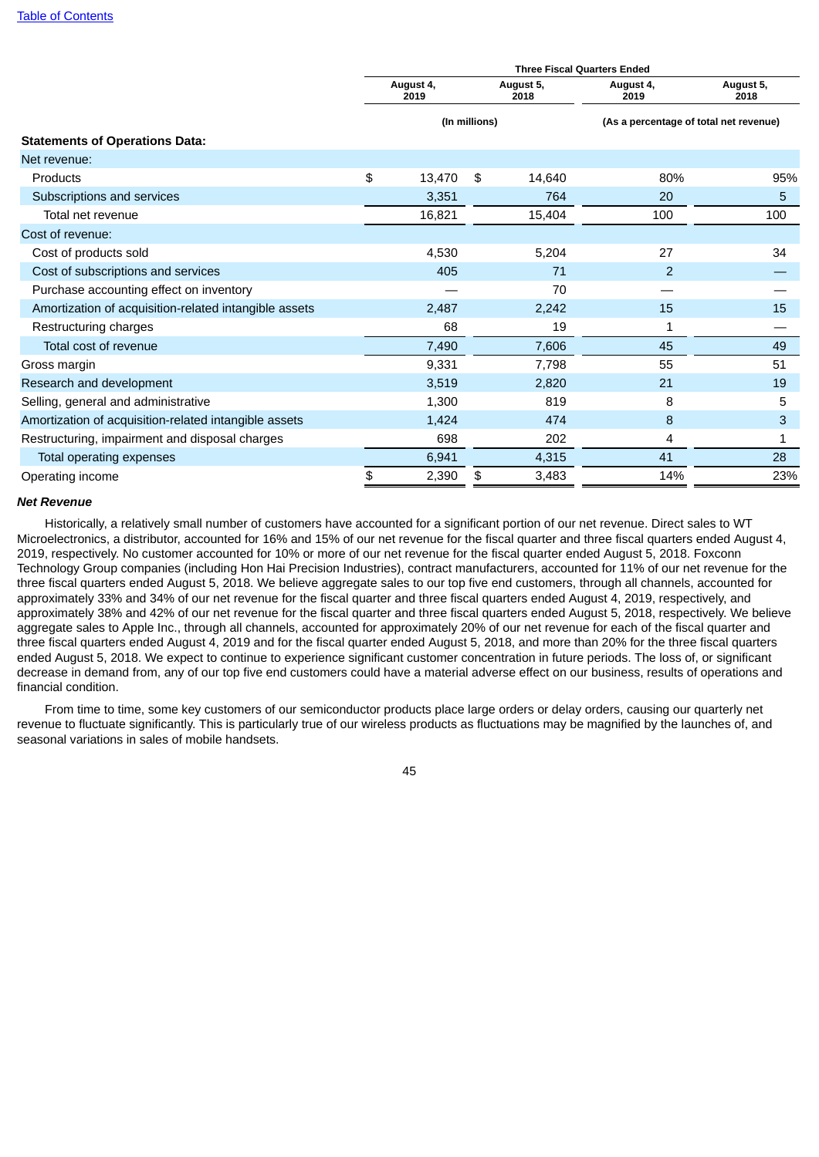|                                                       | <b>Three Fiscal Quarters Ended</b> |                   |               |                   |                                        |                   |  |  |  |  |  |  |
|-------------------------------------------------------|------------------------------------|-------------------|---------------|-------------------|----------------------------------------|-------------------|--|--|--|--|--|--|
|                                                       |                                    | August 4,<br>2019 |               | August 5,<br>2018 | August 4,<br>2019                      | August 5,<br>2018 |  |  |  |  |  |  |
|                                                       |                                    |                   | (In millions) |                   | (As a percentage of total net revenue) |                   |  |  |  |  |  |  |
| <b>Statements of Operations Data:</b>                 |                                    |                   |               |                   |                                        |                   |  |  |  |  |  |  |
| Net revenue:                                          |                                    |                   |               |                   |                                        |                   |  |  |  |  |  |  |
| Products                                              | \$                                 | 13,470            | \$            | 14,640            | 80%                                    | 95%               |  |  |  |  |  |  |
| Subscriptions and services                            |                                    | 3,351             |               | 764               | 20                                     | 5                 |  |  |  |  |  |  |
| Total net revenue                                     |                                    | 16,821            |               | 15,404            | 100                                    | 100               |  |  |  |  |  |  |
| Cost of revenue:                                      |                                    |                   |               |                   |                                        |                   |  |  |  |  |  |  |
| Cost of products sold                                 |                                    | 4,530             |               | 5,204             | 27                                     | 34                |  |  |  |  |  |  |
| Cost of subscriptions and services                    |                                    | 405               |               | 71                | $\overline{2}$                         |                   |  |  |  |  |  |  |
| Purchase accounting effect on inventory               |                                    |                   |               | 70                |                                        |                   |  |  |  |  |  |  |
| Amortization of acquisition-related intangible assets |                                    | 2,487             |               | 2,242             | 15                                     | 15                |  |  |  |  |  |  |
| Restructuring charges                                 |                                    | 68                |               | 19                | 1                                      |                   |  |  |  |  |  |  |
| Total cost of revenue                                 |                                    | 7,490             |               | 7,606             | 45                                     | 49                |  |  |  |  |  |  |
| Gross margin                                          |                                    | 9,331             |               | 7,798             | 55                                     | 51                |  |  |  |  |  |  |
| Research and development                              |                                    | 3,519             |               | 2,820             | 21                                     | 19                |  |  |  |  |  |  |
| Selling, general and administrative                   |                                    | 1,300             |               | 819               | 8                                      | 5                 |  |  |  |  |  |  |
| Amortization of acquisition-related intangible assets |                                    | 1,424             |               | 474               | 8                                      | 3                 |  |  |  |  |  |  |
| Restructuring, impairment and disposal charges        |                                    | 698               |               | 202               | 4                                      | 1                 |  |  |  |  |  |  |
| Total operating expenses                              |                                    | 6,941             |               | 4,315             | 41                                     | 28                |  |  |  |  |  |  |
| Operating income                                      | \$                                 | 2,390             | \$            | 3,483             | 14%                                    | 23%               |  |  |  |  |  |  |

#### *Net Revenue*

Historically, a relatively small number of customers have accounted for a significant portion of our net revenue. Direct sales to WT Microelectronics, a distributor, accounted for 16% and 15% of our net revenue for the fiscal quarter and three fiscal quarters ended August 4, 2019, respectively. No customer accounted for 10% or more of our net revenue for the fiscal quarter ended August 5, 2018. Foxconn Technology Group companies (including Hon Hai Precision Industries), contract manufacturers, accounted for 11% of our net revenue for the three fiscal quarters ended August 5, 2018. We believe aggregate sales to our top five end customers, through all channels, accounted for approximately 33% and 34% of our net revenue for the fiscal quarter and three fiscal quarters ended August 4, 2019, respectively, and approximately 38% and 42% of our net revenue for the fiscal quarter and three fiscal quarters ended August 5, 2018, respectively. We believe aggregate sales to Apple Inc., through all channels, accounted for approximately 20% of our net revenue for each of the fiscal quarter and three fiscal quarters ended August 4, 2019 and for the fiscal quarter ended August 5, 2018, and more than 20% for the three fiscal quarters ended August 5, 2018. We expect to continue to experience significant customer concentration in future periods. The loss of, or significant decrease in demand from, any of our top five end customers could have a material adverse effect on our business, results of operations and financial condition.

From time to time, some key customers of our semiconductor products place large orders or delay orders, causing our quarterly net revenue to fluctuate significantly. This is particularly true of our wireless products as fluctuations may be magnified by the launches of, and seasonal variations in sales of mobile handsets.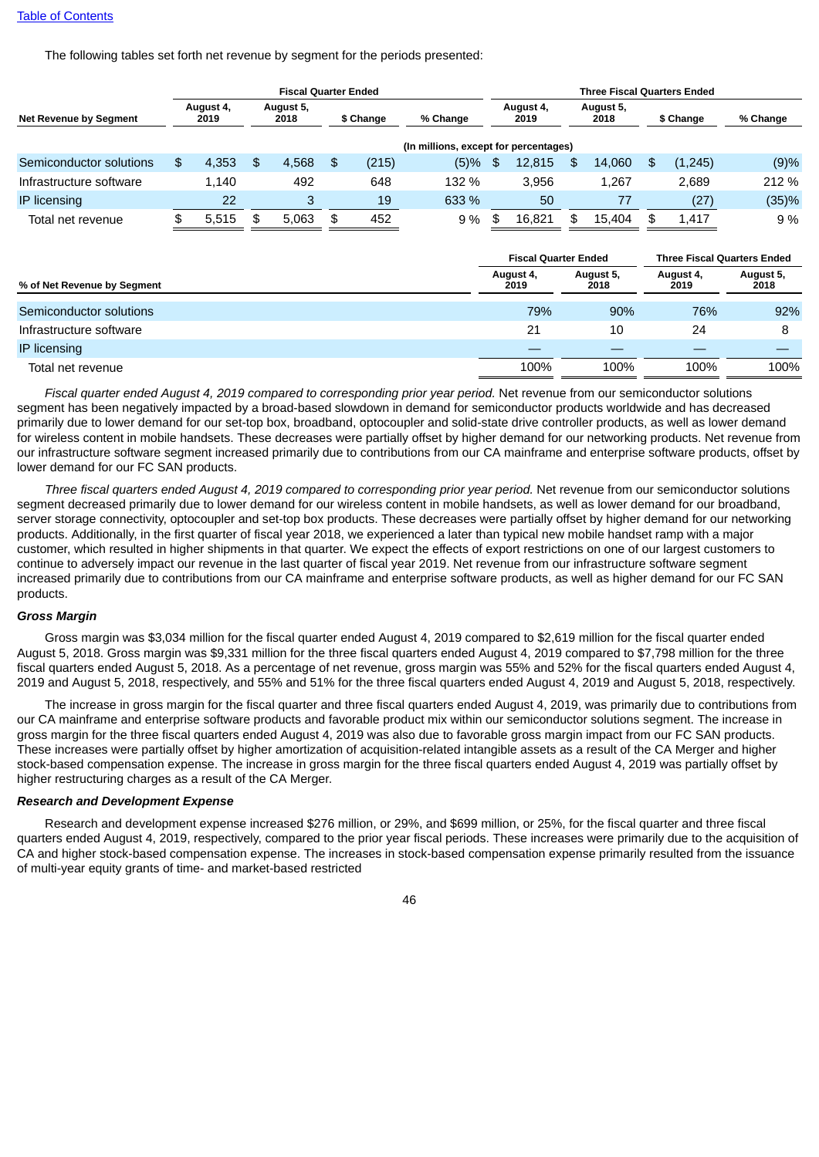The following tables set forth net revenue by segment for the periods presented:

|                         |                   |     | <b>Fiscal Quarter Ended</b> |             |                                       | <b>Three Fiscal Quarters Ended</b> |                   |     |                   |    |           |          |  |  |  |
|-------------------------|-------------------|-----|-----------------------------|-------------|---------------------------------------|------------------------------------|-------------------|-----|-------------------|----|-----------|----------|--|--|--|
| Net Revenue by Segment  | August 4,<br>2019 |     | August 5,<br>2018           | \$ Change   | % Change                              |                                    | August 4,<br>2019 |     | August 5,<br>2018 |    | \$ Change | % Change |  |  |  |
|                         |                   |     |                             |             | (In millions, except for percentages) |                                    |                   |     |                   |    |           |          |  |  |  |
| Semiconductor solutions | \$<br>4,353       | \$. | 4,568                       | \$<br>(215) | (5)%                                  | \$.                                | 12,815            | \$. | 14.060            | \$ | (1,245)   | (9)%     |  |  |  |
| Infrastructure software | 1.140             |     | 492                         | 648         | 132 %                                 |                                    | 3.956             |     | 1.267             |    | 2.689     | 212 %    |  |  |  |
| <b>IP</b> licensing     | 22                |     | 3                           | 19          | 633 %                                 |                                    | 50                |     | 77                |    | (27)      | (35)%    |  |  |  |
| Total net revenue       | 5.515             | S   | 5.063                       | \$<br>452   | 9 %                                   | \$                                 | 16.821            | \$  | 15.404            | \$ | 1.417     | 9 %      |  |  |  |

|                             | <b>Fiscal Quarter Ended</b> |                   | <b>Three Fiscal Quarters Ended</b> |                   |  |  |
|-----------------------------|-----------------------------|-------------------|------------------------------------|-------------------|--|--|
| % of Net Revenue by Segment | August 4,<br>2019           | August 5,<br>2018 | August 4,<br>2019                  | August 5,<br>2018 |  |  |
| Semiconductor solutions     | 79%                         | 90%               | 76%                                | 92%               |  |  |
| Infrastructure software     | 21                          | 10                | 24                                 |                   |  |  |
| IP licensing                |                             |                   |                                    |                   |  |  |
| Total net revenue           | 100%                        | 100%              | 100%                               | 100%              |  |  |

*Fiscal quarter ended August 4, 2019 compared to corresponding prior year period.* Net revenue from our semiconductor solutions segment has been negatively impacted by a broad-based slowdown in demand for semiconductor products worldwide and has decreased primarily due to lower demand for our set-top box, broadband, optocoupler and solid-state drive controller products, as well as lower demand for wireless content in mobile handsets. These decreases were partially offset by higher demand for our networking products. Net revenue from our infrastructure software segment increased primarily due to contributions from our CA mainframe and enterprise software products, offset by lower demand for our FC SAN products.

*Three fiscal quarters ended August 4, 2019 compared to corresponding prior year period.* Net revenue from our semiconductor solutions segment decreased primarily due to lower demand for our wireless content in mobile handsets, as well as lower demand for our broadband, server storage connectivity, optocoupler and set-top box products. These decreases were partially offset by higher demand for our networking products. Additionally, in the first quarter of fiscal year 2018, we experienced a later than typical new mobile handset ramp with a major customer, which resulted in higher shipments in that quarter. We expect the effects of export restrictions on one of our largest customers to continue to adversely impact our revenue in the last quarter of fiscal year 2019. Net revenue from our infrastructure software segment increased primarily due to contributions from our CA mainframe and enterprise software products, as well as higher demand for our FC SAN products.

#### *Gross Margin*

Gross margin was \$3,034 million for the fiscal quarter ended August 4, 2019 compared to \$2,619 million for the fiscal quarter ended August 5, 2018. Gross margin was \$9,331 million for the three fiscal quarters ended August 4, 2019 compared to \$7,798 million for the three fiscal quarters ended August 5, 2018. As a percentage of net revenue, gross margin was 55% and 52% for the fiscal quarters ended August 4, 2019 and August 5, 2018, respectively, and 55% and 51% for the three fiscal quarters ended August 4, 2019 and August 5, 2018, respectively.

The increase in gross margin for the fiscal quarter and three fiscal quarters ended August 4, 2019, was primarily due to contributions from our CA mainframe and enterprise software products and favorable product mix within our semiconductor solutions segment. The increase in gross margin for the three fiscal quarters ended August 4, 2019 was also due to favorable gross margin impact from our FC SAN products. These increases were partially offset by higher amortization of acquisition-related intangible assets as a result of the CA Merger and higher stock-based compensation expense. The increase in gross margin for the three fiscal quarters ended August 4, 2019 was partially offset by higher restructuring charges as a result of the CA Merger.

#### *Research and Development Expense*

Research and development expense increased \$276 million, or 29%, and \$699 million, or 25%, for the fiscal quarter and three fiscal quarters ended August 4, 2019, respectively, compared to the prior year fiscal periods. These increases were primarily due to the acquisition of CA and higher stock-based compensation expense. The increases in stock-based compensation expense primarily resulted from the issuance of multi-year equity grants of time- and market-based restricted

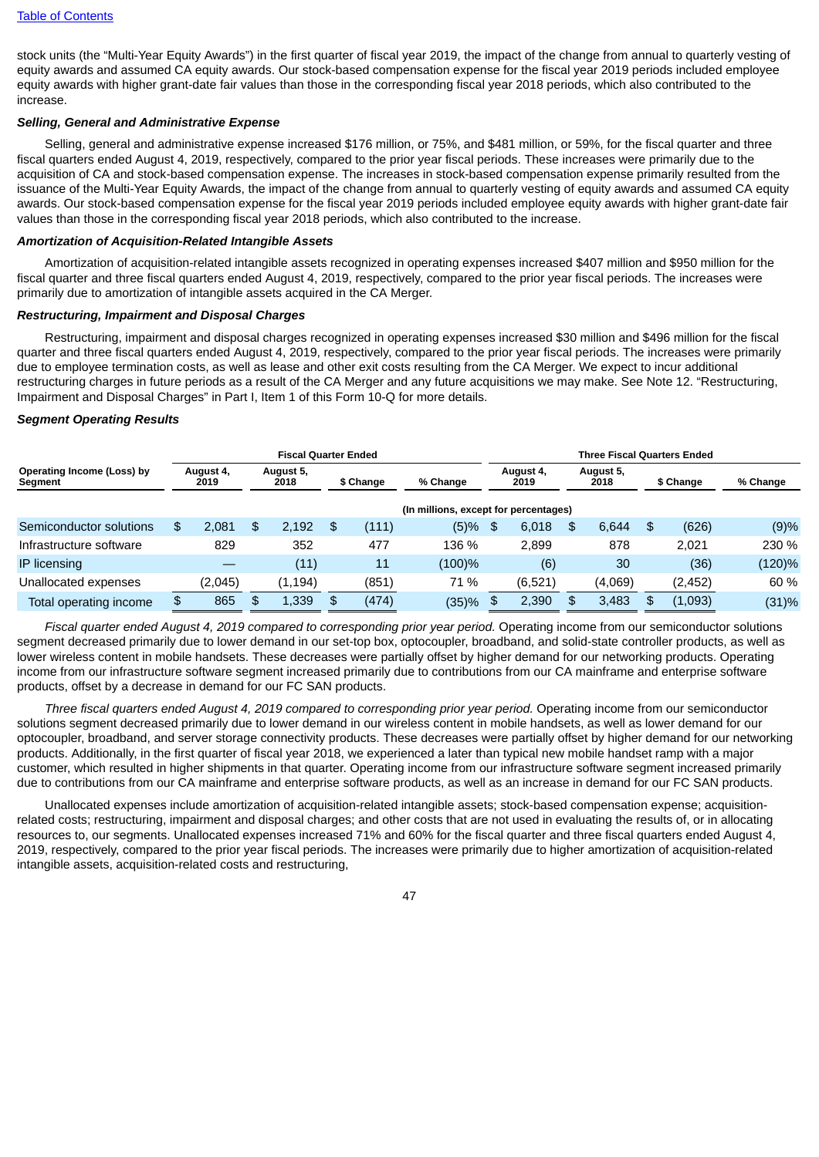stock units (the "Multi-Year Equity Awards") in the first quarter of fiscal year 2019, the impact of the change from annual to quarterly vesting of equity awards and assumed CA equity awards. Our stock-based compensation expense for the fiscal year 2019 periods included employee equity awards with higher grant-date fair values than those in the corresponding fiscal year 2018 periods, which also contributed to the increase.

#### *Selling, General and Administrative Expense*

Selling, general and administrative expense increased \$176 million, or 75%, and \$481 million, or 59%, for the fiscal quarter and three fiscal quarters ended August 4, 2019, respectively, compared to the prior year fiscal periods. These increases were primarily due to the acquisition of CA and stock-based compensation expense. The increases in stock-based compensation expense primarily resulted from the issuance of the Multi-Year Equity Awards, the impact of the change from annual to quarterly vesting of equity awards and assumed CA equity awards. Our stock-based compensation expense for the fiscal year 2019 periods included employee equity awards with higher grant-date fair values than those in the corresponding fiscal year 2018 periods, which also contributed to the increase.

#### *Amortization of Acquisition-Related Intangible Assets*

Amortization of acquisition-related intangible assets recognized in operating expenses increased \$407 million and \$950 million for the fiscal quarter and three fiscal quarters ended August 4, 2019, respectively, compared to the prior year fiscal periods. The increases were primarily due to amortization of intangible assets acquired in the CA Merger.

#### *Restructuring, Impairment and Disposal Charges*

Restructuring, impairment and disposal charges recognized in operating expenses increased \$30 million and \$496 million for the fiscal quarter and three fiscal quarters ended August 4, 2019, respectively, compared to the prior year fiscal periods. The increases were primarily due to employee termination costs, as well as lease and other exit costs resulting from the CA Merger. We expect to incur additional restructuring charges in future periods as a result of the CA Merger and any future acquisitions we may make. See Note 12. "Restructuring, Impairment and Disposal Charges" in Part I, Item 1 of this Form 10-Q for more details.

#### *Segment Operating Results*

|                                       |                   |         |     | <b>Fiscal Quarter Ended</b> |              |           |                                       | <b>Three Fiscal Quarters Ended</b> |                   |     |                   |    |           |          |  |  |
|---------------------------------------|-------------------|---------|-----|-----------------------------|--------------|-----------|---------------------------------------|------------------------------------|-------------------|-----|-------------------|----|-----------|----------|--|--|
| Operating Income (Loss) by<br>Segment | August 4,<br>2019 |         |     | August 5,<br>2018           |              | \$ Change | % Change                              |                                    | August 4,<br>2019 |     | August 5,<br>2018 |    | \$ Change | % Change |  |  |
|                                       |                   |         |     |                             |              |           | (In millions, except for percentages) |                                    |                   |     |                   |    |           |          |  |  |
| Semiconductor solutions               | \$                | 2.081   | \$. | 2.192                       | \$           | (111)     | (5)%                                  | \$                                 | 6,018             | \$. | 6,644             | \$ | (626)     | (9)%     |  |  |
| Infrastructure software               |                   | 829     |     | 352                         |              | 477       | 136 %                                 |                                    | 2.899             |     | 878               |    | 2.021     | 230 %    |  |  |
| <b>IP</b> licensing                   |                   |         |     | (11)                        |              | 11        | (100)%                                |                                    | (6)               |     | 30                |    | (36)      | (120)%   |  |  |
| Unallocated expenses                  |                   | (2,045) |     | (1, 194)                    |              | (851)     | 71 %                                  |                                    | (6,521)           |     | (4,069)           |    | (2,452)   | 60 %     |  |  |
| Total operating income                |                   | 865     | \$. | 1,339                       | $\mathbf{f}$ | (474)     | (35)%                                 |                                    | 2.390             |     | 3,483             | \$ | (1,093)   | (31)%    |  |  |

*Fiscal quarter ended August 4, 2019 compared to corresponding prior year period.* Operating income from our semiconductor solutions segment decreased primarily due to lower demand in our set-top box, optocoupler, broadband, and solid-state controller products, as well as lower wireless content in mobile handsets. These decreases were partially offset by higher demand for our networking products. Operating income from our infrastructure software segment increased primarily due to contributions from our CA mainframe and enterprise software products, offset by a decrease in demand for our FC SAN products.

*Three fiscal quarters ended August 4, 2019 compared to corresponding prior year period.* Operating income from our semiconductor solutions segment decreased primarily due to lower demand in our wireless content in mobile handsets, as well as lower demand for our optocoupler, broadband, and server storage connectivity products. These decreases were partially offset by higher demand for our networking products. Additionally, in the first quarter of fiscal year 2018, we experienced a later than typical new mobile handset ramp with a major customer, which resulted in higher shipments in that quarter. Operating income from our infrastructure software segment increased primarily due to contributions from our CA mainframe and enterprise software products, as well as an increase in demand for our FC SAN products.

Unallocated expenses include amortization of acquisition-related intangible assets; stock-based compensation expense; acquisitionrelated costs; restructuring, impairment and disposal charges; and other costs that are not used in evaluating the results of, or in allocating resources to, our segments. Unallocated expenses increased 71% and 60% for the fiscal quarter and three fiscal quarters ended August 4, 2019, respectively, compared to the prior year fiscal periods. The increases were primarily due to higher amortization of acquisition-related intangible assets, acquisition-related costs and restructuring,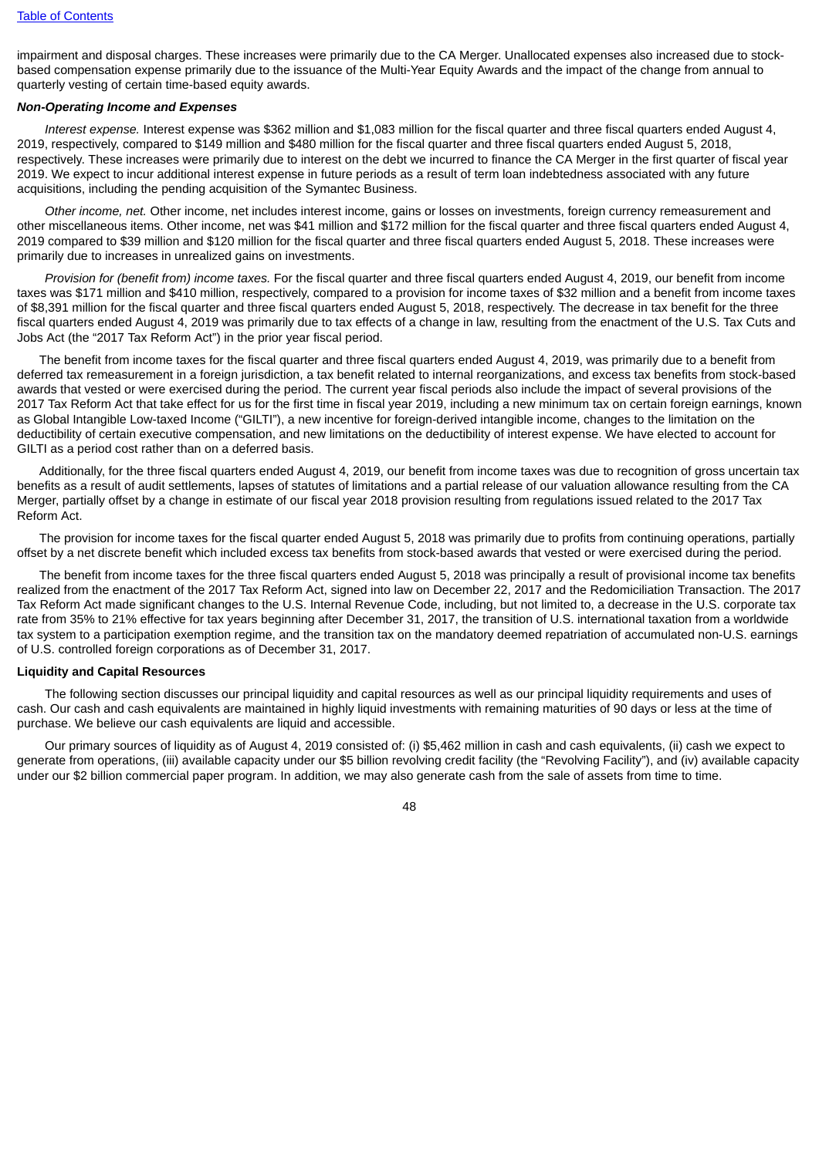impairment and disposal charges. These increases were primarily due to the CA Merger. Unallocated expenses also increased due to stockbased compensation expense primarily due to the issuance of the Multi-Year Equity Awards and the impact of the change from annual to quarterly vesting of certain time-based equity awards.

#### *Non-Operating Income and Expenses*

*Interest expense.* Interest expense was \$362 million and \$1,083 million for the fiscal quarter and three fiscal quarters ended August 4, 2019, respectively, compared to \$149 million and \$480 million for the fiscal quarter and three fiscal quarters ended August 5, 2018, respectively. These increases were primarily due to interest on the debt we incurred to finance the CA Merger in the first quarter of fiscal year 2019. We expect to incur additional interest expense in future periods as a result of term loan indebtedness associated with any future acquisitions, including the pending acquisition of the Symantec Business.

*Other income, net.* Other income, net includes interest income, gains or losses on investments, foreign currency remeasurement and other miscellaneous items. Other income, net was \$41 million and \$172 million for the fiscal quarter and three fiscal quarters ended August 4, 2019 compared to \$39 million and \$120 million for the fiscal quarter and three fiscal quarters ended August 5, 2018. These increases were primarily due to increases in unrealized gains on investments.

*Provision for (benefit from) income taxes.* For the fiscal quarter and three fiscal quarters ended August 4, 2019, our benefit from income taxes was \$171 million and \$410 million, respectively, compared to a provision for income taxes of \$32 million and a benefit from income taxes of \$8,391 million for the fiscal quarter and three fiscal quarters ended August 5, 2018, respectively. The decrease in tax benefit for the three fiscal quarters ended August 4, 2019 was primarily due to tax effects of a change in law, resulting from the enactment of the U.S. Tax Cuts and Jobs Act (the "2017 Tax Reform Act") in the prior year fiscal period.

The benefit from income taxes for the fiscal quarter and three fiscal quarters ended August 4, 2019, was primarily due to a benefit from deferred tax remeasurement in a foreign jurisdiction, a tax benefit related to internal reorganizations, and excess tax benefits from stock-based awards that vested or were exercised during the period. The current year fiscal periods also include the impact of several provisions of the 2017 Tax Reform Act that take effect for us for the first time in fiscal year 2019, including a new minimum tax on certain foreign earnings, known as Global Intangible Low-taxed Income ("GILTI"), a new incentive for foreign-derived intangible income, changes to the limitation on the deductibility of certain executive compensation, and new limitations on the deductibility of interest expense. We have elected to account for GILTI as a period cost rather than on a deferred basis.

Additionally, for the three fiscal quarters ended August 4, 2019, our benefit from income taxes was due to recognition of gross uncertain tax benefits as a result of audit settlements, lapses of statutes of limitations and a partial release of our valuation allowance resulting from the CA Merger, partially offset by a change in estimate of our fiscal year 2018 provision resulting from regulations issued related to the 2017 Tax Reform Act.

The provision for income taxes for the fiscal quarter ended August 5, 2018 was primarily due to profits from continuing operations, partially offset by a net discrete benefit which included excess tax benefits from stock-based awards that vested or were exercised during the period.

The benefit from income taxes for the three fiscal quarters ended August 5, 2018 was principally a result of provisional income tax benefits realized from the enactment of the 2017 Tax Reform Act, signed into law on December 22, 2017 and the Redomiciliation Transaction. The 2017 Tax Reform Act made significant changes to the U.S. Internal Revenue Code, including, but not limited to, a decrease in the U.S. corporate tax rate from 35% to 21% effective for tax years beginning after December 31, 2017, the transition of U.S. international taxation from a worldwide tax system to a participation exemption regime, and the transition tax on the mandatory deemed repatriation of accumulated non-U.S. earnings of U.S. controlled foreign corporations as of December 31, 2017.

### **Liquidity and Capital Resources**

The following section discusses our principal liquidity and capital resources as well as our principal liquidity requirements and uses of cash. Our cash and cash equivalents are maintained in highly liquid investments with remaining maturities of 90 days or less at the time of purchase. We believe our cash equivalents are liquid and accessible.

Our primary sources of liquidity as of August 4, 2019 consisted of: (i) \$5,462 million in cash and cash equivalents, (ii) cash we expect to generate from operations, (iii) available capacity under our \$5 billion revolving credit facility (the "Revolving Facility"), and (iv) available capacity under our \$2 billion commercial paper program. In addition, we may also generate cash from the sale of assets from time to time.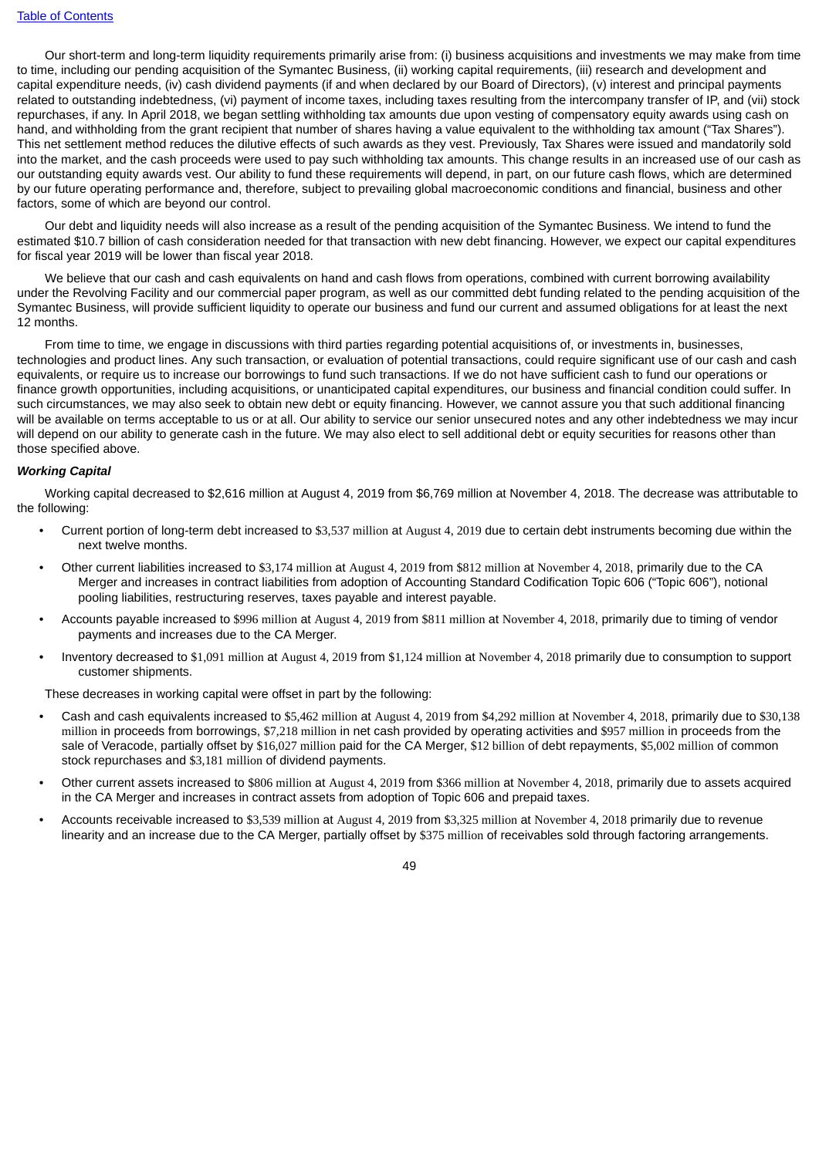Our short-term and long-term liquidity requirements primarily arise from: (i) business acquisitions and investments we may make from time to time, including our pending acquisition of the Symantec Business, (ii) working capital requirements, (iii) research and development and capital expenditure needs, (iv) cash dividend payments (if and when declared by our Board of Directors), (v) interest and principal payments related to outstanding indebtedness, (vi) payment of income taxes, including taxes resulting from the intercompany transfer of IP, and (vii) stock repurchases, if any. In April 2018, we began settling withholding tax amounts due upon vesting of compensatory equity awards using cash on hand, and withholding from the grant recipient that number of shares having a value equivalent to the withholding tax amount ("Tax Shares"). This net settlement method reduces the dilutive effects of such awards as they vest. Previously, Tax Shares were issued and mandatorily sold into the market, and the cash proceeds were used to pay such withholding tax amounts. This change results in an increased use of our cash as our outstanding equity awards vest. Our ability to fund these requirements will depend, in part, on our future cash flows, which are determined by our future operating performance and, therefore, subject to prevailing global macroeconomic conditions and financial, business and other factors, some of which are beyond our control.

Our debt and liquidity needs will also increase as a result of the pending acquisition of the Symantec Business. We intend to fund the estimated \$10.7 billion of cash consideration needed for that transaction with new debt financing. However, we expect our capital expenditures for fiscal year 2019 will be lower than fiscal year 2018.

We believe that our cash and cash equivalents on hand and cash flows from operations, combined with current borrowing availability under the Revolving Facility and our commercial paper program, as well as our committed debt funding related to the pending acquisition of the Symantec Business, will provide sufficient liquidity to operate our business and fund our current and assumed obligations for at least the next 12 months.

From time to time, we engage in discussions with third parties regarding potential acquisitions of, or investments in, businesses, technologies and product lines. Any such transaction, or evaluation of potential transactions, could require significant use of our cash and cash equivalents, or require us to increase our borrowings to fund such transactions. If we do not have sufficient cash to fund our operations or finance growth opportunities, including acquisitions, or unanticipated capital expenditures, our business and financial condition could suffer. In such circumstances, we may also seek to obtain new debt or equity financing. However, we cannot assure you that such additional financing will be available on terms acceptable to us or at all. Our ability to service our senior unsecured notes and any other indebtedness we may incur will depend on our ability to generate cash in the future. We may also elect to sell additional debt or equity securities for reasons other than those specified above.

#### *Working Capital*

Working capital decreased to \$2,616 million at August 4, 2019 from \$6,769 million at November 4, 2018. The decrease was attributable to the following:

- Current portion of long-term debt increased to \$3,537 million at August 4, 2019 due to certain debt instruments becoming due within the next twelve months.
- Other current liabilities increased to \$3,174 million at August 4, 2019 from \$812 million at November 4, 2018, primarily due to the CA Merger and increases in contract liabilities from adoption of Accounting Standard Codification Topic 606 ("Topic 606"), notional pooling liabilities, restructuring reserves, taxes payable and interest payable.
- Accounts payable increased to \$996 million at August 4, 2019 from \$811 million at November 4, 2018, primarily due to timing of vendor payments and increases due to the CA Merger.
- Inventory decreased to \$1,091 million at August 4, 2019 from \$1,124 million at November 4, 2018 primarily due to consumption to support customer shipments.

These decreases in working capital were offset in part by the following:

- Cash and cash equivalents increased to \$5,462 million at August 4, 2019 from \$4,292 million at November 4, 2018, primarily due to \$30,138 million in proceeds from borrowings, \$7,218 million in net cash provided by operating activities and \$957 million in proceeds from the sale of Veracode, partially offset by \$16,027 million paid for the CA Merger, \$12 billion of debt repayments, \$5,002 million of common stock repurchases and \$3,181 million of dividend payments.
- Other current assets increased to \$806 million at August 4, 2019 from \$366 million at November 4, 2018, primarily due to assets acquired in the CA Merger and increases in contract assets from adoption of Topic 606 and prepaid taxes.
- Accounts receivable increased to \$3,539 million at August 4, 2019 from \$3,325 million at November 4, 2018 primarily due to revenue linearity and an increase due to the CA Merger, partially offset by \$375 million of receivables sold through factoring arrangements.

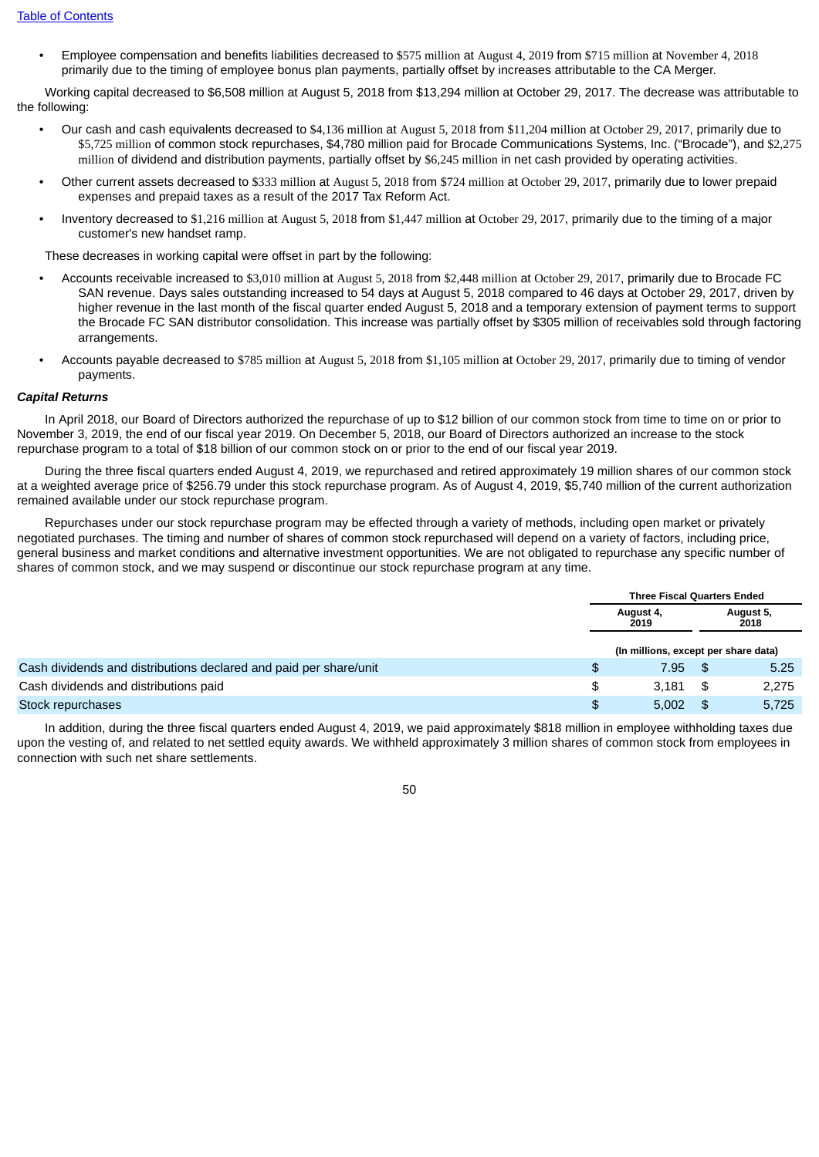• Employee compensation and benefits liabilities decreased to \$575 million at August 4, 2019 from \$715 million at November 4, 2018 primarily due to the timing of employee bonus plan payments, partially offset by increases attributable to the CA Merger.

Working capital decreased to \$6,508 million at August 5, 2018 from \$13,294 million at October 29, 2017. The decrease was attributable to the following:

- Our cash and cash equivalents decreased to \$4,136 million at August 5, 2018 from \$11,204 million at October 29, 2017, primarily due to \$5,725 million of common stock repurchases, \$4,780 million paid for Brocade Communications Systems, Inc. ("Brocade"), and \$2,275 million of dividend and distribution payments, partially offset by \$6,245 million in net cash provided by operating activities.
- Other current assets decreased to \$333 million at August 5, 2018 from \$724 million at October 29, 2017, primarily due to lower prepaid expenses and prepaid taxes as a result of the 2017 Tax Reform Act.
- Inventory decreased to \$1,216 million at August 5, 2018 from \$1,447 million at October 29, 2017, primarily due to the timing of a major customer's new handset ramp.

These decreases in working capital were offset in part by the following:

- Accounts receivable increased to \$3,010 million at August 5, 2018 from \$2,448 million at October 29, 2017, primarily due to Brocade FC SAN revenue. Days sales outstanding increased to 54 days at August 5, 2018 compared to 46 days at October 29, 2017, driven by higher revenue in the last month of the fiscal quarter ended August 5, 2018 and a temporary extension of payment terms to support the Brocade FC SAN distributor consolidation. This increase was partially offset by \$305 million of receivables sold through factoring arrangements.
- Accounts payable decreased to \$785 million at August 5, 2018 from \$1,105 million at October 29, 2017, primarily due to timing of vendor payments.

#### *Capital Returns*

In April 2018, our Board of Directors authorized the repurchase of up to \$12 billion of our common stock from time to time on or prior to November 3, 2019, the end of our fiscal year 2019. On December 5, 2018, our Board of Directors authorized an increase to the stock repurchase program to a total of \$18 billion of our common stock on or prior to the end of our fiscal year 2019.

During the three fiscal quarters ended August 4, 2019, we repurchased and retired approximately 19 million shares of our common stock at a weighted average price of \$256.79 under this stock repurchase program. As of August 4, 2019, \$5,740 million of the current authorization remained available under our stock repurchase program.

Repurchases under our stock repurchase program may be effected through a variety of methods, including open market or privately negotiated purchases. The timing and number of shares of common stock repurchased will depend on a variety of factors, including price, general business and market conditions and alternative investment opportunities. We are not obligated to repurchase any specific number of shares of common stock, and we may suspend or discontinue our stock repurchase program at any time.

|                                                                   | <b>Three Fiscal Quarters Ended</b>   |      |           |
|-------------------------------------------------------------------|--------------------------------------|------|-----------|
|                                                                   | August 4,<br>2018<br>2019            |      | August 5, |
|                                                                   | (In millions, except per share data) |      |           |
| Cash dividends and distributions declared and paid per share/unit | 7.95                                 | - \$ | 5.25      |
| Cash dividends and distributions paid                             | \$<br>3.181                          | \$   | 2,275     |
| Stock repurchases                                                 | 5.002                                | \$   | 5.725     |

In addition, during the three fiscal quarters ended August 4, 2019, we paid approximately \$818 million in employee withholding taxes due upon the vesting of, and related to net settled equity awards. We withheld approximately 3 million shares of common stock from employees in connection with such net share settlements.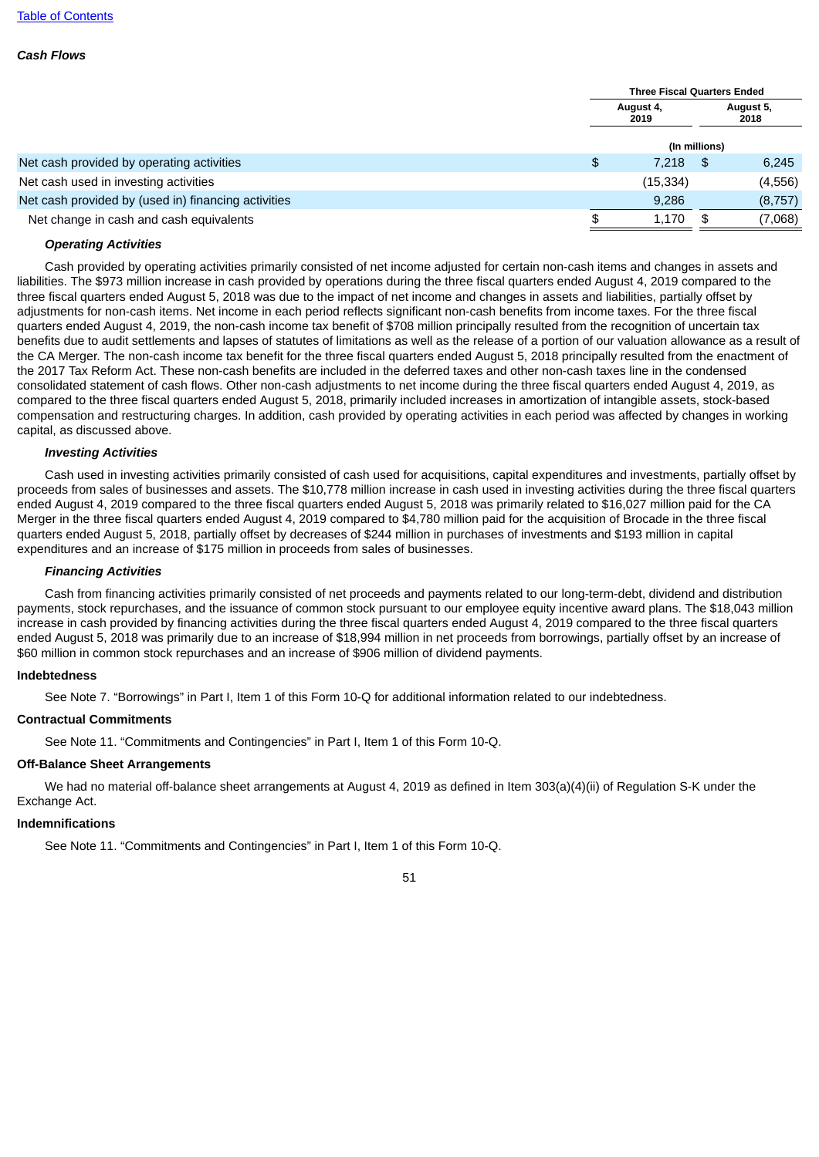#### *Cash Flows*

|                                                     |      | <b>Three Fiscal Quarters Ended</b> |          |  |
|-----------------------------------------------------|------|------------------------------------|----------|--|
|                                                     | 2019 | August 4,                          |          |  |
|                                                     |      | (In millions)                      |          |  |
| Net cash provided by operating activities           | \$   | 7,218<br>-\$                       | 6,245    |  |
| Net cash used in investing activities               |      | (15, 334)                          | (4, 556) |  |
| Net cash provided by (used in) financing activities |      | 9,286                              | (8, 757) |  |
| Net change in cash and cash equivalents             |      | 1,170<br>\$                        | (7,068)  |  |
|                                                     |      |                                    |          |  |

#### *Operating Activities*

Cash provided by operating activities primarily consisted of net income adjusted for certain non-cash items and changes in assets and liabilities. The \$973 million increase in cash provided by operations during the three fiscal quarters ended August 4, 2019 compared to the three fiscal quarters ended August 5, 2018 was due to the impact of net income and changes in assets and liabilities, partially offset by adjustments for non-cash items. Net income in each period reflects significant non-cash benefits from income taxes. For the three fiscal quarters ended August 4, 2019, the non-cash income tax benefit of \$708 million principally resulted from the recognition of uncertain tax benefits due to audit settlements and lapses of statutes of limitations as well as the release of a portion of our valuation allowance as a result of the CA Merger. The non-cash income tax benefit for the three fiscal quarters ended August 5, 2018 principally resulted from the enactment of the 2017 Tax Reform Act. These non-cash benefits are included in the deferred taxes and other non-cash taxes line in the condensed consolidated statement of cash flows. Other non-cash adjustments to net income during the three fiscal quarters ended August 4, 2019, as compared to the three fiscal quarters ended August 5, 2018, primarily included increases in amortization of intangible assets, stock-based compensation and restructuring charges. In addition, cash provided by operating activities in each period was affected by changes in working capital, as discussed above.

#### *Investing Activities*

Cash used in investing activities primarily consisted of cash used for acquisitions, capital expenditures and investments, partially offset by proceeds from sales of businesses and assets. The \$10,778 million increase in cash used in investing activities during the three fiscal quarters ended August 4, 2019 compared to the three fiscal quarters ended August 5, 2018 was primarily related to \$16,027 million paid for the CA Merger in the three fiscal quarters ended August 4, 2019 compared to \$4,780 million paid for the acquisition of Brocade in the three fiscal quarters ended August 5, 2018, partially offset by decreases of \$244 million in purchases of investments and \$193 million in capital expenditures and an increase of \$175 million in proceeds from sales of businesses.

#### *Financing Activities*

Cash from financing activities primarily consisted of net proceeds and payments related to our long-term-debt, dividend and distribution payments, stock repurchases, and the issuance of common stock pursuant to our employee equity incentive award plans. The \$18,043 million increase in cash provided by financing activities during the three fiscal quarters ended August 4, 2019 compared to the three fiscal quarters ended August 5, 2018 was primarily due to an increase of \$18,994 million in net proceeds from borrowings, partially offset by an increase of \$60 million in common stock repurchases and an increase of \$906 million of dividend payments.

#### **Indebtedness**

See Note 7. "Borrowings" in Part I, Item 1 of this Form 10-Q for additional information related to our indebtedness.

## **Contractual Commitments**

See Note 11. "Commitments and Contingencies" in Part I, Item 1 of this Form 10-Q.

## **Off-Balance Sheet Arrangements**

We had no material off-balance sheet arrangements at August 4, 2019 as defined in Item 303(a)(4)(ii) of Regulation S-K under the Exchange Act.

## **Indemnifications**

See Note 11. "Commitments and Contingencies" in Part I, Item 1 of this Form 10-Q.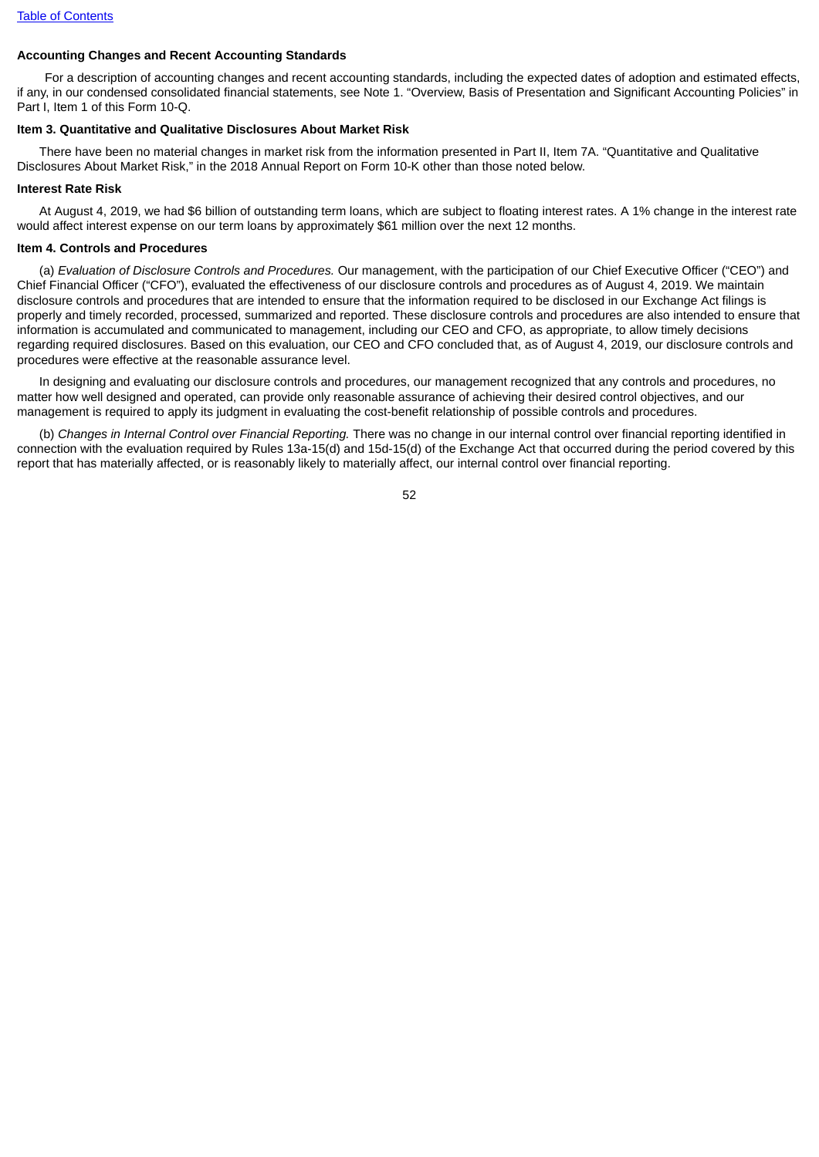# **Accounting Changes and Recent Accounting Standards**

For a description of accounting changes and recent accounting standards, including the expected dates of adoption and estimated effects, if any, in our condensed consolidated financial statements, see Note 1. "Overview, Basis of Presentation and Significant Accounting Policies" in Part I, Item 1 of this Form 10-Q.

## **Item 3. Quantitative and Qualitative Disclosures About Market Risk**

There have been no material changes in market risk from the information presented in Part II, Item 7A. "Quantitative and Qualitative Disclosures About Market Risk," in the 2018 Annual Report on Form 10-K other than those noted below.

### **Interest Rate Risk**

At August 4, 2019, we had \$6 billion of outstanding term loans, which are subject to floating interest rates. A 1% change in the interest rate would affect interest expense on our term loans by approximately \$61 million over the next 12 months.

## **Item 4. Controls and Procedures**

(a) *Evaluation of Disclosure Controls and Procedures.* Our management, with the participation of our Chief Executive Officer ("CEO") and Chief Financial Officer ("CFO"), evaluated the effectiveness of our disclosure controls and procedures as of August 4, 2019. We maintain disclosure controls and procedures that are intended to ensure that the information required to be disclosed in our Exchange Act filings is properly and timely recorded, processed, summarized and reported. These disclosure controls and procedures are also intended to ensure that information is accumulated and communicated to management, including our CEO and CFO, as appropriate, to allow timely decisions regarding required disclosures. Based on this evaluation, our CEO and CFO concluded that, as of August 4, 2019, our disclosure controls and procedures were effective at the reasonable assurance level.

In designing and evaluating our disclosure controls and procedures, our management recognized that any controls and procedures, no matter how well designed and operated, can provide only reasonable assurance of achieving their desired control objectives, and our management is required to apply its judgment in evaluating the cost-benefit relationship of possible controls and procedures.

(b) *Changes in Internal Control over Financial Reporting.* There was no change in our internal control over financial reporting identified in connection with the evaluation required by Rules 13a-15(d) and 15d-15(d) of the Exchange Act that occurred during the period covered by this report that has materially affected, or is reasonably likely to materially affect, our internal control over financial reporting.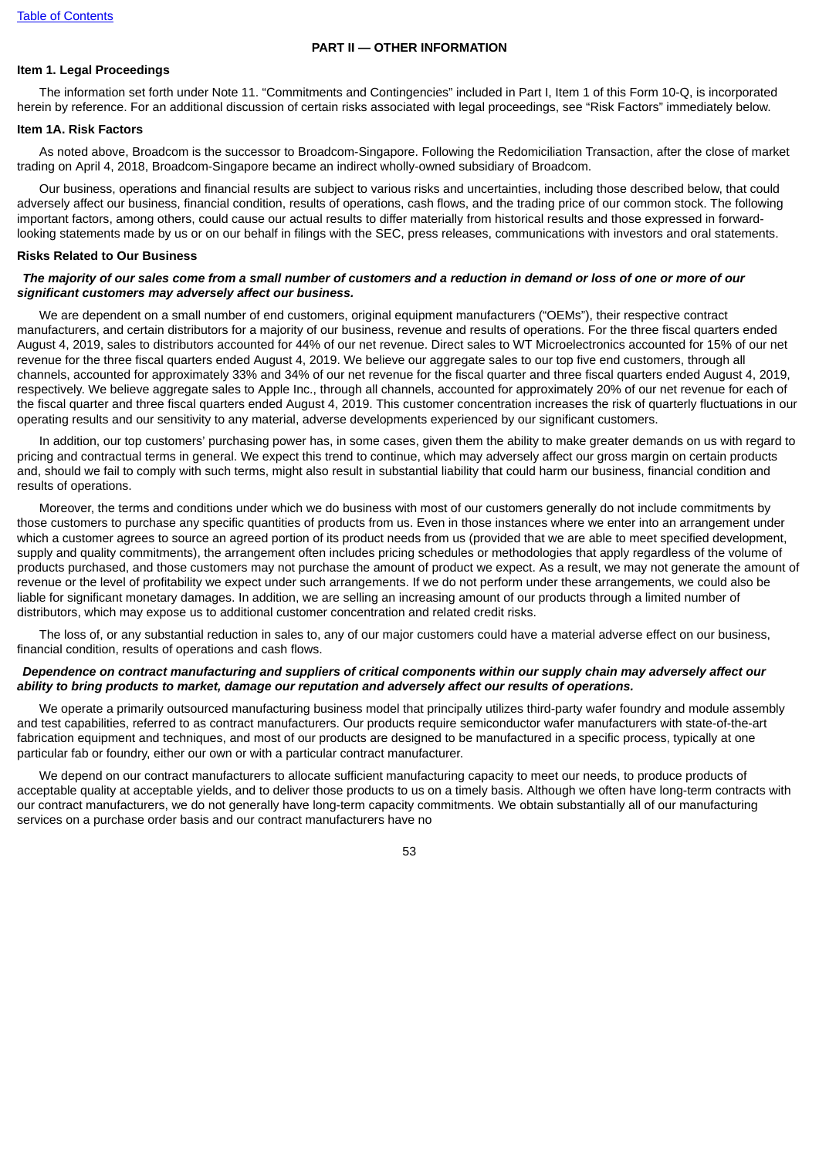#### **PART II — OTHER INFORMATION**

### **Item 1. Legal Proceedings**

The information set forth under Note 11. "Commitments and Contingencies" included in Part I, Item 1 of this Form 10-Q, is incorporated herein by reference. For an additional discussion of certain risks associated with legal proceedings, see "Risk Factors" immediately below.

### **Item 1A. Risk Factors**

As noted above, Broadcom is the successor to Broadcom-Singapore. Following the Redomiciliation Transaction, after the close of market trading on April 4, 2018, Broadcom-Singapore became an indirect wholly-owned subsidiary of Broadcom.

Our business, operations and financial results are subject to various risks and uncertainties, including those described below, that could adversely affect our business, financial condition, results of operations, cash flows, and the trading price of our common stock. The following important factors, among others, could cause our actual results to differ materially from historical results and those expressed in forwardlooking statements made by us or on our behalf in filings with the SEC, press releases, communications with investors and oral statements.

#### **Risks Related to Our Business**

### The majority of our sales come from a small number of customers and a reduction in demand or loss of one or more of our *significant customers may adversely affect our business.*

We are dependent on a small number of end customers, original equipment manufacturers ("OEMs"), their respective contract manufacturers, and certain distributors for a majority of our business, revenue and results of operations. For the three fiscal quarters ended August 4, 2019, sales to distributors accounted for 44% of our net revenue. Direct sales to WT Microelectronics accounted for 15% of our net revenue for the three fiscal quarters ended August 4, 2019. We believe our aggregate sales to our top five end customers, through all channels, accounted for approximately 33% and 34% of our net revenue for the fiscal quarter and three fiscal quarters ended August 4, 2019, respectively. We believe aggregate sales to Apple Inc., through all channels, accounted for approximately 20% of our net revenue for each of the fiscal quarter and three fiscal quarters ended August 4, 2019. This customer concentration increases the risk of quarterly fluctuations in our operating results and our sensitivity to any material, adverse developments experienced by our significant customers.

In addition, our top customers' purchasing power has, in some cases, given them the ability to make greater demands on us with regard to pricing and contractual terms in general. We expect this trend to continue, which may adversely affect our gross margin on certain products and, should we fail to comply with such terms, might also result in substantial liability that could harm our business, financial condition and results of operations.

Moreover, the terms and conditions under which we do business with most of our customers generally do not include commitments by those customers to purchase any specific quantities of products from us. Even in those instances where we enter into an arrangement under which a customer agrees to source an agreed portion of its product needs from us (provided that we are able to meet specified development, supply and quality commitments), the arrangement often includes pricing schedules or methodologies that apply regardless of the volume of products purchased, and those customers may not purchase the amount of product we expect. As a result, we may not generate the amount of revenue or the level of profitability we expect under such arrangements. If we do not perform under these arrangements, we could also be liable for significant monetary damages. In addition, we are selling an increasing amount of our products through a limited number of distributors, which may expose us to additional customer concentration and related credit risks.

The loss of, or any substantial reduction in sales to, any of our major customers could have a material adverse effect on our business, financial condition, results of operations and cash flows.

## Dependence on contract manufacturing and suppliers of critical components within our supply chain may adversely affect our *ability to bring products to market, damage our reputation and adversely affect our results of operations.*

We operate a primarily outsourced manufacturing business model that principally utilizes third-party wafer foundry and module assembly and test capabilities, referred to as contract manufacturers. Our products require semiconductor wafer manufacturers with state-of-the-art fabrication equipment and techniques, and most of our products are designed to be manufactured in a specific process, typically at one particular fab or foundry, either our own or with a particular contract manufacturer.

We depend on our contract manufacturers to allocate sufficient manufacturing capacity to meet our needs, to produce products of acceptable quality at acceptable yields, and to deliver those products to us on a timely basis. Although we often have long-term contracts with our contract manufacturers, we do not generally have long-term capacity commitments. We obtain substantially all of our manufacturing services on a purchase order basis and our contract manufacturers have no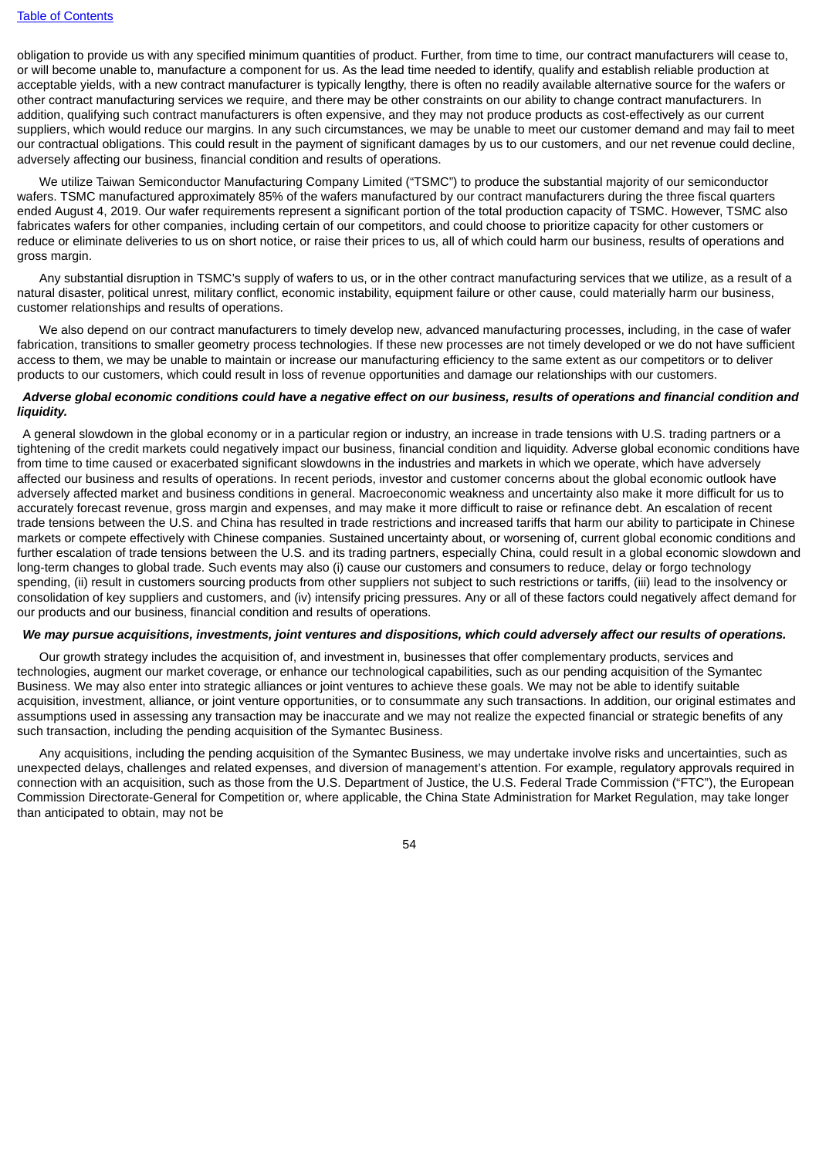obligation to provide us with any specified minimum quantities of product. Further, from time to time, our contract manufacturers will cease to, or will become unable to, manufacture a component for us. As the lead time needed to identify, qualify and establish reliable production at acceptable yields, with a new contract manufacturer is typically lengthy, there is often no readily available alternative source for the wafers or other contract manufacturing services we require, and there may be other constraints on our ability to change contract manufacturers. In addition, qualifying such contract manufacturers is often expensive, and they may not produce products as cost-effectively as our current suppliers, which would reduce our margins. In any such circumstances, we may be unable to meet our customer demand and may fail to meet our contractual obligations. This could result in the payment of significant damages by us to our customers, and our net revenue could decline, adversely affecting our business, financial condition and results of operations.

We utilize Taiwan Semiconductor Manufacturing Company Limited ("TSMC") to produce the substantial majority of our semiconductor wafers. TSMC manufactured approximately 85% of the wafers manufactured by our contract manufacturers during the three fiscal quarters ended August 4, 2019. Our wafer requirements represent a significant portion of the total production capacity of TSMC. However, TSMC also fabricates wafers for other companies, including certain of our competitors, and could choose to prioritize capacity for other customers or reduce or eliminate deliveries to us on short notice, or raise their prices to us, all of which could harm our business, results of operations and gross margin.

Any substantial disruption in TSMC's supply of wafers to us, or in the other contract manufacturing services that we utilize, as a result of a natural disaster, political unrest, military conflict, economic instability, equipment failure or other cause, could materially harm our business, customer relationships and results of operations.

We also depend on our contract manufacturers to timely develop new, advanced manufacturing processes, including, in the case of wafer fabrication, transitions to smaller geometry process technologies. If these new processes are not timely developed or we do not have sufficient access to them, we may be unable to maintain or increase our manufacturing efficiency to the same extent as our competitors or to deliver products to our customers, which could result in loss of revenue opportunities and damage our relationships with our customers.

#### Adverse global economic conditions could have a negative effect on our business, results of operations and financial condition and *liquidity.*

A general slowdown in the global economy or in a particular region or industry, an increase in trade tensions with U.S. trading partners or a tightening of the credit markets could negatively impact our business, financial condition and liquidity. Adverse global economic conditions have from time to time caused or exacerbated significant slowdowns in the industries and markets in which we operate, which have adversely affected our business and results of operations. In recent periods, investor and customer concerns about the global economic outlook have adversely affected market and business conditions in general. Macroeconomic weakness and uncertainty also make it more difficult for us to accurately forecast revenue, gross margin and expenses, and may make it more difficult to raise or refinance debt. An escalation of recent trade tensions between the U.S. and China has resulted in trade restrictions and increased tariffs that harm our ability to participate in Chinese markets or compete effectively with Chinese companies. Sustained uncertainty about, or worsening of, current global economic conditions and further escalation of trade tensions between the U.S. and its trading partners, especially China, could result in a global economic slowdown and long-term changes to global trade. Such events may also (i) cause our customers and consumers to reduce, delay or forgo technology spending, (ii) result in customers sourcing products from other suppliers not subject to such restrictions or tariffs, (iii) lead to the insolvency or consolidation of key suppliers and customers, and (iv) intensify pricing pressures. Any or all of these factors could negatively affect demand for our products and our business, financial condition and results of operations.

#### We may pursue acquisitions, investments, joint ventures and dispositions, which could adversely affect our results of operations.

Our growth strategy includes the acquisition of, and investment in, businesses that offer complementary products, services and technologies, augment our market coverage, or enhance our technological capabilities, such as our pending acquisition of the Symantec Business. We may also enter into strategic alliances or joint ventures to achieve these goals. We may not be able to identify suitable acquisition, investment, alliance, or joint venture opportunities, or to consummate any such transactions. In addition, our original estimates and assumptions used in assessing any transaction may be inaccurate and we may not realize the expected financial or strategic benefits of any such transaction, including the pending acquisition of the Symantec Business.

Any acquisitions, including the pending acquisition of the Symantec Business, we may undertake involve risks and uncertainties, such as unexpected delays, challenges and related expenses, and diversion of management's attention. For example, regulatory approvals required in connection with an acquisition, such as those from the U.S. Department of Justice, the U.S. Federal Trade Commission ("FTC"), the European Commission Directorate-General for Competition or, where applicable, the China State Administration for Market Regulation, may take longer than anticipated to obtain, may not be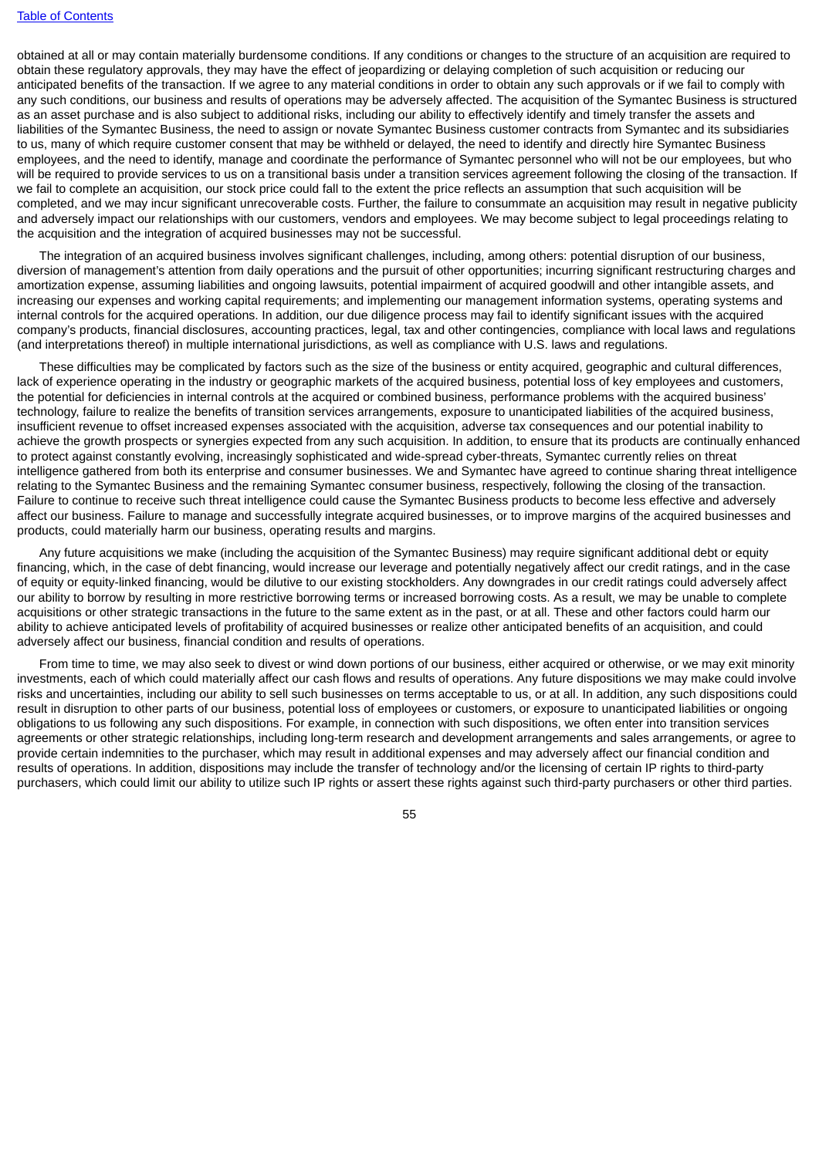obtained at all or may contain materially burdensome conditions. If any conditions or changes to the structure of an acquisition are required to obtain these regulatory approvals, they may have the effect of jeopardizing or delaying completion of such acquisition or reducing our anticipated benefits of the transaction. If we agree to any material conditions in order to obtain any such approvals or if we fail to comply with any such conditions, our business and results of operations may be adversely affected. The acquisition of the Symantec Business is structured as an asset purchase and is also subject to additional risks, including our ability to effectively identify and timely transfer the assets and liabilities of the Symantec Business, the need to assign or novate Symantec Business customer contracts from Symantec and its subsidiaries to us, many of which require customer consent that may be withheld or delayed, the need to identify and directly hire Symantec Business employees, and the need to identify, manage and coordinate the performance of Symantec personnel who will not be our employees, but who will be required to provide services to us on a transitional basis under a transition services agreement following the closing of the transaction. If we fail to complete an acquisition, our stock price could fall to the extent the price reflects an assumption that such acquisition will be completed, and we may incur significant unrecoverable costs. Further, the failure to consummate an acquisition may result in negative publicity and adversely impact our relationships with our customers, vendors and employees. We may become subject to legal proceedings relating to the acquisition and the integration of acquired businesses may not be successful.

The integration of an acquired business involves significant challenges, including, among others: potential disruption of our business, diversion of management's attention from daily operations and the pursuit of other opportunities; incurring significant restructuring charges and amortization expense, assuming liabilities and ongoing lawsuits, potential impairment of acquired goodwill and other intangible assets, and increasing our expenses and working capital requirements; and implementing our management information systems, operating systems and internal controls for the acquired operations. In addition, our due diligence process may fail to identify significant issues with the acquired company's products, financial disclosures, accounting practices, legal, tax and other contingencies, compliance with local laws and regulations (and interpretations thereof) in multiple international jurisdictions, as well as compliance with U.S. laws and regulations.

These difficulties may be complicated by factors such as the size of the business or entity acquired, geographic and cultural differences, lack of experience operating in the industry or geographic markets of the acquired business, potential loss of key employees and customers, the potential for deficiencies in internal controls at the acquired or combined business, performance problems with the acquired business' technology, failure to realize the benefits of transition services arrangements, exposure to unanticipated liabilities of the acquired business, insufficient revenue to offset increased expenses associated with the acquisition, adverse tax consequences and our potential inability to achieve the growth prospects or synergies expected from any such acquisition. In addition, to ensure that its products are continually enhanced to protect against constantly evolving, increasingly sophisticated and wide-spread cyber-threats, Symantec currently relies on threat intelligence gathered from both its enterprise and consumer businesses. We and Symantec have agreed to continue sharing threat intelligence relating to the Symantec Business and the remaining Symantec consumer business, respectively, following the closing of the transaction. Failure to continue to receive such threat intelligence could cause the Symantec Business products to become less effective and adversely affect our business. Failure to manage and successfully integrate acquired businesses, or to improve margins of the acquired businesses and products, could materially harm our business, operating results and margins.

Any future acquisitions we make (including the acquisition of the Symantec Business) may require significant additional debt or equity financing, which, in the case of debt financing, would increase our leverage and potentially negatively affect our credit ratings, and in the case of equity or equity-linked financing, would be dilutive to our existing stockholders. Any downgrades in our credit ratings could adversely affect our ability to borrow by resulting in more restrictive borrowing terms or increased borrowing costs. As a result, we may be unable to complete acquisitions or other strategic transactions in the future to the same extent as in the past, or at all. These and other factors could harm our ability to achieve anticipated levels of profitability of acquired businesses or realize other anticipated benefits of an acquisition, and could adversely affect our business, financial condition and results of operations.

From time to time, we may also seek to divest or wind down portions of our business, either acquired or otherwise, or we may exit minority investments, each of which could materially affect our cash flows and results of operations. Any future dispositions we may make could involve risks and uncertainties, including our ability to sell such businesses on terms acceptable to us, or at all. In addition, any such dispositions could result in disruption to other parts of our business, potential loss of employees or customers, or exposure to unanticipated liabilities or ongoing obligations to us following any such dispositions. For example, in connection with such dispositions, we often enter into transition services agreements or other strategic relationships, including long-term research and development arrangements and sales arrangements, or agree to provide certain indemnities to the purchaser, which may result in additional expenses and may adversely affect our financial condition and results of operations. In addition, dispositions may include the transfer of technology and/or the licensing of certain IP rights to third-party purchasers, which could limit our ability to utilize such IP rights or assert these rights against such third-party purchasers or other third parties.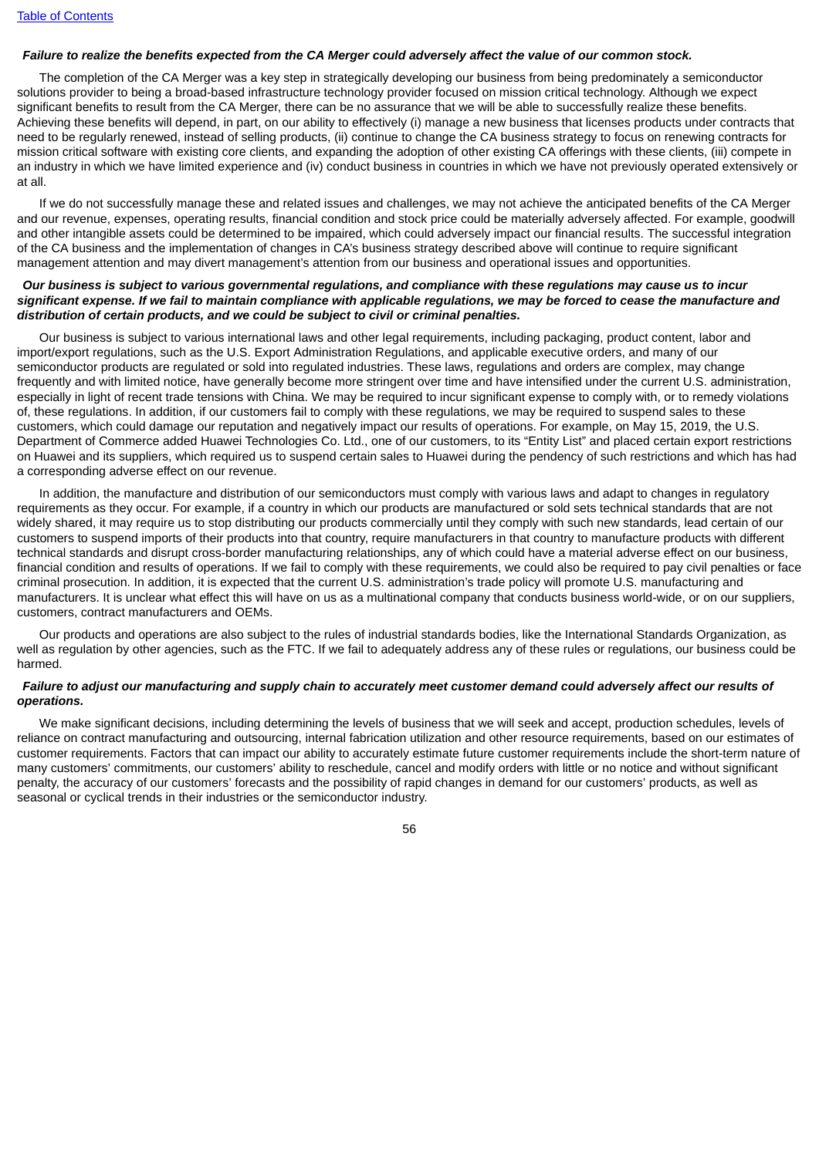## Failure to realize the benefits expected from the CA Merger could adversely affect the value of our common stock.

The completion of the CA Merger was a key step in strategically developing our business from being predominately a semiconductor solutions provider to being a broad-based infrastructure technology provider focused on mission critical technology. Although we expect significant benefits to result from the CA Merger, there can be no assurance that we will be able to successfully realize these benefits. Achieving these benefits will depend, in part, on our ability to effectively (i) manage a new business that licenses products under contracts that need to be regularly renewed, instead of selling products, (ii) continue to change the CA business strategy to focus on renewing contracts for mission critical software with existing core clients, and expanding the adoption of other existing CA offerings with these clients, (iii) compete in an industry in which we have limited experience and (iv) conduct business in countries in which we have not previously operated extensively or at all.

If we do not successfully manage these and related issues and challenges, we may not achieve the anticipated benefits of the CA Merger and our revenue, expenses, operating results, financial condition and stock price could be materially adversely affected. For example, goodwill and other intangible assets could be determined to be impaired, which could adversely impact our financial results. The successful integration of the CA business and the implementation of changes in CA's business strategy described above will continue to require significant management attention and may divert management's attention from our business and operational issues and opportunities.

### Our business is subject to various governmental regulations, and compliance with these regulations may cause us to incur significant expense. If we fail to maintain compliance with applicable regulations, we may be forced to cease the manufacture and *distribution of certain products, and we could be subject to civil or criminal penalties.*

Our business is subject to various international laws and other legal requirements, including packaging, product content, labor and import/export regulations, such as the U.S. Export Administration Regulations, and applicable executive orders, and many of our semiconductor products are regulated or sold into regulated industries. These laws, regulations and orders are complex, may change frequently and with limited notice, have generally become more stringent over time and have intensified under the current U.S. administration, especially in light of recent trade tensions with China. We may be required to incur significant expense to comply with, or to remedy violations of, these regulations. In addition, if our customers fail to comply with these regulations, we may be required to suspend sales to these customers, which could damage our reputation and negatively impact our results of operations. For example, on May 15, 2019, the U.S. Department of Commerce added Huawei Technologies Co. Ltd., one of our customers, to its "Entity List" and placed certain export restrictions on Huawei and its suppliers, which required us to suspend certain sales to Huawei during the pendency of such restrictions and which has had a corresponding adverse effect on our revenue.

In addition, the manufacture and distribution of our semiconductors must comply with various laws and adapt to changes in regulatory requirements as they occur. For example, if a country in which our products are manufactured or sold sets technical standards that are not widely shared, it may require us to stop distributing our products commercially until they comply with such new standards, lead certain of our customers to suspend imports of their products into that country, require manufacturers in that country to manufacture products with different technical standards and disrupt cross-border manufacturing relationships, any of which could have a material adverse effect on our business, financial condition and results of operations. If we fail to comply with these requirements, we could also be required to pay civil penalties or face criminal prosecution. In addition, it is expected that the current U.S. administration's trade policy will promote U.S. manufacturing and manufacturers. It is unclear what effect this will have on us as a multinational company that conducts business world-wide, or on our suppliers, customers, contract manufacturers and OEMs.

Our products and operations are also subject to the rules of industrial standards bodies, like the International Standards Organization, as well as regulation by other agencies, such as the FTC. If we fail to adequately address any of these rules or regulations, our business could be harmed.

### Failure to adjust our manufacturing and supply chain to accurately meet customer demand could adversely affect our results of *operations.*

We make significant decisions, including determining the levels of business that we will seek and accept, production schedules, levels of reliance on contract manufacturing and outsourcing, internal fabrication utilization and other resource requirements, based on our estimates of customer requirements. Factors that can impact our ability to accurately estimate future customer requirements include the short-term nature of many customers' commitments, our customers' ability to reschedule, cancel and modify orders with little or no notice and without significant penalty, the accuracy of our customers' forecasts and the possibility of rapid changes in demand for our customers' products, as well as seasonal or cyclical trends in their industries or the semiconductor industry.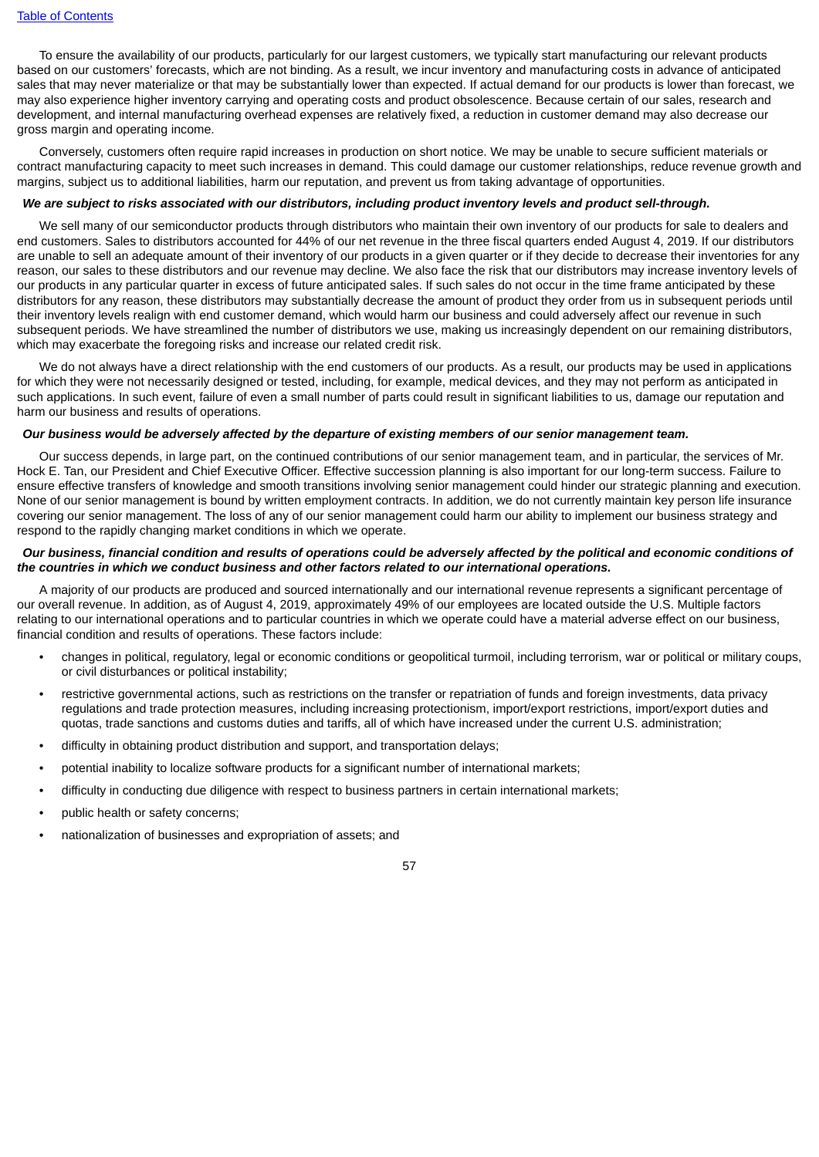To ensure the availability of our products, particularly for our largest customers, we typically start manufacturing our relevant products based on our customers' forecasts, which are not binding. As a result, we incur inventory and manufacturing costs in advance of anticipated sales that may never materialize or that may be substantially lower than expected. If actual demand for our products is lower than forecast, we may also experience higher inventory carrying and operating costs and product obsolescence. Because certain of our sales, research and development, and internal manufacturing overhead expenses are relatively fixed, a reduction in customer demand may also decrease our gross margin and operating income.

Conversely, customers often require rapid increases in production on short notice. We may be unable to secure sufficient materials or contract manufacturing capacity to meet such increases in demand. This could damage our customer relationships, reduce revenue growth and margins, subject us to additional liabilities, harm our reputation, and prevent us from taking advantage of opportunities.

#### We are subject to risks associated with our distributors, including product inventory levels and product sell-through.

We sell many of our semiconductor products through distributors who maintain their own inventory of our products for sale to dealers and end customers. Sales to distributors accounted for 44% of our net revenue in the three fiscal quarters ended August 4, 2019. If our distributors are unable to sell an adequate amount of their inventory of our products in a given quarter or if they decide to decrease their inventories for any reason, our sales to these distributors and our revenue may decline. We also face the risk that our distributors may increase inventory levels of our products in any particular quarter in excess of future anticipated sales. If such sales do not occur in the time frame anticipated by these distributors for any reason, these distributors may substantially decrease the amount of product they order from us in subsequent periods until their inventory levels realign with end customer demand, which would harm our business and could adversely affect our revenue in such subsequent periods. We have streamlined the number of distributors we use, making us increasingly dependent on our remaining distributors, which may exacerbate the foregoing risks and increase our related credit risk.

We do not always have a direct relationship with the end customers of our products. As a result, our products may be used in applications for which they were not necessarily designed or tested, including, for example, medical devices, and they may not perform as anticipated in such applications. In such event, failure of even a small number of parts could result in significant liabilities to us, damage our reputation and harm our business and results of operations.

### Our business would be adversely affected by the departure of existing members of our senior management team.

Our success depends, in large part, on the continued contributions of our senior management team, and in particular, the services of Mr. Hock E. Tan, our President and Chief Executive Officer. Effective succession planning is also important for our long-term success. Failure to ensure effective transfers of knowledge and smooth transitions involving senior management could hinder our strategic planning and execution. None of our senior management is bound by written employment contracts. In addition, we do not currently maintain key person life insurance covering our senior management. The loss of any of our senior management could harm our ability to implement our business strategy and respond to the rapidly changing market conditions in which we operate.

### Our business, financial condition and results of operations could be adversely affected by the political and economic conditions of *the countries in which we conduct business and other factors related to our international operations.*

A majority of our products are produced and sourced internationally and our international revenue represents a significant percentage of our overall revenue. In addition, as of August 4, 2019, approximately 49% of our employees are located outside the U.S. Multiple factors relating to our international operations and to particular countries in which we operate could have a material adverse effect on our business, financial condition and results of operations. These factors include:

- changes in political, regulatory, legal or economic conditions or geopolitical turmoil, including terrorism, war or political or military coups, or civil disturbances or political instability;
- restrictive governmental actions, such as restrictions on the transfer or repatriation of funds and foreign investments, data privacy regulations and trade protection measures, including increasing protectionism, import/export restrictions, import/export duties and quotas, trade sanctions and customs duties and tariffs, all of which have increased under the current U.S. administration;
- difficulty in obtaining product distribution and support, and transportation delays;
- potential inability to localize software products for a significant number of international markets;
- difficulty in conducting due diligence with respect to business partners in certain international markets;
- public health or safety concerns;
- nationalization of businesses and expropriation of assets; and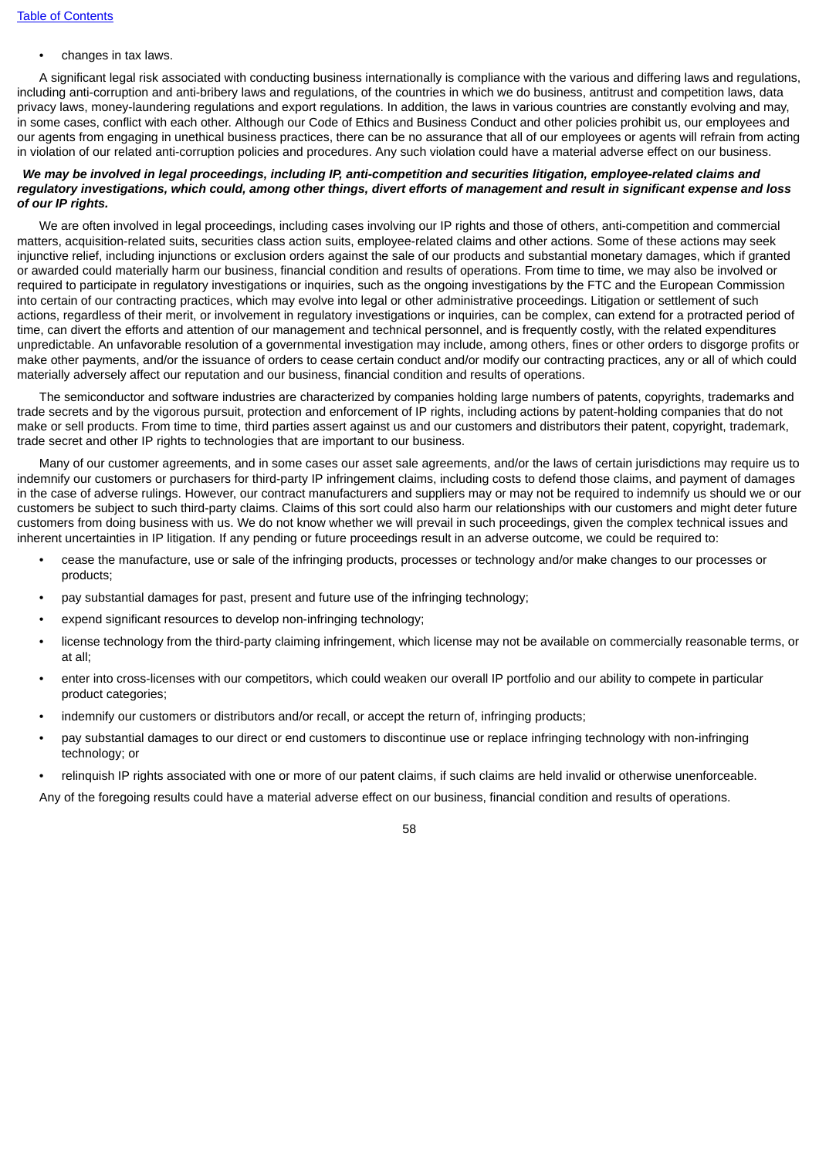• changes in tax laws.

A significant legal risk associated with conducting business internationally is compliance with the various and differing laws and regulations, including anti-corruption and anti-bribery laws and regulations, of the countries in which we do business, antitrust and competition laws, data privacy laws, money-laundering regulations and export regulations. In addition, the laws in various countries are constantly evolving and may, in some cases, conflict with each other. Although our Code of Ethics and Business Conduct and other policies prohibit us, our employees and our agents from engaging in unethical business practices, there can be no assurance that all of our employees or agents will refrain from acting in violation of our related anti-corruption policies and procedures. Any such violation could have a material adverse effect on our business.

### We may be involved in legal proceedings, including IP, anti-competition and securities litigation, employee-related claims and regulatory investigations, which could, among other things, divert efforts of management and result in significant expense and loss *of our IP rights.*

We are often involved in legal proceedings, including cases involving our IP rights and those of others, anti-competition and commercial matters, acquisition-related suits, securities class action suits, employee-related claims and other actions. Some of these actions may seek injunctive relief, including injunctions or exclusion orders against the sale of our products and substantial monetary damages, which if granted or awarded could materially harm our business, financial condition and results of operations. From time to time, we may also be involved or required to participate in regulatory investigations or inquiries, such as the ongoing investigations by the FTC and the European Commission into certain of our contracting practices, which may evolve into legal or other administrative proceedings. Litigation or settlement of such actions, regardless of their merit, or involvement in regulatory investigations or inquiries, can be complex, can extend for a protracted period of time, can divert the efforts and attention of our management and technical personnel, and is frequently costly, with the related expenditures unpredictable. An unfavorable resolution of a governmental investigation may include, among others, fines or other orders to disgorge profits or make other payments, and/or the issuance of orders to cease certain conduct and/or modify our contracting practices, any or all of which could materially adversely affect our reputation and our business, financial condition and results of operations.

The semiconductor and software industries are characterized by companies holding large numbers of patents, copyrights, trademarks and trade secrets and by the vigorous pursuit, protection and enforcement of IP rights, including actions by patent-holding companies that do not make or sell products. From time to time, third parties assert against us and our customers and distributors their patent, copyright, trademark, trade secret and other IP rights to technologies that are important to our business.

Many of our customer agreements, and in some cases our asset sale agreements, and/or the laws of certain jurisdictions may require us to indemnify our customers or purchasers for third-party IP infringement claims, including costs to defend those claims, and payment of damages in the case of adverse rulings. However, our contract manufacturers and suppliers may or may not be required to indemnify us should we or our customers be subject to such third-party claims. Claims of this sort could also harm our relationships with our customers and might deter future customers from doing business with us. We do not know whether we will prevail in such proceedings, given the complex technical issues and inherent uncertainties in IP litigation. If any pending or future proceedings result in an adverse outcome, we could be required to:

- cease the manufacture, use or sale of the infringing products, processes or technology and/or make changes to our processes or products;
- pay substantial damages for past, present and future use of the infringing technology;
- expend significant resources to develop non-infringing technology;
- license technology from the third-party claiming infringement, which license may not be available on commercially reasonable terms, or at all;
- enter into cross-licenses with our competitors, which could weaken our overall IP portfolio and our ability to compete in particular product categories;
- indemnify our customers or distributors and/or recall, or accept the return of, infringing products;
- pay substantial damages to our direct or end customers to discontinue use or replace infringing technology with non-infringing technology; or
- relinquish IP rights associated with one or more of our patent claims, if such claims are held invalid or otherwise unenforceable.

Any of the foregoing results could have a material adverse effect on our business, financial condition and results of operations.

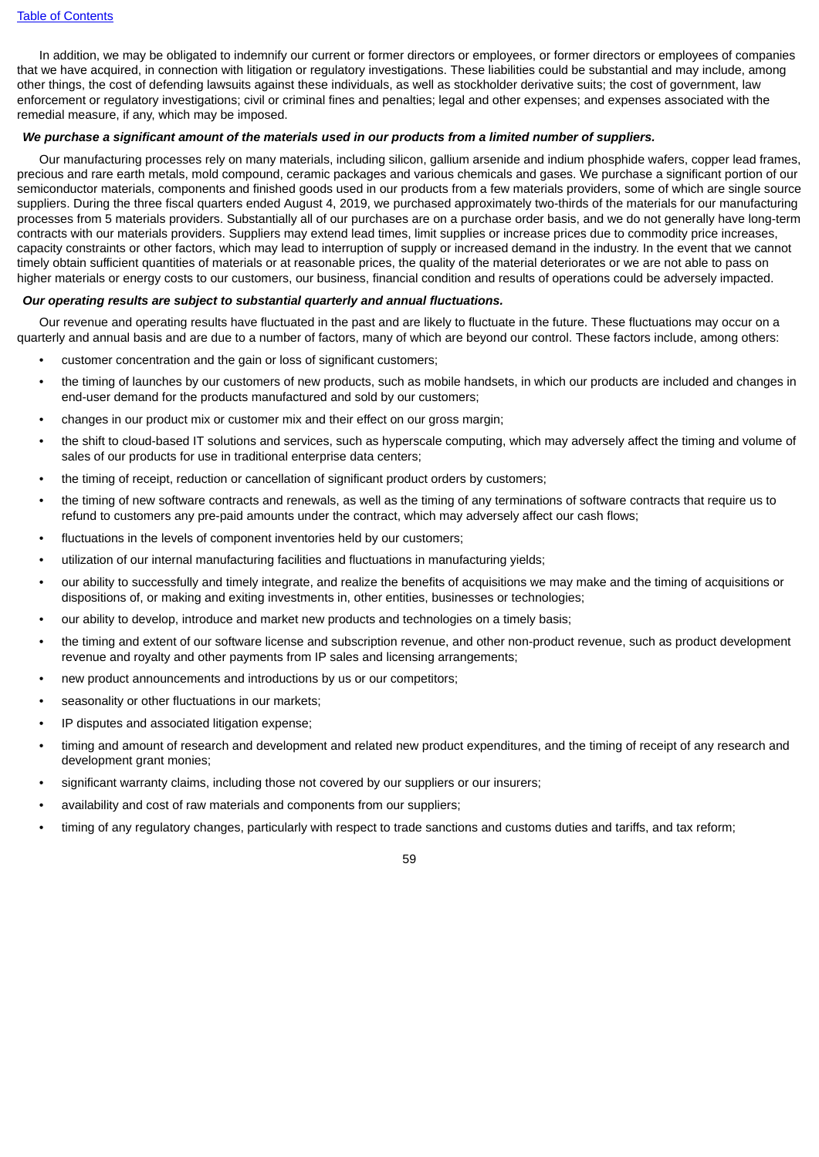In addition, we may be obligated to indemnify our current or former directors or employees, or former directors or employees of companies that we have acquired, in connection with litigation or regulatory investigations. These liabilities could be substantial and may include, among other things, the cost of defending lawsuits against these individuals, as well as stockholder derivative suits; the cost of government, law enforcement or regulatory investigations; civil or criminal fines and penalties; legal and other expenses; and expenses associated with the remedial measure, if any, which may be imposed.

### We purchase a significant amount of the materials used in our products from a limited number of suppliers.

Our manufacturing processes rely on many materials, including silicon, gallium arsenide and indium phosphide wafers, copper lead frames, precious and rare earth metals, mold compound, ceramic packages and various chemicals and gases. We purchase a significant portion of our semiconductor materials, components and finished goods used in our products from a few materials providers, some of which are single source suppliers. During the three fiscal quarters ended August 4, 2019, we purchased approximately two-thirds of the materials for our manufacturing processes from 5 materials providers. Substantially all of our purchases are on a purchase order basis, and we do not generally have long-term contracts with our materials providers. Suppliers may extend lead times, limit supplies or increase prices due to commodity price increases, capacity constraints or other factors, which may lead to interruption of supply or increased demand in the industry. In the event that we cannot timely obtain sufficient quantities of materials or at reasonable prices, the quality of the material deteriorates or we are not able to pass on higher materials or energy costs to our customers, our business, financial condition and results of operations could be adversely impacted.

#### *Our operating results are subject to substantial quarterly and annual fluctuations.*

Our revenue and operating results have fluctuated in the past and are likely to fluctuate in the future. These fluctuations may occur on a quarterly and annual basis and are due to a number of factors, many of which are beyond our control. These factors include, among others:

- customer concentration and the gain or loss of significant customers;
- the timing of launches by our customers of new products, such as mobile handsets, in which our products are included and changes in end-user demand for the products manufactured and sold by our customers;
- changes in our product mix or customer mix and their effect on our gross margin;
- the shift to cloud-based IT solutions and services, such as hyperscale computing, which may adversely affect the timing and volume of sales of our products for use in traditional enterprise data centers;
- the timing of receipt, reduction or cancellation of significant product orders by customers;
- the timing of new software contracts and renewals, as well as the timing of any terminations of software contracts that require us to refund to customers any pre-paid amounts under the contract, which may adversely affect our cash flows;
- fluctuations in the levels of component inventories held by our customers;
- utilization of our internal manufacturing facilities and fluctuations in manufacturing yields;
- our ability to successfully and timely integrate, and realize the benefits of acquisitions we may make and the timing of acquisitions or dispositions of, or making and exiting investments in, other entities, businesses or technologies;
- our ability to develop, introduce and market new products and technologies on a timely basis;
- the timing and extent of our software license and subscription revenue, and other non-product revenue, such as product development revenue and royalty and other payments from IP sales and licensing arrangements;
- new product announcements and introductions by us or our competitors;
- seasonality or other fluctuations in our markets;
- IP disputes and associated litigation expense;
- timing and amount of research and development and related new product expenditures, and the timing of receipt of any research and development grant monies;
- significant warranty claims, including those not covered by our suppliers or our insurers;
- availability and cost of raw materials and components from our suppliers;
- timing of any regulatory changes, particularly with respect to trade sanctions and customs duties and tariffs, and tax reform;

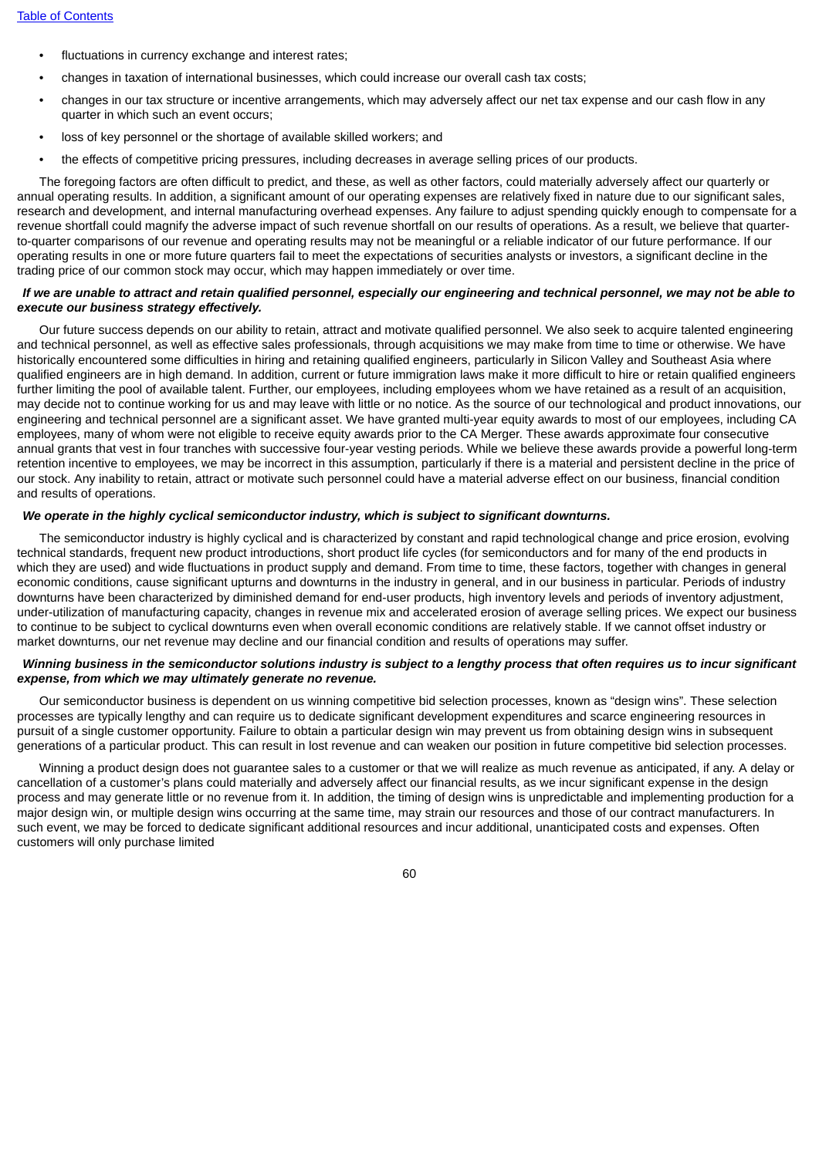- fluctuations in currency exchange and interest rates;
- changes in taxation of international businesses, which could increase our overall cash tax costs;
- changes in our tax structure or incentive arrangements, which may adversely affect our net tax expense and our cash flow in any quarter in which such an event occurs;
- loss of key personnel or the shortage of available skilled workers; and
- the effects of competitive pricing pressures, including decreases in average selling prices of our products.

The foregoing factors are often difficult to predict, and these, as well as other factors, could materially adversely affect our quarterly or annual operating results. In addition, a significant amount of our operating expenses are relatively fixed in nature due to our significant sales, research and development, and internal manufacturing overhead expenses. Any failure to adjust spending quickly enough to compensate for a revenue shortfall could magnify the adverse impact of such revenue shortfall on our results of operations. As a result, we believe that quarterto-quarter comparisons of our revenue and operating results may not be meaningful or a reliable indicator of our future performance. If our operating results in one or more future quarters fail to meet the expectations of securities analysts or investors, a significant decline in the trading price of our common stock may occur, which may happen immediately or over time.

## If we are unable to attract and retain qualified personnel, especially our engineering and technical personnel, we may not be able to *execute our business strategy effectively.*

Our future success depends on our ability to retain, attract and motivate qualified personnel. We also seek to acquire talented engineering and technical personnel, as well as effective sales professionals, through acquisitions we may make from time to time or otherwise. We have historically encountered some difficulties in hiring and retaining qualified engineers, particularly in Silicon Valley and Southeast Asia where qualified engineers are in high demand. In addition, current or future immigration laws make it more difficult to hire or retain qualified engineers further limiting the pool of available talent. Further, our employees, including employees whom we have retained as a result of an acquisition, may decide not to continue working for us and may leave with little or no notice. As the source of our technological and product innovations, our engineering and technical personnel are a significant asset. We have granted multi-year equity awards to most of our employees, including CA employees, many of whom were not eligible to receive equity awards prior to the CA Merger. These awards approximate four consecutive annual grants that vest in four tranches with successive four-year vesting periods. While we believe these awards provide a powerful long-term retention incentive to employees, we may be incorrect in this assumption, particularly if there is a material and persistent decline in the price of our stock. Any inability to retain, attract or motivate such personnel could have a material adverse effect on our business, financial condition and results of operations.

# *We operate in the highly cyclical semiconductor industry, which is subject to significant downturns.*

The semiconductor industry is highly cyclical and is characterized by constant and rapid technological change and price erosion, evolving technical standards, frequent new product introductions, short product life cycles (for semiconductors and for many of the end products in which they are used) and wide fluctuations in product supply and demand. From time to time, these factors, together with changes in general economic conditions, cause significant upturns and downturns in the industry in general, and in our business in particular. Periods of industry downturns have been characterized by diminished demand for end-user products, high inventory levels and periods of inventory adjustment, under-utilization of manufacturing capacity, changes in revenue mix and accelerated erosion of average selling prices. We expect our business to continue to be subject to cyclical downturns even when overall economic conditions are relatively stable. If we cannot offset industry or market downturns, our net revenue may decline and our financial condition and results of operations may suffer.

## Winning business in the semiconductor solutions industry is subject to a lengthy process that often requires us to incur significant *expense, from which we may ultimately generate no revenue.*

Our semiconductor business is dependent on us winning competitive bid selection processes, known as "design wins". These selection processes are typically lengthy and can require us to dedicate significant development expenditures and scarce engineering resources in pursuit of a single customer opportunity. Failure to obtain a particular design win may prevent us from obtaining design wins in subsequent generations of a particular product. This can result in lost revenue and can weaken our position in future competitive bid selection processes.

Winning a product design does not guarantee sales to a customer or that we will realize as much revenue as anticipated, if any. A delay or cancellation of a customer's plans could materially and adversely affect our financial results, as we incur significant expense in the design process and may generate little or no revenue from it. In addition, the timing of design wins is unpredictable and implementing production for a major design win, or multiple design wins occurring at the same time, may strain our resources and those of our contract manufacturers. In such event, we may be forced to dedicate significant additional resources and incur additional, unanticipated costs and expenses. Often customers will only purchase limited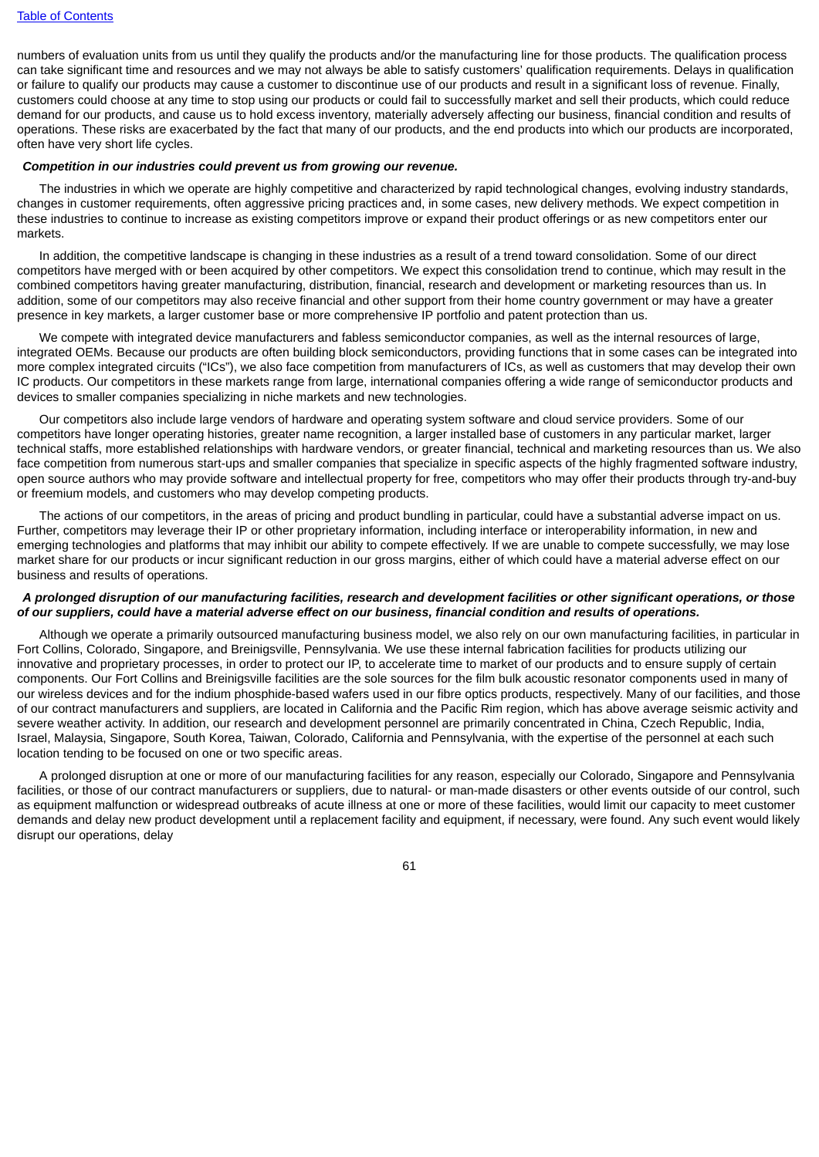numbers of evaluation units from us until they qualify the products and/or the manufacturing line for those products. The qualification process can take significant time and resources and we may not always be able to satisfy customers' qualification requirements. Delays in qualification or failure to qualify our products may cause a customer to discontinue use of our products and result in a significant loss of revenue. Finally, customers could choose at any time to stop using our products or could fail to successfully market and sell their products, which could reduce demand for our products, and cause us to hold excess inventory, materially adversely affecting our business, financial condition and results of operations. These risks are exacerbated by the fact that many of our products, and the end products into which our products are incorporated, often have very short life cycles.

#### *Competition in our industries could prevent us from growing our revenue.*

The industries in which we operate are highly competitive and characterized by rapid technological changes, evolving industry standards, changes in customer requirements, often aggressive pricing practices and, in some cases, new delivery methods. We expect competition in these industries to continue to increase as existing competitors improve or expand their product offerings or as new competitors enter our markets.

In addition, the competitive landscape is changing in these industries as a result of a trend toward consolidation. Some of our direct competitors have merged with or been acquired by other competitors. We expect this consolidation trend to continue, which may result in the combined competitors having greater manufacturing, distribution, financial, research and development or marketing resources than us. In addition, some of our competitors may also receive financial and other support from their home country government or may have a greater presence in key markets, a larger customer base or more comprehensive IP portfolio and patent protection than us.

We compete with integrated device manufacturers and fabless semiconductor companies, as well as the internal resources of large, integrated OEMs. Because our products are often building block semiconductors, providing functions that in some cases can be integrated into more complex integrated circuits ("ICs"), we also face competition from manufacturers of ICs, as well as customers that may develop their own IC products. Our competitors in these markets range from large, international companies offering a wide range of semiconductor products and devices to smaller companies specializing in niche markets and new technologies.

Our competitors also include large vendors of hardware and operating system software and cloud service providers. Some of our competitors have longer operating histories, greater name recognition, a larger installed base of customers in any particular market, larger technical staffs, more established relationships with hardware vendors, or greater financial, technical and marketing resources than us. We also face competition from numerous start-ups and smaller companies that specialize in specific aspects of the highly fragmented software industry. open source authors who may provide software and intellectual property for free, competitors who may offer their products through try-and-buy or freemium models, and customers who may develop competing products.

The actions of our competitors, in the areas of pricing and product bundling in particular, could have a substantial adverse impact on us. Further, competitors may leverage their IP or other proprietary information, including interface or interoperability information, in new and emerging technologies and platforms that may inhibit our ability to compete effectively. If we are unable to compete successfully, we may lose market share for our products or incur significant reduction in our gross margins, either of which could have a material adverse effect on our business and results of operations.

### A prolonged disruption of our manufacturing facilities, research and development facilities or other significant operations, or those of our suppliers, could have a material adverse effect on our business, financial condition and results of operations.

Although we operate a primarily outsourced manufacturing business model, we also rely on our own manufacturing facilities, in particular in Fort Collins, Colorado, Singapore, and Breinigsville, Pennsylvania. We use these internal fabrication facilities for products utilizing our innovative and proprietary processes, in order to protect our IP, to accelerate time to market of our products and to ensure supply of certain components. Our Fort Collins and Breinigsville facilities are the sole sources for the film bulk acoustic resonator components used in many of our wireless devices and for the indium phosphide-based wafers used in our fibre optics products, respectively. Many of our facilities, and those of our contract manufacturers and suppliers, are located in California and the Pacific Rim region, which has above average seismic activity and severe weather activity. In addition, our research and development personnel are primarily concentrated in China, Czech Republic, India, Israel, Malaysia, Singapore, South Korea, Taiwan, Colorado, California and Pennsylvania, with the expertise of the personnel at each such location tending to be focused on one or two specific areas.

A prolonged disruption at one or more of our manufacturing facilities for any reason, especially our Colorado, Singapore and Pennsylvania facilities, or those of our contract manufacturers or suppliers, due to natural- or man-made disasters or other events outside of our control, such as equipment malfunction or widespread outbreaks of acute illness at one or more of these facilities, would limit our capacity to meet customer demands and delay new product development until a replacement facility and equipment, if necessary, were found. Any such event would likely disrupt our operations, delay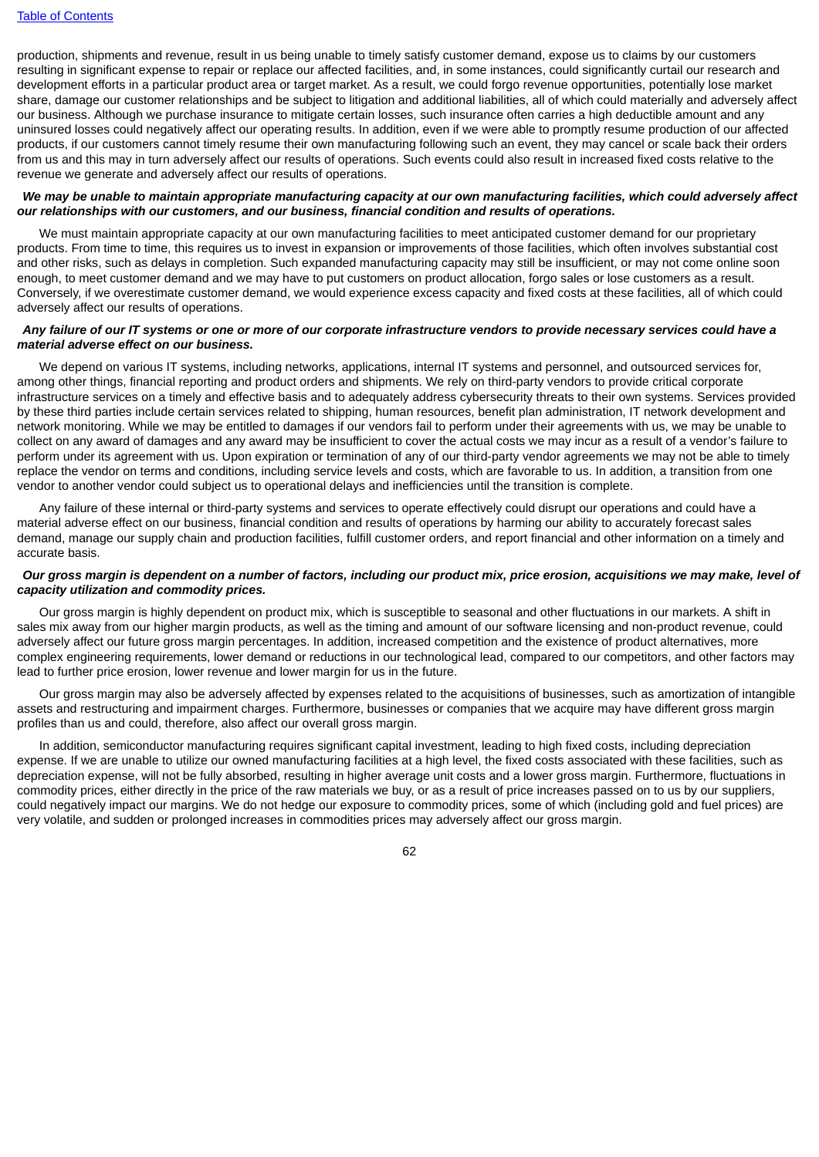production, shipments and revenue, result in us being unable to timely satisfy customer demand, expose us to claims by our customers resulting in significant expense to repair or replace our affected facilities, and, in some instances, could significantly curtail our research and development efforts in a particular product area or target market. As a result, we could forgo revenue opportunities, potentially lose market share, damage our customer relationships and be subject to litigation and additional liabilities, all of which could materially and adversely affect our business. Although we purchase insurance to mitigate certain losses, such insurance often carries a high deductible amount and any uninsured losses could negatively affect our operating results. In addition, even if we were able to promptly resume production of our affected products, if our customers cannot timely resume their own manufacturing following such an event, they may cancel or scale back their orders from us and this may in turn adversely affect our results of operations. Such events could also result in increased fixed costs relative to the revenue we generate and adversely affect our results of operations.

### We may be unable to maintain appropriate manufacturing capacity at our own manufacturing facilities, which could adversely affect *our relationships with our customers, and our business, financial condition and results of operations.*

We must maintain appropriate capacity at our own manufacturing facilities to meet anticipated customer demand for our proprietary products. From time to time, this requires us to invest in expansion or improvements of those facilities, which often involves substantial cost and other risks, such as delays in completion. Such expanded manufacturing capacity may still be insufficient, or may not come online soon enough, to meet customer demand and we may have to put customers on product allocation, forgo sales or lose customers as a result. Conversely, if we overestimate customer demand, we would experience excess capacity and fixed costs at these facilities, all of which could adversely affect our results of operations.

### Any failure of our IT systems or one or more of our corporate infrastructure vendors to provide necessary services could have a *material adverse effect on our business.*

We depend on various IT systems, including networks, applications, internal IT systems and personnel, and outsourced services for, among other things, financial reporting and product orders and shipments. We rely on third-party vendors to provide critical corporate infrastructure services on a timely and effective basis and to adequately address cybersecurity threats to their own systems. Services provided by these third parties include certain services related to shipping, human resources, benefit plan administration, IT network development and network monitoring. While we may be entitled to damages if our vendors fail to perform under their agreements with us, we may be unable to collect on any award of damages and any award may be insufficient to cover the actual costs we may incur as a result of a vendor's failure to perform under its agreement with us. Upon expiration or termination of any of our third-party vendor agreements we may not be able to timely replace the vendor on terms and conditions, including service levels and costs, which are favorable to us. In addition, a transition from one vendor to another vendor could subject us to operational delays and inefficiencies until the transition is complete.

Any failure of these internal or third-party systems and services to operate effectively could disrupt our operations and could have a material adverse effect on our business, financial condition and results of operations by harming our ability to accurately forecast sales demand, manage our supply chain and production facilities, fulfill customer orders, and report financial and other information on a timely and accurate basis.

## Our gross margin is dependent on a number of factors, including our product mix, price erosion, acquisitions we may make, level of *capacity utilization and commodity prices.*

Our gross margin is highly dependent on product mix, which is susceptible to seasonal and other fluctuations in our markets. A shift in sales mix away from our higher margin products, as well as the timing and amount of our software licensing and non-product revenue, could adversely affect our future gross margin percentages. In addition, increased competition and the existence of product alternatives, more complex engineering requirements, lower demand or reductions in our technological lead, compared to our competitors, and other factors may lead to further price erosion, lower revenue and lower margin for us in the future.

Our gross margin may also be adversely affected by expenses related to the acquisitions of businesses, such as amortization of intangible assets and restructuring and impairment charges. Furthermore, businesses or companies that we acquire may have different gross margin profiles than us and could, therefore, also affect our overall gross margin.

In addition, semiconductor manufacturing requires significant capital investment, leading to high fixed costs, including depreciation expense. If we are unable to utilize our owned manufacturing facilities at a high level, the fixed costs associated with these facilities, such as depreciation expense, will not be fully absorbed, resulting in higher average unit costs and a lower gross margin. Furthermore, fluctuations in commodity prices, either directly in the price of the raw materials we buy, or as a result of price increases passed on to us by our suppliers, could negatively impact our margins. We do not hedge our exposure to commodity prices, some of which (including gold and fuel prices) are very volatile, and sudden or prolonged increases in commodities prices may adversely affect our gross margin.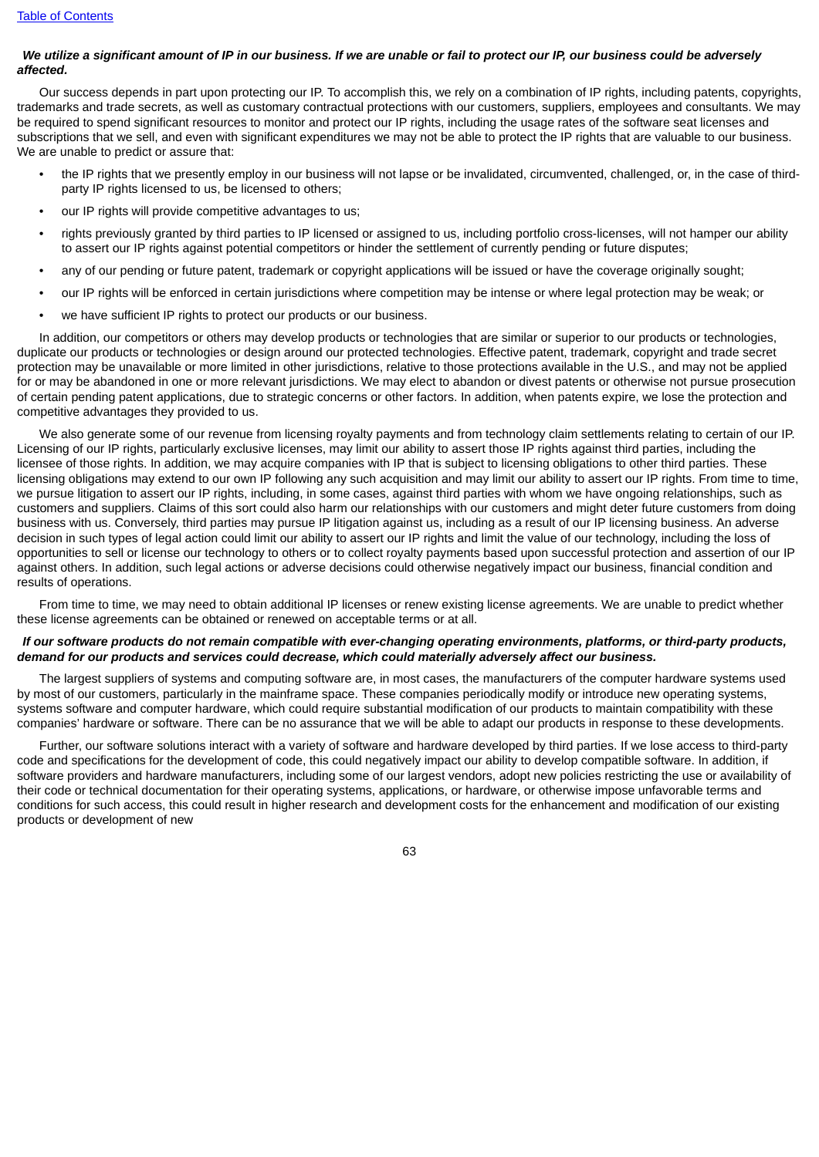### We utilize a significant amount of IP in our business. If we are unable or fail to protect our IP, our business could be adversely *affected.*

Our success depends in part upon protecting our IP. To accomplish this, we rely on a combination of IP rights, including patents, copyrights, trademarks and trade secrets, as well as customary contractual protections with our customers, suppliers, employees and consultants. We may be required to spend significant resources to monitor and protect our IP rights, including the usage rates of the software seat licenses and subscriptions that we sell, and even with significant expenditures we may not be able to protect the IP rights that are valuable to our business. We are unable to predict or assure that:

- the IP rights that we presently employ in our business will not lapse or be invalidated, circumvented, challenged, or, in the case of thirdparty IP rights licensed to us, be licensed to others;
- our IP rights will provide competitive advantages to us:
- rights previously granted by third parties to IP licensed or assigned to us, including portfolio cross-licenses, will not hamper our ability to assert our IP rights against potential competitors or hinder the settlement of currently pending or future disputes;
- any of our pending or future patent, trademark or copyright applications will be issued or have the coverage originally sought;
- our IP rights will be enforced in certain jurisdictions where competition may be intense or where legal protection may be weak; or
- we have sufficient IP rights to protect our products or our business.

In addition, our competitors or others may develop products or technologies that are similar or superior to our products or technologies, duplicate our products or technologies or design around our protected technologies. Effective patent, trademark, copyright and trade secret protection may be unavailable or more limited in other jurisdictions, relative to those protections available in the U.S., and may not be applied for or may be abandoned in one or more relevant jurisdictions. We may elect to abandon or divest patents or otherwise not pursue prosecution of certain pending patent applications, due to strategic concerns or other factors. In addition, when patents expire, we lose the protection and competitive advantages they provided to us.

We also generate some of our revenue from licensing royalty payments and from technology claim settlements relating to certain of our IP. Licensing of our IP rights, particularly exclusive licenses, may limit our ability to assert those IP rights against third parties, including the licensee of those rights. In addition, we may acquire companies with IP that is subject to licensing obligations to other third parties. These licensing obligations may extend to our own IP following any such acquisition and may limit our ability to assert our IP rights. From time to time, we pursue litigation to assert our IP rights, including, in some cases, against third parties with whom we have ongoing relationships, such as customers and suppliers. Claims of this sort could also harm our relationships with our customers and might deter future customers from doing business with us. Conversely, third parties may pursue IP litigation against us, including as a result of our IP licensing business. An adverse decision in such types of legal action could limit our ability to assert our IP rights and limit the value of our technology, including the loss of opportunities to sell or license our technology to others or to collect royalty payments based upon successful protection and assertion of our IP against others. In addition, such legal actions or adverse decisions could otherwise negatively impact our business, financial condition and results of operations.

From time to time, we may need to obtain additional IP licenses or renew existing license agreements. We are unable to predict whether these license agreements can be obtained or renewed on acceptable terms or at all.

## If our software products do not remain compatible with ever-changing operating environments, platforms, or third-party products, *demand for our products and services could decrease, which could materially adversely affect our business.*

The largest suppliers of systems and computing software are, in most cases, the manufacturers of the computer hardware systems used by most of our customers, particularly in the mainframe space. These companies periodically modify or introduce new operating systems, systems software and computer hardware, which could require substantial modification of our products to maintain compatibility with these companies' hardware or software. There can be no assurance that we will be able to adapt our products in response to these developments.

Further, our software solutions interact with a variety of software and hardware developed by third parties. If we lose access to third-party code and specifications for the development of code, this could negatively impact our ability to develop compatible software. In addition, if software providers and hardware manufacturers, including some of our largest vendors, adopt new policies restricting the use or availability of their code or technical documentation for their operating systems, applications, or hardware, or otherwise impose unfavorable terms and conditions for such access, this could result in higher research and development costs for the enhancement and modification of our existing products or development of new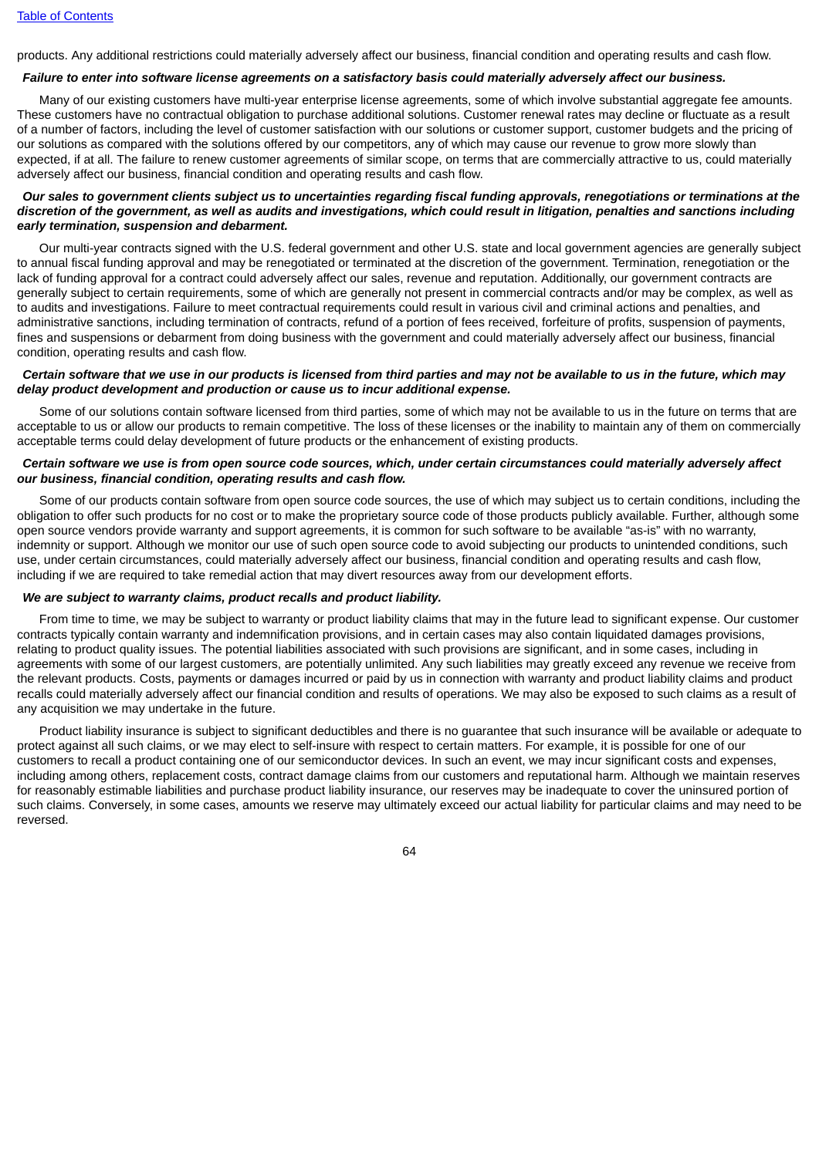products. Any additional restrictions could materially adversely affect our business, financial condition and operating results and cash flow.

## Failure to enter into software license agreements on a satisfactory basis could materially adversely affect our business.

Many of our existing customers have multi-year enterprise license agreements, some of which involve substantial aggregate fee amounts. These customers have no contractual obligation to purchase additional solutions. Customer renewal rates may decline or fluctuate as a result of a number of factors, including the level of customer satisfaction with our solutions or customer support, customer budgets and the pricing of our solutions as compared with the solutions offered by our competitors, any of which may cause our revenue to grow more slowly than expected, if at all. The failure to renew customer agreements of similar scope, on terms that are commercially attractive to us, could materially adversely affect our business, financial condition and operating results and cash flow.

#### Our sales to government clients subject us to uncertainties regarding fiscal funding approvals, renegotiations or terminations at the discretion of the government, as well as audits and investigations, which could result in litigation, penalties and sanctions including *early termination, suspension and debarment.*

Our multi-year contracts signed with the U.S. federal government and other U.S. state and local government agencies are generally subject to annual fiscal funding approval and may be renegotiated or terminated at the discretion of the government. Termination, renegotiation or the lack of funding approval for a contract could adversely affect our sales, revenue and reputation. Additionally, our government contracts are generally subject to certain requirements, some of which are generally not present in commercial contracts and/or may be complex, as well as to audits and investigations. Failure to meet contractual requirements could result in various civil and criminal actions and penalties, and administrative sanctions, including termination of contracts, refund of a portion of fees received, forfeiture of profits, suspension of payments, fines and suspensions or debarment from doing business with the government and could materially adversely affect our business, financial condition, operating results and cash flow.

## Certain software that we use in our products is licensed from third parties and may not be available to us in the future, which may *delay product development and production or cause us to incur additional expense.*

Some of our solutions contain software licensed from third parties, some of which may not be available to us in the future on terms that are acceptable to us or allow our products to remain competitive. The loss of these licenses or the inability to maintain any of them on commercially acceptable terms could delay development of future products or the enhancement of existing products.

### Certain software we use is from open source code sources, which, under certain circumstances could materially adversely affect *our business, financial condition, operating results and cash flow.*

Some of our products contain software from open source code sources, the use of which may subject us to certain conditions, including the obligation to offer such products for no cost or to make the proprietary source code of those products publicly available. Further, although some open source vendors provide warranty and support agreements, it is common for such software to be available "as-is" with no warranty, indemnity or support. Although we monitor our use of such open source code to avoid subjecting our products to unintended conditions, such use, under certain circumstances, could materially adversely affect our business, financial condition and operating results and cash flow, including if we are required to take remedial action that may divert resources away from our development efforts.

#### *We are subject to warranty claims, product recalls and product liability.*

From time to time, we may be subject to warranty or product liability claims that may in the future lead to significant expense. Our customer contracts typically contain warranty and indemnification provisions, and in certain cases may also contain liquidated damages provisions, relating to product quality issues. The potential liabilities associated with such provisions are significant, and in some cases, including in agreements with some of our largest customers, are potentially unlimited. Any such liabilities may greatly exceed any revenue we receive from the relevant products. Costs, payments or damages incurred or paid by us in connection with warranty and product liability claims and product recalls could materially adversely affect our financial condition and results of operations. We may also be exposed to such claims as a result of any acquisition we may undertake in the future.

Product liability insurance is subject to significant deductibles and there is no guarantee that such insurance will be available or adequate to protect against all such claims, or we may elect to self-insure with respect to certain matters. For example, it is possible for one of our customers to recall a product containing one of our semiconductor devices. In such an event, we may incur significant costs and expenses, including among others, replacement costs, contract damage claims from our customers and reputational harm. Although we maintain reserves for reasonably estimable liabilities and purchase product liability insurance, our reserves may be inadequate to cover the uninsured portion of such claims. Conversely, in some cases, amounts we reserve may ultimately exceed our actual liability for particular claims and may need to be reversed.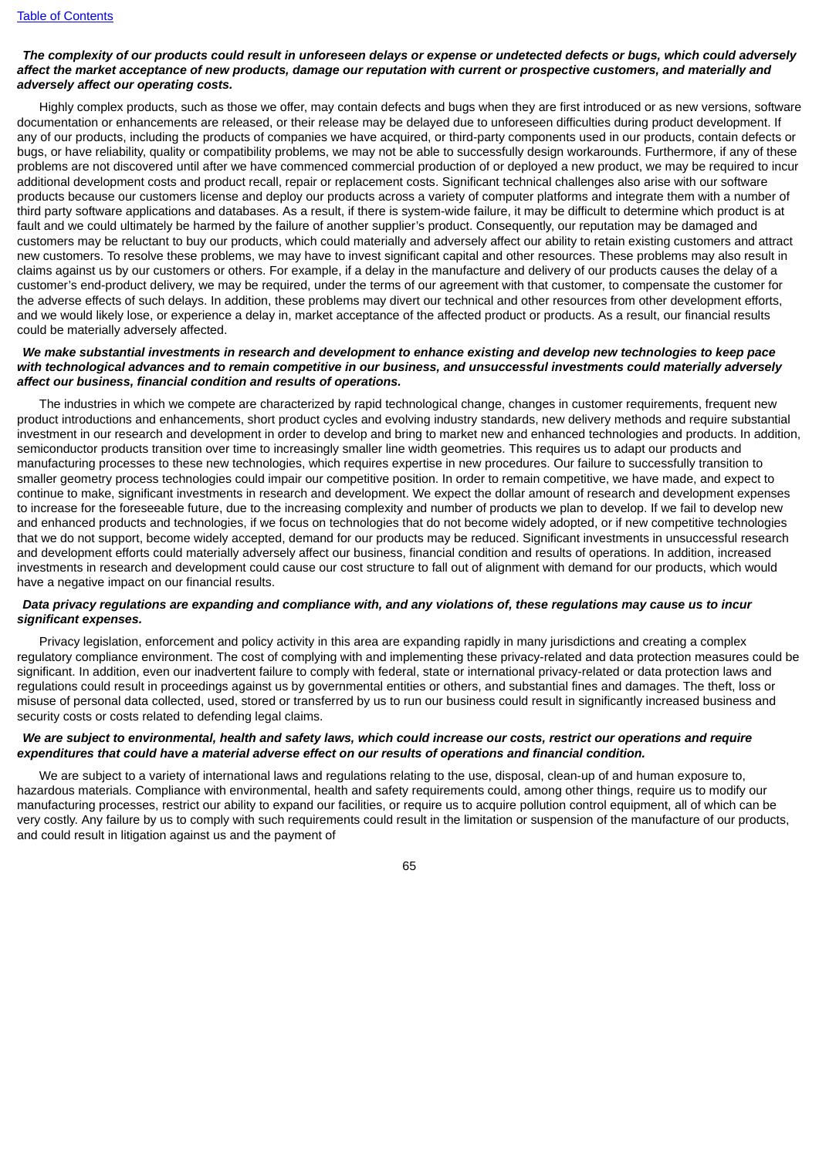## The complexity of our products could result in unforeseen delays or expense or undetected defects or bugs, which could adversely affect the market acceptance of new products, damage our reputation with current or prospective customers, and materially and *adversely affect our operating costs.*

Highly complex products, such as those we offer, may contain defects and bugs when they are first introduced or as new versions, software documentation or enhancements are released, or their release may be delayed due to unforeseen difficulties during product development. If any of our products, including the products of companies we have acquired, or third-party components used in our products, contain defects or bugs, or have reliability, quality or compatibility problems, we may not be able to successfully design workarounds. Furthermore, if any of these problems are not discovered until after we have commenced commercial production of or deployed a new product, we may be required to incur additional development costs and product recall, repair or replacement costs. Significant technical challenges also arise with our software products because our customers license and deploy our products across a variety of computer platforms and integrate them with a number of third party software applications and databases. As a result, if there is system-wide failure, it may be difficult to determine which product is at fault and we could ultimately be harmed by the failure of another supplier's product. Consequently, our reputation may be damaged and customers may be reluctant to buy our products, which could materially and adversely affect our ability to retain existing customers and attract new customers. To resolve these problems, we may have to invest significant capital and other resources. These problems may also result in claims against us by our customers or others. For example, if a delay in the manufacture and delivery of our products causes the delay of a customer's end-product delivery, we may be required, under the terms of our agreement with that customer, to compensate the customer for the adverse effects of such delays. In addition, these problems may divert our technical and other resources from other development efforts, and we would likely lose, or experience a delay in, market acceptance of the affected product or products. As a result, our financial results could be materially adversely affected.

### We make substantial investments in research and development to enhance existing and develop new technologies to keep pace with technological advances and to remain competitive in our business, and unsuccessful investments could materially adversely *affect our business, financial condition and results of operations.*

The industries in which we compete are characterized by rapid technological change, changes in customer requirements, frequent new product introductions and enhancements, short product cycles and evolving industry standards, new delivery methods and require substantial investment in our research and development in order to develop and bring to market new and enhanced technologies and products. In addition, semiconductor products transition over time to increasingly smaller line width geometries. This requires us to adapt our products and manufacturing processes to these new technologies, which requires expertise in new procedures. Our failure to successfully transition to smaller geometry process technologies could impair our competitive position. In order to remain competitive, we have made, and expect to continue to make, significant investments in research and development. We expect the dollar amount of research and development expenses to increase for the foreseeable future, due to the increasing complexity and number of products we plan to develop. If we fail to develop new and enhanced products and technologies, if we focus on technologies that do not become widely adopted, or if new competitive technologies that we do not support, become widely accepted, demand for our products may be reduced. Significant investments in unsuccessful research and development efforts could materially adversely affect our business, financial condition and results of operations. In addition, increased investments in research and development could cause our cost structure to fall out of alignment with demand for our products, which would have a negative impact on our financial results.

## Data privacy regulations are expanding and compliance with, and any violations of, these regulations may cause us to incur *significant expenses.*

Privacy legislation, enforcement and policy activity in this area are expanding rapidly in many jurisdictions and creating a complex regulatory compliance environment. The cost of complying with and implementing these privacy-related and data protection measures could be significant. In addition, even our inadvertent failure to comply with federal, state or international privacy-related or data protection laws and regulations could result in proceedings against us by governmental entities or others, and substantial fines and damages. The theft, loss or misuse of personal data collected, used, stored or transferred by us to run our business could result in significantly increased business and security costs or costs related to defending legal claims.

### We are subject to environmental, health and safety laws, which could increase our costs, restrict our operations and require *expenditures that could have a material adverse effect on our results of operations and financial condition.*

We are subject to a variety of international laws and regulations relating to the use, disposal, clean-up of and human exposure to, hazardous materials. Compliance with environmental, health and safety requirements could, among other things, require us to modify our manufacturing processes, restrict our ability to expand our facilities, or require us to acquire pollution control equipment, all of which can be very costly. Any failure by us to comply with such requirements could result in the limitation or suspension of the manufacture of our products, and could result in litigation against us and the payment of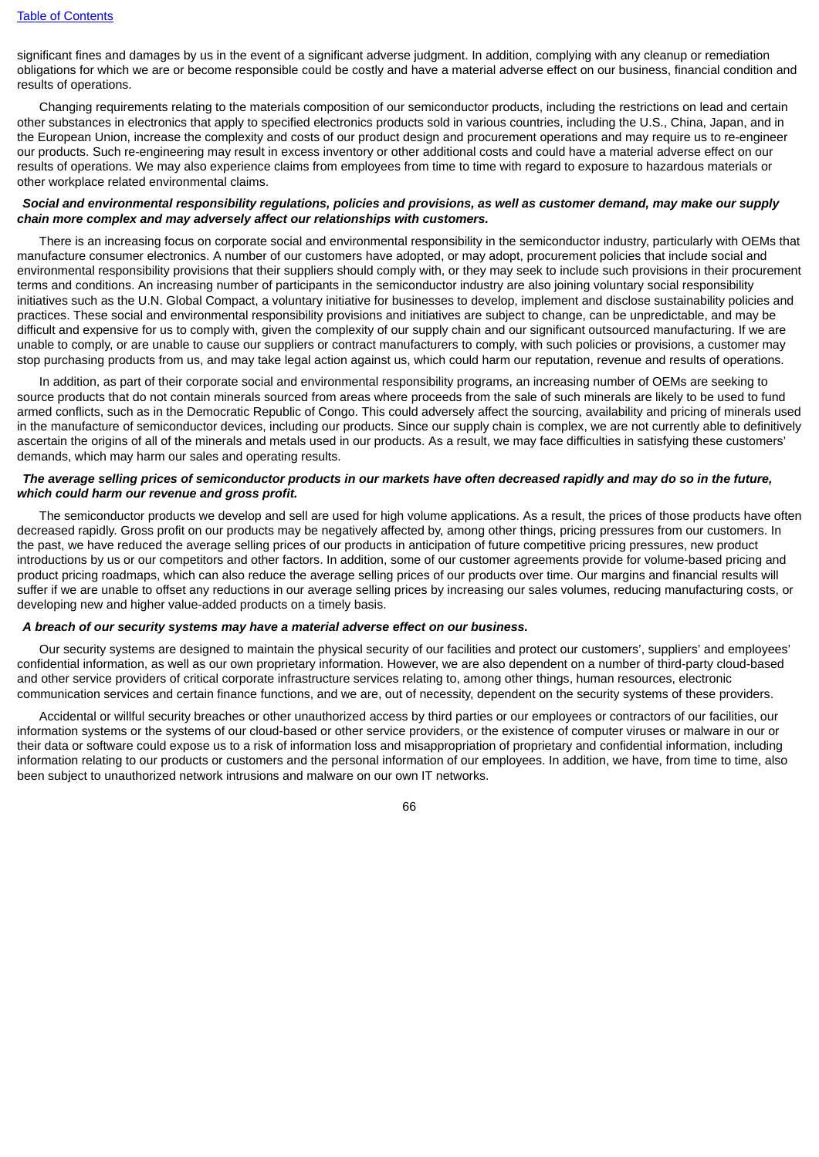significant fines and damages by us in the event of a significant adverse judgment. In addition, complying with any cleanup or remediation obligations for which we are or become responsible could be costly and have a material adverse effect on our business, financial condition and results of operations.

Changing requirements relating to the materials composition of our semiconductor products, including the restrictions on lead and certain other substances in electronics that apply to specified electronics products sold in various countries, including the U.S., China, Japan, and in the European Union, increase the complexity and costs of our product design and procurement operations and may require us to re-engineer our products. Such re-engineering may result in excess inventory or other additional costs and could have a material adverse effect on our results of operations. We may also experience claims from employees from time to time with regard to exposure to hazardous materials or other workplace related environmental claims.

#### Social and environmental responsibility regulations, policies and provisions, as well as customer demand, may make our supply *chain more complex and may adversely affect our relationships with customers.*

There is an increasing focus on corporate social and environmental responsibility in the semiconductor industry, particularly with OEMs that manufacture consumer electronics. A number of our customers have adopted, or may adopt, procurement policies that include social and environmental responsibility provisions that their suppliers should comply with, or they may seek to include such provisions in their procurement terms and conditions. An increasing number of participants in the semiconductor industry are also joining voluntary social responsibility initiatives such as the U.N. Global Compact, a voluntary initiative for businesses to develop, implement and disclose sustainability policies and practices. These social and environmental responsibility provisions and initiatives are subject to change, can be unpredictable, and may be difficult and expensive for us to comply with, given the complexity of our supply chain and our significant outsourced manufacturing. If we are unable to comply, or are unable to cause our suppliers or contract manufacturers to comply, with such policies or provisions, a customer may stop purchasing products from us, and may take legal action against us, which could harm our reputation, revenue and results of operations.

In addition, as part of their corporate social and environmental responsibility programs, an increasing number of OEMs are seeking to source products that do not contain minerals sourced from areas where proceeds from the sale of such minerals are likely to be used to fund armed conflicts, such as in the Democratic Republic of Congo. This could adversely affect the sourcing, availability and pricing of minerals used in the manufacture of semiconductor devices, including our products. Since our supply chain is complex, we are not currently able to definitively ascertain the origins of all of the minerals and metals used in our products. As a result, we may face difficulties in satisfying these customers' demands, which may harm our sales and operating results.

## The average selling prices of semiconductor products in our markets have often decreased rapidly and may do so in the future. *which could harm our revenue and gross profit.*

The semiconductor products we develop and sell are used for high volume applications. As a result, the prices of those products have often decreased rapidly. Gross profit on our products may be negatively affected by, among other things, pricing pressures from our customers. In the past, we have reduced the average selling prices of our products in anticipation of future competitive pricing pressures, new product introductions by us or our competitors and other factors. In addition, some of our customer agreements provide for volume-based pricing and product pricing roadmaps, which can also reduce the average selling prices of our products over time. Our margins and financial results will suffer if we are unable to offset any reductions in our average selling prices by increasing our sales volumes, reducing manufacturing costs, or developing new and higher value-added products on a timely basis.

### *A breach of our security systems may have a material adverse effect on our business.*

Our security systems are designed to maintain the physical security of our facilities and protect our customers', suppliers' and employees' confidential information, as well as our own proprietary information. However, we are also dependent on a number of third-party cloud-based and other service providers of critical corporate infrastructure services relating to, among other things, human resources, electronic communication services and certain finance functions, and we are, out of necessity, dependent on the security systems of these providers.

Accidental or willful security breaches or other unauthorized access by third parties or our employees or contractors of our facilities, our information systems or the systems of our cloud-based or other service providers, or the existence of computer viruses or malware in our or their data or software could expose us to a risk of information loss and misappropriation of proprietary and confidential information, including information relating to our products or customers and the personal information of our employees. In addition, we have, from time to time, also been subject to unauthorized network intrusions and malware on our own IT networks.

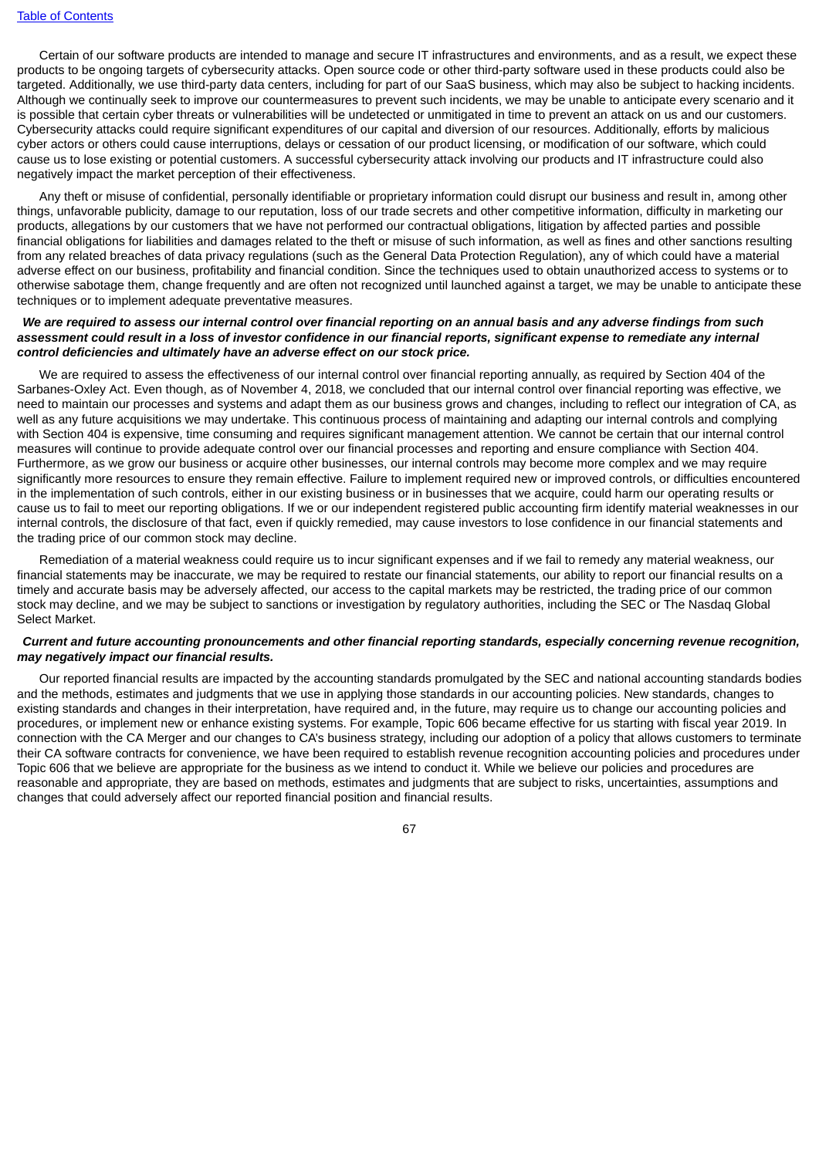Certain of our software products are intended to manage and secure IT infrastructures and environments, and as a result, we expect these products to be ongoing targets of cybersecurity attacks. Open source code or other third-party software used in these products could also be targeted. Additionally, we use third-party data centers, including for part of our SaaS business, which may also be subject to hacking incidents. Although we continually seek to improve our countermeasures to prevent such incidents, we may be unable to anticipate every scenario and it is possible that certain cyber threats or vulnerabilities will be undetected or unmitigated in time to prevent an attack on us and our customers. Cybersecurity attacks could require significant expenditures of our capital and diversion of our resources. Additionally, efforts by malicious cyber actors or others could cause interruptions, delays or cessation of our product licensing, or modification of our software, which could cause us to lose existing or potential customers. A successful cybersecurity attack involving our products and IT infrastructure could also negatively impact the market perception of their effectiveness.

Any theft or misuse of confidential, personally identifiable or proprietary information could disrupt our business and result in, among other things, unfavorable publicity, damage to our reputation, loss of our trade secrets and other competitive information, difficulty in marketing our products, allegations by our customers that we have not performed our contractual obligations, litigation by affected parties and possible financial obligations for liabilities and damages related to the theft or misuse of such information, as well as fines and other sanctions resulting from any related breaches of data privacy regulations (such as the General Data Protection Regulation), any of which could have a material adverse effect on our business, profitability and financial condition. Since the techniques used to obtain unauthorized access to systems or to otherwise sabotage them, change frequently and are often not recognized until launched against a target, we may be unable to anticipate these techniques or to implement adequate preventative measures.

### We are required to assess our internal control over financial reporting on an annual basis and any adverse findings from such assessment could result in a loss of investor confidence in our financial reports, significant expense to remediate any internal *control deficiencies and ultimately have an adverse effect on our stock price.*

We are required to assess the effectiveness of our internal control over financial reporting annually, as required by Section 404 of the Sarbanes-Oxley Act. Even though, as of November 4, 2018, we concluded that our internal control over financial reporting was effective, we need to maintain our processes and systems and adapt them as our business grows and changes, including to reflect our integration of CA, as well as any future acquisitions we may undertake. This continuous process of maintaining and adapting our internal controls and complying with Section 404 is expensive, time consuming and requires significant management attention. We cannot be certain that our internal control measures will continue to provide adequate control over our financial processes and reporting and ensure compliance with Section 404. Furthermore, as we grow our business or acquire other businesses, our internal controls may become more complex and we may require significantly more resources to ensure they remain effective. Failure to implement required new or improved controls, or difficulties encountered in the implementation of such controls, either in our existing business or in businesses that we acquire, could harm our operating results or cause us to fail to meet our reporting obligations. If we or our independent registered public accounting firm identify material weaknesses in our internal controls, the disclosure of that fact, even if quickly remedied, may cause investors to lose confidence in our financial statements and the trading price of our common stock may decline.

Remediation of a material weakness could require us to incur significant expenses and if we fail to remedy any material weakness, our financial statements may be inaccurate, we may be required to restate our financial statements, our ability to report our financial results on a timely and accurate basis may be adversely affected, our access to the capital markets may be restricted, the trading price of our common stock may decline, and we may be subject to sanctions or investigation by regulatory authorities, including the SEC or The Nasdaq Global Select Market.

### Current and future accounting pronouncements and other financial reporting standards, especially concerning revenue recognition, *may negatively impact our financial results.*

Our reported financial results are impacted by the accounting standards promulgated by the SEC and national accounting standards bodies and the methods, estimates and judgments that we use in applying those standards in our accounting policies. New standards, changes to existing standards and changes in their interpretation, have required and, in the future, may require us to change our accounting policies and procedures, or implement new or enhance existing systems. For example, Topic 606 became effective for us starting with fiscal year 2019. In connection with the CA Merger and our changes to CA's business strategy, including our adoption of a policy that allows customers to terminate their CA software contracts for convenience, we have been required to establish revenue recognition accounting policies and procedures under Topic 606 that we believe are appropriate for the business as we intend to conduct it. While we believe our policies and procedures are reasonable and appropriate, they are based on methods, estimates and judgments that are subject to risks, uncertainties, assumptions and changes that could adversely affect our reported financial position and financial results.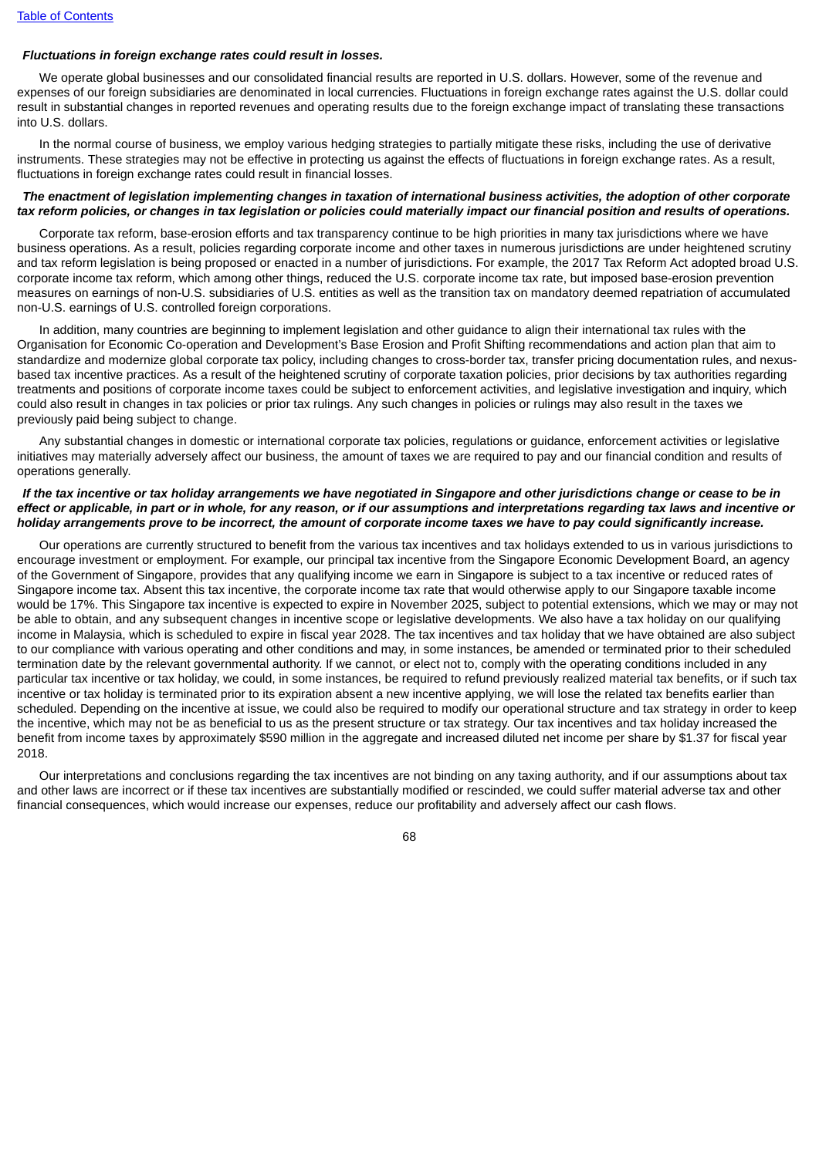### *Fluctuations in foreign exchange rates could result in losses.*

We operate global businesses and our consolidated financial results are reported in U.S. dollars. However, some of the revenue and expenses of our foreign subsidiaries are denominated in local currencies. Fluctuations in foreign exchange rates against the U.S. dollar could result in substantial changes in reported revenues and operating results due to the foreign exchange impact of translating these transactions into U.S. dollars.

In the normal course of business, we employ various hedging strategies to partially mitigate these risks, including the use of derivative instruments. These strategies may not be effective in protecting us against the effects of fluctuations in foreign exchange rates. As a result, fluctuations in foreign exchange rates could result in financial losses.

### The enactment of legislation implementing changes in taxation of international business activities, the adoption of other corporate tax reform policies, or changes in tax legislation or policies could materially impact our financial position and results of operations,

Corporate tax reform, base-erosion efforts and tax transparency continue to be high priorities in many tax jurisdictions where we have business operations. As a result, policies regarding corporate income and other taxes in numerous jurisdictions are under heightened scrutiny and tax reform legislation is being proposed or enacted in a number of jurisdictions. For example, the 2017 Tax Reform Act adopted broad U.S. corporate income tax reform, which among other things, reduced the U.S. corporate income tax rate, but imposed base-erosion prevention measures on earnings of non-U.S. subsidiaries of U.S. entities as well as the transition tax on mandatory deemed repatriation of accumulated non-U.S. earnings of U.S. controlled foreign corporations.

In addition, many countries are beginning to implement legislation and other guidance to align their international tax rules with the Organisation for Economic Co-operation and Development's Base Erosion and Profit Shifting recommendations and action plan that aim to standardize and modernize global corporate tax policy, including changes to cross-border tax, transfer pricing documentation rules, and nexusbased tax incentive practices. As a result of the heightened scrutiny of corporate taxation policies, prior decisions by tax authorities regarding treatments and positions of corporate income taxes could be subject to enforcement activities, and legislative investigation and inquiry, which could also result in changes in tax policies or prior tax rulings. Any such changes in policies or rulings may also result in the taxes we previously paid being subject to change.

Any substantial changes in domestic or international corporate tax policies, regulations or guidance, enforcement activities or legislative initiatives may materially adversely affect our business, the amount of taxes we are required to pay and our financial condition and results of operations generally.

## If the tax incentive or tax holiday arrangements we have negotiated in Singapore and other jurisdictions change or cease to be in effect or applicable, in part or in whole, for any reason, or if our assumptions and interpretations regarding tax laws and incentive or holiday arrangements prove to be incorrect, the amount of corporate income taxes we have to pay could significantly increase.

Our operations are currently structured to benefit from the various tax incentives and tax holidays extended to us in various jurisdictions to encourage investment or employment. For example, our principal tax incentive from the Singapore Economic Development Board, an agency of the Government of Singapore, provides that any qualifying income we earn in Singapore is subject to a tax incentive or reduced rates of Singapore income tax. Absent this tax incentive, the corporate income tax rate that would otherwise apply to our Singapore taxable income would be 17%. This Singapore tax incentive is expected to expire in November 2025, subject to potential extensions, which we may or may not be able to obtain, and any subsequent changes in incentive scope or legislative developments. We also have a tax holiday on our qualifying income in Malaysia, which is scheduled to expire in fiscal year 2028. The tax incentives and tax holiday that we have obtained are also subject to our compliance with various operating and other conditions and may, in some instances, be amended or terminated prior to their scheduled termination date by the relevant governmental authority. If we cannot, or elect not to, comply with the operating conditions included in any particular tax incentive or tax holiday, we could, in some instances, be required to refund previously realized material tax benefits, or if such tax incentive or tax holiday is terminated prior to its expiration absent a new incentive applying, we will lose the related tax benefits earlier than scheduled. Depending on the incentive at issue, we could also be required to modify our operational structure and tax strategy in order to keep the incentive, which may not be as beneficial to us as the present structure or tax strategy. Our tax incentives and tax holiday increased the benefit from income taxes by approximately \$590 million in the aggregate and increased diluted net income per share by \$1.37 for fiscal year 2018.

Our interpretations and conclusions regarding the tax incentives are not binding on any taxing authority, and if our assumptions about tax and other laws are incorrect or if these tax incentives are substantially modified or rescinded, we could suffer material adverse tax and other financial consequences, which would increase our expenses, reduce our profitability and adversely affect our cash flows.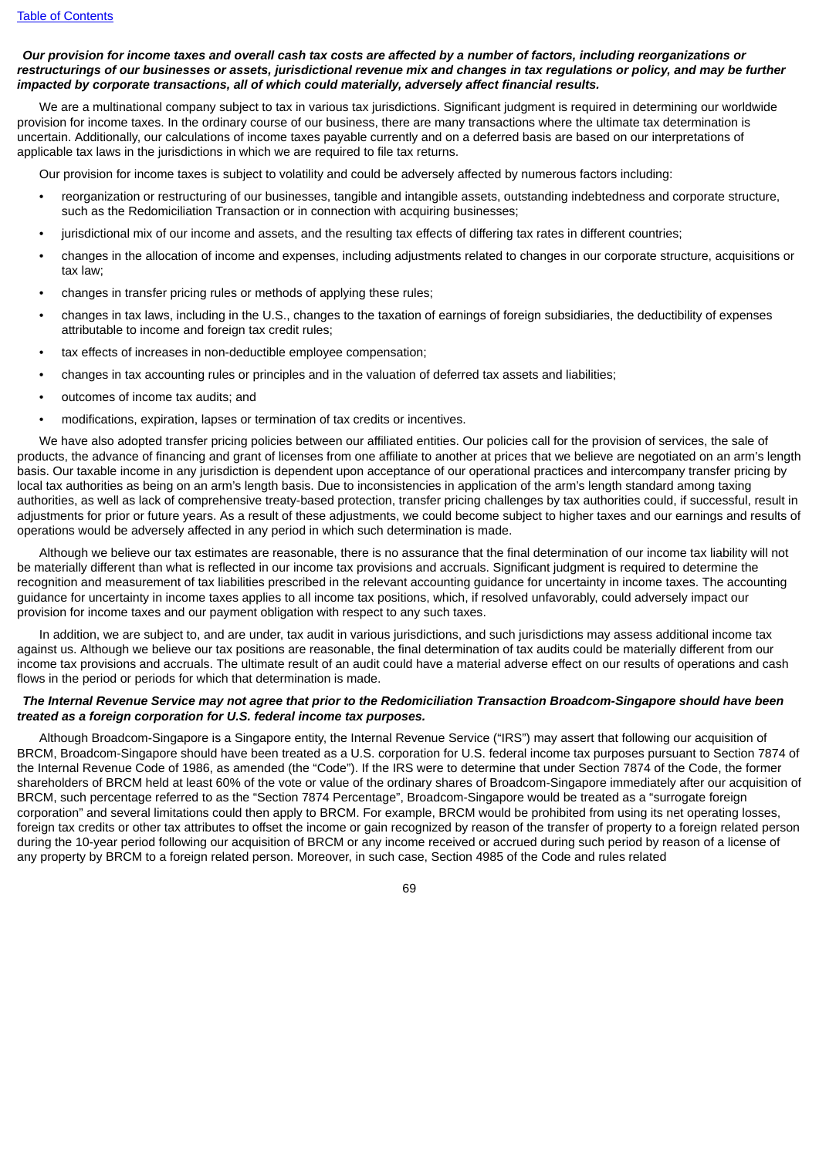## Our provision for income taxes and overall cash tax costs are affected by a number of factors, including reorganizations or restructurings of our businesses or assets, jurisdictional revenue mix and changes in tax regulations or policy. and may be further *impacted by corporate transactions, all of which could materially, adversely affect financial results.*

We are a multinational company subject to tax in various tax jurisdictions. Significant judgment is required in determining our worldwide provision for income taxes. In the ordinary course of our business, there are many transactions where the ultimate tax determination is uncertain. Additionally, our calculations of income taxes payable currently and on a deferred basis are based on our interpretations of applicable tax laws in the jurisdictions in which we are required to file tax returns.

Our provision for income taxes is subject to volatility and could be adversely affected by numerous factors including:

- reorganization or restructuring of our businesses, tangible and intangible assets, outstanding indebtedness and corporate structure, such as the Redomiciliation Transaction or in connection with acquiring businesses;
- jurisdictional mix of our income and assets, and the resulting tax effects of differing tax rates in different countries;
- changes in the allocation of income and expenses, including adjustments related to changes in our corporate structure, acquisitions or tax law;
- changes in transfer pricing rules or methods of applying these rules;
- changes in tax laws, including in the U.S., changes to the taxation of earnings of foreign subsidiaries, the deductibility of expenses attributable to income and foreign tax credit rules;
- tax effects of increases in non-deductible employee compensation;
- changes in tax accounting rules or principles and in the valuation of deferred tax assets and liabilities;
- outcomes of income tax audits; and
- modifications, expiration, lapses or termination of tax credits or incentives.

We have also adopted transfer pricing policies between our affiliated entities. Our policies call for the provision of services, the sale of products, the advance of financing and grant of licenses from one affiliate to another at prices that we believe are negotiated on an arm's length basis. Our taxable income in any jurisdiction is dependent upon acceptance of our operational practices and intercompany transfer pricing by local tax authorities as being on an arm's length basis. Due to inconsistencies in application of the arm's length standard among taxing authorities, as well as lack of comprehensive treaty-based protection, transfer pricing challenges by tax authorities could, if successful, result in adjustments for prior or future years. As a result of these adjustments, we could become subject to higher taxes and our earnings and results of operations would be adversely affected in any period in which such determination is made.

Although we believe our tax estimates are reasonable, there is no assurance that the final determination of our income tax liability will not be materially different than what is reflected in our income tax provisions and accruals. Significant judgment is required to determine the recognition and measurement of tax liabilities prescribed in the relevant accounting guidance for uncertainty in income taxes. The accounting guidance for uncertainty in income taxes applies to all income tax positions, which, if resolved unfavorably, could adversely impact our provision for income taxes and our payment obligation with respect to any such taxes.

In addition, we are subject to, and are under, tax audit in various jurisdictions, and such jurisdictions may assess additional income tax against us. Although we believe our tax positions are reasonable, the final determination of tax audits could be materially different from our income tax provisions and accruals. The ultimate result of an audit could have a material adverse effect on our results of operations and cash flows in the period or periods for which that determination is made.

## The Internal Revenue Service may not agree that prior to the Redomiciliation Transaction Broadcom-Singapore should have been *treated as a foreign corporation for U.S. federal income tax purposes.*

Although Broadcom-Singapore is a Singapore entity, the Internal Revenue Service ("IRS") may assert that following our acquisition of BRCM, Broadcom-Singapore should have been treated as a U.S. corporation for U.S. federal income tax purposes pursuant to Section 7874 of the Internal Revenue Code of 1986, as amended (the "Code"). If the IRS were to determine that under Section 7874 of the Code, the former shareholders of BRCM held at least 60% of the vote or value of the ordinary shares of Broadcom-Singapore immediately after our acquisition of BRCM, such percentage referred to as the "Section 7874 Percentage", Broadcom-Singapore would be treated as a "surrogate foreign corporation" and several limitations could then apply to BRCM. For example, BRCM would be prohibited from using its net operating losses, foreign tax credits or other tax attributes to offset the income or gain recognized by reason of the transfer of property to a foreign related person during the 10-year period following our acquisition of BRCM or any income received or accrued during such period by reason of a license of any property by BRCM to a foreign related person. Moreover, in such case, Section 4985 of the Code and rules related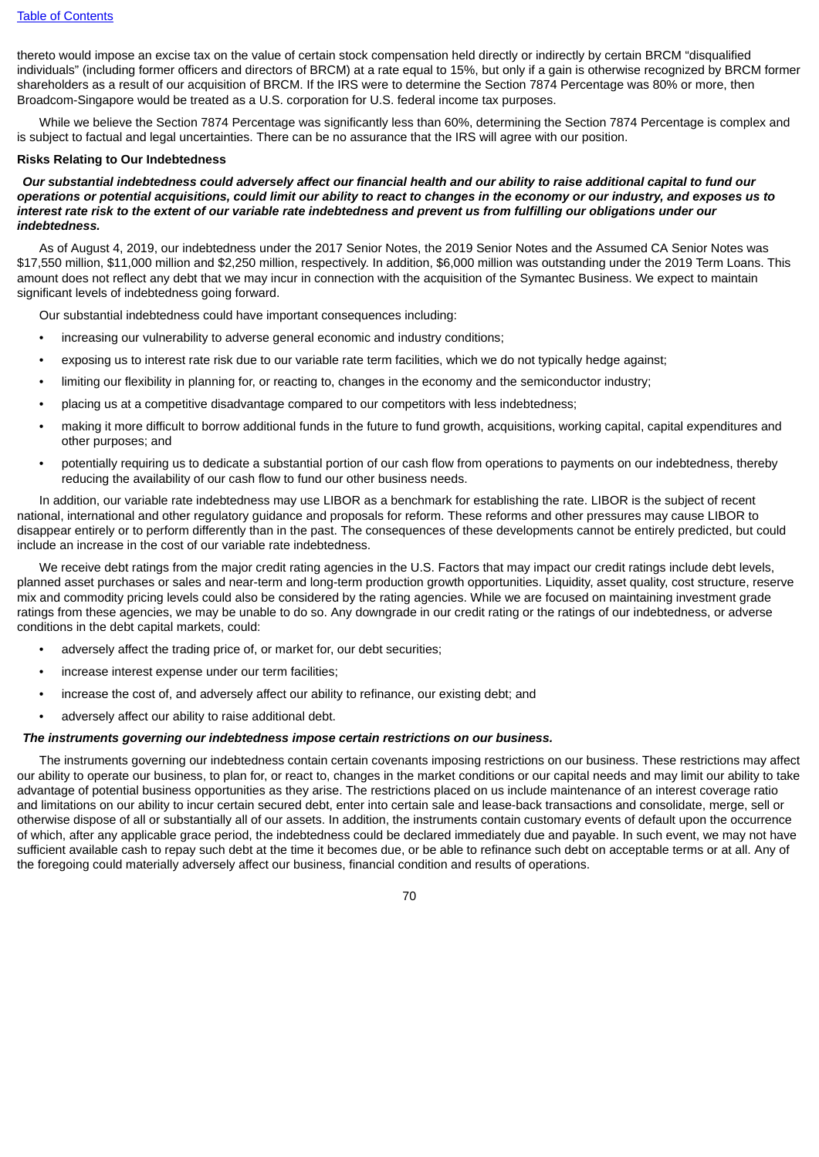thereto would impose an excise tax on the value of certain stock compensation held directly or indirectly by certain BRCM "disqualified individuals" (including former officers and directors of BRCM) at a rate equal to 15%, but only if a gain is otherwise recognized by BRCM former shareholders as a result of our acquisition of BRCM. If the IRS were to determine the Section 7874 Percentage was 80% or more, then Broadcom-Singapore would be treated as a U.S. corporation for U.S. federal income tax purposes.

While we believe the Section 7874 Percentage was significantly less than 60%, determining the Section 7874 Percentage is complex and is subject to factual and legal uncertainties. There can be no assurance that the IRS will agree with our position.

#### **Risks Relating to Our Indebtedness**

Our substantial indebtedness could adversely affect our financial health and our ability to raise additional capital to fund our operations or potential acquisitions, could limit our ability to react to changes in the economy or our industry, and exposes us to interest rate risk to the extent of our variable rate indebtedness and prevent us from fulfilling our obligations under our *indebtedness.*

As of August 4, 2019, our indebtedness under the 2017 Senior Notes, the 2019 Senior Notes and the Assumed CA Senior Notes was \$17,550 million, \$11,000 million and \$2,250 million, respectively. In addition, \$6,000 million was outstanding under the 2019 Term Loans. This amount does not reflect any debt that we may incur in connection with the acquisition of the Symantec Business. We expect to maintain significant levels of indebtedness going forward.

Our substantial indebtedness could have important consequences including:

- increasing our vulnerability to adverse general economic and industry conditions;
- exposing us to interest rate risk due to our variable rate term facilities, which we do not typically hedge against;
- limiting our flexibility in planning for, or reacting to, changes in the economy and the semiconductor industry;
- placing us at a competitive disadvantage compared to our competitors with less indebtedness;
- making it more difficult to borrow additional funds in the future to fund growth, acquisitions, working capital, capital expenditures and other purposes; and
- potentially requiring us to dedicate a substantial portion of our cash flow from operations to payments on our indebtedness, thereby reducing the availability of our cash flow to fund our other business needs.

In addition, our variable rate indebtedness may use LIBOR as a benchmark for establishing the rate. LIBOR is the subject of recent national, international and other regulatory guidance and proposals for reform. These reforms and other pressures may cause LIBOR to disappear entirely or to perform differently than in the past. The consequences of these developments cannot be entirely predicted, but could include an increase in the cost of our variable rate indebtedness.

We receive debt ratings from the major credit rating agencies in the U.S. Factors that may impact our credit ratings include debt levels. planned asset purchases or sales and near-term and long-term production growth opportunities. Liquidity, asset quality, cost structure, reserve mix and commodity pricing levels could also be considered by the rating agencies. While we are focused on maintaining investment grade ratings from these agencies, we may be unable to do so. Any downgrade in our credit rating or the ratings of our indebtedness, or adverse conditions in the debt capital markets, could:

- adversely affect the trading price of, or market for, our debt securities;
- increase interest expense under our term facilities:
- increase the cost of, and adversely affect our ability to refinance, our existing debt; and
- adversely affect our ability to raise additional debt.

#### *The instruments governing our indebtedness impose certain restrictions on our business.*

The instruments governing our indebtedness contain certain covenants imposing restrictions on our business. These restrictions may affect our ability to operate our business, to plan for, or react to, changes in the market conditions or our capital needs and may limit our ability to take advantage of potential business opportunities as they arise. The restrictions placed on us include maintenance of an interest coverage ratio and limitations on our ability to incur certain secured debt, enter into certain sale and lease-back transactions and consolidate, merge, sell or otherwise dispose of all or substantially all of our assets. In addition, the instruments contain customary events of default upon the occurrence of which, after any applicable grace period, the indebtedness could be declared immediately due and payable. In such event, we may not have sufficient available cash to repay such debt at the time it becomes due, or be able to refinance such debt on acceptable terms or at all. Any of the foregoing could materially adversely affect our business, financial condition and results of operations.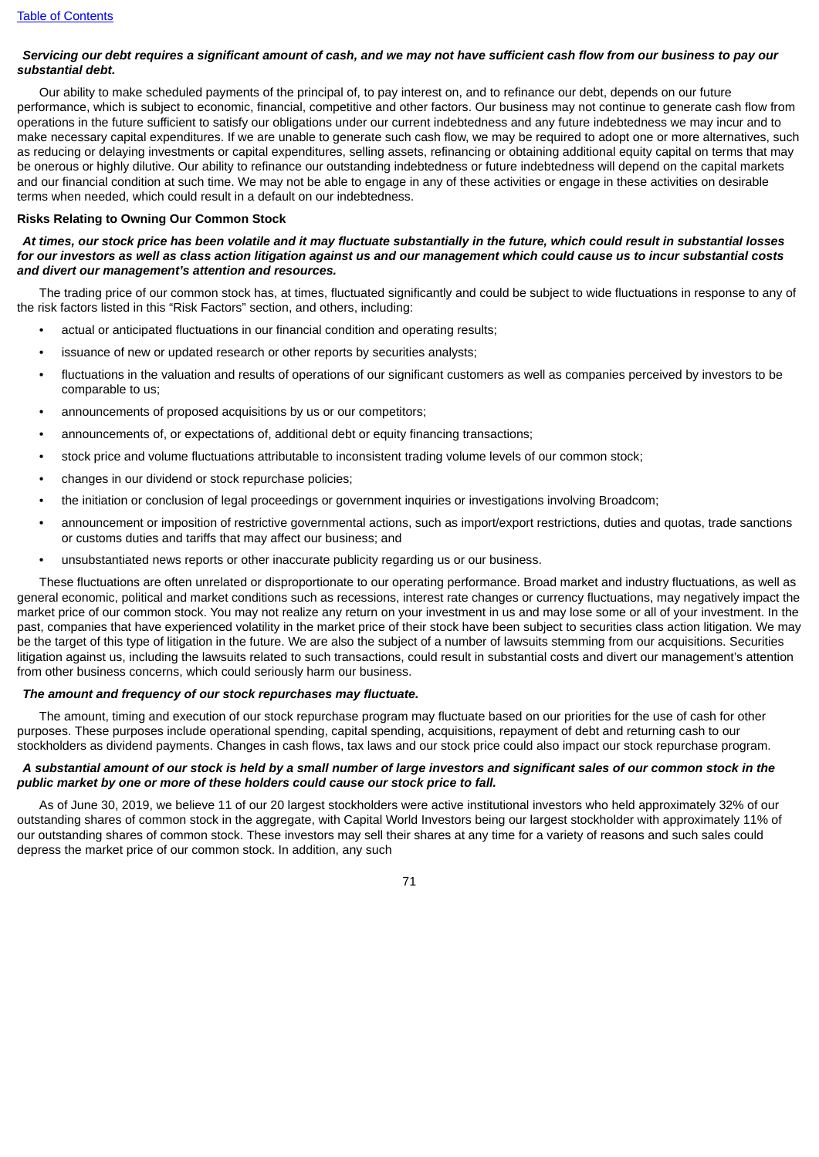# Servicing our debt requires a significant amount of cash, and we may not have sufficient cash flow from our business to pay our *substantial debt.*

Our ability to make scheduled payments of the principal of, to pay interest on, and to refinance our debt, depends on our future performance, which is subject to economic, financial, competitive and other factors. Our business may not continue to generate cash flow from operations in the future sufficient to satisfy our obligations under our current indebtedness and any future indebtedness we may incur and to make necessary capital expenditures. If we are unable to generate such cash flow, we may be required to adopt one or more alternatives, such as reducing or delaying investments or capital expenditures, selling assets, refinancing or obtaining additional equity capital on terms that may be onerous or highly dilutive. Our ability to refinance our outstanding indebtedness or future indebtedness will depend on the capital markets and our financial condition at such time. We may not be able to engage in any of these activities or engage in these activities on desirable terms when needed, which could result in a default on our indebtedness.

#### **Risks Relating to Owning Our Common Stock**

# At times, our stock price has been volatile and it may fluctuate substantially in the future, which could result in substantial losses for our investors as well as class action litigation against us and our management which could cause us to incur substantial costs *and divert our management's attention and resources.*

The trading price of our common stock has, at times, fluctuated significantly and could be subject to wide fluctuations in response to any of the risk factors listed in this "Risk Factors" section, and others, including:

- actual or anticipated fluctuations in our financial condition and operating results;
- issuance of new or updated research or other reports by securities analysts;
- fluctuations in the valuation and results of operations of our significant customers as well as companies perceived by investors to be comparable to us;
- announcements of proposed acquisitions by us or our competitors;
- announcements of, or expectations of, additional debt or equity financing transactions;
- stock price and volume fluctuations attributable to inconsistent trading volume levels of our common stock;
- changes in our dividend or stock repurchase policies;
- the initiation or conclusion of legal proceedings or government inquiries or investigations involving Broadcom;
- announcement or imposition of restrictive governmental actions, such as import/export restrictions, duties and quotas, trade sanctions or customs duties and tariffs that may affect our business; and
- unsubstantiated news reports or other inaccurate publicity regarding us or our business.

These fluctuations are often unrelated or disproportionate to our operating performance. Broad market and industry fluctuations, as well as general economic, political and market conditions such as recessions, interest rate changes or currency fluctuations, may negatively impact the market price of our common stock. You may not realize any return on your investment in us and may lose some or all of your investment. In the past, companies that have experienced volatility in the market price of their stock have been subject to securities class action litigation. We may be the target of this type of litigation in the future. We are also the subject of a number of lawsuits stemming from our acquisitions. Securities litigation against us, including the lawsuits related to such transactions, could result in substantial costs and divert our management's attention from other business concerns, which could seriously harm our business.

## *The amount and frequency of our stock repurchases may fluctuate.*

The amount, timing and execution of our stock repurchase program may fluctuate based on our priorities for the use of cash for other purposes. These purposes include operational spending, capital spending, acquisitions, repayment of debt and returning cash to our stockholders as dividend payments. Changes in cash flows, tax laws and our stock price could also impact our stock repurchase program.

# A substantial amount of our stock is held by a small number of large investors and significant sales of our common stock in the *public market by one or more of these holders could cause our stock price to fall.*

As of June 30, 2019, we believe 11 of our 20 largest stockholders were active institutional investors who held approximately 32% of our outstanding shares of common stock in the aggregate, with Capital World Investors being our largest stockholder with approximately 11% of our outstanding shares of common stock. These investors may sell their shares at any time for a variety of reasons and such sales could depress the market price of our common stock. In addition, any such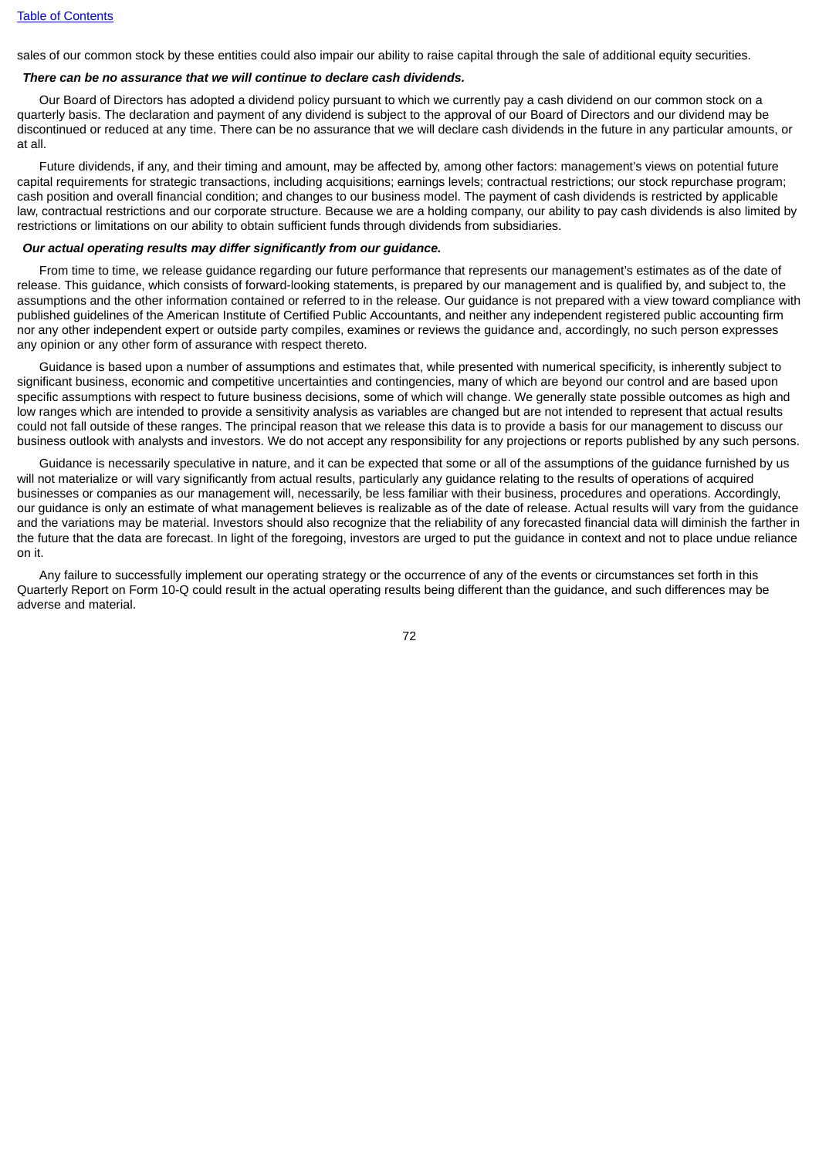sales of our common stock by these entities could also impair our ability to raise capital through the sale of additional equity securities.

# *There can be no assurance that we will continue to declare cash dividends.*

Our Board of Directors has adopted a dividend policy pursuant to which we currently pay a cash dividend on our common stock on a quarterly basis. The declaration and payment of any dividend is subject to the approval of our Board of Directors and our dividend may be discontinued or reduced at any time. There can be no assurance that we will declare cash dividends in the future in any particular amounts, or at all.

Future dividends, if any, and their timing and amount, may be affected by, among other factors: management's views on potential future capital requirements for strategic transactions, including acquisitions; earnings levels; contractual restrictions; our stock repurchase program; cash position and overall financial condition; and changes to our business model. The payment of cash dividends is restricted by applicable law, contractual restrictions and our corporate structure. Because we are a holding company, our ability to pay cash dividends is also limited by restrictions or limitations on our ability to obtain sufficient funds through dividends from subsidiaries.

# *Our actual operating results may differ significantly from our guidance.*

From time to time, we release guidance regarding our future performance that represents our management's estimates as of the date of release. This guidance, which consists of forward-looking statements, is prepared by our management and is qualified by, and subject to, the assumptions and the other information contained or referred to in the release. Our guidance is not prepared with a view toward compliance with published guidelines of the American Institute of Certified Public Accountants, and neither any independent registered public accounting firm nor any other independent expert or outside party compiles, examines or reviews the guidance and, accordingly, no such person expresses any opinion or any other form of assurance with respect thereto.

Guidance is based upon a number of assumptions and estimates that, while presented with numerical specificity, is inherently subject to significant business, economic and competitive uncertainties and contingencies, many of which are beyond our control and are based upon specific assumptions with respect to future business decisions, some of which will change. We generally state possible outcomes as high and low ranges which are intended to provide a sensitivity analysis as variables are changed but are not intended to represent that actual results could not fall outside of these ranges. The principal reason that we release this data is to provide a basis for our management to discuss our business outlook with analysts and investors. We do not accept any responsibility for any projections or reports published by any such persons.

Guidance is necessarily speculative in nature, and it can be expected that some or all of the assumptions of the guidance furnished by us will not materialize or will vary significantly from actual results, particularly any quidance relating to the results of operations of acquired businesses or companies as our management will, necessarily, be less familiar with their business, procedures and operations. Accordingly, our guidance is only an estimate of what management believes is realizable as of the date of release. Actual results will vary from the guidance and the variations may be material. Investors should also recognize that the reliability of any forecasted financial data will diminish the farther in the future that the data are forecast. In light of the foregoing, investors are urged to put the guidance in context and not to place undue reliance on it.

Any failure to successfully implement our operating strategy or the occurrence of any of the events or circumstances set forth in this Quarterly Report on Form 10-Q could result in the actual operating results being different than the guidance, and such differences may be adverse and material.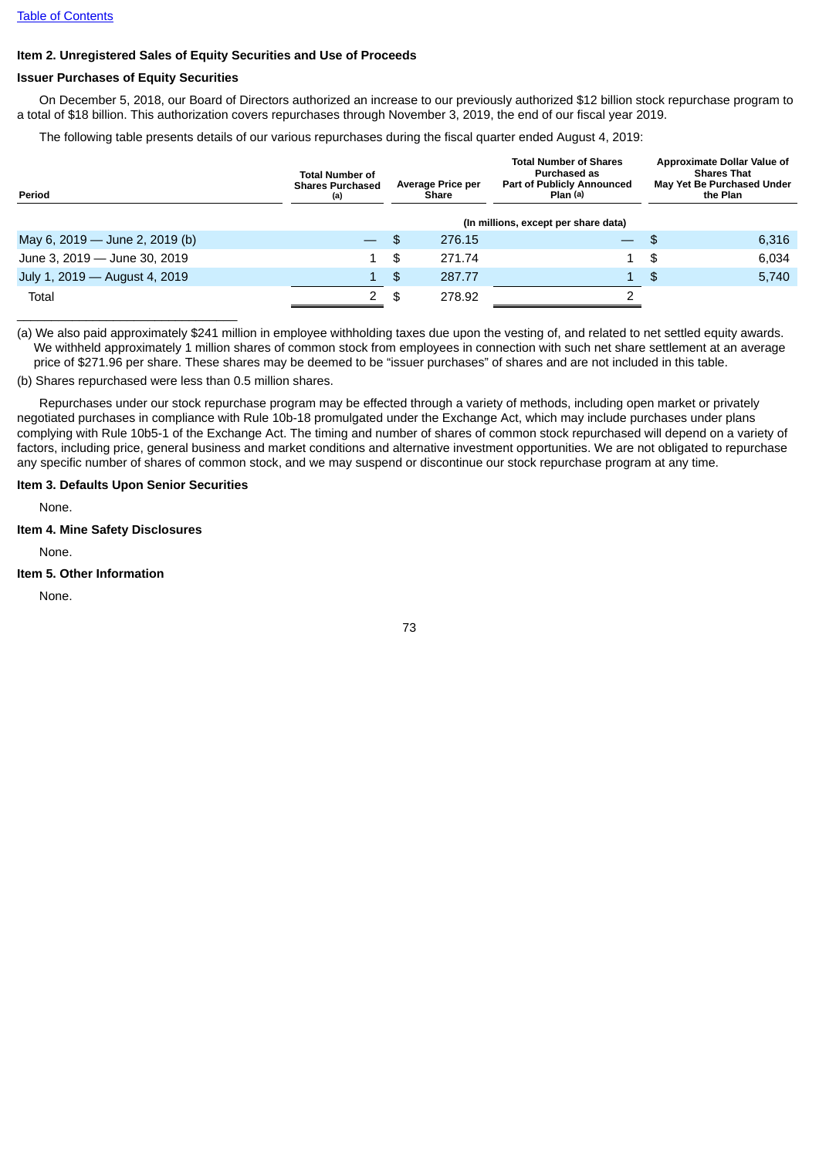# **Item 2. Unregistered Sales of Equity Securities and Use of Proceeds**

### **Issuer Purchases of Equity Securities**

On December 5, 2018, our Board of Directors authorized an increase to our previously authorized \$12 billion stock repurchase program to a total of \$18 billion. This authorization covers repurchases through November 3, 2019, the end of our fiscal year 2019.

The following table presents details of our various repurchases during the fiscal quarter ended August 4, 2019:

| Period                         | <b>Total Number of</b><br><b>Shares Purchased</b><br>(a) |    | <b>Average Price per</b><br><b>Share</b> | <b>Total Number of Shares</b><br><b>Purchased as</b><br><b>Part of Publicly Announced</b><br>Plan (a) |      | Approximate Dollar Value of<br><b>Shares That</b><br>May Yet Be Purchased Under<br>the Plan |
|--------------------------------|----------------------------------------------------------|----|------------------------------------------|-------------------------------------------------------------------------------------------------------|------|---------------------------------------------------------------------------------------------|
|                                | (In millions, except per share data)                     |    |                                          |                                                                                                       |      |                                                                                             |
| May 6, 2019 — June 2, 2019 (b) |                                                          | \$ | 276.15                                   | $\overline{\phantom{0}}$                                                                              | - \$ | 6,316                                                                                       |
| June 3, 2019 - June 30, 2019   | $\mathbf 1$                                              | \$ | 271.74                                   | $1 \quad$                                                                                             | -\$  | 6,034                                                                                       |
| July 1, 2019 - August 4, 2019  | 1                                                        | \$ | 287.77                                   | $1 -$                                                                                                 | -\$  | 5,740                                                                                       |
| Total                          | 2                                                        | \$ | 278.92                                   |                                                                                                       |      |                                                                                             |

(a) We also paid approximately \$241 million in employee withholding taxes due upon the vesting of, and related to net settled equity awards. We withheld approximately 1 million shares of common stock from employees in connection with such net share settlement at an average price of \$271.96 per share. These shares may be deemed to be "issuer purchases" of shares and are not included in this table.

(b) Shares repurchased were less than 0.5 million shares.

Repurchases under our stock repurchase program may be effected through a variety of methods, including open market or privately negotiated purchases in compliance with Rule 10b-18 promulgated under the Exchange Act, which may include purchases under plans complying with Rule 10b5-1 of the Exchange Act. The timing and number of shares of common stock repurchased will depend on a variety of factors, including price, general business and market conditions and alternative investment opportunities. We are not obligated to repurchase any specific number of shares of common stock, and we may suspend or discontinue our stock repurchase program at any time.

#### **Item 3. Defaults Upon Senior Securities**

None.

#### **Item 4. Mine Safety Disclosures**

None.

# **Item 5. Other Information**

None.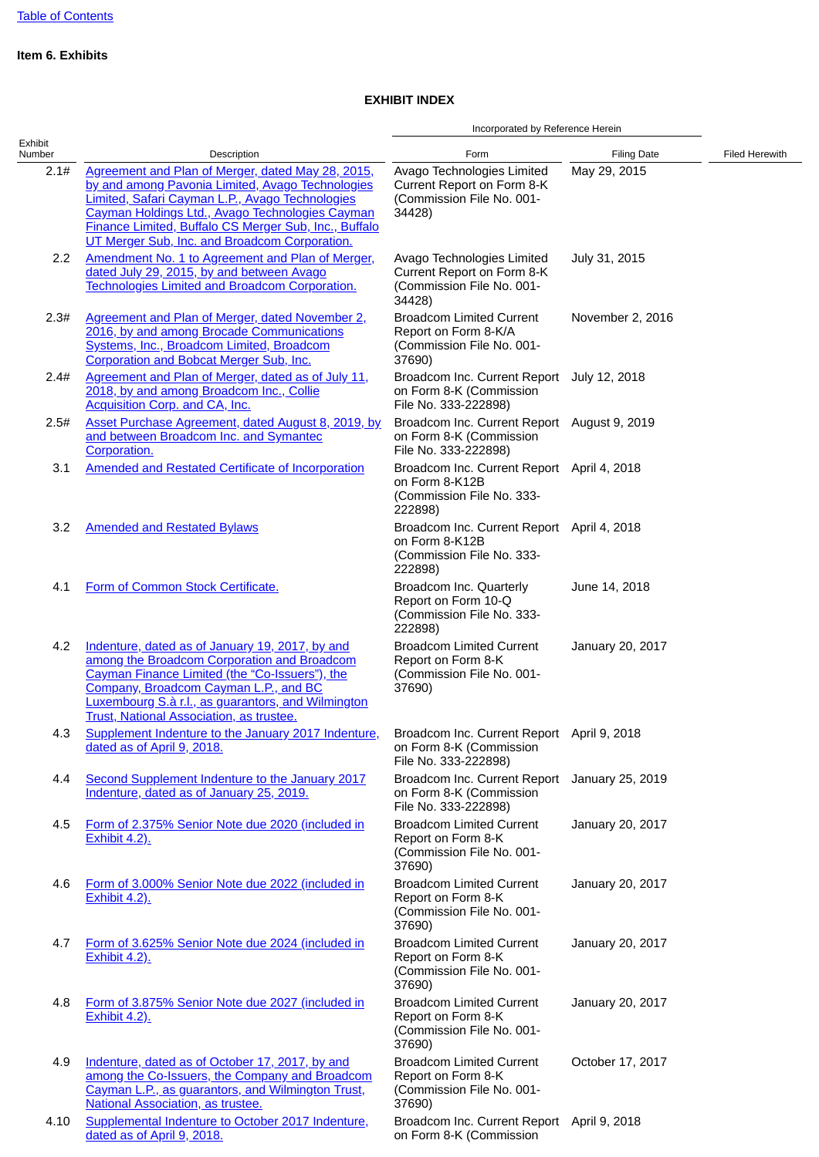# **Item 6. Exhibits**

# **EXHIBIT INDEX**

|                   |                                                                                                                                                                                                                                                                                                                       | Incorporated by Reference Herein                                                                     |                    |                       |
|-------------------|-----------------------------------------------------------------------------------------------------------------------------------------------------------------------------------------------------------------------------------------------------------------------------------------------------------------------|------------------------------------------------------------------------------------------------------|--------------------|-----------------------|
| Exhibit<br>Number | Description                                                                                                                                                                                                                                                                                                           | Form                                                                                                 | <b>Filing Date</b> | <b>Filed Herewith</b> |
| 2.1#              | Agreement and Plan of Merger, dated May 28, 2015,<br>by and among Pavonia Limited, Avago Technologies<br>Limited, Safari Cayman L.P., Avago Technologies<br>Cayman Holdings Ltd., Avago Technologies Cayman<br>Finance Limited, Buffalo CS Merger Sub, Inc., Buffalo<br>UT Merger Sub, Inc. and Broadcom Corporation. | Avago Technologies Limited<br>Current Report on Form 8-K<br>(Commission File No. 001-<br>34428)      | May 29, 2015       |                       |
| 2.2               | Amendment No. 1 to Agreement and Plan of Merger,<br>dated July 29, 2015, by and between Avago<br><b>Technologies Limited and Broadcom Corporation.</b>                                                                                                                                                                | Avago Technologies Limited<br>Current Report on Form 8-K<br>(Commission File No. 001-<br>34428)      | July 31, 2015      |                       |
| 2.3#              | Agreement and Plan of Merger, dated November 2,<br>2016, by and among Brocade Communications<br>Systems, Inc., Broadcom Limited, Broadcom<br>Corporation and Bobcat Merger Sub, Inc.                                                                                                                                  | <b>Broadcom Limited Current</b><br>Report on Form 8-K/A<br>(Commission File No. 001-<br>37690)       | November 2, 2016   |                       |
| 2.4#              | Agreement and Plan of Merger, dated as of July 11,<br>2018, by and among Broadcom Inc., Collie<br>Acquisition Corp. and CA, Inc.                                                                                                                                                                                      | Broadcom Inc. Current Report July 12, 2018<br>on Form 8-K (Commission<br>File No. 333-222898)        |                    |                       |
| 2.5#              | Asset Purchase Agreement, dated August 8, 2019, by<br>and between Broadcom Inc. and Symantec<br>Corporation.                                                                                                                                                                                                          | Broadcom Inc. Current Report August 9, 2019<br>on Form 8-K (Commission<br>File No. 333-222898)       |                    |                       |
| 3.1               | <b>Amended and Restated Certificate of Incorporation</b>                                                                                                                                                                                                                                                              | Broadcom Inc. Current Report April 4, 2018<br>on Form 8-K12B<br>(Commission File No. 333-<br>222898) |                    |                       |
| 3.2               | <b>Amended and Restated Bylaws</b>                                                                                                                                                                                                                                                                                    | Broadcom Inc. Current Report April 4, 2018<br>on Form 8-K12B<br>(Commission File No. 333-<br>222898) |                    |                       |
| 4.1               | Form of Common Stock Certificate.                                                                                                                                                                                                                                                                                     | Broadcom Inc. Quarterly<br>Report on Form 10-Q<br>(Commission File No. 333-<br>222898)               | June 14, 2018      |                       |
| 4.2               | Indenture, dated as of January 19, 2017, by and<br>among the Broadcom Corporation and Broadcom<br>Cayman Finance Limited (the "Co-Issuers"), the<br>Company, Broadcom Cayman L.P., and BC<br><b>Luxembourg S.a r.l., as guarantors, and Wilmington</b><br><b>Trust, National Association, as trustee.</b>             | <b>Broadcom Limited Current</b><br>Report on Form 8-K<br>(Commission File No. 001-<br>37690)         | January 20, 2017   |                       |
| 4.3               | Supplement Indenture to the January 2017 Indenture,<br>dated as of April 9, 2018.                                                                                                                                                                                                                                     | Broadcom Inc. Current Report April 9, 2018<br>on Form 8-K (Commission<br>File No. 333-222898)        |                    |                       |
| 4.4               | Second Supplement Indenture to the January 2017<br>Indenture, dated as of January 25, 2019.                                                                                                                                                                                                                           | Broadcom Inc. Current Report<br>on Form 8-K (Commission<br>File No. 333-222898)                      | January 25, 2019   |                       |
| 4.5               | Form of 2.375% Senior Note due 2020 (included in<br><b>Exhibit 4.2).</b>                                                                                                                                                                                                                                              | <b>Broadcom Limited Current</b><br>Report on Form 8-K<br>(Commission File No. 001-<br>37690)         | January 20, 2017   |                       |
| 4.6               | Form of 3.000% Senior Note due 2022 (included in<br><b>Exhibit 4.2).</b>                                                                                                                                                                                                                                              | <b>Broadcom Limited Current</b><br>Report on Form 8-K<br>(Commission File No. 001-<br>37690)         | January 20, 2017   |                       |
| 4.7               | Form of 3.625% Senior Note due 2024 (included in<br><b>Exhibit 4.2).</b>                                                                                                                                                                                                                                              | <b>Broadcom Limited Current</b><br>Report on Form 8-K<br>(Commission File No. 001-<br>37690)         | January 20, 2017   |                       |
| 4.8               | Form of 3.875% Senior Note due 2027 (included in<br><b>Exhibit 4.2).</b>                                                                                                                                                                                                                                              | <b>Broadcom Limited Current</b><br>Report on Form 8-K<br>(Commission File No. 001-<br>37690)         | January 20, 2017   |                       |
| 4.9               | Indenture, dated as of October 17, 2017, by and<br>among the Co-Issuers, the Company and Broadcom<br>Cayman L.P., as guarantors, and Wilmington Trust,<br><b>National Association, as trustee.</b>                                                                                                                    | <b>Broadcom Limited Current</b><br>Report on Form 8-K<br>(Commission File No. 001-<br>37690)         | October 17, 2017   |                       |
| 4.10              | Supplemental Indenture to October 2017 Indenture,<br>dated as of April 9, 2018.                                                                                                                                                                                                                                       | Broadcom Inc. Current Report April 9, 2018<br>on Form 8-K (Commission                                |                    |                       |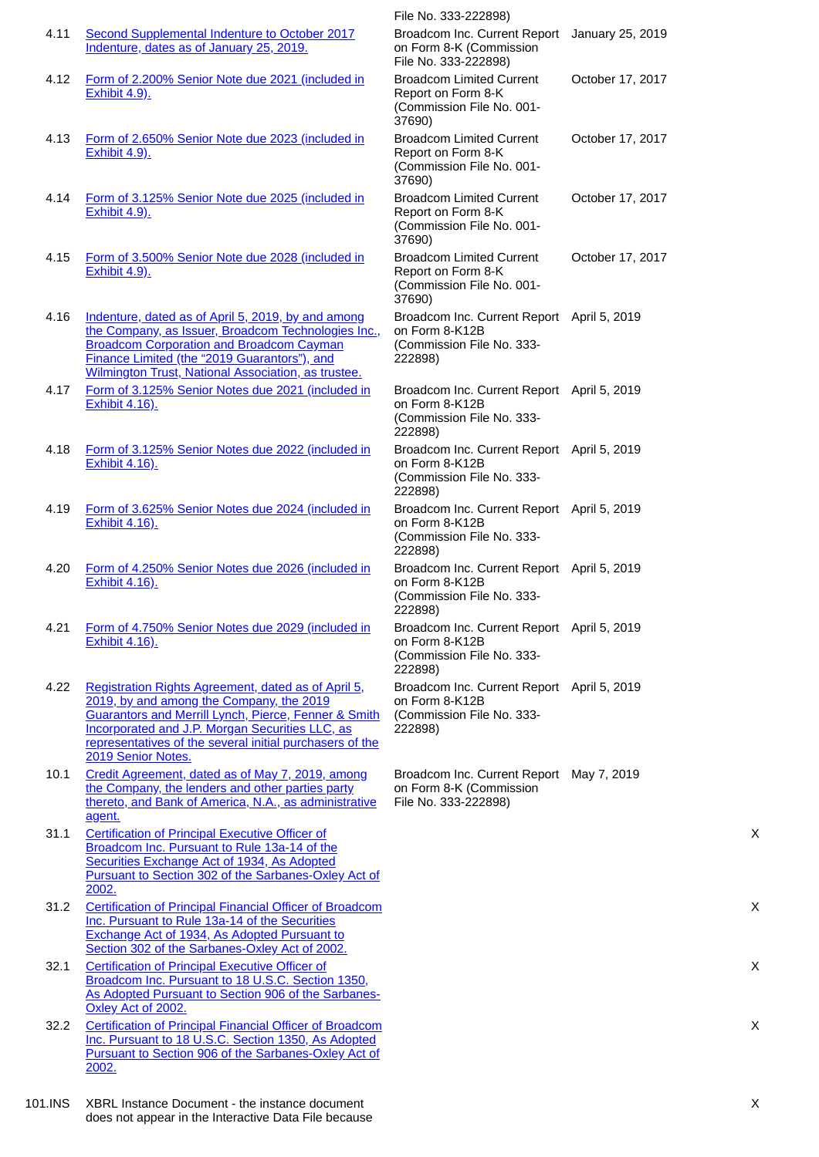|         |                                                                                                                                                                                                                                                                                                         | File No. 333-222898)                                                                                 |                  |
|---------|---------------------------------------------------------------------------------------------------------------------------------------------------------------------------------------------------------------------------------------------------------------------------------------------------------|------------------------------------------------------------------------------------------------------|------------------|
| 4.11    | Second Supplemental Indenture to October 2017<br>Indenture, dates as of January 25, 2019.                                                                                                                                                                                                               | Broadcom Inc. Current Report<br>on Form 8-K (Commission<br>File No. 333-222898)                      | January 25, 2019 |
| 4.12    | Form of 2.200% Senior Note due 2021 (included in<br><b>Exhibit 4.9).</b>                                                                                                                                                                                                                                | <b>Broadcom Limited Current</b><br>Report on Form 8-K<br>(Commission File No. 001-<br>37690)         | October 17, 2017 |
| 4.13    | Form of 2.650% Senior Note due 2023 (included in<br><b>Exhibit 4.9).</b>                                                                                                                                                                                                                                | <b>Broadcom Limited Current</b><br>Report on Form 8-K<br>(Commission File No. 001-<br>37690)         | October 17, 2017 |
| 4.14    | Form of 3.125% Senior Note due 2025 (included in<br><b>Exhibit 4.9).</b>                                                                                                                                                                                                                                | <b>Broadcom Limited Current</b><br>Report on Form 8-K<br>(Commission File No. 001-<br>37690)         | October 17, 2017 |
| 4.15    | Form of 3.500% Senior Note due 2028 (included in<br><b>Exhibit 4.9).</b>                                                                                                                                                                                                                                | <b>Broadcom Limited Current</b><br>Report on Form 8-K<br>(Commission File No. 001-<br>37690)         | October 17, 2017 |
| 4.16    | Indenture, dated as of April 5, 2019, by and among<br>the Company, as Issuer, Broadcom Technologies Inc.,<br><b>Broadcom Corporation and Broadcom Cayman</b><br>Finance Limited (the "2019 Guarantors"), and<br>Wilmington Trust, National Association, as trustee.                                     | Broadcom Inc. Current Report April 5, 2019<br>on Form 8-K12B<br>(Commission File No. 333-<br>222898) |                  |
| 4.17    | Form of 3.125% Senior Notes due 2021 (included in<br><b>Exhibit 4.16).</b>                                                                                                                                                                                                                              | Broadcom Inc. Current Report April 5, 2019<br>on Form 8-K12B<br>(Commission File No. 333-<br>222898) |                  |
| 4.18    | Form of 3.125% Senior Notes due 2022 (included in<br><b>Exhibit 4.16).</b>                                                                                                                                                                                                                              | Broadcom Inc. Current Report April 5, 2019<br>on Form 8-K12B<br>(Commission File No. 333-<br>222898) |                  |
| 4.19    | Form of 3.625% Senior Notes due 2024 (included in<br><b>Exhibit 4.16).</b>                                                                                                                                                                                                                              | Broadcom Inc. Current Report April 5, 2019<br>on Form 8-K12B<br>(Commission File No. 333-<br>222898) |                  |
| 4.20    | Form of 4.250% Senior Notes due 2026 (included in<br>Exhibit 4.16).                                                                                                                                                                                                                                     | Broadcom Inc. Current Report April 5, 2019<br>on Form 8-K12B<br>(Commission File No. 333-<br>222898) |                  |
| 4.21    | Form of 4.750% Senior Notes due 2029 (included in<br><b>Exhibit 4.16).</b>                                                                                                                                                                                                                              | Broadcom Inc. Current Report April 5, 2019<br>on Form 8-K12B<br>(Commission File No. 333-<br>222898) |                  |
| 4.22    | Registration Rights Agreement, dated as of April 5,<br>2019, by and among the Company, the 2019<br><b>Guarantors and Merrill Lynch, Pierce, Fenner &amp; Smith</b><br>Incorporated and J.P. Morgan Securities LLC, as<br>representatives of the several initial purchasers of the<br>2019 Senior Notes. | Broadcom Inc. Current Report April 5, 2019<br>on Form 8-K12B<br>(Commission File No. 333-<br>222898) |                  |
| 10.1    | Credit Agreement, dated as of May 7, 2019, among<br>the Company, the lenders and other parties party<br>thereto, and Bank of America, N.A., as administrative<br>agent.                                                                                                                                 | Broadcom Inc. Current Report May 7, 2019<br>on Form 8-K (Commission<br>File No. 333-222898)          |                  |
| 31.1    | <b>Certification of Principal Executive Officer of</b><br>Broadcom Inc. Pursuant to Rule 13a-14 of the<br>Securities Exchange Act of 1934, As Adopted<br>Pursuant to Section 302 of the Sarbanes-Oxley Act of<br>2002.                                                                                  |                                                                                                      |                  |
| 31.2    | <b>Certification of Principal Financial Officer of Broadcom</b><br>Inc. Pursuant to Rule 13a-14 of the Securities<br><b>Exchange Act of 1934, As Adopted Pursuant to</b><br>Section 302 of the Sarbanes-Oxley Act of 2002.                                                                              |                                                                                                      |                  |
| 32.1    | <b>Certification of Principal Executive Officer of</b><br>Broadcom Inc. Pursuant to 18 U.S.C. Section 1350,<br>As Adopted Pursuant to Section 906 of the Sarbanes-<br>Oxley Act of 2002.                                                                                                                |                                                                                                      |                  |
| 32.2    | <b>Certification of Principal Financial Officer of Broadcom</b><br>Inc. Pursuant to 18 U.S.C. Section 1350, As Adopted<br>Pursuant to Section 906 of the Sarbanes-Oxley Act of<br>2002.                                                                                                                 |                                                                                                      |                  |
| 101.INS | XBRL Instance Document - the instance document<br>does not appear in the Interactive Data File because                                                                                                                                                                                                  |                                                                                                      |                  |

X

 $\boldsymbol{\mathsf{X}}$ 

X

X

X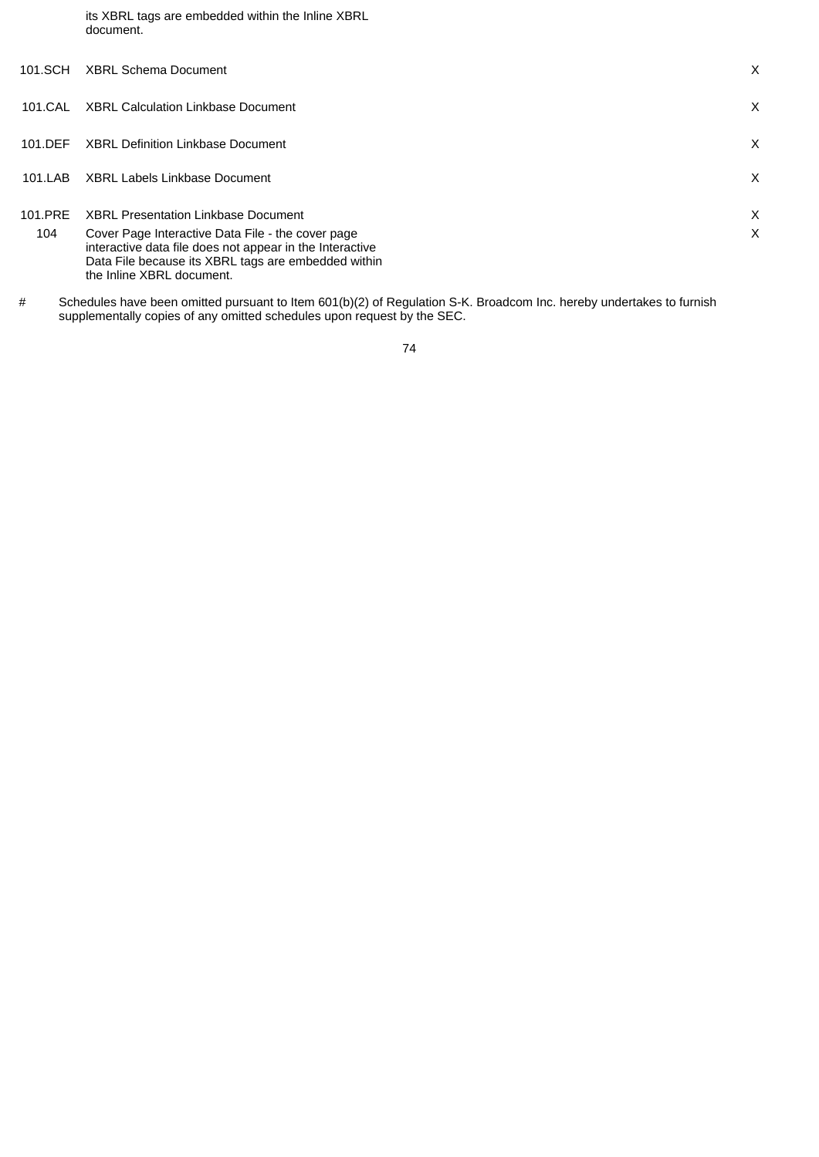its XBRL tags are embedded within the Inline XBRL document.

| 101.SCH        | <b>XBRL Schema Document</b>                                                                                                                                                                                                                     | X      |
|----------------|-------------------------------------------------------------------------------------------------------------------------------------------------------------------------------------------------------------------------------------------------|--------|
| 101.CAI        | XBRL Calculation Linkbase Document                                                                                                                                                                                                              | X      |
| 101.DEF        | <b>XBRL Definition Linkbase Document</b>                                                                                                                                                                                                        | X      |
| 101.LAB        | <b>XBRL Labels Linkbase Document</b>                                                                                                                                                                                                            | X      |
| 101.PRE<br>104 | <b>XBRL Presentation Linkbase Document</b><br>Cover Page Interactive Data File - the cover page<br>interactive data file does not appear in the Interactive<br>Data File because its XBRL tags are embedded within<br>the Inline XBRL document. | X<br>X |

# Schedules have been omitted pursuant to Item 601(b)(2) of Regulation S-K. Broadcom Inc. hereby undertakes to furnish supplementally copies of any omitted schedules upon request by the SEC.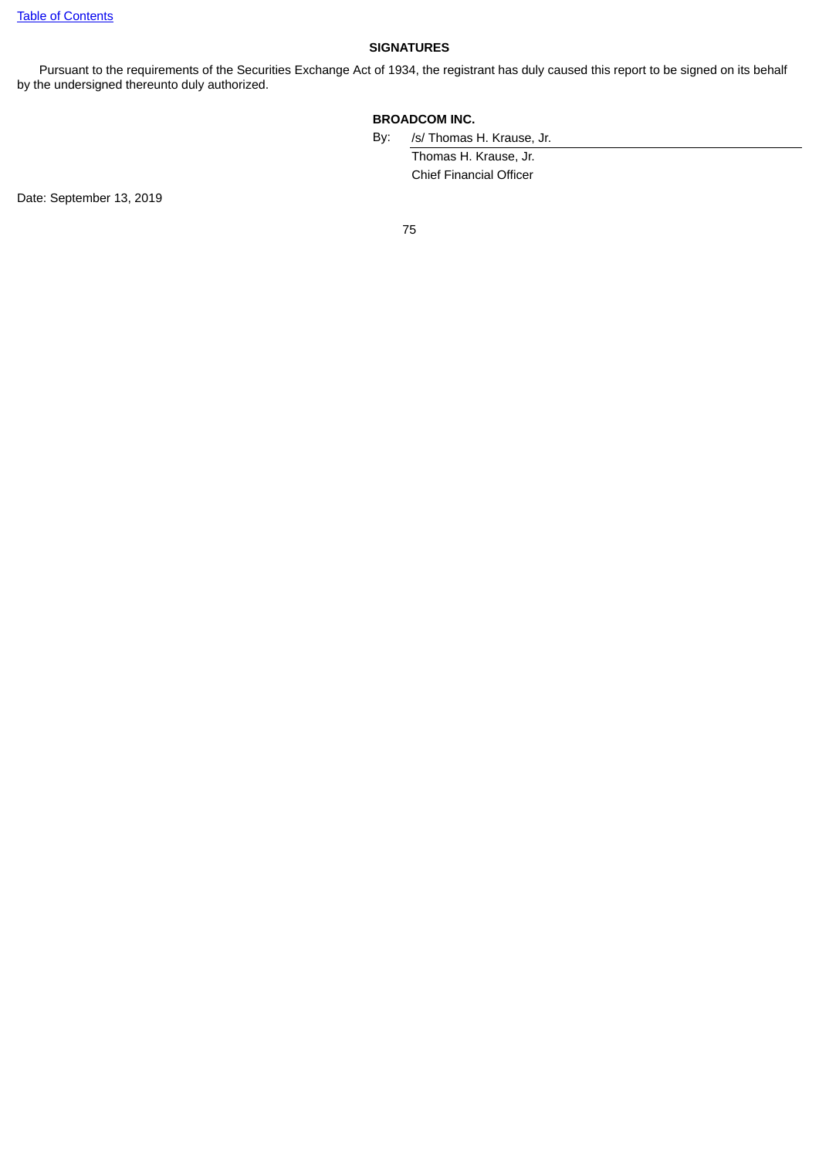# **SIGNATURES**

Pursuant to the requirements of the Securities Exchange Act of 1934, the registrant has duly caused this report to be signed on its behalf by the undersigned thereunto duly authorized.

# **BROADCOM INC.**

By: /s/ Thomas H. Krause, Jr.

Thomas H. Krause, Jr. Chief Financial Officer

Date: September 13, 2019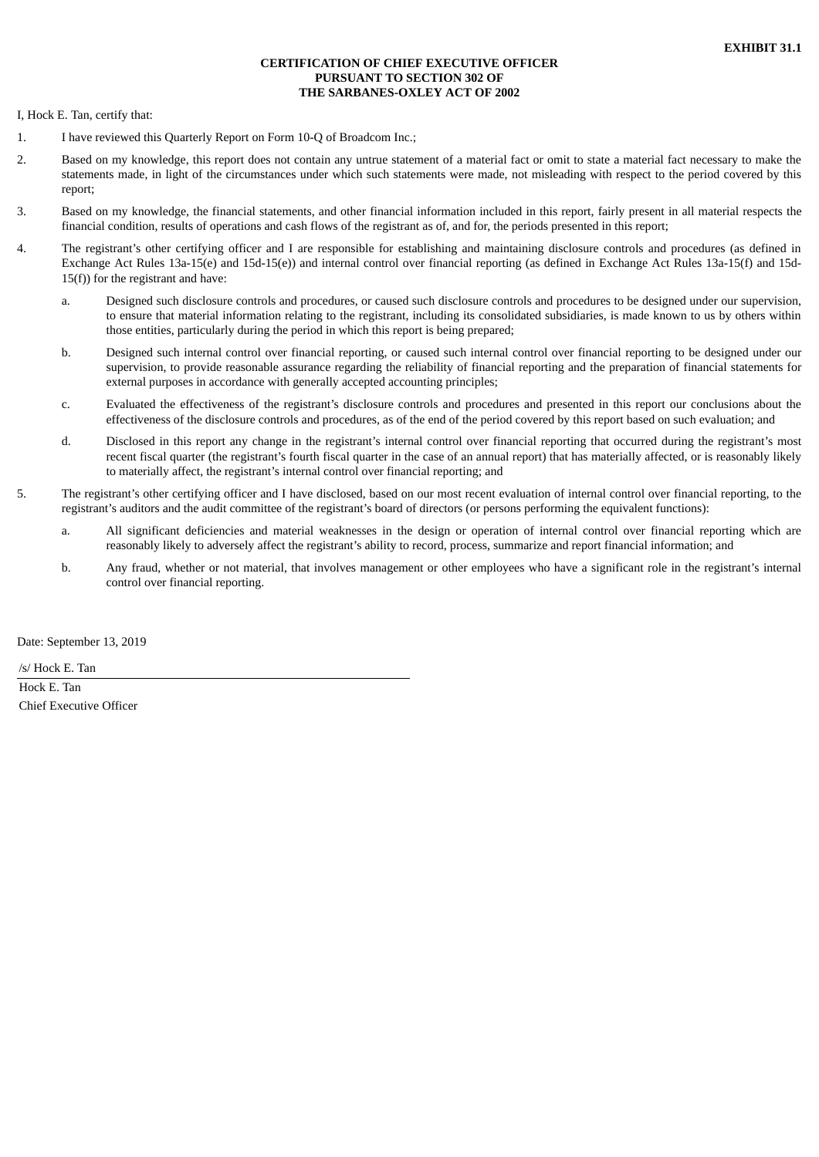### **CERTIFICATION OF CHIEF EXECUTIVE OFFICER PURSUANT TO SECTION 302 OF THE SARBANES-OXLEY ACT OF 2002**

<span id="page-80-0"></span>I, Hock E. Tan, certify that:

- 1. I have reviewed this Quarterly Report on Form 10-Q of Broadcom Inc.;
- 2. Based on my knowledge, this report does not contain any untrue statement of a material fact or omit to state a material fact necessary to make the statements made, in light of the circumstances under which such statements were made, not misleading with respect to the period covered by this report;
- 3. Based on my knowledge, the financial statements, and other financial information included in this report, fairly present in all material respects the financial condition, results of operations and cash flows of the registrant as of, and for, the periods presented in this report;
- 4. The registrant's other certifying officer and I are responsible for establishing and maintaining disclosure controls and procedures (as defined in Exchange Act Rules 13a-15(e) and 15d-15(e)) and internal control over financial reporting (as defined in Exchange Act Rules 13a-15(f) and 15d-15(f)) for the registrant and have:
	- a. Designed such disclosure controls and procedures, or caused such disclosure controls and procedures to be designed under our supervision, to ensure that material information relating to the registrant, including its consolidated subsidiaries, is made known to us by others within those entities, particularly during the period in which this report is being prepared;
	- b. Designed such internal control over financial reporting, or caused such internal control over financial reporting to be designed under our supervision, to provide reasonable assurance regarding the reliability of financial reporting and the preparation of financial statements for external purposes in accordance with generally accepted accounting principles;
	- c. Evaluated the effectiveness of the registrant's disclosure controls and procedures and presented in this report our conclusions about the effectiveness of the disclosure controls and procedures, as of the end of the period covered by this report based on such evaluation; and
	- d. Disclosed in this report any change in the registrant's internal control over financial reporting that occurred during the registrant's most recent fiscal quarter (the registrant's fourth fiscal quarter in the case of an annual report) that has materially affected, or is reasonably likely to materially affect, the registrant's internal control over financial reporting; and
- 5. The registrant's other certifying officer and I have disclosed, based on our most recent evaluation of internal control over financial reporting, to the registrant's auditors and the audit committee of the registrant's board of directors (or persons performing the equivalent functions):
	- a. All significant deficiencies and material weaknesses in the design or operation of internal control over financial reporting which are reasonably likely to adversely affect the registrant's ability to record, process, summarize and report financial information; and
	- b. Any fraud, whether or not material, that involves management or other employees who have a significant role in the registrant's internal control over financial reporting.

Date: September 13, 2019

/s/ Hock E. Tan

Hock E. Tan Chief Executive Officer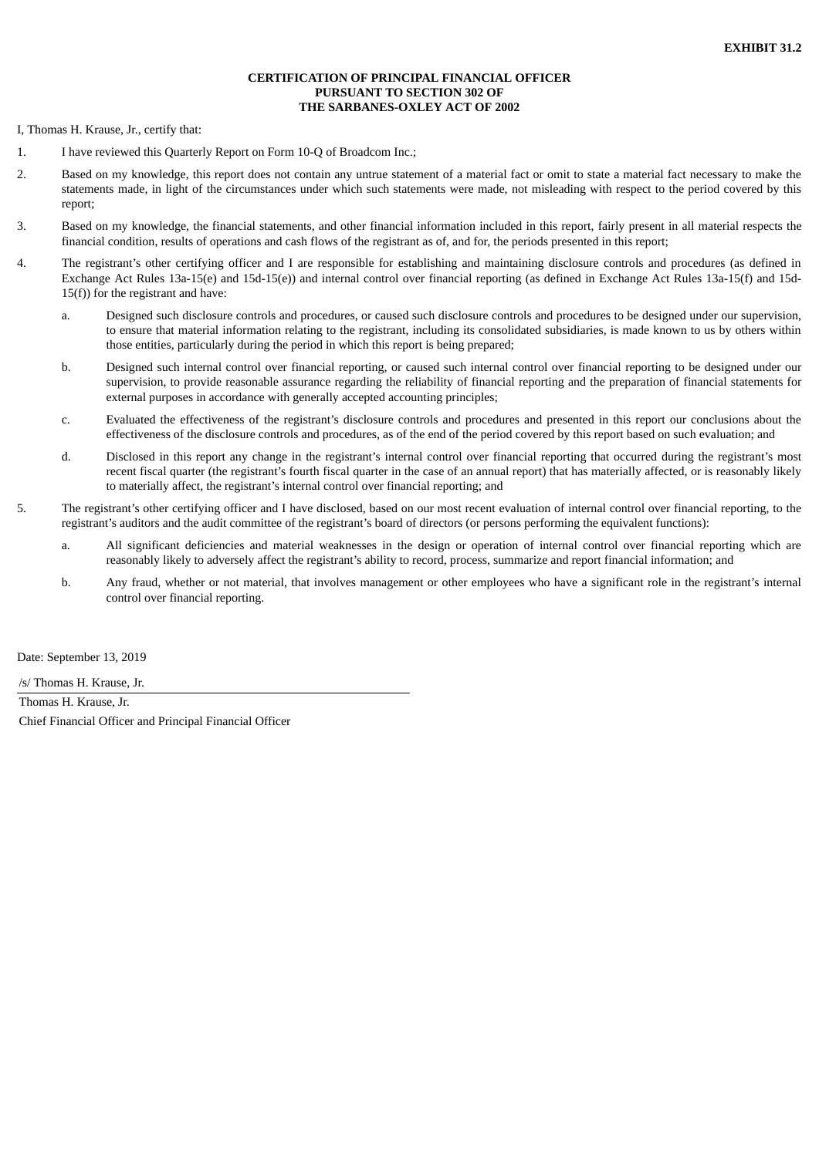#### **CERTIFICATION OF PRINCIPAL FINANCIAL OFFICER PURSUANT TO SECTION 302 OF THE SARBANES-OXLEY ACT OF 2002**

<span id="page-81-0"></span>I, Thomas H. Krause, Jr., certify that:

- 1. I have reviewed this Quarterly Report on Form 10-Q of Broadcom Inc.;
- 2. Based on my knowledge, this report does not contain any untrue statement of a material fact or omit to state a material fact necessary to make the statements made, in light of the circumstances under which such statements were made, not misleading with respect to the period covered by this report;
- 3. Based on my knowledge, the financial statements, and other financial information included in this report, fairly present in all material respects the financial condition, results of operations and cash flows of the registrant as of, and for, the periods presented in this report;
- 4. The registrant's other certifying officer and I are responsible for establishing and maintaining disclosure controls and procedures (as defined in Exchange Act Rules 13a-15(e) and 15d-15(e)) and internal control over financial reporting (as defined in Exchange Act Rules 13a-15(f) and 15d-15(f)) for the registrant and have:
	- a. Designed such disclosure controls and procedures, or caused such disclosure controls and procedures to be designed under our supervision, to ensure that material information relating to the registrant, including its consolidated subsidiaries, is made known to us by others within those entities, particularly during the period in which this report is being prepared;
	- b. Designed such internal control over financial reporting, or caused such internal control over financial reporting to be designed under our supervision, to provide reasonable assurance regarding the reliability of financial reporting and the preparation of financial statements for external purposes in accordance with generally accepted accounting principles;
	- c. Evaluated the effectiveness of the registrant's disclosure controls and procedures and presented in this report our conclusions about the effectiveness of the disclosure controls and procedures, as of the end of the period covered by this report based on such evaluation; and
	- d. Disclosed in this report any change in the registrant's internal control over financial reporting that occurred during the registrant's most recent fiscal quarter (the registrant's fourth fiscal quarter in the case of an annual report) that has materially affected, or is reasonably likely to materially affect, the registrant's internal control over financial reporting; and
- 5. The registrant's other certifying officer and I have disclosed, based on our most recent evaluation of internal control over financial reporting, to the registrant's auditors and the audit committee of the registrant's board of directors (or persons performing the equivalent functions):
	- a. All significant deficiencies and material weaknesses in the design or operation of internal control over financial reporting which are reasonably likely to adversely affect the registrant's ability to record, process, summarize and report financial information; and
	- b. Any fraud, whether or not material, that involves management or other employees who have a significant role in the registrant's internal control over financial reporting.

Date: September 13, 2019

/s/ Thomas H. Krause, Jr.

Thomas H. Krause, Jr. Chief Financial Officer and Principal Financial Officer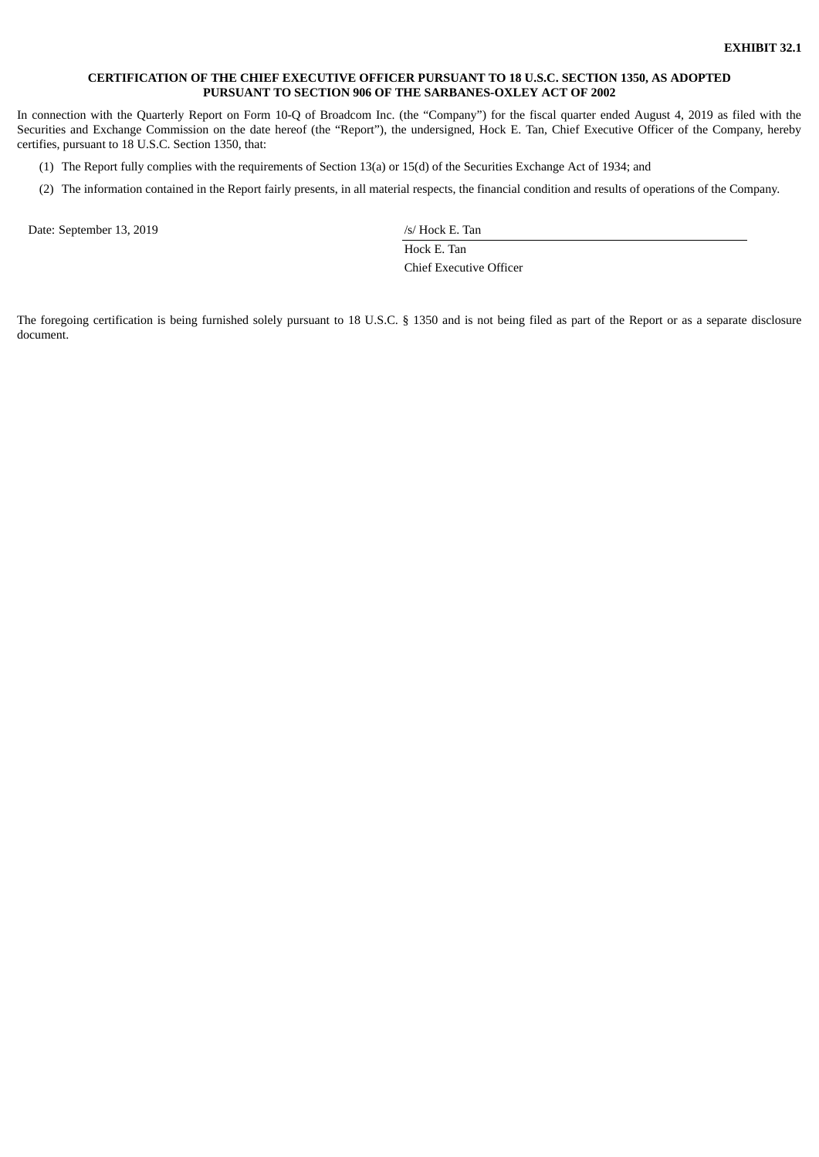#### <span id="page-82-0"></span>**CERTIFICATION OF THE CHIEF EXECUTIVE OFFICER PURSUANT TO 18 U.S.C. SECTION 1350, AS ADOPTED PURSUANT TO SECTION 906 OF THE SARBANES-OXLEY ACT OF 2002**

In connection with the Quarterly Report on Form 10-Q of Broadcom Inc. (the "Company") for the fiscal quarter ended August 4, 2019 as filed with the Securities and Exchange Commission on the date hereof (the "Report"), the undersigned, Hock E. Tan, Chief Executive Officer of the Company, hereby certifies, pursuant to 18 U.S.C. Section 1350, that:

- (1) The Report fully complies with the requirements of Section 13(a) or 15(d) of the Securities Exchange Act of 1934; and
- (2) The information contained in the Report fairly presents, in all material respects, the financial condition and results of operations of the Company.

Date: September 13, 2019 /s/ Hock E. Tan

Hock E. Tan Chief Executive Officer

The foregoing certification is being furnished solely pursuant to 18 U.S.C. § 1350 and is not being filed as part of the Report or as a separate disclosure document.